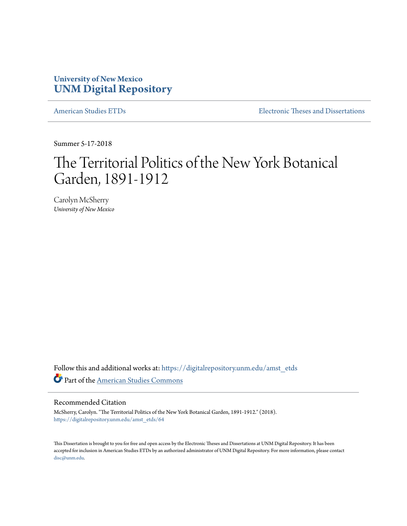## **University of New Mexico [UNM Digital Repository](https://digitalrepository.unm.edu?utm_source=digitalrepository.unm.edu%2Famst_etds%2F64&utm_medium=PDF&utm_campaign=PDFCoverPages)**

[American Studies ETDs](https://digitalrepository.unm.edu/amst_etds?utm_source=digitalrepository.unm.edu%2Famst_etds%2F64&utm_medium=PDF&utm_campaign=PDFCoverPages) **[Electronic Theses and Dissertations](https://digitalrepository.unm.edu/etds?utm_source=digitalrepository.unm.edu%2Famst_etds%2F64&utm_medium=PDF&utm_campaign=PDFCoverPages)** 

Summer 5-17-2018

# The Territorial Politics of the New York Botanical Garden, 1891-1912

Carolyn McSherry *University of New Mexico*

Follow this and additional works at: [https://digitalrepository.unm.edu/amst\\_etds](https://digitalrepository.unm.edu/amst_etds?utm_source=digitalrepository.unm.edu%2Famst_etds%2F64&utm_medium=PDF&utm_campaign=PDFCoverPages) Part of the [American Studies Commons](http://network.bepress.com/hgg/discipline/439?utm_source=digitalrepository.unm.edu%2Famst_etds%2F64&utm_medium=PDF&utm_campaign=PDFCoverPages)

#### Recommended Citation

McSherry, Carolyn. "The Territorial Politics of the New York Botanical Garden, 1891-1912." (2018). [https://digitalrepository.unm.edu/amst\\_etds/64](https://digitalrepository.unm.edu/amst_etds/64?utm_source=digitalrepository.unm.edu%2Famst_etds%2F64&utm_medium=PDF&utm_campaign=PDFCoverPages)

This Dissertation is brought to you for free and open access by the Electronic Theses and Dissertations at UNM Digital Repository. It has been accepted for inclusion in American Studies ETDs by an authorized administrator of UNM Digital Repository. For more information, please contact [disc@unm.edu](mailto:disc@unm.edu).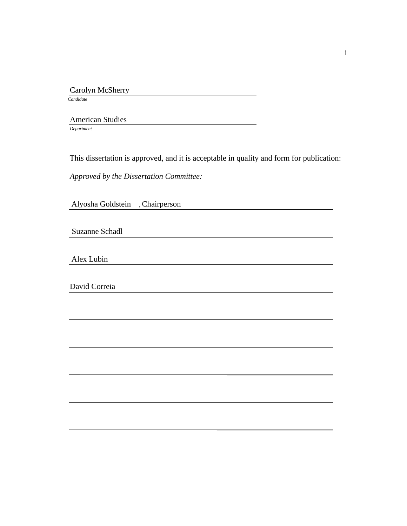Carolyn McSherry  *Candidate*

 American Studies *Department*

This dissertation is approved, and it is acceptable in quality and form for publication:

*Approved by the Dissertation Committee:*

Alyosha Goldstein , Chairperson

Suzanne Schadl

Alex Lubin

David Correia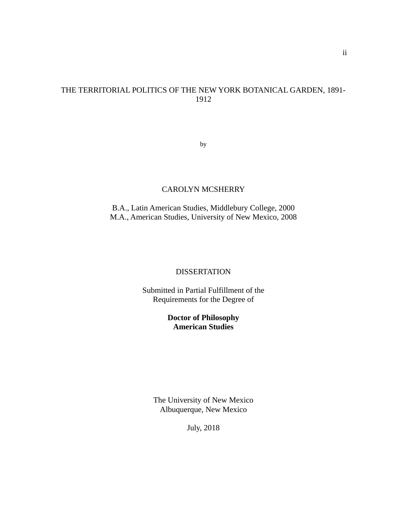## THE TERRITORIAL POLITICS OF THE NEW YORK BOTANICAL GARDEN, 1891- 1912

<span id="page-2-0"></span>by

### CAROLYN MCSHERRY

B.A., Latin American Studies, Middlebury College, 2000 M.A., American Studies, University of New Mexico, 2008

## <span id="page-2-2"></span>**DISSERTATION**

<span id="page-2-4"></span><span id="page-2-1"></span>Submitted in Partial Fulfillment of the Requirements for the Degree of

## **Doctor of Philosophy American Studies**

<span id="page-2-3"></span>The University of New Mexico Albuquerque, New Mexico

July, 2018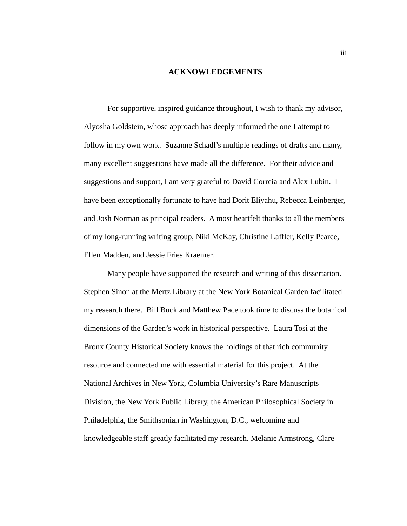#### **ACKNOWLEDGEMENTS**

For supportive, inspired guidance throughout, I wish to thank my advisor, Alyosha Goldstein, whose approach has deeply informed the one I attempt to follow in my own work. Suzanne Schadl's multiple readings of drafts and many, many excellent suggestions have made all the difference. For their advice and suggestions and support, I am very grateful to David Correia and Alex Lubin. I have been exceptionally fortunate to have had Dorit Eliyahu, Rebecca Leinberger, and Josh Norman as principal readers. A most heartfelt thanks to all the members of my long-running writing group, Niki McKay, Christine Laffler, Kelly Pearce, Ellen Madden, and Jessie Fries Kraemer.

Many people have supported the research and writing of this dissertation. Stephen Sinon at the Mertz Library at the New York Botanical Garden facilitated my research there. Bill Buck and Matthew Pace took time to discuss the botanical dimensions of the Garden's work in historical perspective. Laura Tosi at the Bronx County Historical Society knows the holdings of that rich community resource and connected me with essential material for this project. At the National Archives in New York, Columbia University's Rare Manuscripts Division, the New York Public Library, the American Philosophical Society in Philadelphia, the Smithsonian in Washington, D.C., welcoming and knowledgeable staff greatly facilitated my research. Melanie Armstrong, Clare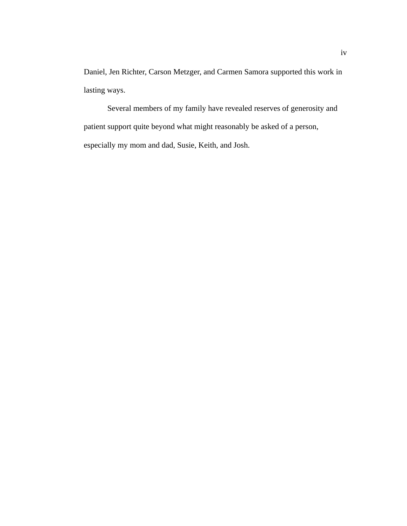Daniel, Jen Richter, Carson Metzger, and Carmen Samora supported this work in lasting ways.

Several members of my family have revealed reserves of generosity and patient support quite beyond what might reasonably be asked of a person, especially my mom and dad, Susie, Keith, and Josh.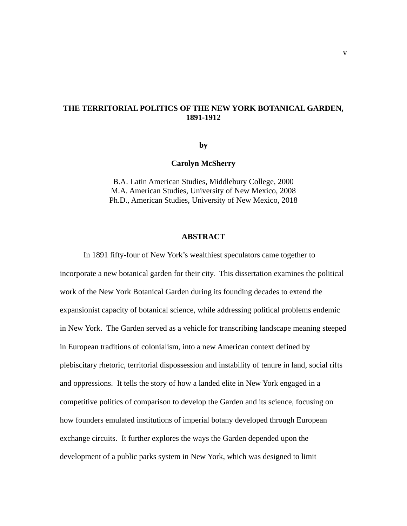### **THE TERRITORIAL POLITICS OF THE NEW YORK BOTANICAL GARDEN, 1891-1912**

**by**

#### **Carolyn McSherry**

B.A. Latin American Studies, Middlebury College, 2000 M.A. American Studies, University of New Mexico, 2008 Ph.D., American Studies, University of New Mexico, 2018

#### **ABSTRACT**

In 1891 fifty-four of New York's wealthiest speculators came together to incorporate a new botanical garden for their city. This dissertation examines the political work of the New York Botanical Garden during its founding decades to extend the expansionist capacity of botanical science, while addressing political problems endemic in New York. The Garden served as a vehicle for transcribing landscape meaning steeped in European traditions of colonialism, into a new American context defined by plebiscitary rhetoric, territorial dispossession and instability of tenure in land, social rifts and oppressions. It tells the story of how a landed elite in New York engaged in a competitive politics of comparison to develop the Garden and its science, focusing on how founders emulated institutions of imperial botany developed through European exchange circuits. It further explores the ways the Garden depended upon the development of a public parks system in New York, which was designed to limit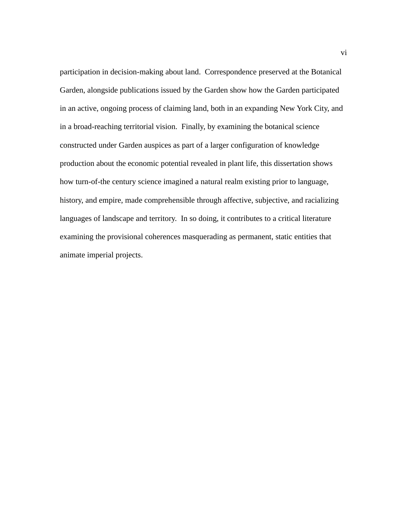participation in decision-making about land. Correspondence preserved at the Botanical Garden, alongside publications issued by the Garden show how the Garden participated in an active, ongoing process of claiming land, both in an expanding New York City, and in a broad-reaching territorial vision. Finally, by examining the botanical science constructed under Garden auspices as part of a larger configuration of knowledge production about the economic potential revealed in plant life, this dissertation shows how turn-of-the century science imagined a natural realm existing prior to language, history, and empire, made comprehensible through affective, subjective, and racializing languages of landscape and territory. In so doing, it contributes to a critical literature examining the provisional coherences masquerading as permanent, static entities that animate imperial projects.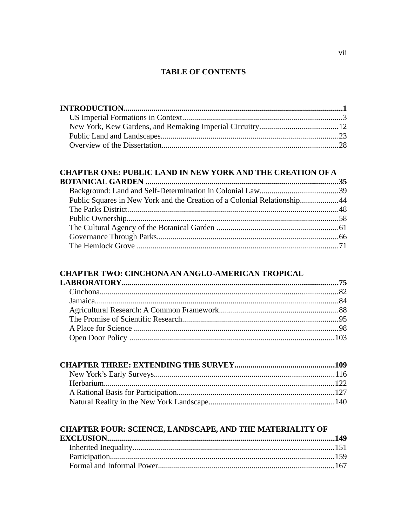## **TABLE OF CONTENTS**

## CHAPTER ONE: PUBLIC LAND IN NEW YORK AND THE CREATION OF A

| Public Squares in New York and the Creation of a Colonial Relationship44 |  |
|--------------------------------------------------------------------------|--|
|                                                                          |  |
|                                                                          |  |
|                                                                          |  |
|                                                                          |  |
|                                                                          |  |
|                                                                          |  |

## CHAPTER TWO: CINCHONA AN ANGLO-AMERICAN TROPICAL

# **CHAPTER FOUR: SCIENCE, LANDSCAPE, AND THE MATERIALITY OF**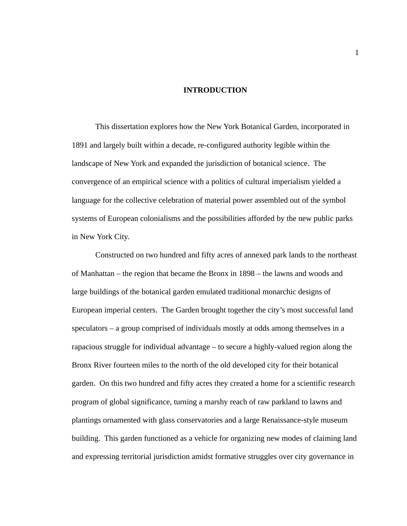#### **INTRODUCTION**

This dissertation explores how the New York Botanical Garden, incorporated in 1891 and largely built within a decade, re-configured authority legible within the landscape of New York and expanded the jurisdiction of botanical science. The convergence of an empirical science with a politics of cultural imperialism yielded a language for the collective celebration of material power assembled out of the symbol systems of European colonialisms and the possibilities afforded by the new public parks in New York City.

Constructed on two hundred and fifty acres of annexed park lands to the northeast of Manhattan – the region that became the Bronx in 1898 – the lawns and woods and large buildings of the botanical garden emulated traditional monarchic designs of European imperial centers. The Garden brought together the city's most successful land speculators – a group comprised of individuals mostly at odds among themselves in a rapacious struggle for individual advantage – to secure a highly-valued region along the Bronx River fourteen miles to the north of the old developed city for their botanical garden. On this two hundred and fifty acres they created a home for a scientific research program of global significance, turning a marshy reach of raw parkland to lawns and plantings ornamented with glass conservatories and a large Renaissance-style museum building. This garden functioned as a vehicle for organizing new modes of claiming land and expressing territorial jurisdiction amidst formative struggles over city governance in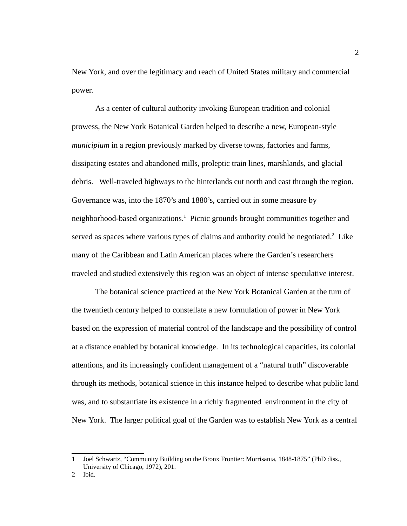New York, and over the legitimacy and reach of United States military and commercial power.

As a center of cultural authority invoking European tradition and colonial prowess, the New York Botanical Garden helped to describe a new, European-style *municipium* in a region previously marked by diverse towns, factories and farms, dissipating estates and abandoned mills, proleptic train lines, marshlands, and glacial debris. Well-traveled highways to the hinterlands cut north and east through the region. Governance was, into the 1870's and 1880's, carried out in some measure by neighborhood-based organizations.<sup>[1](#page-10-0)</sup> Picnic grounds brought communities together and served as spaces where various types of claims and authority could be negotiated. $2$  Like many of the Caribbean and Latin American places where the Garden's researchers traveled and studied extensively this region was an object of intense speculative interest.

The botanical science practiced at the New York Botanical Garden at the turn of the twentieth century helped to constellate a new formulation of power in New York based on the expression of material control of the landscape and the possibility of control at a distance enabled by botanical knowledge. In its technological capacities, its colonial attentions, and its increasingly confident management of a "natural truth" discoverable through its methods, botanical science in this instance helped to describe what public land was, and to substantiate its existence in a richly fragmented environment in the city of New York. The larger political goal of the Garden was to establish New York as a central

<span id="page-10-0"></span><sup>1</sup> Joel Schwartz, "Community Building on the Bronx Frontier: Morrisania, 1848-1875" (PhD diss., University of Chicago, 1972), 201.

<span id="page-10-1"></span><sup>2</sup> Ibid.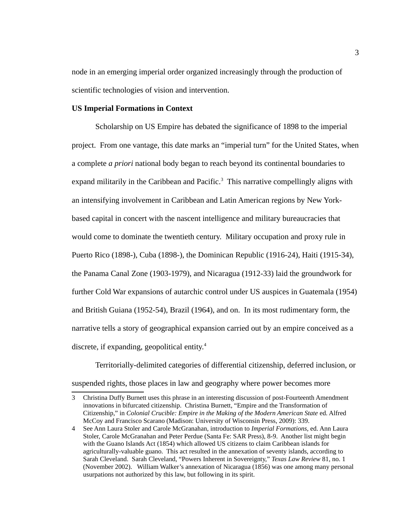node in an emerging imperial order organized increasingly through the production of scientific technologies of vision and intervention.

#### **US Imperial Formations in Context**

Scholarship on US Empire has debated the significance of 1898 to the imperial project. From one vantage, this date marks an "imperial turn" for the United States, when a complete *a priori* national body began to reach beyond its continental boundaries to expand militarily in the Caribbean and Pacific.<sup>[3](#page-11-0)</sup> This narrative compellingly aligns with an intensifying involvement in Caribbean and Latin American regions by New Yorkbased capital in concert with the nascent intelligence and military bureaucracies that would come to dominate the twentieth century. Military occupation and proxy rule in Puerto Rico (1898-), Cuba (1898-), the Dominican Republic (1916-24), Haiti (1915-34), the Panama Canal Zone (1903-1979), and Nicaragua (1912-33) laid the groundwork for further Cold War expansions of autarchic control under US auspices in Guatemala (1954) and British Guiana (1952-54), Brazil (1964), and on. In its most rudimentary form, the narrative tells a story of geographical expansion carried out by an empire conceived as a discrete, if expanding, geopolitical entity. $4$ 

Territorially-delimited categories of differential citizenship, deferred inclusion, or suspended rights, those places in law and geography where power becomes more

<span id="page-11-0"></span><sup>3</sup> Christina Duffy Burnett uses this phrase in an interesting discussion of post-Fourteenth Amendment innovations in bifurcated citizenship. Christina Burnett, "Empire and the Transformation of Citizenship," in *Colonial Crucible: Empire in the Making of the Modern American State* ed. Alfred McCoy and Francisco Scarano (Madison: University of Wisconsin Press, 2009): 339.

<span id="page-11-1"></span><sup>4</sup> See Ann Laura Stoler and Carole McGranahan, introduction to *Imperial Formations,* ed. Ann Laura Stoler, Carole McGranahan and Peter Perdue (Santa Fe: SAR Press), 8-9. Another list might begin with the Guano Islands Act (1854) which allowed US citizens to claim Caribbean islands for agriculturally-valuable guano. This act resulted in the annexation of seventy islands, according to Sarah Cleveland. Sarah Cleveland, "Powers Inherent in Sovereignty," *Texas Law Review* 81, no. 1 (November 2002). William Walker's annexation of Nicaragua (1856) was one among many personal usurpations not authorized by this law, but following in its spirit.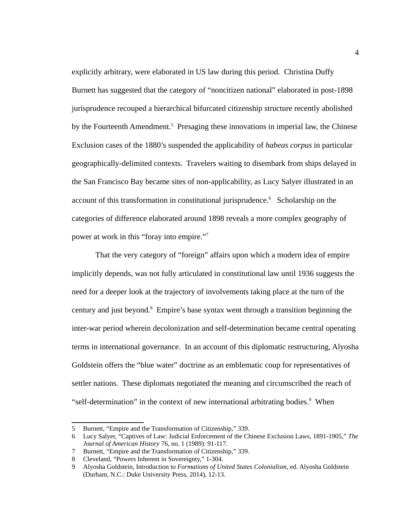explicitly arbitrary, were elaborated in US law during this period. Christina Duffy Burnett has suggested that the category of "noncitizen national" elaborated in post-1898 jurisprudence recouped a hierarchical bifurcated citizenship structure recently abolished by the Fourteenth Amendment.<sup>[5](#page-12-0)</sup> Presaging these innovations in imperial law, the Chinese Exclusion cases of the 1880's suspended the applicability of *habeas corpus* in particular geographically-delimited contexts. Travelers waiting to disembark from ships delayed in the San Francisco Bay became sites of non-applicability, as Lucy Salyer illustrated in an account of this transformation in constitutional jurisprudence.<sup>[6](#page-12-1)</sup> Scholarship on the categories of difference elaborated around 1898 reveals a more complex geography of power at work in this "foray into empire."<sup>[7](#page-12-2)</sup>

That the very category of "foreign" affairs upon which a modern idea of empire implicitly depends, was not fully articulated in constitutional law until 1936 suggests the need for a deeper look at the trajectory of involvements taking place at the turn of the century and just beyond.<sup>[8](#page-12-3)</sup> Empire's base syntax went through a transition beginning the inter-war period wherein decolonization and self-determination became central operating terms in international governance. In an account of this diplomatic restructuring, Alyosha Goldstein offers the "blue water" doctrine as an emblematic coup for representatives of settler nations. These diplomats negotiated the meaning and circumscribed the reach of "self-determination" in the context of new international arbitrating bodies.<sup>[9](#page-12-4)</sup> When

<span id="page-12-0"></span><sup>5</sup> Burnett, "Empire and the Transformation of Citizenship," 339.

<span id="page-12-1"></span><sup>6</sup> Lucy Salyer, "Captives of Law: Judicial Enforcement of the Chinese Exclusion Laws, 1891-1905," *The Journal of American History* 76, no. 1 (1989): 91-117.

<span id="page-12-2"></span><sup>7</sup> Burnett, "Empire and the Transformation of Citizenship," 339.

<span id="page-12-3"></span><sup>8</sup> Cleveland, "Powers Inherent in Sovereignty," 1-304.

<span id="page-12-4"></span><sup>9</sup> Alyosha Goldstein, Introduction to *Formations of United States Colonialism*, ed. Alyosha Goldstein (Durham, N.C.: Duke University Press, 2014), 12-13.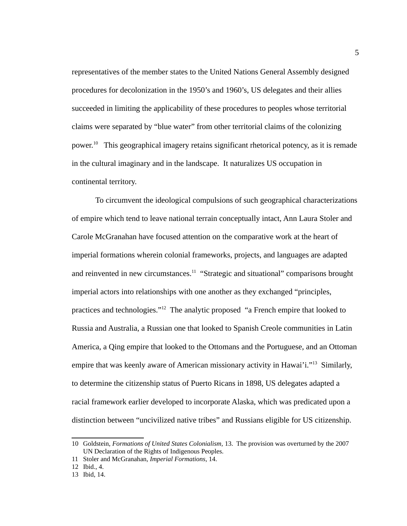representatives of the member states to the United Nations General Assembly designed procedures for decolonization in the 1950's and 1960's, US delegates and their allies succeeded in limiting the applicability of these procedures to peoples whose territorial claims were separated by "blue water" from other territorial claims of the colonizing power.<sup>[10](#page-13-0)</sup> This geographical imagery retains significant rhetorical potency, as it is remade in the cultural imaginary and in the landscape. It naturalizes US occupation in continental territory.

To circumvent the ideological compulsions of such geographical characterizations of empire which tend to leave national terrain conceptually intact, Ann Laura Stoler and Carole McGranahan have focused attention on the comparative work at the heart of imperial formations wherein colonial frameworks, projects, and languages are adapted and reinvented in new circumstances. $11$  "Strategic and situational" comparisons brought imperial actors into relationships with one another as they exchanged "principles, practices and technologies."<sup>[12](#page-13-2)</sup> The analytic proposed "a French empire that looked to Russia and Australia, a Russian one that looked to Spanish Creole communities in Latin America, a Qing empire that looked to the Ottomans and the Portuguese, and an Ottoman empire that was keenly aware of American missionary activity in Hawai'i."<sup>[13](#page-13-3)</sup> Similarly, to determine the citizenship status of Puerto Ricans in 1898, US delegates adapted a racial framework earlier developed to incorporate Alaska, which was predicated upon a distinction between "uncivilized native tribes" and Russians eligible for US citizenship.

<span id="page-13-0"></span><sup>10</sup> Goldstein, *Formations of United States Colonialism,* 13. The provision was overturned by the 2007 UN Declaration of the Rights of Indigenous Peoples.

<span id="page-13-1"></span><sup>11</sup> Stoler and McGranahan, *Imperial Formations*, 14.

<span id="page-13-2"></span><sup>12</sup> Ibid., 4.

<span id="page-13-3"></span><sup>13</sup> Ibid, 14.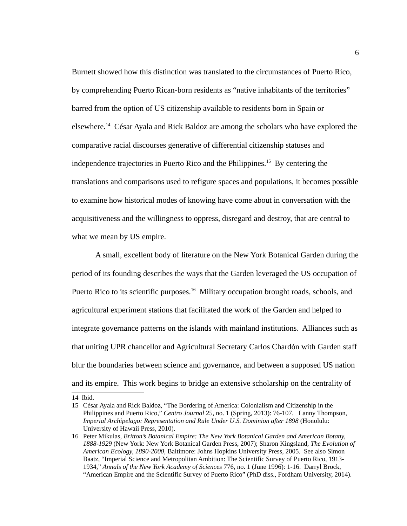Burnett showed how this distinction was translated to the circumstances of Puerto Rico, by comprehending Puerto Rican-born residents as "native inhabitants of the territories" barred from the option of US citizenship available to residents born in Spain or elsewhere.<sup>[14](#page-14-0)</sup> César Ayala and Rick Baldoz are among the scholars who have explored the comparative racial discourses generative of differential citizenship statuses and independence trajectories in Puerto Rico and the Philippines.<sup>[15](#page-14-1)</sup> By centering the translations and comparisons used to refigure spaces and populations, it becomes possible to examine how historical modes of knowing have come about in conversation with the acquisitiveness and the willingness to oppress, disregard and destroy, that are central to what we mean by US empire.

A small, excellent body of literature on the New York Botanical Garden during the period of its founding describes the ways that the Garden leveraged the US occupation of Puerto Rico to its scientific purposes.<sup>[16](#page-14-2)</sup> Military occupation brought roads, schools, and agricultural experiment stations that facilitated the work of the Garden and helped to integrate governance patterns on the islands with mainland institutions. Alliances such as that uniting UPR chancellor and Agricultural Secretary Carlos Chardón with Garden staff blur the boundaries between science and governance, and between a supposed US nation and its empire. This work begins to bridge an extensive scholarship on the centrality of

<span id="page-14-0"></span><sup>14</sup> Ibid.

<span id="page-14-1"></span><sup>15</sup> César Ayala and Rick Baldoz, "The Bordering of America: Colonialism and Citizenship in the Philippines and Puerto Rico," *Centro Journal* 25, no. 1 (Spring, 2013): 76-107. Lanny Thompson, *Imperial Archipelago: Representation and Rule Under U.S. Dominion after 1898* (Honolulu: University of Hawaii Press, 2010).

<span id="page-14-2"></span><sup>16</sup> Peter Mikulas, *Britton's Botanical Empire: The New York Botanical Garden and American Botany, 1888-1929* (New York: New York Botanical Garden Press, 2007); Sharon Kingsland, *The Evolution of American Ecology, 1890-2000,* Baltimore: Johns Hopkins University Press, 2005. See also Simon Baatz, "Imperial Science and Metropolitan Ambition: The Scientific Survey of Puerto Rico, 1913- 1934," *Annals of the New York Academy of Sciences* 776, no. 1 (June 1996): 1-16. Darryl Brock, "American Empire and the Scientific Survey of Puerto Rico" (PhD diss., Fordham University, 2014).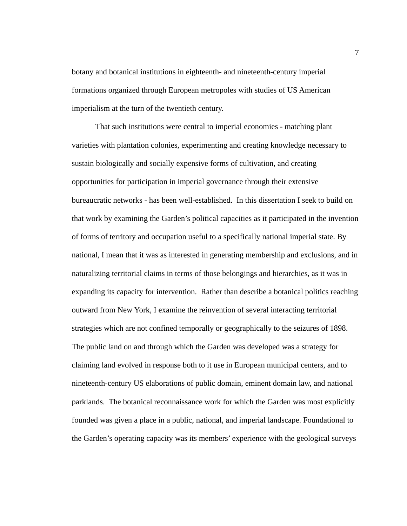botany and botanical institutions in eighteenth- and nineteenth-century imperial formations organized through European metropoles with studies of US American imperialism at the turn of the twentieth century.

That such institutions were central to imperial economies - matching plant varieties with plantation colonies, experimenting and creating knowledge necessary to sustain biologically and socially expensive forms of cultivation, and creating opportunities for participation in imperial governance through their extensive bureaucratic networks - has been well-established. In this dissertation I seek to build on that work by examining the Garden's political capacities as it participated in the invention of forms of territory and occupation useful to a specifically national imperial state. By national, I mean that it was as interested in generating membership and exclusions, and in naturalizing territorial claims in terms of those belongings and hierarchies, as it was in expanding its capacity for intervention. Rather than describe a botanical politics reaching outward from New York, I examine the reinvention of several interacting territorial strategies which are not confined temporally or geographically to the seizures of 1898. The public land on and through which the Garden was developed was a strategy for claiming land evolved in response both to it use in European municipal centers, and to nineteenth-century US elaborations of public domain, eminent domain law, and national parklands. The botanical reconnaissance work for which the Garden was most explicitly founded was given a place in a public, national, and imperial landscape. Foundational to the Garden's operating capacity was its members' experience with the geological surveys

7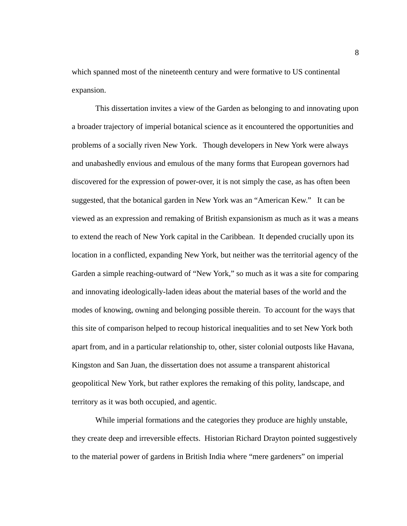which spanned most of the nineteenth century and were formative to US continental expansion.

This dissertation invites a view of the Garden as belonging to and innovating upon a broader trajectory of imperial botanical science as it encountered the opportunities and problems of a socially riven New York. Though developers in New York were always and unabashedly envious and emulous of the many forms that European governors had discovered for the expression of power-over, it is not simply the case, as has often been suggested, that the botanical garden in New York was an "American Kew." It can be viewed as an expression and remaking of British expansionism as much as it was a means to extend the reach of New York capital in the Caribbean. It depended crucially upon its location in a conflicted, expanding New York, but neither was the territorial agency of the Garden a simple reaching-outward of "New York," so much as it was a site for comparing and innovating ideologically-laden ideas about the material bases of the world and the modes of knowing, owning and belonging possible therein. To account for the ways that this site of comparison helped to recoup historical inequalities and to set New York both apart from, and in a particular relationship to, other, sister colonial outposts like Havana, Kingston and San Juan, the dissertation does not assume a transparent ahistorical geopolitical New York, but rather explores the remaking of this polity, landscape, and territory as it was both occupied, and agentic.

While imperial formations and the categories they produce are highly unstable, they create deep and irreversible effects. Historian Richard Drayton pointed suggestively to the material power of gardens in British India where "mere gardeners" on imperial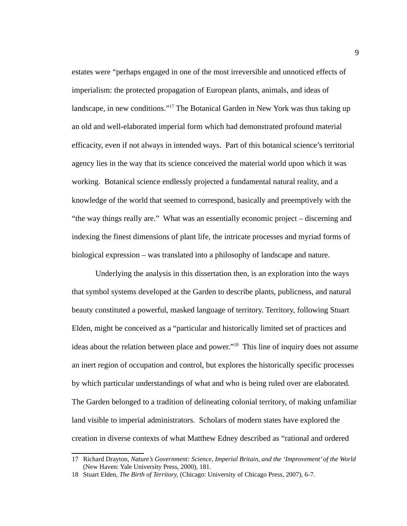estates were "perhaps engaged in one of the most irreversible and unnoticed effects of imperialism: the protected propagation of European plants, animals, and ideas of landscape, in new conditions."[17](#page-17-0) The Botanical Garden in New York was thus taking up an old and well-elaborated imperial form which had demonstrated profound material efficacity, even if not always in intended ways. Part of this botanical science's territorial agency lies in the way that its science conceived the material world upon which it was working. Botanical science endlessly projected a fundamental natural reality, and a knowledge of the world that seemed to correspond, basically and preemptively with the "the way things really are." What was an essentially economic project – discerning and indexing the finest dimensions of plant life, the intricate processes and myriad forms of biological expression – was translated into a philosophy of landscape and nature.

Underlying the analysis in this dissertation then, is an exploration into the ways that symbol systems developed at the Garden to describe plants, publicness, and natural beauty constituted a powerful, masked language of territory. Territory, following Stuart Elden, might be conceived as a "particular and historically limited set of practices and ideas about the relation between place and power."<sup>[18](#page-17-1)</sup> This line of inquiry does not assume an inert region of occupation and control, but explores the historically specific processes by which particular understandings of what and who is being ruled over are elaborated. The Garden belonged to a tradition of delineating colonial territory, of making unfamiliar land visible to imperial administrators. Scholars of modern states have explored the creation in diverse contexts of what Matthew Edney described as "rational and ordered

<span id="page-17-0"></span><sup>17</sup> Richard Drayton, *Nature's Government: Science, Imperial Britain, and the 'Improvement' of the World* (New Haven: Yale University Press, 2000), 181.

<span id="page-17-1"></span><sup>18</sup> Stuart Elden, *The Birth of Territory,* (Chicago: University of Chicago Press, 2007), 6-7.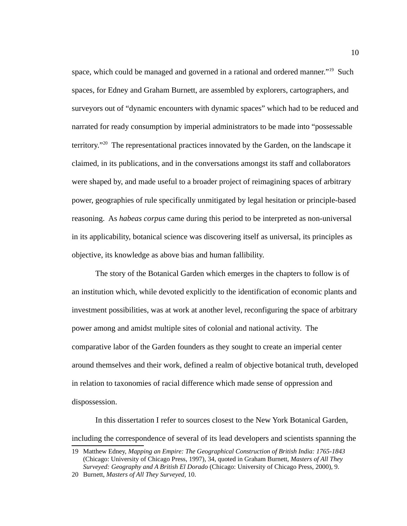space, which could be managed and governed in a rational and ordered manner."<sup>[19](#page-18-0)</sup> Such spaces, for Edney and Graham Burnett, are assembled by explorers, cartographers, and surveyors out of "dynamic encounters with dynamic spaces" which had to be reduced and narrated for ready consumption by imperial administrators to be made into "possessable territory."<sup>[20](#page-18-1)</sup> The representational practices innovated by the Garden, on the landscape it claimed, in its publications, and in the conversations amongst its staff and collaborators were shaped by, and made useful to a broader project of reimagining spaces of arbitrary power, geographies of rule specifically unmitigated by legal hesitation or principle-based reasoning. As *habeas corpus* came during this period to be interpreted as non-universal in its applicability, botanical science was discovering itself as universal, its principles as objective, its knowledge as above bias and human fallibility.

The story of the Botanical Garden which emerges in the chapters to follow is of an institution which, while devoted explicitly to the identification of economic plants and investment possibilities, was at work at another level, reconfiguring the space of arbitrary power among and amidst multiple sites of colonial and national activity. The comparative labor of the Garden founders as they sought to create an imperial center around themselves and their work, defined a realm of objective botanical truth, developed in relation to taxonomies of racial difference which made sense of oppression and dispossession.

In this dissertation I refer to sources closest to the New York Botanical Garden, including the correspondence of several of its lead developers and scientists spanning the

<span id="page-18-0"></span><sup>19</sup> Matthew Edney, *Mapping an Empire: The Geographical Construction of British India: 1765-1843* (Chicago: University of Chicago Press, 1997), 34, quoted in Graham Burnett, *Masters of All They Surveyed: Geography and A British El Dorado* (Chicago: University of Chicago Press, 2000), 9.

<span id="page-18-1"></span><sup>20</sup> Burnett, *Masters of All They Surveyed,* 10.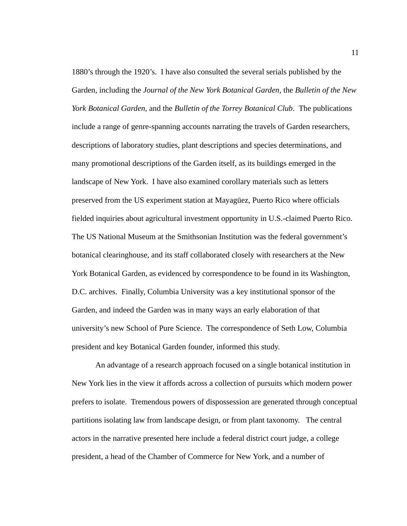1880's through the 1920's. I have also consulted the several serials published by the Garden, including the *Journal of the New York Botanical Garden,* the *Bulletin of the New York Botanical Garden,* and the *Bulletin of the Torrey Botanical Club*. The publications include a range of genre-spanning accounts narrating the travels of Garden researchers, descriptions of laboratory studies, plant descriptions and species determinations, and many promotional descriptions of the Garden itself, as its buildings emerged in the landscape of New York. I have also examined corollary materials such as letters preserved from the US experiment station at Mayagüez, Puerto Rico where officials fielded inquiries about agricultural investment opportunity in U.S.-claimed Puerto Rico. The US National Museum at the Smithsonian Institution was the federal government's botanical clearinghouse, and its staff collaborated closely with researchers at the New York Botanical Garden, as evidenced by correspondence to be found in its Washington, D.C. archives. Finally, Columbia University was a key institutional sponsor of the Garden, and indeed the Garden was in many ways an early elaboration of that university's new School of Pure Science. The correspondence of Seth Low, Columbia president and key Botanical Garden founder, informed this study.

An advantage of a research approach focused on a single botanical institution in New York lies in the view it affords across a collection of pursuits which modern power prefers to isolate. Tremendous powers of dispossession are generated through conceptual partitions isolating law from landscape design, or from plant taxonomy. The central actors in the narrative presented here include a federal district court judge, a college president, a head of the Chamber of Commerce for New York, and a number of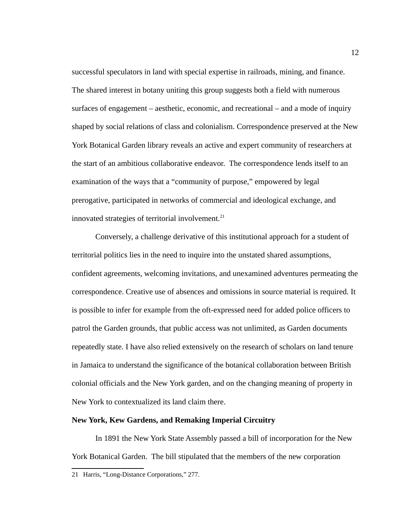successful speculators in land with special expertise in railroads, mining, and finance. The shared interest in botany uniting this group suggests both a field with numerous surfaces of engagement – aesthetic, economic, and recreational – and a mode of inquiry shaped by social relations of class and colonialism. Correspondence preserved at the New York Botanical Garden library reveals an active and expert community of researchers at the start of an ambitious collaborative endeavor. The correspondence lends itself to an examination of the ways that a "community of purpose," empowered by legal prerogative, participated in networks of commercial and ideological exchange, and innovated strategies of territorial involvement. $21$ 

Conversely, a challenge derivative of this institutional approach for a student of territorial politics lies in the need to inquire into the unstated shared assumptions, confident agreements, welcoming invitations, and unexamined adventures permeating the correspondence. Creative use of absences and omissions in source material is required. It is possible to infer for example from the oft-expressed need for added police officers to patrol the Garden grounds, that public access was not unlimited, as Garden documents repeatedly state. I have also relied extensively on the research of scholars on land tenure in Jamaica to understand the significance of the botanical collaboration between British colonial officials and the New York garden, and on the changing meaning of property in New York to contextualized its land claim there.

#### **New York, Kew Gardens, and Remaking Imperial Circuitry**

In 1891 the New York State Assembly passed a bill of incorporation for the New York Botanical Garden. The bill stipulated that the members of the new corporation

<span id="page-20-0"></span><sup>21</sup> Harris, "Long-Distance Corporations," 277.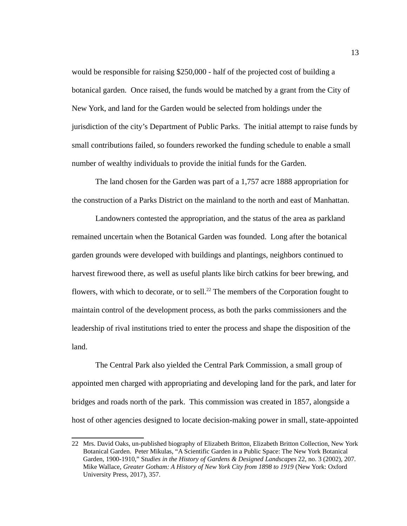would be responsible for raising \$250,000 - half of the projected cost of building a botanical garden. Once raised, the funds would be matched by a grant from the City of New York, and land for the Garden would be selected from holdings under the jurisdiction of the city's Department of Public Parks. The initial attempt to raise funds by small contributions failed, so founders reworked the funding schedule to enable a small number of wealthy individuals to provide the initial funds for the Garden.

The land chosen for the Garden was part of a 1,757 acre 1888 appropriation for the construction of a Parks District on the mainland to the north and east of Manhattan.

Landowners contested the appropriation, and the status of the area as parkland remained uncertain when the Botanical Garden was founded. Long after the botanical garden grounds were developed with buildings and plantings, neighbors continued to harvest firewood there, as well as useful plants like birch catkins for beer brewing, and flowers, with which to decorate, or to sell.<sup>[22](#page-21-0)</sup> The members of the Corporation fought to maintain control of the development process, as both the parks commissioners and the leadership of rival institutions tried to enter the process and shape the disposition of the land.

The Central Park also yielded the Central Park Commission, a small group of appointed men charged with appropriating and developing land for the park, and later for bridges and roads north of the park. This commission was created in 1857, alongside a host of other agencies designed to locate decision-making power in small, state-appointed

<span id="page-21-0"></span><sup>22</sup> Mrs. David Oaks, un-published biography of Elizabeth Britton, Elizabeth Britton Collection, New York Botanical Garden. Peter Mikulas, "A Scientific Garden in a Public Space: The New York Botanical Garden, 1900-1910," S*tudies in the History of Gardens & Designed Landscapes* 22, no. 3 (2002), 207. Mike Wallace, *Greater Gotham: A History of New York City from 1898 to 1919* (New York: Oxford University Press, 2017), 357.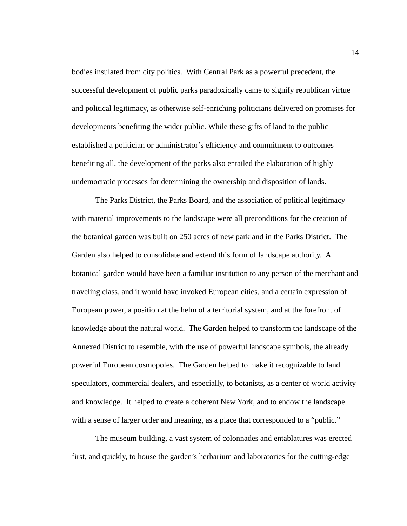bodies insulated from city politics. With Central Park as a powerful precedent, the successful development of public parks paradoxically came to signify republican virtue and political legitimacy, as otherwise self-enriching politicians delivered on promises for developments benefiting the wider public. While these gifts of land to the public established a politician or administrator's efficiency and commitment to outcomes benefiting all, the development of the parks also entailed the elaboration of highly undemocratic processes for determining the ownership and disposition of lands.

The Parks District, the Parks Board, and the association of political legitimacy with material improvements to the landscape were all preconditions for the creation of the botanical garden was built on 250 acres of new parkland in the Parks District. The Garden also helped to consolidate and extend this form of landscape authority. A botanical garden would have been a familiar institution to any person of the merchant and traveling class, and it would have invoked European cities, and a certain expression of European power, a position at the helm of a territorial system, and at the forefront of knowledge about the natural world. The Garden helped to transform the landscape of the Annexed District to resemble, with the use of powerful landscape symbols, the already powerful European cosmopoles. The Garden helped to make it recognizable to land speculators, commercial dealers, and especially, to botanists, as a center of world activity and knowledge. It helped to create a coherent New York, and to endow the landscape with a sense of larger order and meaning, as a place that corresponded to a "public."

The museum building, a vast system of colonnades and entablatures was erected first, and quickly, to house the garden's herbarium and laboratories for the cutting-edge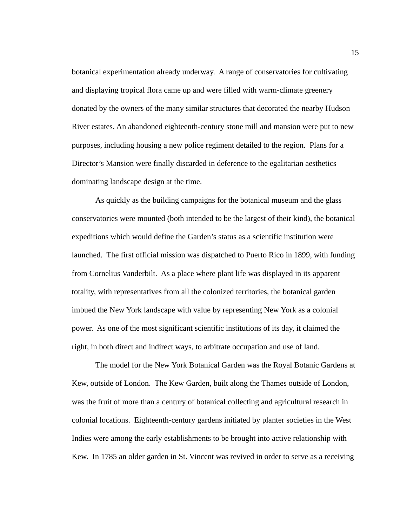botanical experimentation already underway. A range of conservatories for cultivating and displaying tropical flora came up and were filled with warm-climate greenery donated by the owners of the many similar structures that decorated the nearby Hudson River estates. An abandoned eighteenth-century stone mill and mansion were put to new purposes, including housing a new police regiment detailed to the region. Plans for a Director's Mansion were finally discarded in deference to the egalitarian aesthetics dominating landscape design at the time.

As quickly as the building campaigns for the botanical museum and the glass conservatories were mounted (both intended to be the largest of their kind), the botanical expeditions which would define the Garden's status as a scientific institution were launched. The first official mission was dispatched to Puerto Rico in 1899, with funding from Cornelius Vanderbilt. As a place where plant life was displayed in its apparent totality, with representatives from all the colonized territories, the botanical garden imbued the New York landscape with value by representing New York as a colonial power. As one of the most significant scientific institutions of its day, it claimed the right, in both direct and indirect ways, to arbitrate occupation and use of land.

The model for the New York Botanical Garden was the Royal Botanic Gardens at Kew, outside of London. The Kew Garden, built along the Thames outside of London, was the fruit of more than a century of botanical collecting and agricultural research in colonial locations. Eighteenth-century gardens initiated by planter societies in the West Indies were among the early establishments to be brought into active relationship with Kew. In 1785 an older garden in St. Vincent was revived in order to serve as a receiving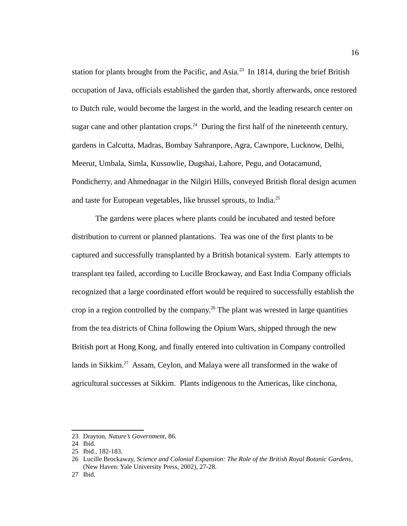station for plants brought from the Pacific, and Asia.<sup>[23](#page-24-0)</sup> In 1814, during the brief British occupation of Java, officials established the garden that, shortly afterwards, once restored to Dutch rule, would become the largest in the world, and the leading research center on sugar cane and other plantation crops.<sup>[24](#page-24-1)</sup> During the first half of the nineteenth century, gardens in Calcutta, Madras, Bombay Sahranpore, Agra, Cawnpore, Lucknow, Delhi, Meerut, Umbala, Simla, Kussowlie, Dugshai, Lahore, Pegu, and Ootacamund, Pondicherry, and Ahmednagar in the Nilgiri Hills, conveyed British floral design acumen and taste for European vegetables, like brussel sprouts, to India. $^{25}$  $^{25}$  $^{25}$ 

The gardens were places where plants could be incubated and tested before distribution to current or planned plantations. Tea was one of the first plants to be captured and successfully transplanted by a British botanical system. Early attempts to transplant tea failed, according to Lucille Brockaway, and East India Company officials recognized that a large coordinated effort would be required to successfully establish the crop in a region controlled by the company.<sup>[26](#page-24-3)</sup> The plant was wrested in large quantities from the tea districts of China following the Opium Wars, shipped through the new British port at Hong Kong, and finally entered into cultivation in Company controlled lands in Sikkim.<sup>[27](#page-24-4)</sup> Assam, Ceylon, and Malaya were all transformed in the wake of agricultural successes at Sikkim. Plants indigenous to the Americas, like cinchona,

<span id="page-24-0"></span><sup>23</sup> Drayton, *Nature's Government*, 86.

<span id="page-24-1"></span><sup>24</sup> Ibid.

<span id="page-24-2"></span><sup>25</sup> Ibid., 182-183.

<span id="page-24-3"></span><sup>26</sup> Lucille Brockaway, *Science and Colonial Expansion: The Role of the British Royal Botanic Gardens*, (New Haven: Yale University Press, 2002), 27-28.

<span id="page-24-4"></span><sup>27</sup> Ibid.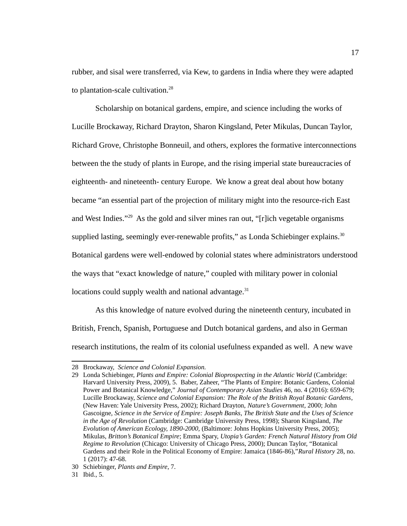rubber, and sisal were transferred, via Kew, to gardens in India where they were adapted to plantation-scale cultivation.<sup>[28](#page-25-0)</sup>

Scholarship on botanical gardens, empire, and science including the works of Lucille Brockaway, Richard Drayton, Sharon Kingsland, Peter Mikulas, Duncan Taylor, Richard Grove, Christophe Bonneuil, and others, explores the formative interconnections between the the study of plants in Europe, and the rising imperial state bureaucracies of eighteenth- and nineteenth- century Europe. We know a great deal about how botany became "an essential part of the projection of military might into the resource-rich East and West Indies."[29](#page-25-1) As the gold and silver mines ran out, "[r]ich vegetable organisms supplied lasting, seemingly ever-renewable profits," as Londa Schiebinger explains. $30$ Botanical gardens were well-endowed by colonial states where administrators understood the ways that "exact knowledge of nature," coupled with military power in colonial locations could supply wealth and national advantage. $31$ 

As this knowledge of nature evolved during the nineteenth century, incubated in British, French, Spanish, Portuguese and Dutch botanical gardens, and also in German research institutions, the realm of its colonial usefulness expanded as well. A new wave

<span id="page-25-0"></span><sup>28</sup> Brockaway, *Science and Colonial Expansion.*

<span id="page-25-1"></span><sup>29</sup> Londa Schiebinger, *Plants and Empire: Colonial Bioprospecting in the Atlantic World* (Cambridge: Harvard University Press, 2009), 5. Baber, Zaheer, "The Plants of Empire: Botanic Gardens, Colonial Power and Botanical Knowledge," *Journal of Contemporary Asian Studies* 46, no. 4 (2016): 659-679; Lucille Brockaway, *Science and Colonial Expansion: The Role of the British Royal Botanic Gardens*, (New Haven: Yale University Press, 2002); Richard Drayton, *Nature's Government*, 2000; John Gascoigne, *Science in the Service of Empire: Joseph Banks, The British State and the Uses of Science in the Age of Revolution* (Cambridge: Cambridge University Press, 1998); Sharon Kingsland, *The Evolution of American Ecology, 1890-2000,* (Baltimore: Johns Hopkins University Press, 2005); Mikulas, *Britton's Botanical Empire*; Emma Spary, *Utopia's Garden: French Natural History from Old Regime to Revolution* (Chicago: University of Chicago Press, 2000); Duncan Taylor, "Botanical Gardens and their Role in the Political Economy of Empire: Jamaica (1846-86),"*Rural History* 28, no. 1 (2017): 47-68.

<span id="page-25-2"></span><sup>30</sup> Schiebinger, *Plants and Empire*, 7.

<span id="page-25-3"></span><sup>31</sup> Ibid., 5.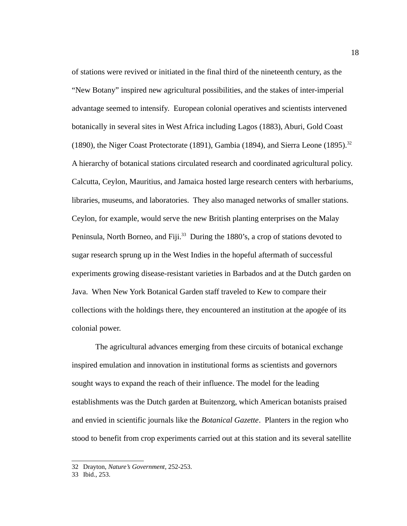of stations were revived or initiated in the final third of the nineteenth century, as the "New Botany" inspired new agricultural possibilities, and the stakes of inter-imperial advantage seemed to intensify. European colonial operatives and scientists intervened botanically in several sites in West Africa including Lagos (1883), Aburi, Gold Coast (1890), the Niger Coast Protectorate (1891), Gambia (1894), and Sierra Leone (1895).<sup>[32](#page-26-0)</sup> A hierarchy of botanical stations circulated research and coordinated agricultural policy. Calcutta, Ceylon, Mauritius, and Jamaica hosted large research centers with herbariums, libraries, museums, and laboratories. They also managed networks of smaller stations. Ceylon, for example, would serve the new British planting enterprises on the Malay Peninsula, North Borneo, and Fiji.<sup>[33](#page-26-1)</sup> During the 1880's, a crop of stations devoted to sugar research sprung up in the West Indies in the hopeful aftermath of successful experiments growing disease-resistant varieties in Barbados and at the Dutch garden on Java. When New York Botanical Garden staff traveled to Kew to compare their collections with the holdings there, they encountered an institution at the apogée of its colonial power.

The agricultural advances emerging from these circuits of botanical exchange inspired emulation and innovation in institutional forms as scientists and governors sought ways to expand the reach of their influence. The model for the leading establishments was the Dutch garden at Buitenzorg, which American botanists praised and envied in scientific journals like the *Botanical Gazette*. Planters in the region who stood to benefit from crop experiments carried out at this station and its several satellite

<span id="page-26-0"></span><sup>32</sup> Drayton, *Nature's Government*, 252-253.

<span id="page-26-1"></span><sup>33</sup> Ibid., 253.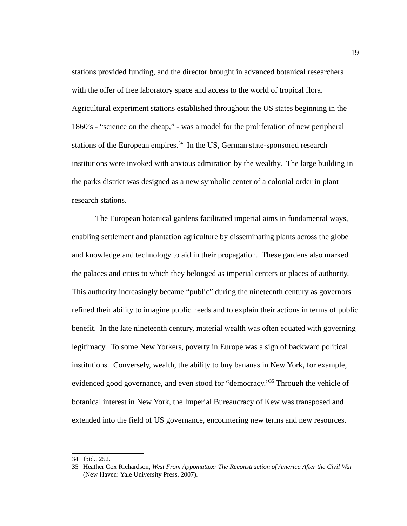stations provided funding, and the director brought in advanced botanical researchers with the offer of free laboratory space and access to the world of tropical flora. Agricultural experiment stations established throughout the US states beginning in the 1860's - "science on the cheap," - was a model for the proliferation of new peripheral stations of the European empires. $34$  In the US, German state-sponsored research institutions were invoked with anxious admiration by the wealthy. The large building in the parks district was designed as a new symbolic center of a colonial order in plant research stations.

The European botanical gardens facilitated imperial aims in fundamental ways, enabling settlement and plantation agriculture by disseminating plants across the globe and knowledge and technology to aid in their propagation. These gardens also marked the palaces and cities to which they belonged as imperial centers or places of authority. This authority increasingly became "public" during the nineteenth century as governors refined their ability to imagine public needs and to explain their actions in terms of public benefit. In the late nineteenth century, material wealth was often equated with governing legitimacy. To some New Yorkers, poverty in Europe was a sign of backward political institutions. Conversely, wealth, the ability to buy bananas in New York, for example, evidenced good governance, and even stood for "democracy."<sup>[35](#page-27-1)</sup> Through the vehicle of botanical interest in New York, the Imperial Bureaucracy of Kew was transposed and extended into the field of US governance, encountering new terms and new resources.

<span id="page-27-0"></span><sup>34</sup> Ibid., 252.

<span id="page-27-1"></span><sup>35</sup> Heather Cox Richardson, *West From Appomattox: The Reconstruction of America After the Civil War* (New Haven: Yale University Press, 2007).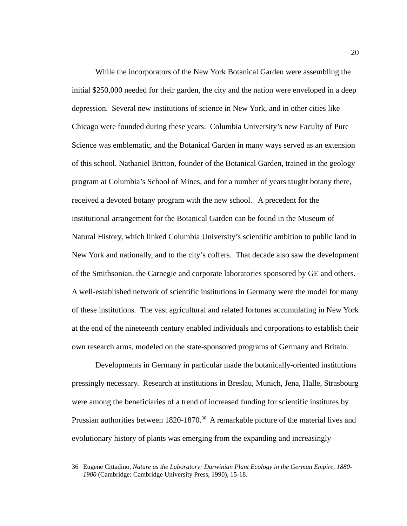While the incorporators of the New York Botanical Garden were assembling the initial \$250,000 needed for their garden, the city and the nation were enveloped in a deep depression. Several new institutions of science in New York, and in other cities like Chicago were founded during these years. Columbia University's new Faculty of Pure Science was emblematic, and the Botanical Garden in many ways served as an extension of this school. Nathaniel Britton, founder of the Botanical Garden, trained in the geology program at Columbia's School of Mines, and for a number of years taught botany there, received a devoted botany program with the new school. A precedent for the institutional arrangement for the Botanical Garden can be found in the Museum of Natural History, which linked Columbia University's scientific ambition to public land in New York and nationally, and to the city's coffers. That decade also saw the development of the Smithsonian, the Carnegie and corporate laboratories sponsored by GE and others. A well-established network of scientific institutions in Germany were the model for many of these institutions. The vast agricultural and related fortunes accumulating in New York at the end of the nineteenth century enabled individuals and corporations to establish their own research arms, modeled on the state-sponsored programs of Germany and Britain.

Developments in Germany in particular made the botanically-oriented institutions pressingly necessary. Research at institutions in Breslau, Munich, Jena, Halle, Strasbourg were among the beneficiaries of a trend of increased funding for scientific institutes by Prussian authorities between 1820-1870.<sup>[36](#page-28-0)</sup> A remarkable picture of the material lives and evolutionary history of plants was emerging from the expanding and increasingly

<span id="page-28-0"></span><sup>36</sup> Eugene Cittadino, *Nature as the Laboratory: Darwinian Plant Ecology in the German Empire, 1880- 1900* (Cambridge: Cambridge University Press, 1990), 15-18.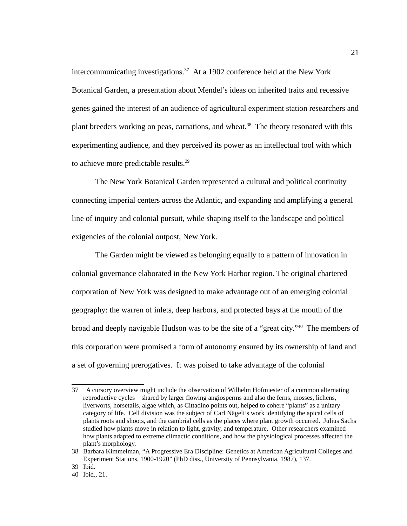intercommunicating investigations.[37](#page-29-0) At a 1902 conference held at the New York Botanical Garden, a presentation about Mendel's ideas on inherited traits and recessive genes gained the interest of an audience of agricultural experiment station researchers and plant breeders working on peas, carnations, and wheat.<sup>[38](#page-29-1)</sup> The theory resonated with this experimenting audience, and they perceived its power as an intellectual tool with which to achieve more predictable results. $^{39}$  $^{39}$  $^{39}$ 

The New York Botanical Garden represented a cultural and political continuity connecting imperial centers across the Atlantic, and expanding and amplifying a general line of inquiry and colonial pursuit, while shaping itself to the landscape and political exigencies of the colonial outpost, New York.

The Garden might be viewed as belonging equally to a pattern of innovation in colonial governance elaborated in the New York Harbor region. The original chartered corporation of New York was designed to make advantage out of an emerging colonial geography: the warren of inlets, deep harbors, and protected bays at the mouth of the broad and deeply navigable Hudson was to be the site of a "great city."<sup>[40](#page-29-3)</sup> The members of this corporation were promised a form of autonomy ensured by its ownership of land and a set of governing prerogatives. It was poised to take advantage of the colonial

<span id="page-29-0"></span><sup>37</sup> A cursory overview might include the observation of Wilhelm Hofmiester of a common alternating reproductive cycles shared by larger flowing angiosperms and also the ferns, mosses, lichens, liverworts, horsetails, algae which, as Cittadino points out, helped to cohere "plants" as a unitary category of life. Cell division was the subject of Carl Nägeli's work identifying the apical cells of plants roots and shoots, and the cambrial cells as the places where plant growth occurred. Julius Sachs studied how plants move in relation to light, gravity, and temperature. Other researchers examined how plants adapted to extreme climactic conditions, and how the physiological processes affected the plant's morphology.

<span id="page-29-1"></span><sup>38</sup> Barbara Kimmelman, "A Progressive Era Discipline: Genetics at American Agricultural Colleges and Experiment Stations, 1900-1920" (PhD diss., University of Pennsylvania, 1987), 137.

<span id="page-29-3"></span><span id="page-29-2"></span><sup>39</sup> Ibid.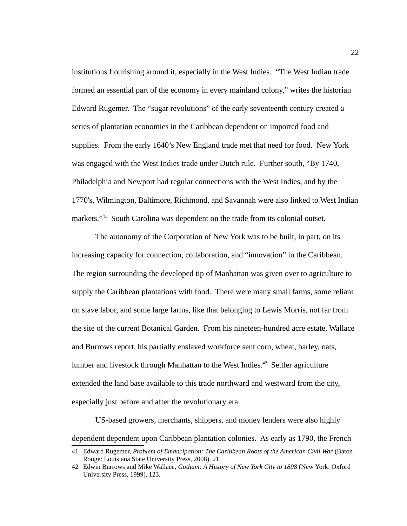institutions flourishing around it, especially in the West Indies. "The West Indian trade formed an essential part of the economy in every mainland colony," writes the historian Edward Rugemer. The "sugar revolutions" of the early seventeenth century created a series of plantation economies in the Caribbean dependent on imported food and supplies. From the early 1640's New England trade met that need for food. New York was engaged with the West Indies trade under Dutch rule. Further south, "By 1740, Philadelphia and Newport had regular connections with the West Indies, and by the 1770's, Wilmington, Baltimore, Richmond, and Savannah were also linked to West Indian markets."<sup>[41](#page-30-0)</sup> South Carolina was dependent on the trade from its colonial outset.

The autonomy of the Corporation of New York was to be built, in part, on its increasing capacity for connection, collaboration, and "innovation" in the Caribbean. The region surrounding the developed tip of Manhattan was given over to agriculture to supply the Caribbean plantations with food. There were many small farms, some reliant on slave labor, and some large farms, like that belonging to Lewis Morris, not far from the site of the current Botanical Garden. From his nineteen-hundred acre estate, Wallace and Burrows report, his partially enslaved workforce sent corn, wheat, barley, oats, lumber and livestock through Manhattan to the West Indies.<sup>[42](#page-30-1)</sup> Settler agriculture extended the land base available to this trade northward and westward from the city, especially just before and after the revolutionary era.

US-based growers, merchants, shippers, and money lenders were also highly dependent dependent upon Caribbean plantation colonies. As early as 1790, the French

<span id="page-30-0"></span><sup>41</sup> Edward Rugemer, *Problem of Emancipation: The Caribbean Roots of the American Civil War* (Baton Rouge: Louisiana State University Press, 2008), 21.

<span id="page-30-1"></span><sup>42</sup> Edwin Burrows and Mike Wallace, *Gotham: A History of New York City to 1898* (New York: Oxford University Press, 1999), 123.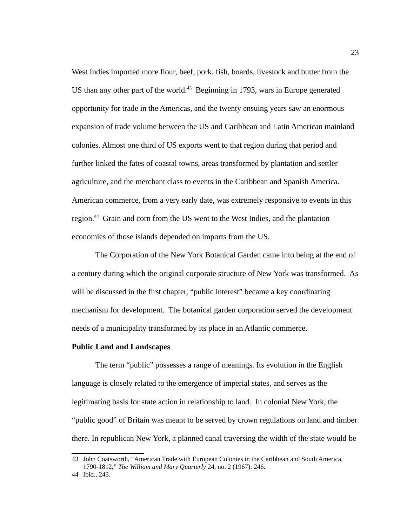West Indies imported more flour, beef, pork, fish, boards, livestock and butter from the US than any other part of the world.<sup>[43](#page-31-0)</sup> Beginning in 1793, wars in Europe generated opportunity for trade in the Americas, and the twenty ensuing years saw an enormous expansion of trade volume between the US and Caribbean and Latin American mainland colonies. Almost one third of US exports went to that region during that period and further linked the fates of coastal towns, areas transformed by plantation and settler agriculture, and the merchant class to events in the Caribbean and Spanish America. American commerce, from a very early date, was extremely responsive to events in this region.<sup>[44](#page-31-1)</sup> Grain and corn from the US went to the West Indies, and the plantation economies of those islands depended on imports from the US.

The Corporation of the New York Botanical Garden came into being at the end of a century during which the original corporate structure of New York was transformed. As will be discussed in the first chapter, "public interest" became a key coordinating mechanism for development. The botanical garden corporation served the development needs of a municipality transformed by its place in an Atlantic commerce.

#### **Public Land and Landscapes**

The term "public" possesses a range of meanings. Its evolution in the English language is closely related to the emergence of imperial states, and serves as the legitimating basis for state action in relationship to land. In colonial New York, the "public good" of Britain was meant to be served by crown regulations on land and timber there. In republican New York, a planned canal traversing the width of the state would be

<span id="page-31-0"></span><sup>43</sup> John Coatsworth, "American Trade with European Colonies in the Caribbean and South America, 1790-1812," *The William and Mary Quarterly* 24, no. 2 (1967): 246.

<span id="page-31-1"></span><sup>44</sup> Ibid., 243.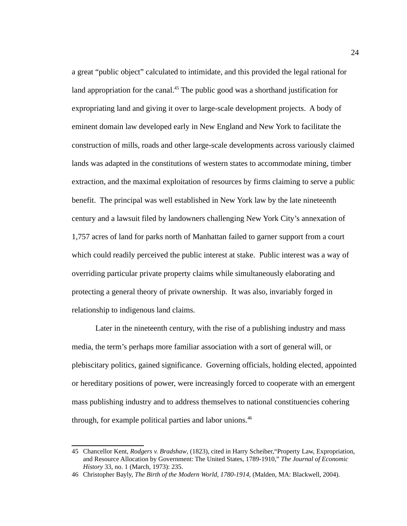a great "public object" calculated to intimidate, and this provided the legal rational for land appropriation for the canal.<sup>[45](#page-32-0)</sup> The public good was a shorthand justification for expropriating land and giving it over to large-scale development projects. A body of eminent domain law developed early in New England and New York to facilitate the construction of mills, roads and other large-scale developments across variously claimed lands was adapted in the constitutions of western states to accommodate mining, timber extraction, and the maximal exploitation of resources by firms claiming to serve a public benefit. The principal was well established in New York law by the late nineteenth century and a lawsuit filed by landowners challenging New York City's annexation of 1,757 acres of land for parks north of Manhattan failed to garner support from a court which could readily perceived the public interest at stake. Public interest was a way of overriding particular private property claims while simultaneously elaborating and protecting a general theory of private ownership. It was also, invariably forged in relationship to indigenous land claims.

Later in the nineteenth century, with the rise of a publishing industry and mass media, the term's perhaps more familiar association with a sort of general will, or plebiscitary politics, gained significance. Governing officials, holding elected, appointed or hereditary positions of power, were increasingly forced to cooperate with an emergent mass publishing industry and to address themselves to national constituencies cohering through, for example political parties and labor unions.<sup>[46](#page-32-1)</sup>

<span id="page-32-0"></span><sup>45</sup> Chancellor Kent, *Rodgers v. Bradshaw*, (1823), cited in Harry Scheiber,"Property Law, Expropriation, and Resource Allocation by Government: The United States, 1789-1910," *The Journal of Economic History* 33, no. 1 (March, 1973): 235.

<span id="page-32-1"></span><sup>46</sup> Christopher Bayly, *The Birth of the Modern World, 1780-1914,* (Malden, MA: Blackwell, 2004).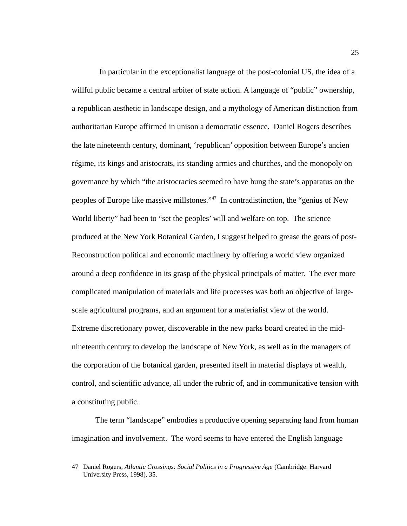In particular in the exceptionalist language of the post-colonial US, the idea of a willful public became a central arbiter of state action. A language of "public" ownership, a republican aesthetic in landscape design, and a mythology of American distinction from authoritarian Europe affirmed in unison a democratic essence. Daniel Rogers describes the late nineteenth century, dominant, 'republican' opposition between Europe's ancien régime, its kings and aristocrats, its standing armies and churches, and the monopoly on governance by which "the aristocracies seemed to have hung the state's apparatus on the peoples of Europe like massive millstones."[47](#page-33-0) In contradistinction, the "genius of New World liberty" had been to "set the peoples' will and welfare on top. The science produced at the New York Botanical Garden, I suggest helped to grease the gears of post-Reconstruction political and economic machinery by offering a world view organized around a deep confidence in its grasp of the physical principals of matter. The ever more complicated manipulation of materials and life processes was both an objective of largescale agricultural programs, and an argument for a materialist view of the world. Extreme discretionary power, discoverable in the new parks board created in the midnineteenth century to develop the landscape of New York, as well as in the managers of the corporation of the botanical garden, presented itself in material displays of wealth, control, and scientific advance, all under the rubric of, and in communicative tension with a constituting public.

The term "landscape" embodies a productive opening separating land from human imagination and involvement. The word seems to have entered the English language

<span id="page-33-0"></span><sup>47</sup> Daniel Rogers, *Atlantic Crossings: Social Politics in a Progressive Age* (Cambridge: Harvard University Press, 1998), 35.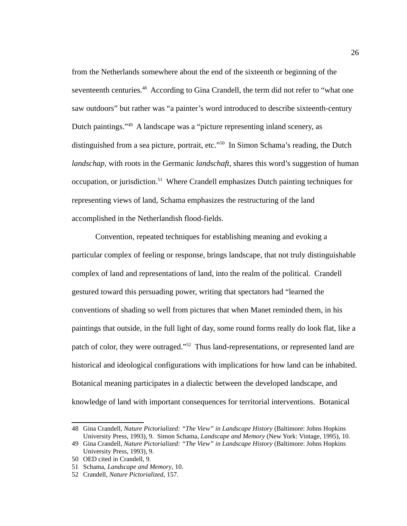from the Netherlands somewhere about the end of the sixteenth or beginning of the seventeenth centuries.<sup>[48](#page-34-0)</sup> According to Gina Crandell, the term did not refer to "what one saw outdoors" but rather was "a painter's word introduced to describe sixteenth-century Dutch paintings."[49](#page-34-1) A landscape was a "picture representing inland scenery, as distinguished from a sea picture, portrait, etc."<sup>[50](#page-34-2)</sup> In Simon Schama's reading, the Dutch *landschap,* with roots in the Germanic *landschaft,* shares this word's suggestion of human occupation, or jurisdiction.<sup>[51](#page-34-3)</sup> Where Crandell emphasizes Dutch painting techniques for representing views of land, Schama emphasizes the restructuring of the land accomplished in the Netherlandish flood-fields.

Convention, repeated techniques for establishing meaning and evoking a particular complex of feeling or response, brings landscape, that not truly distinguishable complex of land and representations of land, into the realm of the political. Crandell gestured toward this persuading power, writing that spectators had "learned the conventions of shading so well from pictures that when Manet reminded them, in his paintings that outside, in the full light of day, some round forms really do look flat, like a patch of color, they were outraged."<sup>[52](#page-34-4)</sup> Thus land-representations, or represented land are historical and ideological configurations with implications for how land can be inhabited. Botanical meaning participates in a dialectic between the developed landscape, and knowledge of land with important consequences for territorial interventions. Botanical

<span id="page-34-0"></span><sup>48</sup> Gina Crandell, *Nature Pictorialized: "The View" in Landscape History* (Baltimore: Johns Hopkins University Press, 1993), 9. Simon Schama, *Landscape and Memory* (New York: Vintage, 1995), 10.

<span id="page-34-1"></span><sup>49</sup> Gina Crandell, *Nature Pictorialized: "The View" in Landscape History* (Baltimore: Johns Hopkins University Press, 1993), 9.

<span id="page-34-2"></span><sup>50</sup> OED cited in Crandell, 9.

<span id="page-34-3"></span><sup>51</sup> Schama, *Landscape and Memory*, 10.

<span id="page-34-4"></span><sup>52</sup> Crandell, *Nature Pictorialized*, 157.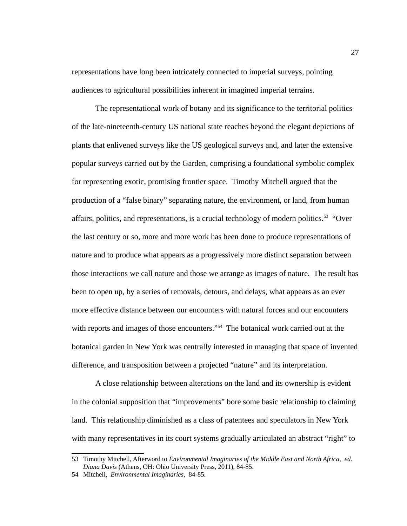representations have long been intricately connected to imperial surveys, pointing audiences to agricultural possibilities inherent in imagined imperial terrains.

The representational work of botany and its significance to the territorial politics of the late-nineteenth-century US national state reaches beyond the elegant depictions of plants that enlivened surveys like the US geological surveys and, and later the extensive popular surveys carried out by the Garden, comprising a foundational symbolic complex for representing exotic, promising frontier space. Timothy Mitchell argued that the production of a "false binary" separating nature, the environment, or land, from human affairs, politics, and representations, is a crucial technology of modern politics.<sup>[53](#page-35-0)</sup> "Over the last century or so, more and more work has been done to produce representations of nature and to produce what appears as a progressively more distinct separation between those interactions we call nature and those we arrange as images of nature. The result has been to open up, by a series of removals, detours, and delays, what appears as an ever more effective distance between our encounters with natural forces and our encounters with reports and images of those encounters."<sup>[54](#page-35-1)</sup> The botanical work carried out at the botanical garden in New York was centrally interested in managing that space of invented difference, and transposition between a projected "nature" and its interpretation.

A close relationship between alterations on the land and its ownership is evident in the colonial supposition that "improvements" bore some basic relationship to claiming land. This relationship diminished as a class of patentees and speculators in New York with many representatives in its court systems gradually articulated an abstract "right" to

<span id="page-35-0"></span><sup>53</sup> Timothy Mitchell, Afterword to *Environmental Imaginaries of the Middle East and North Africa, ed. Diana Davis* (Athens, OH: Ohio University Press, 2011), 84-85.

<span id="page-35-1"></span><sup>54</sup> Mitchell, *Environmental Imaginaries,* 84-85*.*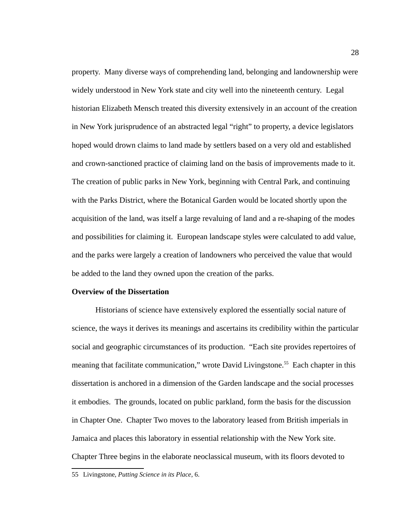property. Many diverse ways of comprehending land, belonging and landownership were widely understood in New York state and city well into the nineteenth century. Legal historian Elizabeth Mensch treated this diversity extensively in an account of the creation in New York jurisprudence of an abstracted legal "right" to property, a device legislators hoped would drown claims to land made by settlers based on a very old and established and crown-sanctioned practice of claiming land on the basis of improvements made to it. The creation of public parks in New York, beginning with Central Park, and continuing with the Parks District, where the Botanical Garden would be located shortly upon the acquisition of the land, was itself a large revaluing of land and a re-shaping of the modes and possibilities for claiming it. European landscape styles were calculated to add value, and the parks were largely a creation of landowners who perceived the value that would be added to the land they owned upon the creation of the parks.

## **Overview of the Dissertation**

Historians of science have extensively explored the essentially social nature of science, the ways it derives its meanings and ascertains its credibility within the particular social and geographic circumstances of its production. "Each site provides repertoires of meaning that facilitate communication," wrote David Livingstone.<sup>[55](#page-36-0)</sup> Each chapter in this dissertation is anchored in a dimension of the Garden landscape and the social processes it embodies. The grounds, located on public parkland, form the basis for the discussion in Chapter One. Chapter Two moves to the laboratory leased from British imperials in Jamaica and places this laboratory in essential relationship with the New York site. Chapter Three begins in the elaborate neoclassical museum, with its floors devoted to

<span id="page-36-0"></span><sup>55</sup> Livingstone, *Putting Science in its Place*, 6.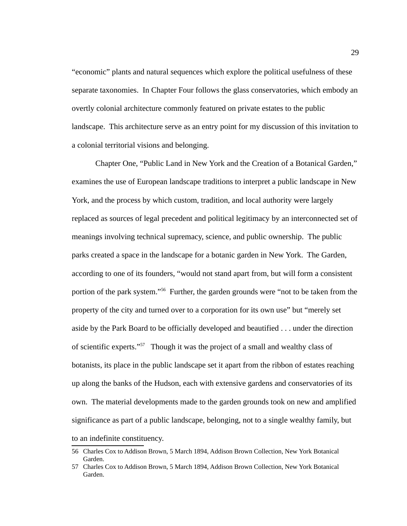"economic" plants and natural sequences which explore the political usefulness of these separate taxonomies. In Chapter Four follows the glass conservatories, which embody an overtly colonial architecture commonly featured on private estates to the public landscape. This architecture serve as an entry point for my discussion of this invitation to a colonial territorial visions and belonging.

Chapter One, "Public Land in New York and the Creation of a Botanical Garden," examines the use of European landscape traditions to interpret a public landscape in New York, and the process by which custom, tradition, and local authority were largely replaced as sources of legal precedent and political legitimacy by an interconnected set of meanings involving technical supremacy, science, and public ownership. The public parks created a space in the landscape for a botanic garden in New York. The Garden, according to one of its founders, "would not stand apart from, but will form a consistent portion of the park system."<sup>[56](#page-37-0)</sup> Further, the garden grounds were "not to be taken from the property of the city and turned over to a corporation for its own use" but "merely set aside by the Park Board to be officially developed and beautified . . . under the direction of scientific experts."[57](#page-37-1) Though it was the project of a small and wealthy class of botanists, its place in the public landscape set it apart from the ribbon of estates reaching up along the banks of the Hudson, each with extensive gardens and conservatories of its own. The material developments made to the garden grounds took on new and amplified significance as part of a public landscape, belonging, not to a single wealthy family, but to an indefinite constituency.

<span id="page-37-0"></span><sup>56</sup> Charles Cox to Addison Brown, 5 March 1894, Addison Brown Collection, New York Botanical Garden.

<span id="page-37-1"></span><sup>57</sup> Charles Cox to Addison Brown, 5 March 1894, Addison Brown Collection, New York Botanical Garden.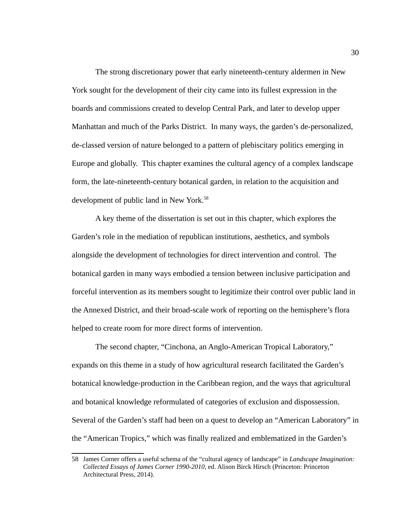The strong discretionary power that early nineteenth-century aldermen in New York sought for the development of their city came into its fullest expression in the boards and commissions created to develop Central Park, and later to develop upper Manhattan and much of the Parks District. In many ways, the garden's de-personalized, de-classed version of nature belonged to a pattern of plebiscitary politics emerging in Europe and globally. This chapter examines the cultural agency of a complex landscape form, the late-nineteenth-century botanical garden, in relation to the acquisition and development of public land in New York.<sup>[58](#page-38-0)</sup>

A key theme of the dissertation is set out in this chapter, which explores the Garden's role in the mediation of republican institutions, aesthetics, and symbols alongside the development of technologies for direct intervention and control. The botanical garden in many ways embodied a tension between inclusive participation and forceful intervention as its members sought to legitimize their control over public land in the Annexed District, and their broad-scale work of reporting on the hemisphere's flora helped to create room for more direct forms of intervention.

The second chapter, "Cinchona, an Anglo-American Tropical Laboratory," expands on this theme in a study of how agricultural research facilitated the Garden's botanical knowledge-production in the Caribbean region, and the ways that agricultural and botanical knowledge reformulated of categories of exclusion and dispossession. Several of the Garden's staff had been on a quest to develop an "American Laboratory" in the "American Tropics," which was finally realized and emblematized in the Garden's

<span id="page-38-0"></span><sup>58</sup> James Corner offers a useful schema of the "cultural agency of landscape" in *Landscape Imagination: Collected Essays of James Corner 1990-2010,* ed. Alison Birck Hirsch (Princeton: Princeton Architectural Press, 2014).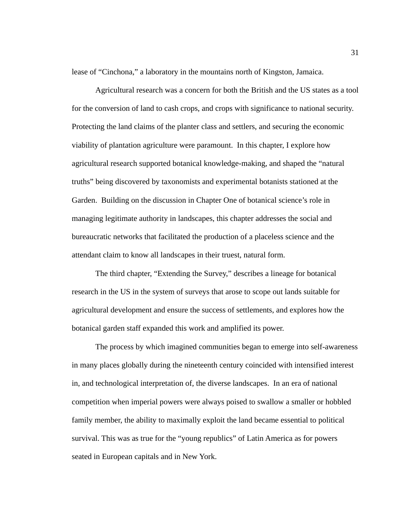lease of "Cinchona," a laboratory in the mountains north of Kingston, Jamaica.

Agricultural research was a concern for both the British and the US states as a tool for the conversion of land to cash crops, and crops with significance to national security. Protecting the land claims of the planter class and settlers, and securing the economic viability of plantation agriculture were paramount. In this chapter, I explore how agricultural research supported botanical knowledge-making, and shaped the "natural truths" being discovered by taxonomists and experimental botanists stationed at the Garden. Building on the discussion in Chapter One of botanical science's role in managing legitimate authority in landscapes, this chapter addresses the social and bureaucratic networks that facilitated the production of a placeless science and the attendant claim to know all landscapes in their truest, natural form.

The third chapter, "Extending the Survey," describes a lineage for botanical research in the US in the system of surveys that arose to scope out lands suitable for agricultural development and ensure the success of settlements, and explores how the botanical garden staff expanded this work and amplified its power.

The process by which imagined communities began to emerge into self-awareness in many places globally during the nineteenth century coincided with intensified interest in, and technological interpretation of, the diverse landscapes. In an era of national competition when imperial powers were always poised to swallow a smaller or hobbled family member, the ability to maximally exploit the land became essential to political survival. This was as true for the "young republics" of Latin America as for powers seated in European capitals and in New York.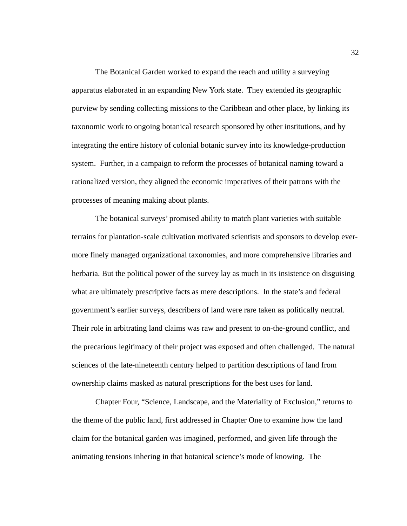The Botanical Garden worked to expand the reach and utility a surveying apparatus elaborated in an expanding New York state. They extended its geographic purview by sending collecting missions to the Caribbean and other place, by linking its taxonomic work to ongoing botanical research sponsored by other institutions, and by integrating the entire history of colonial botanic survey into its knowledge-production system. Further, in a campaign to reform the processes of botanical naming toward a rationalized version, they aligned the economic imperatives of their patrons with the processes of meaning making about plants.

The botanical surveys' promised ability to match plant varieties with suitable terrains for plantation-scale cultivation motivated scientists and sponsors to develop evermore finely managed organizational taxonomies, and more comprehensive libraries and herbaria. But the political power of the survey lay as much in its insistence on disguising what are ultimately prescriptive facts as mere descriptions. In the state's and federal government's earlier surveys, describers of land were rare taken as politically neutral. Their role in arbitrating land claims was raw and present to on-the-ground conflict, and the precarious legitimacy of their project was exposed and often challenged. The natural sciences of the late-nineteenth century helped to partition descriptions of land from ownership claims masked as natural prescriptions for the best uses for land.

Chapter Four, "Science, Landscape, and the Materiality of Exclusion," returns to the theme of the public land, first addressed in Chapter One to examine how the land claim for the botanical garden was imagined, performed, and given life through the animating tensions inhering in that botanical science's mode of knowing. The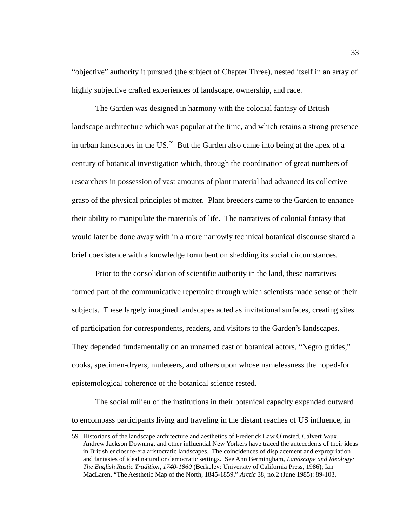"objective" authority it pursued (the subject of Chapter Three), nested itself in an array of highly subjective crafted experiences of landscape, ownership, and race.

The Garden was designed in harmony with the colonial fantasy of British landscape architecture which was popular at the time, and which retains a strong presence in urban landscapes in the US. $59$  But the Garden also came into being at the apex of a century of botanical investigation which, through the coordination of great numbers of researchers in possession of vast amounts of plant material had advanced its collective grasp of the physical principles of matter. Plant breeders came to the Garden to enhance their ability to manipulate the materials of life. The narratives of colonial fantasy that would later be done away with in a more narrowly technical botanical discourse shared a brief coexistence with a knowledge form bent on shedding its social circumstances.

Prior to the consolidation of scientific authority in the land, these narratives formed part of the communicative repertoire through which scientists made sense of their subjects. These largely imagined landscapes acted as invitational surfaces, creating sites of participation for correspondents, readers, and visitors to the Garden's landscapes. They depended fundamentally on an unnamed cast of botanical actors, "Negro guides," cooks, specimen-dryers, muleteers, and others upon whose namelessness the hoped-for epistemological coherence of the botanical science rested.

The social milieu of the institutions in their botanical capacity expanded outward to encompass participants living and traveling in the distant reaches of US influence, in

<span id="page-41-0"></span><sup>59</sup> Historians of the landscape architecture and aesthetics of Frederick Law Olmsted, Calvert Vaux, Andrew Jackson Downing, and other influential New Yorkers have traced the antecedents of their ideas in British enclosure-era aristocratic landscapes. The coincidences of displacement and expropriation and fantasies of ideal natural or democratic settings. See Ann Bermingham, *Landscape and Ideology: The English Rustic Tradition, 1740-1860* (Berkeley: University of California Press, 1986); Ian MacLaren, "The Aesthetic Map of the North, 1845-1859," *Arctic* 38, no.2 (June 1985): 89-103.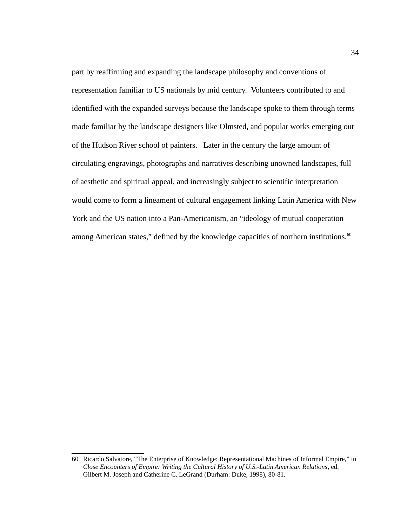part by reaffirming and expanding the landscape philosophy and conventions of representation familiar to US nationals by mid century. Volunteers contributed to and identified with the expanded surveys because the landscape spoke to them through terms made familiar by the landscape designers like Olmsted, and popular works emerging out of the Hudson River school of painters. Later in the century the large amount of circulating engravings, photographs and narratives describing unowned landscapes, full of aesthetic and spiritual appeal, and increasingly subject to scientific interpretation would come to form a lineament of cultural engagement linking Latin America with New York and the US nation into a Pan-Americanism, an "ideology of mutual cooperation among American states," defined by the knowledge capacities of northern institutions.<sup>[60](#page-42-0)</sup>

<span id="page-42-0"></span><sup>60</sup> Ricardo Salvatore, "The Enterprise of Knowledge: Representational Machines of Informal Empire," in *Close Encounters of Empire: Writing the Cultural History of U.S.-Latin American Relations*, ed. Gilbert M. Joseph and Catherine C. LeGrand (Durham: Duke, 1998), 80-81.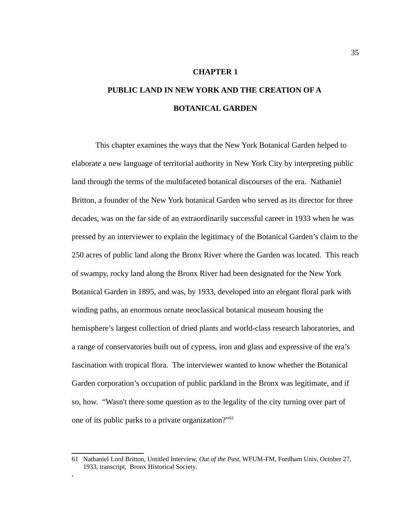### **CHAPTER 1**

# **PUBLIC LAND IN NEW YORK AND THE CREATION OF A BOTANICAL GARDEN**

This chapter examines the ways that the New York Botanical Garden helped to elaborate a new language of territorial authority in New York City by interpreting public land through the terms of the multifaceted botanical discourses of the era. Nathaniel Britton, a founder of the New York botanical Garden who served as its director for three decades, was on the far side of an extraordinarily successful career in 1933 when he was pressed by an interviewer to explain the legitimacy of the Botanical Garden's claim to the 250 acres of public land along the Bronx River where the Garden was located. This reach of swampy, rocky land along the Bronx River had been designated for the New York Botanical Garden in 1895, and was, by 1933, developed into an elegant floral park with winding paths, an enormous ornate neoclassical botanical museum housing the hemisphere's largest collection of dried plants and world-class research laboratories, and a range of conservatories built out of cypress, iron and glass and expressive of the era's fascination with tropical flora. The interviewer wanted to know whether the Botanical Garden corporation's occupation of public parkland in the Bronx was legitimate, and if so, how. "Wasn't there some question as to the legality of the city turning over part of one of its public parks to a private organization?"[61](#page-43-0)

**.**

<span id="page-43-0"></span><sup>61</sup> Nathaniel Lord Britton, Untitled Interview, *Out of the Past,* WFUM-FM, Fordham Univ, October 27, 1933, transcript, Bronx Historical Society.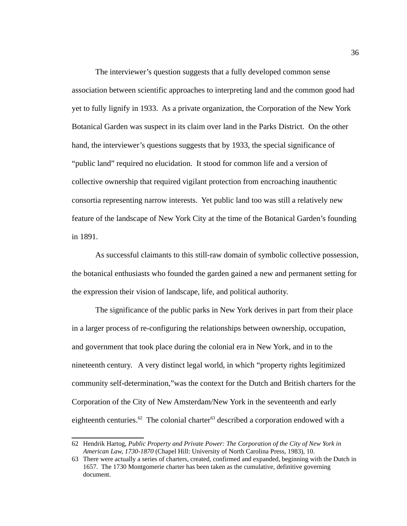The interviewer's question suggests that a fully developed common sense association between scientific approaches to interpreting land and the common good had yet to fully lignify in 1933. As a private organization, the Corporation of the New York Botanical Garden was suspect in its claim over land in the Parks District. On the other hand, the interviewer's questions suggests that by 1933, the special significance of "public land" required no elucidation. It stood for common life and a version of collective ownership that required vigilant protection from encroaching inauthentic consortia representing narrow interests. Yet public land too was still a relatively new feature of the landscape of New York City at the time of the Botanical Garden's founding in 1891.

As successful claimants to this still-raw domain of symbolic collective possession, the botanical enthusiasts who founded the garden gained a new and permanent setting for the expression their vision of landscape, life, and political authority.

The significance of the public parks in New York derives in part from their place in a larger process of re-configuring the relationships between ownership, occupation, and government that took place during the colonial era in New York, and in to the nineteenth century. A very distinct legal world, in which "property rights legitimized community self-determination,"was the context for the Dutch and British charters for the Corporation of the City of New Amsterdam/New York in the seventeenth and early eighteenth centuries.<sup>[62](#page-44-0)</sup> The colonial charter<sup>[63](#page-44-1)</sup> described a corporation endowed with a

<span id="page-44-0"></span><sup>62</sup> Hendrik Hartog, *Public Property and Private Power: The Corporation of the City of New York in American Law, 1730-1870* (Chapel Hill: University of North Carolina Press, 1983), 10.

<span id="page-44-1"></span><sup>63</sup> There were actually a series of charters, created, confirmed and expanded, beginning with the Dutch in 1657. The 1730 Montgomerie charter has been taken as the cumulative, definitive governing document.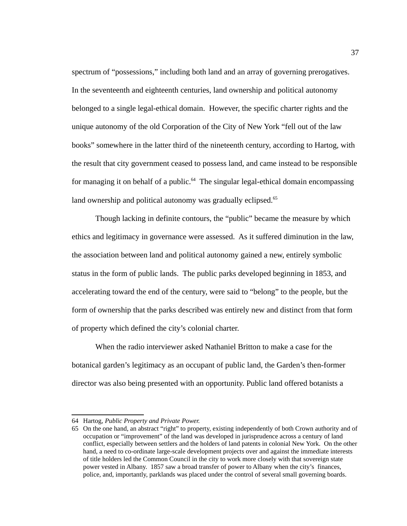spectrum of "possessions," including both land and an array of governing prerogatives. In the seventeenth and eighteenth centuries, land ownership and political autonomy belonged to a single legal-ethical domain. However, the specific charter rights and the unique autonomy of the old Corporation of the City of New York "fell out of the law books" somewhere in the latter third of the nineteenth century, according to Hartog, with the result that city government ceased to possess land, and came instead to be responsible for managing it on behalf of a public. $64$  The singular legal-ethical domain encompassing land ownership and political autonomy was gradually eclipsed. $65$ 

Though lacking in definite contours, the "public" became the measure by which ethics and legitimacy in governance were assessed. As it suffered diminution in the law, the association between land and political autonomy gained a new, entirely symbolic status in the form of public lands. The public parks developed beginning in 1853, and accelerating toward the end of the century, were said to "belong" to the people, but the form of ownership that the parks described was entirely new and distinct from that form of property which defined the city's colonial charter.

When the radio interviewer asked Nathaniel Britton to make a case for the botanical garden's legitimacy as an occupant of public land, the Garden's then-former director was also being presented with an opportunity. Public land offered botanists a

<span id="page-45-0"></span><sup>64</sup> Hartog, *Public Property and Private Power.*

<span id="page-45-1"></span><sup>65</sup> On the one hand, an abstract "right" to property, existing independently of both Crown authority and of occupation or "improvement" of the land was developed in jurisprudence across a century of land conflict, especially between settlers and the holders of land patents in colonial New York. On the other hand, a need to co-ordinate large-scale development projects over and against the immediate interests of title holders led the Common Council in the city to work more closely with that sovereign state power vested in Albany. 1857 saw a broad transfer of power to Albany when the city's finances, police, and, importantly, parklands was placed under the control of several small governing boards.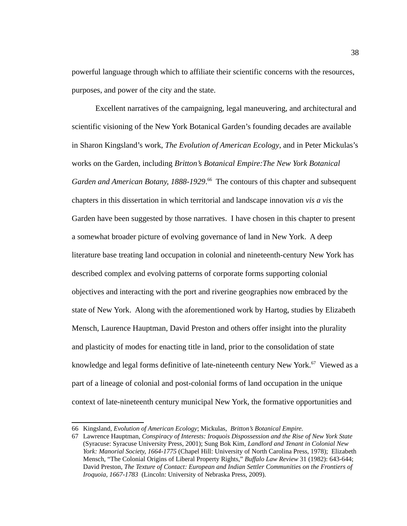powerful language through which to affiliate their scientific concerns with the resources, purposes, and power of the city and the state.

Excellent narratives of the campaigning, legal maneuvering, and architectural and scientific visioning of the New York Botanical Garden's founding decades are available in Sharon Kingsland's work, *The Evolution of American Ecology*, and in Peter Mickulas's works on the Garden, including *Britton's Botanical Empire:The New York Botanical*  Garden and American Botany, 1888-1929.<sup>[66](#page-46-0)</sup> The contours of this chapter and subsequent chapters in this dissertation in which territorial and landscape innovation *vis a vis* the Garden have been suggested by those narratives. I have chosen in this chapter to present a somewhat broader picture of evolving governance of land in New York. A deep literature base treating land occupation in colonial and nineteenth-century New York has described complex and evolving patterns of corporate forms supporting colonial objectives and interacting with the port and riverine geographies now embraced by the state of New York. Along with the aforementioned work by Hartog, studies by Elizabeth Mensch, Laurence Hauptman, David Preston and others offer insight into the plurality and plasticity of modes for enacting title in land, prior to the consolidation of state knowledge and legal forms definitive of late-nineteenth century New York.<sup>[67](#page-46-1)</sup> Viewed as a part of a lineage of colonial and post-colonial forms of land occupation in the unique context of late-nineteenth century municipal New York, the formative opportunities and

<span id="page-46-0"></span><sup>66</sup> Kingsland, *Evolution of American Ecology*; Mickulas, *Britton's Botanical Empire.*

<span id="page-46-1"></span><sup>67</sup> Lawrence Hauptman, *Conspiracy of Interests: Iroquois Dispossession and the Rise of New York State* (Syracuse: Syracuse University Press, 2001); Sung Bok Kim, *Landlord and Tenant in Colonial New York: Manorial Society, 1664-1775* (Chapel Hill: University of North Carolina Press, 1978); Elizabeth Mensch, "The Colonial Origins of Liberal Property Rights," *Buffalo Law Review* 31 (1982): 643-644; David Preston, *The Texture of Contact: European and Indian Settler Communities on the Frontiers of Iroquoia, 1667-1783* (Lincoln: University of Nebraska Press, 2009).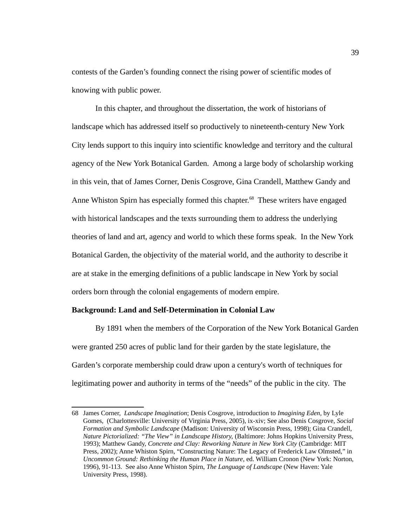contests of the Garden's founding connect the rising power of scientific modes of knowing with public power.

In this chapter, and throughout the dissertation, the work of historians of landscape which has addressed itself so productively to nineteenth-century New York City lends support to this inquiry into scientific knowledge and territory and the cultural agency of the New York Botanical Garden. Among a large body of scholarship working in this vein, that of James Corner, Denis Cosgrove, Gina Crandell, Matthew Gandy and Anne Whiston Spirn has especially formed this chapter. $68$  These writers have engaged with historical landscapes and the texts surrounding them to address the underlying theories of land and art, agency and world to which these forms speak. In the New York Botanical Garden, the objectivity of the material world, and the authority to describe it are at stake in the emerging definitions of a public landscape in New York by social orders born through the colonial engagements of modern empire.

## **Background: Land and Self-Determination in Colonial Law**

By 1891 when the members of the Corporation of the New York Botanical Garden were granted 250 acres of public land for their garden by the state legislature, the Garden's corporate membership could draw upon a century's worth of techniques for legitimating power and authority in terms of the "needs" of the public in the city. The

<span id="page-47-0"></span><sup>68</sup> James Corner, *Landscape Imagination*; Denis Cosgrove, introduction to *Imagining Eden,* by Lyle Gomes, (Charlottesville: University of Virginia Press, 2005), ix-xiv; See also Denis Cosgrove, *Social Formation and Symbolic Landscape* (Madison: University of Wisconsin Press, 1998); Gina Crandell*, Nature Pictorialized: "The View" in Landscape History,* (Baltimore: Johns Hopkins University Press, 1993); Matthew Gandy, *Concrete and Clay: Reworking Nature in New York City* (Cambridge: MIT Press, 2002); Anne Whiston Spirn, "Constructing Nature: The Legacy of Frederick Law Olmsted," in *Uncommon Ground: Rethinking the Human Place in Nature*, ed. William Cronon (New York: Norton, 1996), 91-113. See also Anne Whiston Spirn, *The Language of Landscape* (New Haven: Yale University Press, 1998).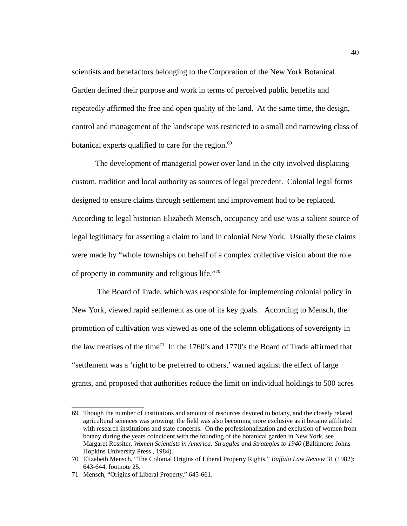scientists and benefactors belonging to the Corporation of the New York Botanical Garden defined their purpose and work in terms of perceived public benefits and repeatedly affirmed the free and open quality of the land. At the same time, the design, control and management of the landscape was restricted to a small and narrowing class of botanical experts qualified to care for the region.<sup>[69](#page-48-0)</sup>

The development of managerial power over land in the city involved displacing custom, tradition and local authority as sources of legal precedent. Colonial legal forms designed to ensure claims through settlement and improvement had to be replaced. According to legal historian Elizabeth Mensch, occupancy and use was a salient source of legal legitimacy for asserting a claim to land in colonial New York. Usually these claims were made by "whole townships on behalf of a complex collective vision about the role of property in community and religious life."[70](#page-48-1)

 The Board of Trade, which was responsible for implementing colonial policy in New York, viewed rapid settlement as one of its key goals. According to Mensch, the promotion of cultivation was viewed as one of the solemn obligations of sovereignty in the law treatises of the time<sup>[71](#page-48-2)</sup> In the 1760's and 1770's the Board of Trade affirmed that "settlement was a 'right to be preferred to others,' warned against the effect of large grants, and proposed that authorities reduce the limit on individual holdings to 500 acres

<span id="page-48-0"></span><sup>69</sup> Though the number of institutions and amount of resources devoted to botany, and the closely related agricultural sciences was growing, the field was also becoming more exclusive as it became affiliated with research institutions and state concerns. On the professionalization and exclusion of women from botany during the years coincident with the founding of the botanical garden in New York, see Margaret Rossiter, *Women Scientists in America: Struggles and Strategies to 1940* (Baltimore: Johns Hopkins University Press , 1984).

<span id="page-48-1"></span><sup>70</sup> Elizabeth Mensch, "The Colonial Origins of Liberal Property Rights," *Buffalo Law Review* 31 (1982): 643-644, footnote 25.

<span id="page-48-2"></span><sup>71</sup> Mensch, "Origins of Liberal Property," 645-661.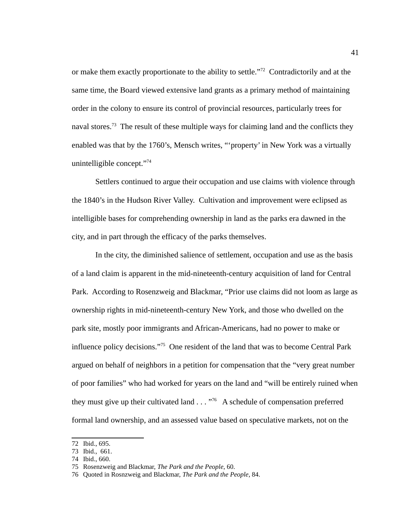or make them exactly proportionate to the ability to settle."<sup>[72](#page-49-0)</sup> Contradictorily and at the same time, the Board viewed extensive land grants as a primary method of maintaining order in the colony to ensure its control of provincial resources, particularly trees for naval stores.<sup>[73](#page-49-1)</sup> The result of these multiple ways for claiming land and the conflicts they enabled was that by the 1760's, Mensch writes, "'property' in New York was a virtually unintelligible concept."<sup>[74](#page-49-2)</sup>

Settlers continued to argue their occupation and use claims with violence through the 1840's in the Hudson River Valley. Cultivation and improvement were eclipsed as intelligible bases for comprehending ownership in land as the parks era dawned in the city, and in part through the efficacy of the parks themselves.

In the city, the diminished salience of settlement, occupation and use as the basis of a land claim is apparent in the mid-nineteenth-century acquisition of land for Central Park. According to Rosenzweig and Blackmar, "Prior use claims did not loom as large as ownership rights in mid-nineteenth-century New York, and those who dwelled on the park site, mostly poor immigrants and African-Americans, had no power to make or influence policy decisions."[75](#page-49-3) One resident of the land that was to become Central Park argued on behalf of neighbors in a petition for compensation that the "very great number of poor families" who had worked for years on the land and "will be entirely ruined when they must give up their cultivated land  $\ldots$   $\frac{1}{76}$  $\frac{1}{76}$  $\frac{1}{76}$  A schedule of compensation preferred formal land ownership, and an assessed value based on speculative markets, not on the

<span id="page-49-0"></span><sup>72</sup> Ibid., 695.

<span id="page-49-1"></span><sup>73</sup> Ibid., 661.

<span id="page-49-2"></span><sup>74</sup> Ibid., 660.

<span id="page-49-3"></span><sup>75</sup> Rosenzweig and Blackmar, *The Park and the People*, 60.

<span id="page-49-4"></span><sup>76</sup> Quoted in Rosnzweig and Blackmar, *The Park and the People*, 84.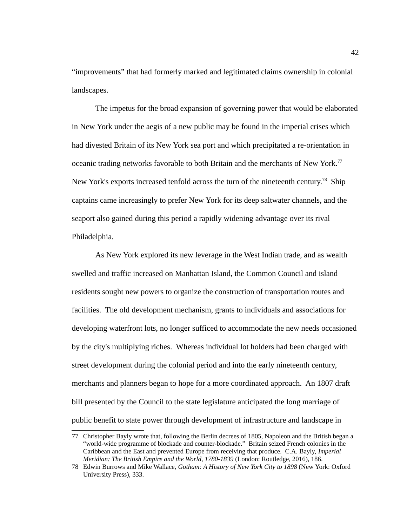"improvements" that had formerly marked and legitimated claims ownership in colonial landscapes.

The impetus for the broad expansion of governing power that would be elaborated in New York under the aegis of a new public may be found in the imperial crises which had divested Britain of its New York sea port and which precipitated a re-orientation in oceanic trading networks favorable to both Britain and the merchants of New York.<sup>[77](#page-50-0)</sup> New York's exports increased tenfold across the turn of the nineteenth century.<sup>[78](#page-50-1)</sup> Ship captains came increasingly to prefer New York for its deep saltwater channels, and the seaport also gained during this period a rapidly widening advantage over its rival Philadelphia.

As New York explored its new leverage in the West Indian trade, and as wealth swelled and traffic increased on Manhattan Island, the Common Council and island residents sought new powers to organize the construction of transportation routes and facilities. The old development mechanism, grants to individuals and associations for developing waterfront lots, no longer sufficed to accommodate the new needs occasioned by the city's multiplying riches. Whereas individual lot holders had been charged with street development during the colonial period and into the early nineteenth century, merchants and planners began to hope for a more coordinated approach. An 1807 draft bill presented by the Council to the state legislature anticipated the long marriage of public benefit to state power through development of infrastructure and landscape in

<span id="page-50-0"></span><sup>77</sup> Christopher Bayly wrote that, following the Berlin decrees of 1805, Napoleon and the British began a "world-wide programme of blockade and counter-blockade." Britain seized French colonies in the Caribbean and the East and prevented Europe from receiving that produce. C.A. Bayly, *Imperial Meridian: The British Empire and the World, 1780-1839* (London: Routledge, 2016), 186.

<span id="page-50-1"></span><sup>78</sup> Edwin Burrows and Mike Wallace, *Gotham: A History of New York City to 1898* (New York: Oxford University Press), 333.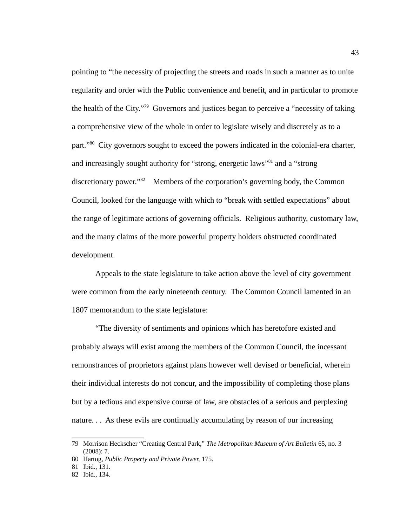pointing to "the necessity of projecting the streets and roads in such a manner as to unite regularity and order with the Public convenience and benefit, and in particular to promote the health of the City."<sup>[79](#page-51-0)</sup> Governors and justices began to perceive a "necessity of taking a comprehensive view of the whole in order to legislate wisely and discretely as to a part."<sup>[80](#page-51-1)</sup> City governors sought to exceed the powers indicated in the colonial-era charter, and increasingly sought authority for "strong, energetic laws"<sup>[81](#page-51-2)</sup> and a "strong discretionary power."<sup>[82](#page-51-3)</sup> Members of the corporation's governing body, the Common Council, looked for the language with which to "break with settled expectations" about the range of legitimate actions of governing officials. Religious authority, customary law, and the many claims of the more powerful property holders obstructed coordinated development.

Appeals to the state legislature to take action above the level of city government were common from the early nineteenth century. The Common Council lamented in an 1807 memorandum to the state legislature:

"The diversity of sentiments and opinions which has heretofore existed and probably always will exist among the members of the Common Council, the incessant remonstrances of proprietors against plans however well devised or beneficial, wherein their individual interests do not concur, and the impossibility of completing those plans but by a tedious and expensive course of law, are obstacles of a serious and perplexing nature. . . As these evils are continually accumulating by reason of our increasing

<span id="page-51-0"></span><sup>79</sup> Morrison Heckscher "Creating Central Park," *The Metropolitan Museum of Art Bulletin* 65, no. 3 (2008): 7.

<span id="page-51-1"></span><sup>80</sup> Hartog, *Public Property and Private Power,* 175.

<span id="page-51-2"></span><sup>81</sup> Ibid., 131.

<span id="page-51-3"></span><sup>82</sup> Ibid., 134.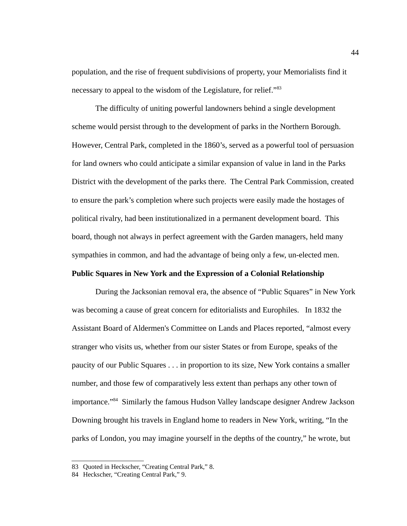population, and the rise of frequent subdivisions of property, your Memorialists find it necessary to appeal to the wisdom of the Legislature, for relief."<sup>[83](#page-52-0)</sup>

The difficulty of uniting powerful landowners behind a single development scheme would persist through to the development of parks in the Northern Borough. However, Central Park, completed in the 1860's, served as a powerful tool of persuasion for land owners who could anticipate a similar expansion of value in land in the Parks District with the development of the parks there. The Central Park Commission, created to ensure the park's completion where such projects were easily made the hostages of political rivalry, had been institutionalized in a permanent development board. This board, though not always in perfect agreement with the Garden managers, held many sympathies in common, and had the advantage of being only a few, un-elected men.

# **Public Squares in New York and the Expression of a Colonial Relationship**

During the Jacksonian removal era, the absence of "Public Squares" in New York was becoming a cause of great concern for editorialists and Europhiles. In 1832 the Assistant Board of Aldermen's Committee on Lands and Places reported, "almost every stranger who visits us, whether from our sister States or from Europe, speaks of the paucity of our Public Squares . . . in proportion to its size, New York contains a smaller number, and those few of comparatively less extent than perhaps any other town of importance."[84](#page-52-1) Similarly the famous Hudson Valley landscape designer Andrew Jackson Downing brought his travels in England home to readers in New York, writing, "In the parks of London, you may imagine yourself in the depths of the country," he wrote, but

<span id="page-52-0"></span><sup>83</sup> Quoted in Heckscher, "Creating Central Park," 8.

<span id="page-52-1"></span><sup>84</sup> Heckscher, "Creating Central Park," 9.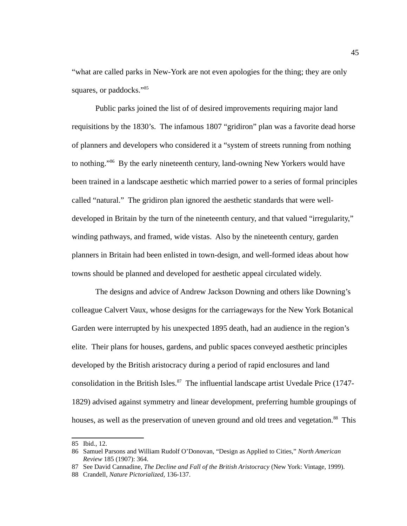"what are called parks in New-York are not even apologies for the thing; they are only squares, or paddocks."<sup>[85](#page-53-0)</sup>

Public parks joined the list of of desired improvements requiring major land requisitions by the 1830's. The infamous 1807 "gridiron" plan was a favorite dead horse of planners and developers who considered it a "system of streets running from nothing to nothing."[86](#page-53-1) By the early nineteenth century, land-owning New Yorkers would have been trained in a landscape aesthetic which married power to a series of formal principles called "natural." The gridiron plan ignored the aesthetic standards that were welldeveloped in Britain by the turn of the nineteenth century, and that valued "irregularity," winding pathways, and framed, wide vistas. Also by the nineteenth century, garden planners in Britain had been enlisted in town-design, and well-formed ideas about how towns should be planned and developed for aesthetic appeal circulated widely.

The designs and advice of Andrew Jackson Downing and others like Downing's colleague Calvert Vaux, whose designs for the carriageways for the New York Botanical Garden were interrupted by his unexpected 1895 death, had an audience in the region's elite. Their plans for houses, gardens, and public spaces conveyed aesthetic principles developed by the British aristocracy during a period of rapid enclosures and land consolidation in the British Isles. $87$  The influential landscape artist Uvedale Price (1747-1829) advised against symmetry and linear development, preferring humble groupings of houses, as well as the preservation of uneven ground and old trees and vegetation.<sup>[88](#page-53-3)</sup> This

<span id="page-53-0"></span><sup>85</sup> Ibid., 12.

<span id="page-53-1"></span><sup>86</sup> Samuel Parsons and William Rudolf O'Donovan, "Design as Applied to Cities," *North American Review* 185 (1907): 364.

<span id="page-53-2"></span><sup>87</sup> See David Cannadine, *The Decline and Fall of the British Aristocracy* (New York: Vintage, 1999).

<span id="page-53-3"></span><sup>88</sup> Crandell, *Nature Pictorialized,* 136-137.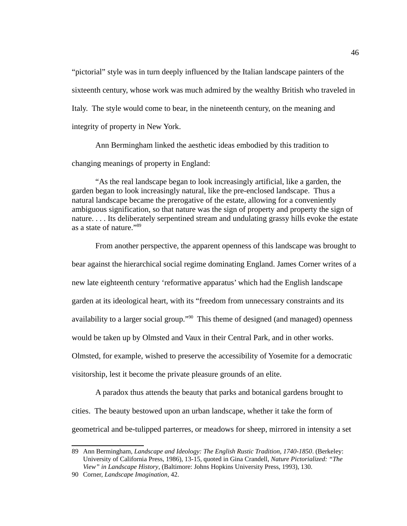"pictorial" style was in turn deeply influenced by the Italian landscape painters of the sixteenth century, whose work was much admired by the wealthy British who traveled in Italy. The style would come to bear, in the nineteenth century, on the meaning and integrity of property in New York.

Ann Bermingham linked the aesthetic ideas embodied by this tradition to changing meanings of property in England:

"As the real landscape began to look increasingly artificial, like a garden, the garden began to look increasingly natural, like the pre-enclosed landscape. Thus a natural landscape became the prerogative of the estate, allowing for a conveniently ambiguous signification, so that nature was the sign of property and property the sign of nature. . . . Its deliberately serpentined stream and undulating grassy hills evoke the estate as a state of nature."[89](#page-54-0)

From another perspective, the apparent openness of this landscape was brought to bear against the hierarchical social regime dominating England. James Corner writes of a new late eighteenth century 'reformative apparatus' which had the English landscape garden at its ideological heart, with its "freedom from unnecessary constraints and its availability to a larger social group."<sup>[90](#page-54-1)</sup> This theme of designed (and managed) openness would be taken up by Olmsted and Vaux in their Central Park, and in other works. Olmsted, for example, wished to preserve the accessibility of Yosemite for a democratic visitorship, lest it become the private pleasure grounds of an elite.

A paradox thus attends the beauty that parks and botanical gardens brought to cities. The beauty bestowed upon an urban landscape, whether it take the form of geometrical and be-tulipped parterres, or meadows for sheep, mirrored in intensity a set

<span id="page-54-0"></span><sup>89</sup> Ann Bermingham, *Landscape and Ideology: The English Rustic Tradition, 1740-1850*. (Berkeley: University of California Press, 1986), 13-15, quoted in Gina Crandell, *Nature Pictorialized: "The View" in Landscape History*, (Baltimore: Johns Hopkins University Press, 1993), 130.

<span id="page-54-1"></span><sup>90</sup> Corner, *Landscape Imagination,* 42.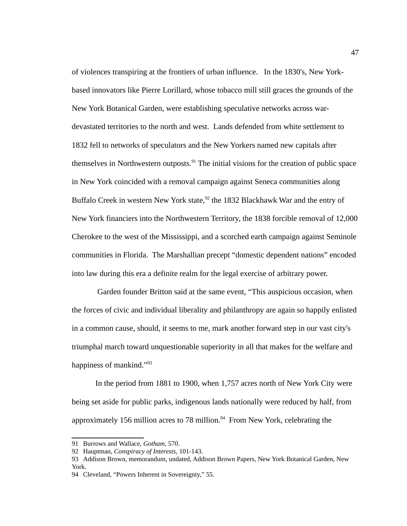of violences transpiring at the frontiers of urban influence. In the 1830's, New Yorkbased innovators like Pierre Lorillard, whose tobacco mill still graces the grounds of the New York Botanical Garden, were establishing speculative networks across wardevastated territories to the north and west. Lands defended from white settlement to 1832 fell to networks of speculators and the New Yorkers named new capitals after themselves in Northwestern outposts. $91$  The initial visions for the creation of public space in New York coincided with a removal campaign against Seneca communities along Buffalo Creek in western New York state, $92$  the 1832 Blackhawk War and the entry of New York financiers into the Northwestern Territory, the 1838 forcible removal of 12,000 Cherokee to the west of the Mississippi, and a scorched earth campaign against Seminole communities in Florida. The Marshallian precept "domestic dependent nations" encoded into law during this era a definite realm for the legal exercise of arbitrary power.

 Garden founder Britton said at the same event, "This auspicious occasion, when the forces of civic and individual liberality and philanthropy are again so happily enlisted in a common cause, should, it seems to me, mark another forward step in our vast city's triumphal march toward unquestionable superiority in all that makes for the welfare and happiness of mankind."<sup>[93](#page-55-2)</sup>

In the period from 1881 to 1900, when 1,757 acres north of New York City were being set aside for public parks, indigenous lands nationally were reduced by half, from approximately 156 million acres to 78 million. $94$  From New York, celebrating the

<span id="page-55-0"></span><sup>91</sup> Burrows and Wallace, *Gotham*, 570.

<span id="page-55-1"></span><sup>92</sup> Hauptman, *Conspiracy of Interests*, 101-143.

<span id="page-55-2"></span><sup>93</sup> Addison Brown, memorandum, undated, Addison Brown Papers, New York Botanical Garden, New York.

<span id="page-55-3"></span><sup>94</sup> Cleveland, "Powers Inherent in Sovereignty," 55.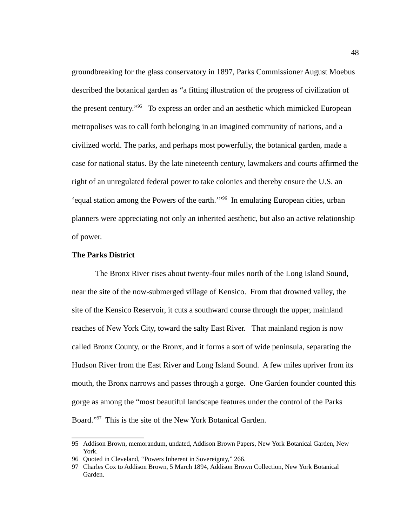groundbreaking for the glass conservatory in 1897, Parks Commissioner August Moebus described the botanical garden as "a fitting illustration of the progress of civilization of the present century."<sup>[95](#page-56-0)</sup> To express an order and an aesthetic which mimicked European metropolises was to call forth belonging in an imagined community of nations, and a civilized world. The parks, and perhaps most powerfully, the botanical garden, made a case for national status. By the late nineteenth century, lawmakers and courts affirmed the right of an unregulated federal power to take colonies and thereby ensure the U.S. an 'equal station among the Powers of the earth.'"[96](#page-56-1) In emulating European cities, urban planners were appreciating not only an inherited aesthetic, but also an active relationship of power.

## **The Parks District**

The Bronx River rises about twenty-four miles north of the Long Island Sound, near the site of the now-submerged village of Kensico. From that drowned valley, the site of the Kensico Reservoir, it cuts a southward course through the upper, mainland reaches of New York City, toward the salty East River. That mainland region is now called Bronx County, or the Bronx, and it forms a sort of wide peninsula, separating the Hudson River from the East River and Long Island Sound. A few miles upriver from its mouth, the Bronx narrows and passes through a gorge. One Garden founder counted this gorge as among the "most beautiful landscape features under the control of the Parks Board."[97](#page-56-2) This is the site of the New York Botanical Garden.

<span id="page-56-0"></span><sup>95</sup> Addison Brown, memorandum, undated, Addison Brown Papers, New York Botanical Garden, New York.

<span id="page-56-1"></span><sup>96</sup> Quoted in Cleveland, "Powers Inherent in Sovereignty," 266.

<span id="page-56-2"></span><sup>97</sup> Charles Cox to Addison Brown, 5 March 1894, Addison Brown Collection, New York Botanical Garden.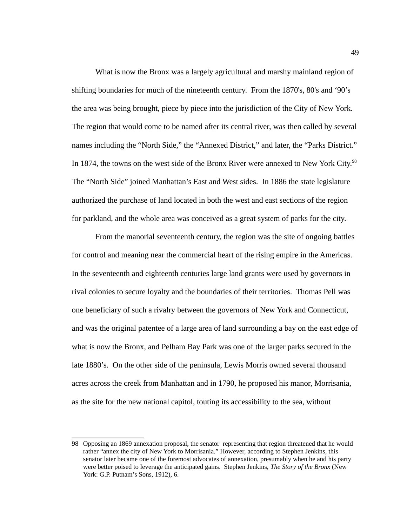What is now the Bronx was a largely agricultural and marshy mainland region of shifting boundaries for much of the nineteenth century. From the 1870's, 80's and '90's the area was being brought, piece by piece into the jurisdiction of the City of New York. The region that would come to be named after its central river, was then called by several names including the "North Side," the "Annexed District," and later, the "Parks District." In 1874, the towns on the west side of the Bronx River were annexed to New York City.<sup>[98](#page-57-0)</sup> The "North Side" joined Manhattan's East and West sides. In 1886 the state legislature authorized the purchase of land located in both the west and east sections of the region for parkland, and the whole area was conceived as a great system of parks for the city.

From the manorial seventeenth century, the region was the site of ongoing battles for control and meaning near the commercial heart of the rising empire in the Americas. In the seventeenth and eighteenth centuries large land grants were used by governors in rival colonies to secure loyalty and the boundaries of their territories. Thomas Pell was one beneficiary of such a rivalry between the governors of New York and Connecticut, and was the original patentee of a large area of land surrounding a bay on the east edge of what is now the Bronx, and Pelham Bay Park was one of the larger parks secured in the late 1880's. On the other side of the peninsula, Lewis Morris owned several thousand acres across the creek from Manhattan and in 1790, he proposed his manor, Morrisania, as the site for the new national capitol, touting its accessibility to the sea, without

<span id="page-57-0"></span><sup>98</sup> Opposing an 1869 annexation proposal, the senator representing that region threatened that he would rather "annex the city of New York to Morrisania." However, according to Stephen Jenkins, this senator later became one of the foremost advocates of annexation, presumably when he and his party were better poised to leverage the anticipated gains. Stephen Jenkins, *The Story of the Bronx* (New York: G.P. Putnam's Sons, 1912), 6.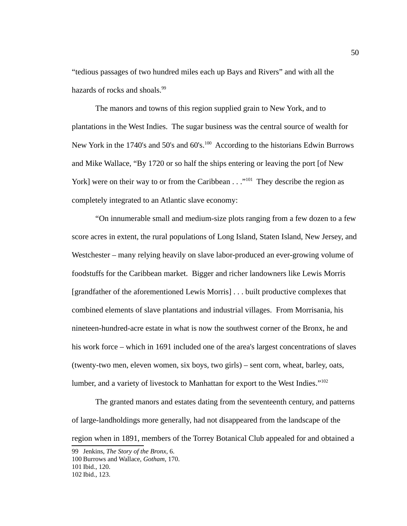"tedious passages of two hundred miles each up Bays and Rivers" and with all the hazards of rocks and shoals.<sup>[99](#page-58-0)</sup>

The manors and towns of this region supplied grain to New York, and to plantations in the West Indies. The sugar business was the central source of wealth for New York in the 1740's and 50's and 60's.<sup>[100](#page-58-1)</sup> According to the historians Edwin Burrows and Mike Wallace, "By 1720 or so half the ships entering or leaving the port [of New York] were on their way to or from the Caribbean  $\ldots$ <sup>"[101](#page-58-2)</sup> They describe the region as completely integrated to an Atlantic slave economy:

"On innumerable small and medium-size plots ranging from a few dozen to a few score acres in extent, the rural populations of Long Island, Staten Island, New Jersey, and Westchester – many relying heavily on slave labor-produced an ever-growing volume of foodstuffs for the Caribbean market. Bigger and richer landowners like Lewis Morris [grandfather of the aforementioned Lewis Morris] . . . built productive complexes that combined elements of slave plantations and industrial villages. From Morrisania, his nineteen-hundred-acre estate in what is now the southwest corner of the Bronx, he and his work force – which in 1691 included one of the area's largest concentrations of slaves (twenty-two men, eleven women, six boys, two girls) – sent corn, wheat, barley, oats, lumber, and a variety of livestock to Manhattan for export to the West Indies."[102](#page-58-3)

The granted manors and estates dating from the seventeenth century, and patterns of large-landholdings more generally, had not disappeared from the landscape of the region when in 1891, members of the Torrey Botanical Club appealed for and obtained a

<span id="page-58-0"></span><sup>99</sup> Jenkins, *The Story of the Bronx*, 6.

<span id="page-58-1"></span><sup>100</sup> Burrows and Wallace, *Gotham*, 170.

<span id="page-58-2"></span><sup>101</sup> Ibid., 120.

<span id="page-58-3"></span><sup>102</sup> Ibid., 123.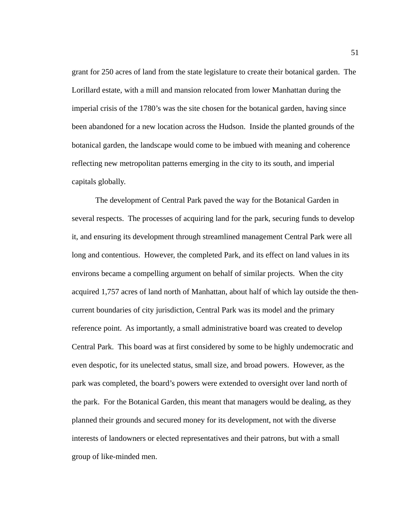grant for 250 acres of land from the state legislature to create their botanical garden. The Lorillard estate, with a mill and mansion relocated from lower Manhattan during the imperial crisis of the 1780's was the site chosen for the botanical garden, having since been abandoned for a new location across the Hudson. Inside the planted grounds of the botanical garden, the landscape would come to be imbued with meaning and coherence reflecting new metropolitan patterns emerging in the city to its south, and imperial capitals globally.

The development of Central Park paved the way for the Botanical Garden in several respects. The processes of acquiring land for the park, securing funds to develop it, and ensuring its development through streamlined management Central Park were all long and contentious. However, the completed Park, and its effect on land values in its environs became a compelling argument on behalf of similar projects. When the city acquired 1,757 acres of land north of Manhattan, about half of which lay outside the thencurrent boundaries of city jurisdiction, Central Park was its model and the primary reference point. As importantly, a small administrative board was created to develop Central Park. This board was at first considered by some to be highly undemocratic and even despotic, for its unelected status, small size, and broad powers. However, as the park was completed, the board's powers were extended to oversight over land north of the park. For the Botanical Garden, this meant that managers would be dealing, as they planned their grounds and secured money for its development, not with the diverse interests of landowners or elected representatives and their patrons, but with a small group of like-minded men.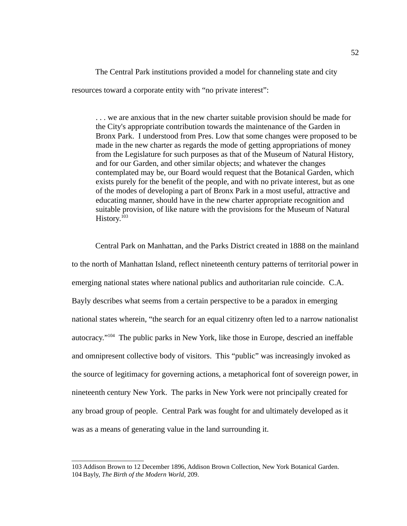The Central Park institutions provided a model for channeling state and city resources toward a corporate entity with "no private interest":

. . . we are anxious that in the new charter suitable provision should be made for the City's appropriate contribution towards the maintenance of the Garden in Bronx Park. I understood from Pres. Low that some changes were proposed to be made in the new charter as regards the mode of getting appropriations of money from the Legislature for such purposes as that of the Museum of Natural History, and for our Garden, and other similar objects; and whatever the changes contemplated may be, our Board would request that the Botanical Garden, which exists purely for the benefit of the people, and with no private interest, but as one of the modes of developing a part of Bronx Park in a most useful, attractive and educating manner, should have in the new charter appropriate recognition and suitable provision, of like nature with the provisions for the Museum of Natural History.<sup>[103](#page-60-0)</sup>

Central Park on Manhattan, and the Parks District created in 1888 on the mainland to the north of Manhattan Island, reflect nineteenth century patterns of territorial power in emerging national states where national publics and authoritarian rule coincide. C.A. Bayly describes what seems from a certain perspective to be a paradox in emerging national states wherein, "the search for an equal citizenry often led to a narrow nationalist autocracy."[104](#page-60-1) The public parks in New York, like those in Europe, descried an ineffable and omnipresent collective body of visitors. This "public" was increasingly invoked as the source of legitimacy for governing actions, a metaphorical font of sovereign power, in nineteenth century New York. The parks in New York were not principally created for any broad group of people. Central Park was fought for and ultimately developed as it was as a means of generating value in the land surrounding it.

<span id="page-60-1"></span><span id="page-60-0"></span><sup>103</sup> Addison Brown to 12 December 1896, Addison Brown Collection, New York Botanical Garden. 104 Bayly, *The Birth of the Modern World*, 209.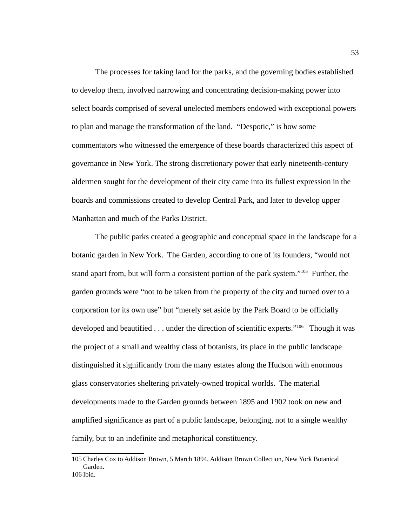The processes for taking land for the parks, and the governing bodies established to develop them, involved narrowing and concentrating decision-making power into select boards comprised of several unelected members endowed with exceptional powers to plan and manage the transformation of the land. "Despotic," is how some commentators who witnessed the emergence of these boards characterized this aspect of governance in New York. The strong discretionary power that early nineteenth-century aldermen sought for the development of their city came into its fullest expression in the boards and commissions created to develop Central Park, and later to develop upper Manhattan and much of the Parks District.

The public parks created a geographic and conceptual space in the landscape for a botanic garden in New York. The Garden, according to one of its founders, "would not stand apart from, but will form a consistent portion of the park system."<sup>[105](#page-61-0)</sup> Further, the garden grounds were "not to be taken from the property of the city and turned over to a corporation for its own use" but "merely set aside by the Park Board to be officially developed and beautified  $\ldots$  under the direction of scientific experts."<sup>[106](#page-61-1)</sup> Though it was the project of a small and wealthy class of botanists, its place in the public landscape distinguished it significantly from the many estates along the Hudson with enormous glass conservatories sheltering privately-owned tropical worlds. The material developments made to the Garden grounds between 1895 and 1902 took on new and amplified significance as part of a public landscape, belonging, not to a single wealthy family, but to an indefinite and metaphorical constituency.

<span id="page-61-1"></span><span id="page-61-0"></span><sup>105</sup> Charles Cox to Addison Brown, 5 March 1894, Addison Brown Collection, New York Botanical Garden. 106 Ibid.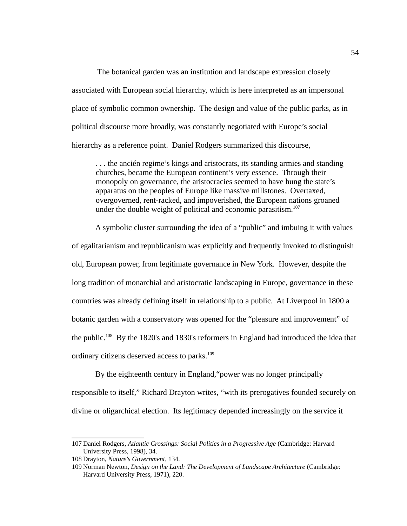The botanical garden was an institution and landscape expression closely associated with European social hierarchy, which is here interpreted as an impersonal place of symbolic common ownership. The design and value of the public parks, as in political discourse more broadly, was constantly negotiated with Europe's social hierarchy as a reference point. Daniel Rodgers summarized this discourse,

. . . the ancién regime's kings and aristocrats, its standing armies and standing churches, became the European continent's very essence. Through their monopoly on governance, the aristocracies seemed to have hung the state's apparatus on the peoples of Europe like massive millstones. Overtaxed, overgoverned, rent-racked, and impoverished, the European nations groaned under the double weight of political and economic parasitism. $107$ 

A symbolic cluster surrounding the idea of a "public" and imbuing it with values of egalitarianism and republicanism was explicitly and frequently invoked to distinguish old, European power, from legitimate governance in New York. However, despite the long tradition of monarchial and aristocratic landscaping in Europe, governance in these countries was already defining itself in relationship to a public. At Liverpool in 1800 a botanic garden with a conservatory was opened for the "pleasure and improvement" of the public.<sup>[108](#page-62-1)</sup> By the 1820's and 1830's reformers in England had introduced the idea that ordinary citizens deserved access to parks.<sup>[109](#page-62-2)</sup>

By the eighteenth century in England,"power was no longer principally responsible to itself," Richard Drayton writes, "with its prerogatives founded securely on divine or oligarchical election. Its legitimacy depended increasingly on the service it

<span id="page-62-0"></span><sup>107</sup> Daniel Rodgers, *Atlantic Crossings: Social Politics in a Progressive Age* (Cambridge: Harvard University Press, 1998), 34.

<span id="page-62-1"></span><sup>108</sup> Drayton, *Nature's Government*, 134.

<span id="page-62-2"></span><sup>109</sup> Norman Newton, *Design on the Land: The Development of Landscape Architecture* (Cambridge: Harvard University Press, 1971), 220.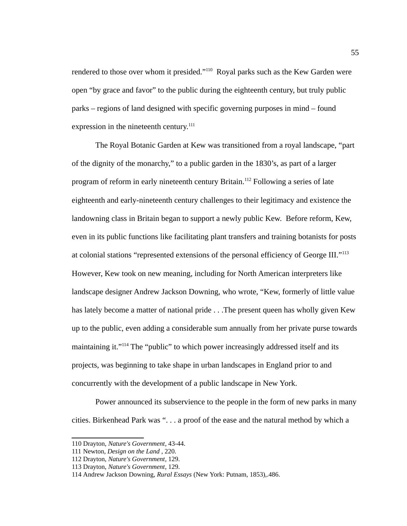rendered to those over whom it presided."<sup>[110](#page-63-0)</sup> Royal parks such as the Kew Garden were open "by grace and favor" to the public during the eighteenth century, but truly public parks – regions of land designed with specific governing purposes in mind – found expression in the nineteenth century.<sup>[111](#page-63-1)</sup>

The Royal Botanic Garden at Kew was transitioned from a royal landscape, "part of the dignity of the monarchy," to a public garden in the 1830's, as part of a larger program of reform in early nineteenth century Britain.<sup>[112](#page-63-2)</sup> Following a series of late eighteenth and early-nineteenth century challenges to their legitimacy and existence the landowning class in Britain began to support a newly public Kew. Before reform, Kew, even in its public functions like facilitating plant transfers and training botanists for posts at colonial stations "represented extensions of the personal efficiency of George III." $113$ However, Kew took on new meaning, including for North American interpreters like landscape designer Andrew Jackson Downing, who wrote, "Kew, formerly of little value has lately become a matter of national pride . . . The present queen has wholly given Kew up to the public, even adding a considerable sum annually from her private purse towards maintaining it."<sup>[114](#page-63-4)</sup> The "public" to which power increasingly addressed itself and its projects, was beginning to take shape in urban landscapes in England prior to and concurrently with the development of a public landscape in New York.

Power announced its subservience to the people in the form of new parks in many cities. Birkenhead Park was ". . . a proof of the ease and the natural method by which a

<span id="page-63-0"></span><sup>110</sup> Drayton, *Nature's Government*, 43-44.

<span id="page-63-1"></span><sup>111</sup> Newton, *Design on the Land ,* 220.

<span id="page-63-2"></span><sup>112</sup> Drayton, *Nature's Government*, 129.

<span id="page-63-3"></span><sup>113</sup> Drayton, *Nature's Government*, 129.

<span id="page-63-4"></span><sup>114</sup> Andrew Jackson Downing, *Rural Essays* (New York: Putnam, 1853),.486.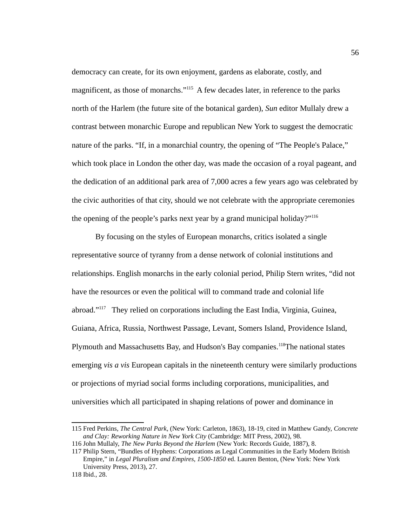democracy can create, for its own enjoyment, gardens as elaborate, costly, and magnificent, as those of monarchs."<sup>[115](#page-64-0)</sup> A few decades later, in reference to the parks north of the Harlem (the future site of the botanical garden), *Sun* editor Mullaly drew a contrast between monarchic Europe and republican New York to suggest the democratic nature of the parks. "If, in a monarchial country, the opening of "The People's Palace," which took place in London the other day, was made the occasion of a royal pageant, and the dedication of an additional park area of 7,000 acres a few years ago was celebrated by the civic authorities of that city, should we not celebrate with the appropriate ceremonies the opening of the people's parks next year by a grand municipal holiday?" $116$ 

By focusing on the styles of European monarchs, critics isolated a single representative source of tyranny from a dense network of colonial institutions and relationships. English monarchs in the early colonial period, Philip Stern writes, "did not have the resources or even the political will to command trade and colonial life abroad."[117](#page-64-2) They relied on corporations including the East India, Virginia, Guinea, Guiana, Africa, Russia, Northwest Passage, Levant, Somers Island, Providence Island, Plymouth and Massachusetts Bay, and Hudson's Bay companies.<sup>[118](#page-64-3)</sup>The national states emerging *vis a vis* European capitals in the nineteenth century were similarly productions or projections of myriad social forms including corporations, municipalities, and universities which all participated in shaping relations of power and dominance in

<span id="page-64-0"></span><sup>115</sup> Fred Perkins, *The Central Park*, (New York: Carleton, 1863), 18-19, cited in Matthew Gandy, *Concrete and Clay: Reworking Nature in New York City* (Cambridge: MIT Press, 2002), 98.

<span id="page-64-1"></span><sup>116</sup> John Mullaly, *The New Parks Beyond the Harlem* (New York: Records Guide, 1887), 8.

<span id="page-64-2"></span><sup>117</sup> Philip Stern, "Bundles of Hyphens: Corporations as Legal Communities in the Early Modern British Empire," in *Legal Pluralism and Empires, 1500-1850* ed. Lauren Benton, (New York: New York University Press, 2013), 27.

<span id="page-64-3"></span><sup>118</sup> Ibid., 28.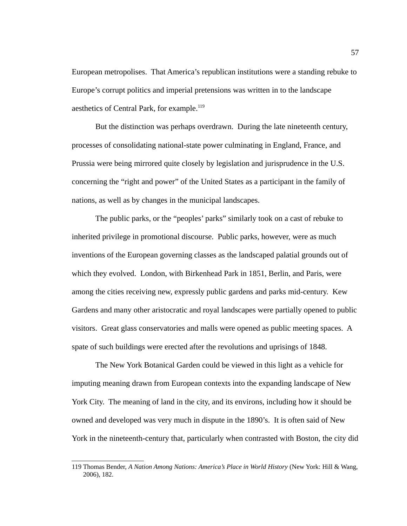European metropolises. That America's republican institutions were a standing rebuke to Europe's corrupt politics and imperial pretensions was written in to the landscape aesthetics of Central Park, for example.<sup>[119](#page-65-0)</sup>

But the distinction was perhaps overdrawn. During the late nineteenth century, processes of consolidating national-state power culminating in England, France, and Prussia were being mirrored quite closely by legislation and jurisprudence in the U.S. concerning the "right and power" of the United States as a participant in the family of nations, as well as by changes in the municipal landscapes.

The public parks, or the "peoples' parks" similarly took on a cast of rebuke to inherited privilege in promotional discourse. Public parks, however, were as much inventions of the European governing classes as the landscaped palatial grounds out of which they evolved. London, with Birkenhead Park in 1851, Berlin, and Paris, were among the cities receiving new, expressly public gardens and parks mid-century. Kew Gardens and many other aristocratic and royal landscapes were partially opened to public visitors. Great glass conservatories and malls were opened as public meeting spaces. A spate of such buildings were erected after the revolutions and uprisings of 1848.

The New York Botanical Garden could be viewed in this light as a vehicle for imputing meaning drawn from European contexts into the expanding landscape of New York City. The meaning of land in the city, and its environs, including how it should be owned and developed was very much in dispute in the 1890's. It is often said of New York in the nineteenth-century that, particularly when contrasted with Boston, the city did

<span id="page-65-0"></span><sup>119</sup> Thomas Bender, *A Nation Among Nations: America's Place in World History* (New York: Hill & Wang, 2006), 182.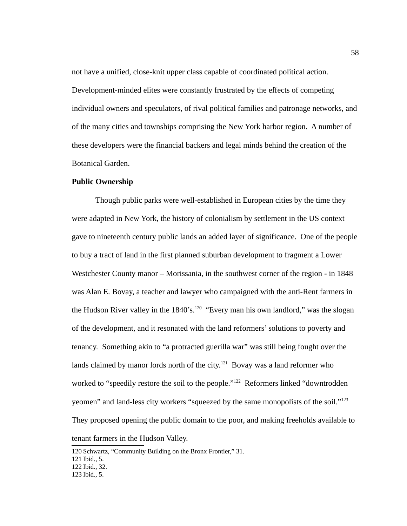not have a unified, close-knit upper class capable of coordinated political action. Development-minded elites were constantly frustrated by the effects of competing individual owners and speculators, of rival political families and patronage networks, and of the many cities and townships comprising the New York harbor region. A number of these developers were the financial backers and legal minds behind the creation of the Botanical Garden.

#### **Public Ownership**

Though public parks were well-established in European cities by the time they were adapted in New York, the history of colonialism by settlement in the US context gave to nineteenth century public lands an added layer of significance. One of the people to buy a tract of land in the first planned suburban development to fragment a Lower Westchester County manor – Morissania, in the southwest corner of the region - in 1848 was Alan E. Bovay, a teacher and lawyer who campaigned with the anti-Rent farmers in the Hudson River valley in the  $1840$ 's.<sup>[120](#page-66-0)</sup> "Every man his own landlord," was the slogan of the development, and it resonated with the land reformers' solutions to poverty and tenancy. Something akin to "a protracted guerilla war" was still being fought over the lands claimed by manor lords north of the city.<sup>[121](#page-66-1)</sup> Bovay was a land reformer who worked to "speedily restore the soil to the people."<sup>[122](#page-66-2)</sup> Reformers linked "downtrodden yeomen" and land-less city workers "squeezed by the same monopolists of the soil."<sup>[123](#page-66-3)</sup> They proposed opening the public domain to the poor, and making freeholds available to tenant farmers in the Hudson Valley.

<span id="page-66-0"></span><sup>120</sup>Schwartz, "Community Building on the Bronx Frontier," 31.

<span id="page-66-1"></span><sup>121</sup> Ibid., 5.

<span id="page-66-2"></span><sup>122</sup> Ibid., 32.

<span id="page-66-3"></span><sup>123</sup> Ibid., 5.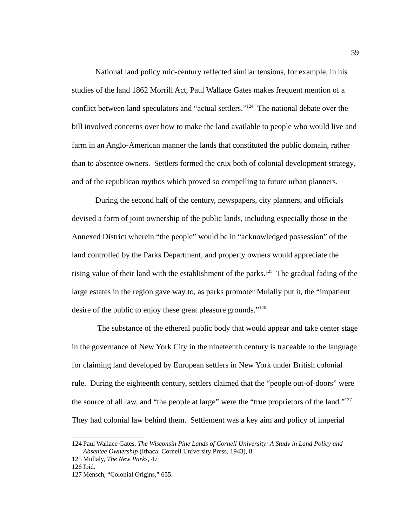National land policy mid-century reflected similar tensions, for example, in his studies of the land 1862 Morrill Act, Paul Wallace Gates makes frequent mention of a conflict between land speculators and "actual settlers."<sup>[124](#page-67-0)</sup> The national debate over the bill involved concerns over how to make the land available to people who would live and farm in an Anglo-American manner the lands that constituted the public domain, rather than to absentee owners. Settlers formed the crux both of colonial development strategy, and of the republican mythos which proved so compelling to future urban planners.

During the second half of the century, newspapers, city planners, and officials devised a form of joint ownership of the public lands, including especially those in the Annexed District wherein "the people" would be in "acknowledged possession" of the land controlled by the Parks Department, and property owners would appreciate the rising value of their land with the establishment of the parks.<sup>[125](#page-67-1)</sup> The gradual fading of the large estates in the region gave way to, as parks promoter Mulally put it, the "impatient desire of the public to enjoy these great pleasure grounds."<sup>[126](#page-67-2)</sup>

 The substance of the ethereal public body that would appear and take center stage in the governance of New York City in the nineteenth century is traceable to the language for claiming land developed by European settlers in New York under British colonial rule. During the eighteenth century, settlers claimed that the "people out-of-doors" were the source of all law, and "the people at large" were the "true proprietors of the land."<sup>[127](#page-67-3)</sup> They had colonial law behind them. Settlement was a key aim and policy of imperial

<span id="page-67-0"></span><sup>124</sup>Paul Wallace Gates, *The Wisconsin Pine Lands of Cornell University: A Study in Land Policy and Absentee Ownership* (Ithaca: Cornell University Press, 1943), 8.

<span id="page-67-1"></span><sup>125</sup> Mullaly, *The New Parks*, 47

<span id="page-67-2"></span><sup>126</sup> Ibid.

<span id="page-67-3"></span><sup>127</sup> Mensch, "Colonial Origins," 655.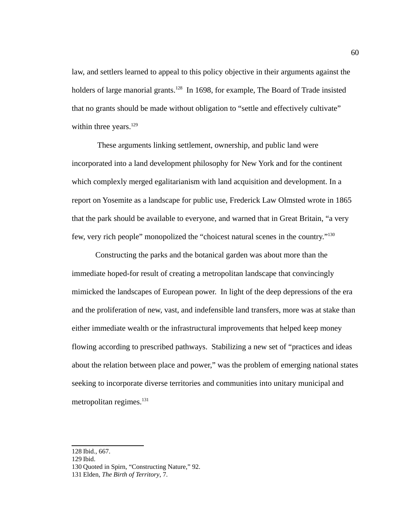law, and settlers learned to appeal to this policy objective in their arguments against the holders of large manorial grants.<sup>[128](#page-68-0)</sup> In 1698, for example, The Board of Trade insisted that no grants should be made without obligation to "settle and effectively cultivate" within three years. $129$ 

 These arguments linking settlement, ownership, and public land were incorporated into a land development philosophy for New York and for the continent which complexly merged egalitarianism with land acquisition and development. In a report on Yosemite as a landscape for public use, Frederick Law Olmsted wrote in 1865 that the park should be available to everyone, and warned that in Great Britain, "a very few, very rich people" monopolized the "choicest natural scenes in the country."<sup>[130](#page-68-2)</sup>

Constructing the parks and the botanical garden was about more than the immediate hoped-for result of creating a metropolitan landscape that convincingly mimicked the landscapes of European power. In light of the deep depressions of the era and the proliferation of new, vast, and indefensible land transfers, more was at stake than either immediate wealth or the infrastructural improvements that helped keep money flowing according to prescribed pathways. Stabilizing a new set of "practices and ideas about the relation between place and power," was the problem of emerging national states seeking to incorporate diverse territories and communities into unitary municipal and metropolitan regimes.<sup>[131](#page-68-3)</sup>

<span id="page-68-0"></span><sup>128</sup> Ibid., 667.

<span id="page-68-1"></span><sup>129</sup> Ibid.

<span id="page-68-2"></span><sup>130</sup> Quoted in Spirn, "Constructing Nature," 92.

<span id="page-68-3"></span><sup>131</sup> Elden, *The Birth of Territory*, 7.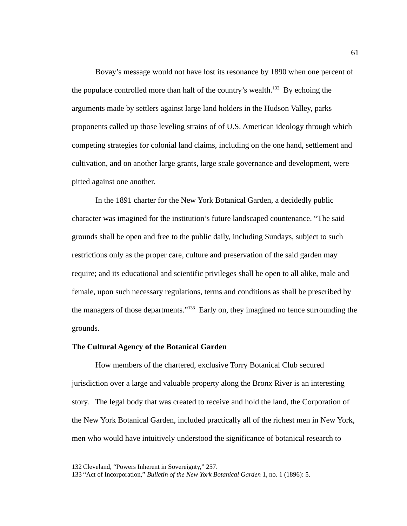Bovay's message would not have lost its resonance by 1890 when one percent of the populace controlled more than half of the country's wealth.<sup>[132](#page-69-0)</sup> By echoing the arguments made by settlers against large land holders in the Hudson Valley, parks proponents called up those leveling strains of of U.S. American ideology through which competing strategies for colonial land claims, including on the one hand, settlement and cultivation, and on another large grants, large scale governance and development, were pitted against one another.

In the 1891 charter for the New York Botanical Garden, a decidedly public character was imagined for the institution's future landscaped countenance. "The said grounds shall be open and free to the public daily, including Sundays, subject to such restrictions only as the proper care, culture and preservation of the said garden may require; and its educational and scientific privileges shall be open to all alike, male and female, upon such necessary regulations, terms and conditions as shall be prescribed by the managers of those departments." $133$  Early on, they imagined no fence surrounding the grounds.

## **The Cultural Agency of the Botanical Garden**

How members of the chartered, exclusive Torry Botanical Club secured jurisdiction over a large and valuable property along the Bronx River is an interesting story. The legal body that was created to receive and hold the land, the Corporation of the New York Botanical Garden, included practically all of the richest men in New York, men who would have intuitively understood the significance of botanical research to

<span id="page-69-0"></span><sup>132</sup> Cleveland, "Powers Inherent in Sovereignty," 257.

<span id="page-69-1"></span><sup>133</sup> "Act of Incorporation," *Bulletin of the New York Botanical Garden* 1, no. 1 (1896): 5.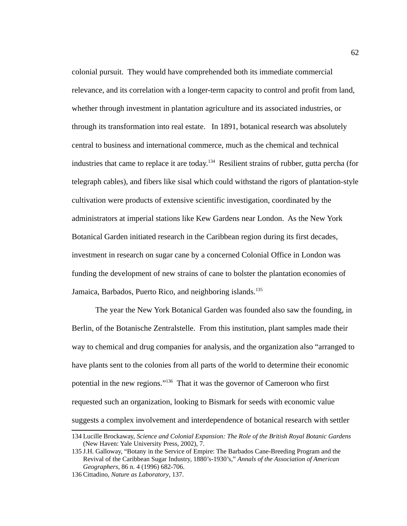colonial pursuit. They would have comprehended both its immediate commercial relevance, and its correlation with a longer-term capacity to control and profit from land, whether through investment in plantation agriculture and its associated industries, or through its transformation into real estate. In 1891, botanical research was absolutely central to business and international commerce, much as the chemical and technical industries that came to replace it are today.<sup>[134](#page-70-0)</sup> Resilient strains of rubber, gutta percha (for telegraph cables), and fibers like sisal which could withstand the rigors of plantation-style cultivation were products of extensive scientific investigation, coordinated by the administrators at imperial stations like Kew Gardens near London. As the New York Botanical Garden initiated research in the Caribbean region during its first decades, investment in research on sugar cane by a concerned Colonial Office in London was funding the development of new strains of cane to bolster the plantation economies of Jamaica, Barbados, Puerto Rico, and neighboring islands.<sup>[135](#page-70-1)</sup>

The year the New York Botanical Garden was founded also saw the founding, in Berlin, of the Botanische Zentralstelle. From this institution, plant samples made their way to chemical and drug companies for analysis, and the organization also "arranged to have plants sent to the colonies from all parts of the world to determine their economic potential in the new regions."[136](#page-70-2) That it was the governor of Cameroon who first requested such an organization, looking to Bismark for seeds with economic value suggests a complex involvement and interdependence of botanical research with settler

<span id="page-70-0"></span><sup>134</sup> Lucille Brockaway, *Science and Colonial Expansion: The Role of the British Royal Botanic Gardens* (New Haven: Yale University Press, 2002), 7.

<span id="page-70-1"></span><sup>135</sup> J.H. Galloway, "Botany in the Service of Empire: The Barbados Cane-Breeding Program and the Revival of the Caribbean Sugar Industry, 1880's-1930's," *Annals of the Association of American Geographers*, 86 n. 4 (1996) 682-706.

<span id="page-70-2"></span><sup>136</sup> Cittadino, *Nature as Laboratory*, 137.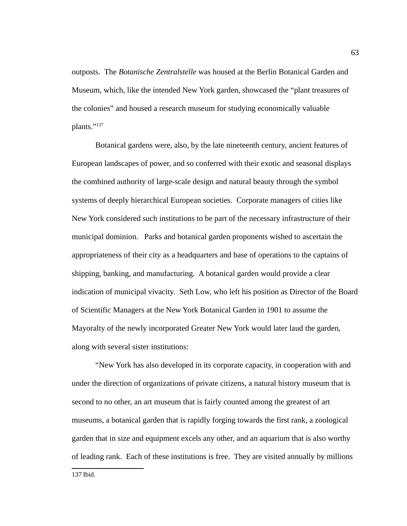outposts. The *Botanische Zentralstelle* was housed at the Berlin Botanical Garden and Museum, which, like the intended New York garden, showcased the "plant treasures of the colonies" and housed a research museum for studying economically valuable plants."[137](#page-71-0)

Botanical gardens were, also, by the late nineteenth century, ancient features of European landscapes of power, and so conferred with their exotic and seasonal displays the combined authority of large-scale design and natural beauty through the symbol systems of deeply hierarchical European societies. Corporate managers of cities like New York considered such institutions to be part of the necessary infrastructure of their municipal dominion. Parks and botanical garden proponents wished to ascertain the appropriateness of their city as a headquarters and base of operations to the captains of shipping, banking, and manufacturing. A botanical garden would provide a clear indication of municipal vivacity. Seth Low, who left his position as Director of the Board of Scientific Managers at the New York Botanical Garden in 1901 to assume the Mayoralty of the newly incorporated Greater New York would later laud the garden, along with several sister institutions:

<span id="page-71-0"></span>"New York has also developed in its corporate capacity, in cooperation with and under the direction of organizations of private citizens, a natural history museum that is second to no other, an art museum that is fairly counted among the greatest of art museums, a botanical garden that is rapidly forging towards the first rank, a zoological garden that in size and equipment excels any other, and an aquarium that is also worthy of leading rank. Each of these institutions is free. They are visited annually by millions

63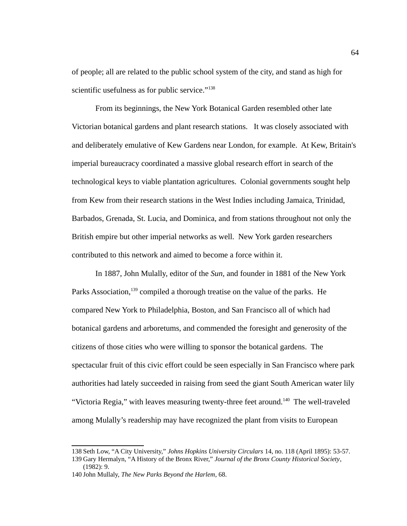of people; all are related to the public school system of the city, and stand as high for scientific usefulness as for public service."<sup>[138](#page-72-0)</sup>

From its beginnings, the New York Botanical Garden resembled other late Victorian botanical gardens and plant research stations. It was closely associated with and deliberately emulative of Kew Gardens near London, for example. At Kew, Britain's imperial bureaucracy coordinated a massive global research effort in search of the technological keys to viable plantation agricultures. Colonial governments sought help from Kew from their research stations in the West Indies including Jamaica, Trinidad, Barbados, Grenada, St. Lucia, and Dominica, and from stations throughout not only the British empire but other imperial networks as well. New York garden researchers contributed to this network and aimed to become a force within it.

In 1887, John Mulally, editor of the *Sun,* and founder in 1881 of the New York Parks Association,<sup>[139](#page-72-1)</sup> compiled a thorough treatise on the value of the parks. He compared New York to Philadelphia, Boston, and San Francisco all of which had botanical gardens and arboretums, and commended the foresight and generosity of the citizens of those cities who were willing to sponsor the botanical gardens. The spectacular fruit of this civic effort could be seen especially in San Francisco where park authorities had lately succeeded in raising from seed the giant South American water lily "Victoria Regia," with leaves measuring twenty-three feet around.<sup>[140](#page-72-2)</sup> The well-traveled among Mulally's readership may have recognized the plant from visits to European

<span id="page-72-1"></span><span id="page-72-0"></span><sup>138</sup>Seth Low, "A City University," *Johns Hopkins University Circulars* 14, no. 118 (April 1895): 53-57. 139 Gary Hermalyn, "A History of the Bronx River," *Journal of the Bronx County Historical Society*,

<sup>(1982): 9.</sup>

<span id="page-72-2"></span><sup>140</sup> John Mullaly, *The New Parks Beyond the Harlem*, 68.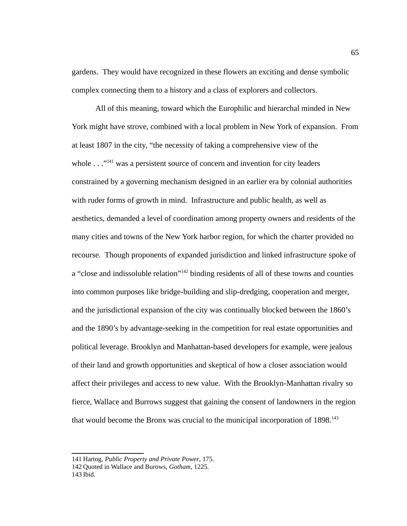gardens. They would have recognized in these flowers an exciting and dense symbolic complex connecting them to a history and a class of explorers and collectors.

All of this meaning, toward which the Europhilic and hierarchal minded in New York might have strove, combined with a local problem in New York of expansion. From at least 1807 in the city, "the necessity of taking a comprehensive view of the whole  $\ldots$ <sup>"[141](#page-73-0)</sup> was a persistent source of concern and invention for city leaders constrained by a governing mechanism designed in an earlier era by colonial authorities with ruder forms of growth in mind. Infrastructure and public health, as well as aesthetics, demanded a level of coordination among property owners and residents of the many cities and towns of the New York harbor region, for which the charter provided no recourse. Though proponents of expanded jurisdiction and linked infrastructure spoke of a "close and indissoluble relation"<sup>[142](#page-73-1)</sup> binding residents of all of these towns and counties into common purposes like bridge-building and slip-dredging, cooperation and merger, and the jurisdictional expansion of the city was continually blocked between the 1860's and the 1890's by advantage-seeking in the competition for real estate opportunities and political leverage. Brooklyn and Manhattan-based developers for example, were jealous of their land and growth opportunities and skeptical of how a closer association would affect their privileges and access to new value. With the Brooklyn-Manhattan rivalry so fierce, Wallace and Burrows suggest that gaining the consent of landowners in the region that would become the Bronx was crucial to the municipal incorporation of  $1898$ <sup>[143](#page-73-2)</sup>

<span id="page-73-0"></span><sup>141</sup> Hartog, *Public Property and Private Power*, 175.

<span id="page-73-1"></span><sup>142</sup> Quoted in Wallace and Burows, *Gotham*, 1225.

<span id="page-73-2"></span><sup>143</sup> Ibid.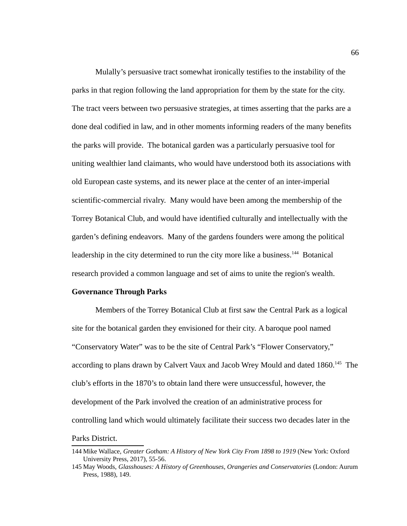Mulally's persuasive tract somewhat ironically testifies to the instability of the parks in that region following the land appropriation for them by the state for the city. The tract veers between two persuasive strategies, at times asserting that the parks are a done deal codified in law, and in other moments informing readers of the many benefits the parks will provide. The botanical garden was a particularly persuasive tool for uniting wealthier land claimants, who would have understood both its associations with old European caste systems, and its newer place at the center of an inter-imperial scientific-commercial rivalry. Many would have been among the membership of the Torrey Botanical Club, and would have identified culturally and intellectually with the garden's defining endeavors. Many of the gardens founders were among the political leadership in the city determined to run the city more like a business.<sup>[144](#page-74-0)</sup> Botanical research provided a common language and set of aims to unite the region's wealth.

#### **Governance Through Parks**

Members of the Torrey Botanical Club at first saw the Central Park as a logical site for the botanical garden they envisioned for their city. A baroque pool named "Conservatory Water" was to be the site of Central Park's "Flower Conservatory," according to plans drawn by Calvert Vaux and Jacob Wrey Mould and dated 1860.<sup>[145](#page-74-1)</sup> The club's efforts in the 1870's to obtain land there were unsuccessful, however, the development of the Park involved the creation of an administrative process for controlling land which would ultimately facilitate their success two decades later in the Parks District.

<span id="page-74-0"></span><sup>144</sup> Mike Wallace, *Greater Gotham: A History of New York City From 1898 to 1919* (New York: Oxford University Press, 2017), 55-56.

<span id="page-74-1"></span><sup>145</sup> May Woods, *Glasshouses: A History of Greenhouses, Orangeries and Conservatories* (London: Aurum Press, 1988), 149.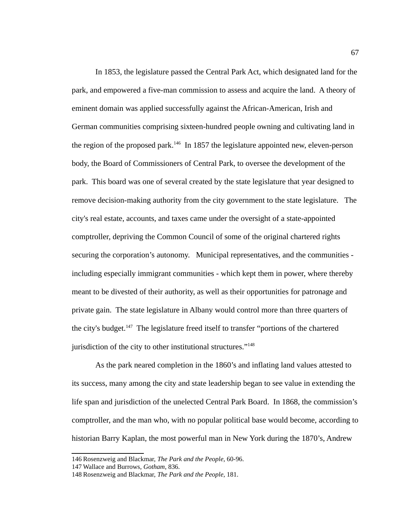In 1853, the legislature passed the Central Park Act, which designated land for the park, and empowered a five-man commission to assess and acquire the land. A theory of eminent domain was applied successfully against the African-American, Irish and German communities comprising sixteen-hundred people owning and cultivating land in the region of the proposed park.<sup>[146](#page-75-0)</sup> In 1857 the legislature appointed new, eleven-person body, the Board of Commissioners of Central Park, to oversee the development of the park. This board was one of several created by the state legislature that year designed to remove decision-making authority from the city government to the state legislature. The city's real estate, accounts, and taxes came under the oversight of a state-appointed comptroller, depriving the Common Council of some of the original chartered rights securing the corporation's autonomy. Municipal representatives, and the communities including especially immigrant communities - which kept them in power, where thereby meant to be divested of their authority, as well as their opportunities for patronage and private gain. The state legislature in Albany would control more than three quarters of the city's budget.<sup>[147](#page-75-1)</sup> The legislature freed itself to transfer "portions of the chartered jurisdiction of the city to other institutional structures."<sup>[148](#page-75-2)</sup>

As the park neared completion in the 1860's and inflating land values attested to its success, many among the city and state leadership began to see value in extending the life span and jurisdiction of the unelected Central Park Board. In 1868, the commission's comptroller, and the man who, with no popular political base would become, according to historian Barry Kaplan, the most powerful man in New York during the 1870's, Andrew

<span id="page-75-0"></span><sup>146</sup> Rosenzweig and Blackmar, *The Park and the People*, 60-96.

<span id="page-75-1"></span><sup>147</sup> Wallace and Burrows, *Gotham*, 836.

<span id="page-75-2"></span><sup>148</sup> Rosenzweig and Blackmar, *The Park and the People*, 181.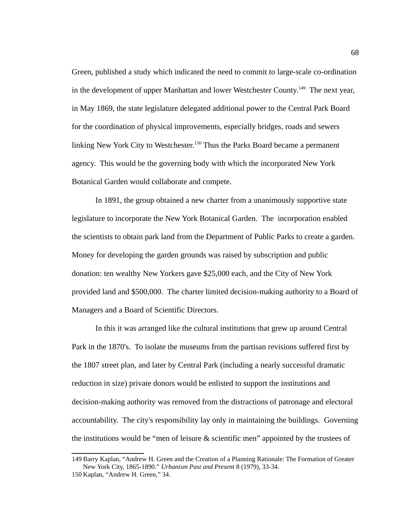Green, published a study which indicated the need to commit to large-scale co-ordination in the development of upper Manhattan and lower Westchester County.<sup>[149](#page-76-0)</sup> The next year, in May 1869, the state legislature delegated additional power to the Central Park Board for the coordination of physical improvements, especially bridges, roads and sewers linking New York City to Westchester.<sup>[150](#page-76-1)</sup> Thus the Parks Board became a permanent agency. This would be the governing body with which the incorporated New York Botanical Garden would collaborate and compete.

In 1891, the group obtained a new charter from a unanimously supportive state legislature to incorporate the New York Botanical Garden. The incorporation enabled the scientists to obtain park land from the Department of Public Parks to create a garden. Money for developing the garden grounds was raised by subscription and public donation: ten wealthy New Yorkers gave \$25,000 each, and the City of New York provided land and \$500,000. The charter limited decision-making authority to a Board of Managers and a Board of Scientific Directors.

In this it was arranged like the cultural institutions that grew up around Central Park in the 1870's. To isolate the museums from the partisan revisions suffered first by the 1807 street plan, and later by Central Park (including a nearly successful dramatic reduction in size) private donors would be enlisted to support the institutions and decision-making authority was removed from the distractions of patronage and electoral accountability. The city's responsibility lay only in maintaining the buildings. Governing the institutions would be "men of leisure & scientific men" appointed by the trustees of

<span id="page-76-0"></span><sup>149</sup> Barry Kaplan, "Andrew H. Green and the Creation of a Planning Rationale: The Formation of Greater New York City, 1865-1890." *Urbanism Past and Present* 8 (1979), 33-34.

<span id="page-76-1"></span><sup>150</sup> Kaplan, "Andrew H. Green," 34.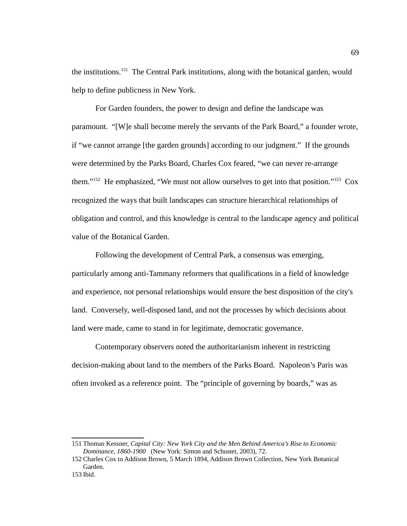the institutions.<sup>[151](#page-77-0)</sup> The Central Park institutions, along with the botanical garden, would help to define publicness in New York.

For Garden founders, the power to design and define the landscape was paramount. "[W]e shall become merely the servants of the Park Board," a founder wrote, if "we cannot arrange [the garden grounds] according to our judgment." If the grounds were determined by the Parks Board, Charles Cox feared, "we can never re-arrange them."<sup>[152](#page-77-1)</sup> He emphasized, "We must not allow ourselves to get into that position."<sup>[153](#page-77-2)</sup> Cox recognized the ways that built landscapes can structure hierarchical relationships of obligation and control, and this knowledge is central to the landscape agency and political value of the Botanical Garden.

Following the development of Central Park, a consensus was emerging, particularly among anti-Tammany reformers that qualifications in a field of knowledge and experience, not personal relationships would ensure the best disposition of the city's land. Conversely, well-disposed land, and not the processes by which decisions about land were made, came to stand in for legitimate, democratic governance.

Contemporary observers noted the authoritarianism inherent in restricting decision-making about land to the members of the Parks Board. Napoleon's Paris was often invoked as a reference point. The "principle of governing by boards," was as

<span id="page-77-0"></span><sup>151</sup> Thomas Kessner, *Capital City: New York City and the Men Behind America's Rise to Economic Dominance, 1860-1900* (New York: Simon and Schuster, 2003), 72.

<span id="page-77-1"></span><sup>152</sup> Charles Cox to Addison Brown, 5 March 1894, Addison Brown Collection, New York Botanical Garden.

<span id="page-77-2"></span><sup>153</sup> Ibid.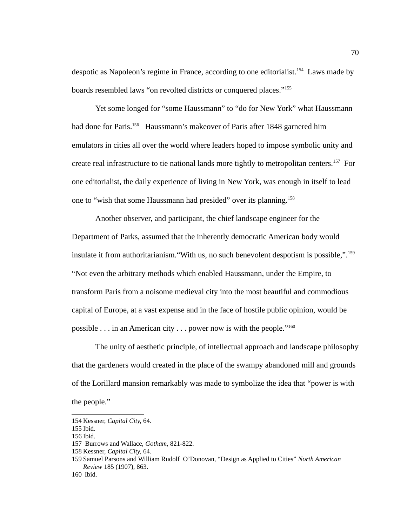despotic as Napoleon's regime in France, according to one editorialist.<sup>[154](#page-78-0)</sup> Laws made by boards resembled laws "on revolted districts or conquered places."<sup>[155](#page-78-1)</sup>

Yet some longed for "some Haussmann" to "do for New York" what Haussmann had done for Paris.<sup>[156](#page-78-2)</sup> Haussmann's makeover of Paris after 1848 garnered him emulators in cities all over the world where leaders hoped to impose symbolic unity and create real infrastructure to tie national lands more tightly to metropolitan centers.<sup>[157](#page-78-3)</sup> For one editorialist, the daily experience of living in New York, was enough in itself to lead one to "wish that some Haussmann had presided" over its planning.<sup>[158](#page-78-4)</sup>

Another observer, and participant, the chief landscape engineer for the Department of Parks, assumed that the inherently democratic American body would insulate it from authoritarianism. "With us, no such benevolent despotism is possible,".<sup>[159](#page-78-5)</sup> "Not even the arbitrary methods which enabled Haussmann, under the Empire, to transform Paris from a noisome medieval city into the most beautiful and commodious capital of Europe, at a vast expense and in the face of hostile public opinion, would be possible  $\ldots$  in an American city  $\ldots$  power now is with the people."<sup>[160](#page-78-6)</sup>

The unity of aesthetic principle, of intellectual approach and landscape philosophy that the gardeners would created in the place of the swampy abandoned mill and grounds of the Lorillard mansion remarkably was made to symbolize the idea that "power is with the people."

<span id="page-78-0"></span><sup>154</sup> Kessner, *Capital City,* 64.

<span id="page-78-1"></span><sup>155</sup> Ibid.

<span id="page-78-2"></span><sup>156</sup> Ibid.

<span id="page-78-3"></span><sup>157</sup> Burrows and Wallace, *Gotham*, 821-822.

<span id="page-78-4"></span><sup>158</sup> Kessner, *Capital City,* 64.

<span id="page-78-5"></span><sup>159</sup>Samuel Parsons and William Rudolf O'Donovan, "Design as Applied to Cities" *North American Review* 185 (1907), 863.

<span id="page-78-6"></span><sup>160</sup> Ibid.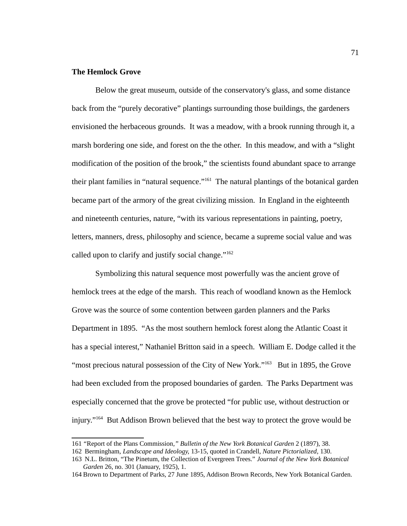## **The Hemlock Grove**

Below the great museum, outside of the conservatory's glass, and some distance back from the "purely decorative" plantings surrounding those buildings, the gardeners envisioned the herbaceous grounds. It was a meadow, with a brook running through it, a marsh bordering one side, and forest on the the other. In this meadow, and with a "slight modification of the position of the brook," the scientists found abundant space to arrange their plant families in "natural sequence."<sup>[161](#page-79-0)</sup> The natural plantings of the botanical garden became part of the armory of the great civilizing mission. In England in the eighteenth and nineteenth centuries, nature, "with its various representations in painting, poetry, letters, manners, dress, philosophy and science, became a supreme social value and was called upon to clarify and justify social change." $162$ 

Symbolizing this natural sequence most powerfully was the ancient grove of hemlock trees at the edge of the marsh. This reach of woodland known as the Hemlock Grove was the source of some contention between garden planners and the Parks Department in 1895. "As the most southern hemlock forest along the Atlantic Coast it has a special interest," Nathaniel Britton said in a speech. William E. Dodge called it the "most precious natural possession of the City of New York." $163$  But in 1895, the Grove had been excluded from the proposed boundaries of garden. The Parks Department was especially concerned that the grove be protected "for public use, without destruction or injury."[164](#page-79-3) But Addison Brown believed that the best way to protect the grove would be

<span id="page-79-0"></span><sup>161</sup>*"*Report of the Plans Commission*," Bulletin of the New York Botanical Garden* 2 (1897), 38.

<span id="page-79-1"></span><sup>162</sup> Bermingham, *Landscape and Ideology,* 13-15, quoted in Crandell, *Nature Pictorialized*, 130.

<span id="page-79-2"></span><sup>163</sup> N.L. Britton, "The Pinetum, the Collection of Evergreen Trees." *Journal of the New York Botanical Garden* 26, no. 301 (January, 1925), 1.

<span id="page-79-3"></span><sup>164</sup> Brown to Department of Parks, 27 June 1895, Addison Brown Records, New York Botanical Garden.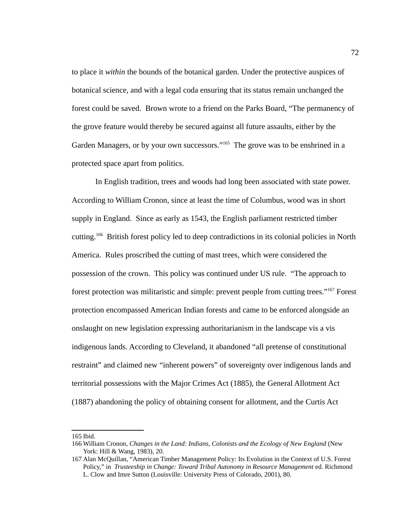to place it *within* the bounds of the botanical garden. Under the protective auspices of botanical science, and with a legal coda ensuring that its status remain unchanged the forest could be saved. Brown wrote to a friend on the Parks Board, "The permanency of the grove feature would thereby be secured against all future assaults, either by the Garden Managers, or by your own successors."<sup>[165](#page-80-0)</sup> The grove was to be enshrined in a protected space apart from politics.

In English tradition, trees and woods had long been associated with state power. According to William Cronon, since at least the time of Columbus, wood was in short supply in England. Since as early as 1543, the English parliament restricted timber cutting.[166](#page-80-1) British forest policy led to deep contradictions in its colonial policies in North America. Rules proscribed the cutting of mast trees, which were considered the possession of the crown. This policy was continued under US rule. "The approach to forest protection was militaristic and simple: prevent people from cutting trees."<sup>[167](#page-80-2)</sup> Forest protection encompassed American Indian forests and came to be enforced alongside an onslaught on new legislation expressing authoritarianism in the landscape vis a vis indigenous lands. According to Cleveland, it abandoned "all pretense of constitutional restraint" and claimed new "inherent powers" of sovereignty over indigenous lands and territorial possessions with the Major Crimes Act (1885), the General Allotment Act (1887) abandoning the policy of obtaining consent for allotment, and the Curtis Act

<span id="page-80-0"></span><sup>165</sup> Ibid.

<span id="page-80-1"></span><sup>166</sup> William Cronon, *Changes in the Land: Indians, Colonists and the Ecology of New England* (New York: Hill & Wang, 1983), 20.

<span id="page-80-2"></span><sup>167</sup> Alan McQuillan, "American Timber Management Policy: Its Evolution in the Context of U.S. Forest Policy," in *Trusteeship in Change: Toward Tribal Autonomy in Resource Management* ed. Richmond L. Clow and Imre Sutton (Louisville: University Press of Colorado, 2001), 80.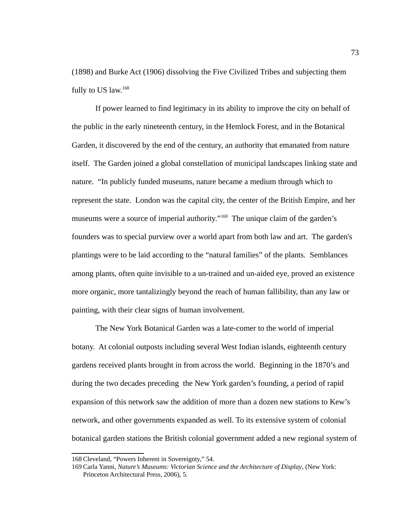(1898) and Burke Act (1906) dissolving the Five Civilized Tribes and subjecting them fully to US law.<sup>[168](#page-81-0)</sup>

If power learned to find legitimacy in its ability to improve the city on behalf of the public in the early nineteenth century, in the Hemlock Forest, and in the Botanical Garden, it discovered by the end of the century, an authority that emanated from nature itself. The Garden joined a global constellation of municipal landscapes linking state and nature. "In publicly funded museums, nature became a medium through which to represent the state. London was the capital city, the center of the British Empire, and her museums were a source of imperial authority."<sup>[169](#page-81-1)</sup> The unique claim of the garden's founders was to special purview over a world apart from both law and art. The garden's plantings were to be laid according to the "natural families" of the plants. Semblances among plants, often quite invisible to a un-trained and un-aided eye, proved an existence more organic, more tantalizingly beyond the reach of human fallibility, than any law or painting, with their clear signs of human involvement.

The New York Botanical Garden was a late-comer to the world of imperial botany. At colonial outposts including several West Indian islands, eighteenth century gardens received plants brought in from across the world. Beginning in the 1870's and during the two decades preceding the New York garden's founding, a period of rapid expansion of this network saw the addition of more than a dozen new stations to Kew's network, and other governments expanded as well. To its extensive system of colonial botanical garden stations the British colonial government added a new regional system of

<span id="page-81-0"></span><sup>168</sup> Cleveland, "Powers Inherent in Sovereignty," 54.

<span id="page-81-1"></span><sup>169</sup> Carla Yanni, *Nature's Museums: Victorian Science and the Architecture of Display*, (New York: Princeton Architectural Press, 2006), 5.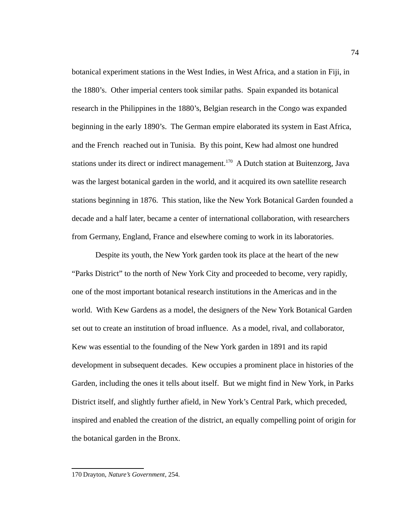botanical experiment stations in the West Indies, in West Africa, and a station in Fiji, in the 1880's. Other imperial centers took similar paths. Spain expanded its botanical research in the Philippines in the 1880's, Belgian research in the Congo was expanded beginning in the early 1890's. The German empire elaborated its system in East Africa, and the French reached out in Tunisia. By this point, Kew had almost one hundred stations under its direct or indirect management.<sup>[170](#page-82-0)</sup> A Dutch station at Buitenzorg, Java was the largest botanical garden in the world, and it acquired its own satellite research stations beginning in 1876. This station, like the New York Botanical Garden founded a decade and a half later, became a center of international collaboration, with researchers from Germany, England, France and elsewhere coming to work in its laboratories.

Despite its youth, the New York garden took its place at the heart of the new "Parks District" to the north of New York City and proceeded to become, very rapidly, one of the most important botanical research institutions in the Americas and in the world. With Kew Gardens as a model, the designers of the New York Botanical Garden set out to create an institution of broad influence. As a model, rival, and collaborator, Kew was essential to the founding of the New York garden in 1891 and its rapid development in subsequent decades. Kew occupies a prominent place in histories of the Garden, including the ones it tells about itself. But we might find in New York, in Parks District itself, and slightly further afield, in New York's Central Park, which preceded, inspired and enabled the creation of the district, an equally compelling point of origin for the botanical garden in the Bronx.

<span id="page-82-0"></span><sup>170</sup> Drayton, *Nature's Government*, 254.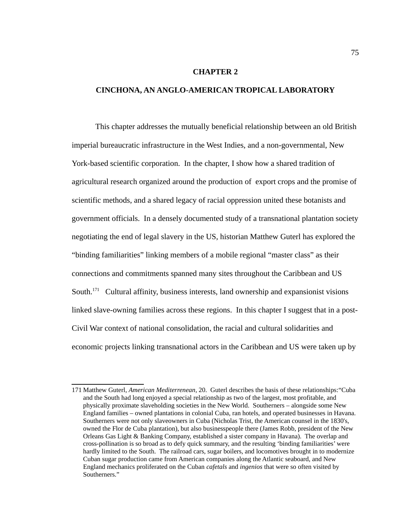### **CHAPTER 2**

## **CINCHONA, AN ANGLO-AMERICAN TROPICAL LABORATORY**

This chapter addresses the mutually beneficial relationship between an old British imperial bureaucratic infrastructure in the West Indies, and a non-governmental, New York-based scientific corporation. In the chapter, I show how a shared tradition of agricultural research organized around the production of export crops and the promise of scientific methods, and a shared legacy of racial oppression united these botanists and government officials. In a densely documented study of a transnational plantation society negotiating the end of legal slavery in the US, historian Matthew Guterl has explored the "binding familiarities" linking members of a mobile regional "master class" as their connections and commitments spanned many sites throughout the Caribbean and US South.<sup>[171](#page-83-0)</sup> Cultural affinity, business interests, land ownership and expansionist visions linked slave-owning families across these regions. In this chapter I suggest that in a post-Civil War context of national consolidation, the racial and cultural solidarities and economic projects linking transnational actors in the Caribbean and US were taken up by

<span id="page-83-0"></span><sup>171</sup> Matthew Guterl, *American Mediterrenean*, 20. Guterl describes the basis of these relationships:"Cuba and the South had long enjoyed a special relationship as two of the largest, most profitable, and physically proximate slaveholding societies in the New World. Southerners – alongside some New England families – owned plantations in colonial Cuba, ran hotels, and operated businesses in Havana. Southerners were not only slaveowners in Cuba (Nicholas Trist, the American counsel in the 1830's, owned the Flor de Cuba plantation), but also businesspeople there (James Robb, president of the New Orleans Gas Light & Banking Company, established a sister company in Havana). The overlap and cross-pollination is so broad as to defy quick summary, and the resulting 'binding familiarities' were hardly limited to the South. The railroad cars, sugar boilers, and locomotives brought in to modernize Cuban sugar production came from American companies along the Atlantic seaboard, and New England mechanics proliferated on the Cuban *cafetals* and *ingenios* that were so often visited by Southerners."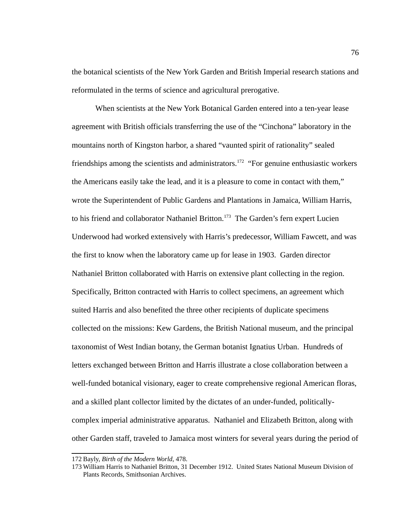the botanical scientists of the New York Garden and British Imperial research stations and reformulated in the terms of science and agricultural prerogative.

When scientists at the New York Botanical Garden entered into a ten-year lease agreement with British officials transferring the use of the "Cinchona" laboratory in the mountains north of Kingston harbor, a shared "vaunted spirit of rationality" sealed friendships among the scientists and administrators.<sup>[172](#page-84-0)</sup> "For genuine enthusiastic workers the Americans easily take the lead, and it is a pleasure to come in contact with them," wrote the Superintendent of Public Gardens and Plantations in Jamaica, William Harris, to his friend and collaborator Nathaniel Britton.<sup>[173](#page-84-1)</sup> The Garden's fern expert Lucien Underwood had worked extensively with Harris's predecessor, William Fawcett, and was the first to know when the laboratory came up for lease in 1903. Garden director Nathaniel Britton collaborated with Harris on extensive plant collecting in the region. Specifically, Britton contracted with Harris to collect specimens, an agreement which suited Harris and also benefited the three other recipients of duplicate specimens collected on the missions: Kew Gardens, the British National museum, and the principal taxonomist of West Indian botany, the German botanist Ignatius Urban. Hundreds of letters exchanged between Britton and Harris illustrate a close collaboration between a well-funded botanical visionary, eager to create comprehensive regional American floras, and a skilled plant collector limited by the dictates of an under-funded, politicallycomplex imperial administrative apparatus. Nathaniel and Elizabeth Britton, along with other Garden staff, traveled to Jamaica most winters for several years during the period of

<span id="page-84-0"></span><sup>172</sup> Bayly, *Birth of the Modern World*, 478.

<span id="page-84-1"></span><sup>173</sup> William Harris to Nathaniel Britton, 31 December 1912. United States National Museum Division of Plants Records, Smithsonian Archives.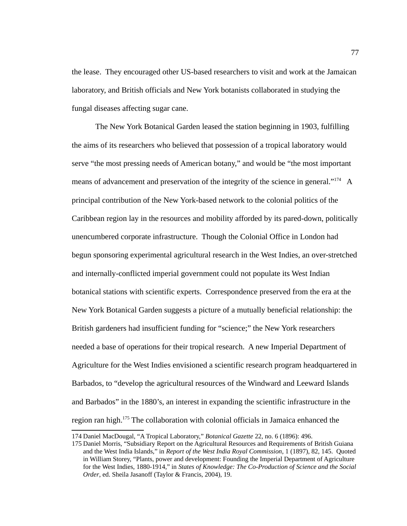the lease. They encouraged other US-based researchers to visit and work at the Jamaican laboratory, and British officials and New York botanists collaborated in studying the fungal diseases affecting sugar cane.

The New York Botanical Garden leased the station beginning in 1903, fulfilling the aims of its researchers who believed that possession of a tropical laboratory would serve "the most pressing needs of American botany," and would be "the most important means of advancement and preservation of the integrity of the science in general." $174$  A principal contribution of the New York-based network to the colonial politics of the Caribbean region lay in the resources and mobility afforded by its pared-down, politically unencumbered corporate infrastructure. Though the Colonial Office in London had begun sponsoring experimental agricultural research in the West Indies, an over-stretched and internally-conflicted imperial government could not populate its West Indian botanical stations with scientific experts. Correspondence preserved from the era at the New York Botanical Garden suggests a picture of a mutually beneficial relationship: the British gardeners had insufficient funding for "science;" the New York researchers needed a base of operations for their tropical research. A new Imperial Department of Agriculture for the West Indies envisioned a scientific research program headquartered in Barbados, to "develop the agricultural resources of the Windward and Leeward Islands and Barbados" in the 1880's, an interest in expanding the scientific infrastructure in the region ran high.[175](#page-85-1) The collaboration with colonial officials in Jamaica enhanced the

<span id="page-85-0"></span><sup>174</sup> Daniel MacDougal, "A Tropical Laboratory," *Botanical Gazette* 22, no. 6 (1896): 496.

<span id="page-85-1"></span><sup>175</sup> Daniel Morris, "Subsidiary Report on the Agricultural Resources and Requirements of British Guiana and the West India Islands," in *Report of the West India Royal Commission*, 1 (1897), 82, 145. Quoted in William Storey, "Plants, power and development: Founding the Imperial Department of Agriculture for the West Indies, 1880-1914," in *States of Knowledge: The Co-Production of Science and the Social Order*, ed. Sheila Jasanoff (Taylor & Francis, 2004), 19.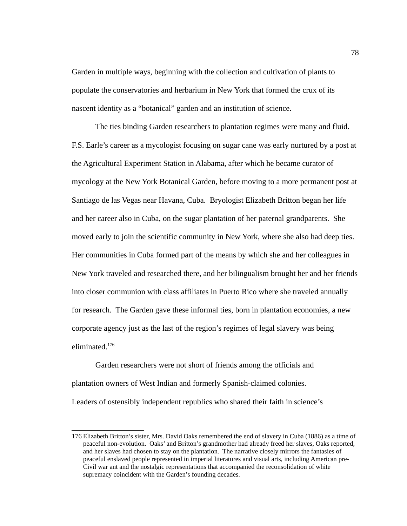Garden in multiple ways, beginning with the collection and cultivation of plants to populate the conservatories and herbarium in New York that formed the crux of its nascent identity as a "botanical" garden and an institution of science.

The ties binding Garden researchers to plantation regimes were many and fluid. F.S. Earle's career as a mycologist focusing on sugar cane was early nurtured by a post at the Agricultural Experiment Station in Alabama, after which he became curator of mycology at the New York Botanical Garden, before moving to a more permanent post at Santiago de las Vegas near Havana, Cuba. Bryologist Elizabeth Britton began her life and her career also in Cuba, on the sugar plantation of her paternal grandparents. She moved early to join the scientific community in New York, where she also had deep ties. Her communities in Cuba formed part of the means by which she and her colleagues in New York traveled and researched there, and her bilingualism brought her and her friends into closer communion with class affiliates in Puerto Rico where she traveled annually for research. The Garden gave these informal ties, born in plantation economies, a new corporate agency just as the last of the region's regimes of legal slavery was being eliminated.[176](#page-86-0)

Garden researchers were not short of friends among the officials and plantation owners of West Indian and formerly Spanish-claimed colonies. Leaders of ostensibly independent republics who shared their faith in science's

<span id="page-86-0"></span><sup>176</sup> Elizabeth Britton's sister, Mrs. David Oaks remembered the end of slavery in Cuba (1886) as a time of peaceful non-evolution. Oaks' and Britton's grandmother had already freed her slaves, Oaks reported, and her slaves had chosen to stay on the plantation. The narrative closely mirrors the fantasies of peaceful enslaved people represented in imperial literatures and visual arts, including American pre-Civil war ant and the nostalgic representations that accompanied the reconsolidation of white supremacy coincident with the Garden's founding decades.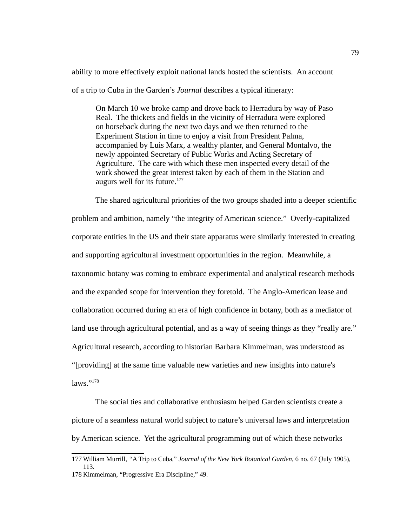ability to more effectively exploit national lands hosted the scientists. An account

of a trip to Cuba in the Garden's *Journal* describes a typical itinerary:

On March 10 we broke camp and drove back to Herradura by way of Paso Real. The thickets and fields in the vicinity of Herradura were explored on horseback during the next two days and we then returned to the Experiment Station in time to enjoy a visit from President Palma, accompanied by Luis Marx, a wealthy planter, and General Montalvo, the newly appointed Secretary of Public Works and Acting Secretary of Agriculture. The care with which these men inspected every detail of the work showed the great interest taken by each of them in the Station and augurs well for its future.<sup>[177](#page-87-0)</sup>

The shared agricultural priorities of the two groups shaded into a deeper scientific problem and ambition, namely "the integrity of American science." Overly-capitalized corporate entities in the US and their state apparatus were similarly interested in creating and supporting agricultural investment opportunities in the region. Meanwhile, a taxonomic botany was coming to embrace experimental and analytical research methods and the expanded scope for intervention they foretold. The Anglo-American lease and collaboration occurred during an era of high confidence in botany, both as a mediator of land use through agricultural potential, and as a way of seeing things as they "really are." Agricultural research, according to historian Barbara Kimmelman, was understood as "[providing] at the same time valuable new varieties and new insights into nature's laws."[178](#page-87-1)

The social ties and collaborative enthusiasm helped Garden scientists create a picture of a seamless natural world subject to nature's universal laws and interpretation by American science. Yet the agricultural programming out of which these networks

<span id="page-87-0"></span><sup>177</sup> William Murrill*, "*A Trip to Cuba," *Journal of the New York Botanical Garden*, 6 no. 67 (July 1905), 113.

<span id="page-87-1"></span><sup>178</sup> Kimmelman, "Progressive Era Discipline," 49.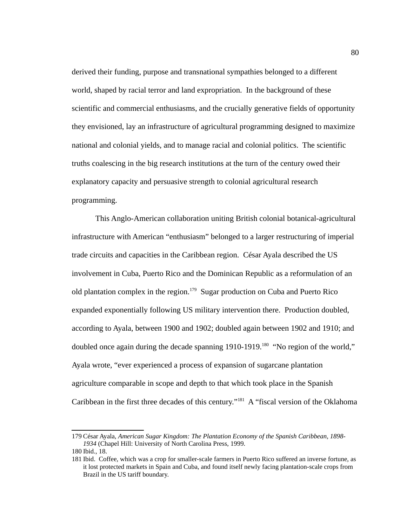derived their funding, purpose and transnational sympathies belonged to a different world, shaped by racial terror and land expropriation. In the background of these scientific and commercial enthusiasms, and the crucially generative fields of opportunity they envisioned, lay an infrastructure of agricultural programming designed to maximize national and colonial yields, and to manage racial and colonial politics. The scientific truths coalescing in the big research institutions at the turn of the century owed their explanatory capacity and persuasive strength to colonial agricultural research programming.

This Anglo-American collaboration uniting British colonial botanical-agricultural infrastructure with American "enthusiasm" belonged to a larger restructuring of imperial trade circuits and capacities in the Caribbean region. César Ayala described the US involvement in Cuba, Puerto Rico and the Dominican Republic as a reformulation of an old plantation complex in the region.<sup>[179](#page-88-0)</sup> Sugar production on Cuba and Puerto Rico expanded exponentially following US military intervention there. Production doubled, according to Ayala, between 1900 and 1902; doubled again between 1902 and 1910; and doubled once again during the decade spanning 1910-1919.<sup>[180](#page-88-1)</sup> "No region of the world," Ayala wrote, "ever experienced a process of expansion of sugarcane plantation agriculture comparable in scope and depth to that which took place in the Spanish Caribbean in the first three decades of this century."[181](#page-88-2) A "fiscal version of the Oklahoma

<span id="page-88-0"></span><sup>179</sup> César Ayala, *American Sugar Kingdom: The Plantation Economy of the Spanish Caribbean, 1898- 1934* (Chapel Hill: University of North Carolina Press, 1999.

<span id="page-88-1"></span><sup>180</sup> Ibid., 18.

<span id="page-88-2"></span><sup>181</sup> Ibid. Coffee, which was a crop for smaller-scale farmers in Puerto Rico suffered an inverse fortune, as it lost protected markets in Spain and Cuba, and found itself newly facing plantation-scale crops from Brazil in the US tariff boundary.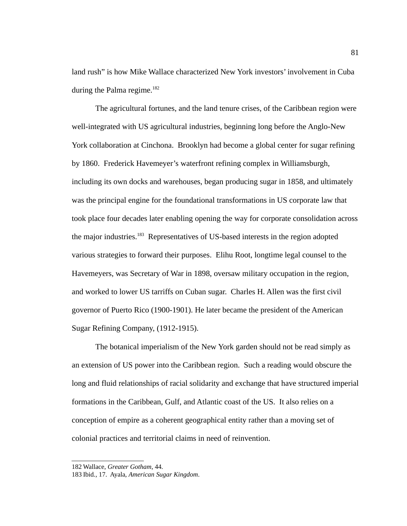land rush" is how Mike Wallace characterized New York investors' involvement in Cuba during the Palma regime. $182$ 

The agricultural fortunes, and the land tenure crises, of the Caribbean region were well-integrated with US agricultural industries, beginning long before the Anglo-New York collaboration at Cinchona. Brooklyn had become a global center for sugar refining by 1860. Frederick Havemeyer's waterfront refining complex in Williamsburgh, including its own docks and warehouses, began producing sugar in 1858, and ultimately was the principal engine for the foundational transformations in US corporate law that took place four decades later enabling opening the way for corporate consolidation across the major industries.<sup>[183](#page-89-1)</sup> Representatives of US-based interests in the region adopted various strategies to forward their purposes. Elihu Root, longtime legal counsel to the Havemeyers, was Secretary of War in 1898, oversaw military occupation in the region, and worked to lower US tarriffs on Cuban sugar. Charles H. Allen was the first civil governor of Puerto Rico (1900-1901). He later became the president of the American Sugar Refining Company, (1912-1915).

The botanical imperialism of the New York garden should not be read simply as an extension of US power into the Caribbean region. Such a reading would obscure the long and fluid relationships of racial solidarity and exchange that have structured imperial formations in the Caribbean, Gulf, and Atlantic coast of the US. It also relies on a conception of empire as a coherent geographical entity rather than a moving set of colonial practices and territorial claims in need of reinvention.

<span id="page-89-0"></span><sup>182</sup> Wallace, *Greater Gotham*, 44.

<span id="page-89-1"></span><sup>183</sup> Ibid*.*, 17. Ayala, *American Sugar Kingdom*.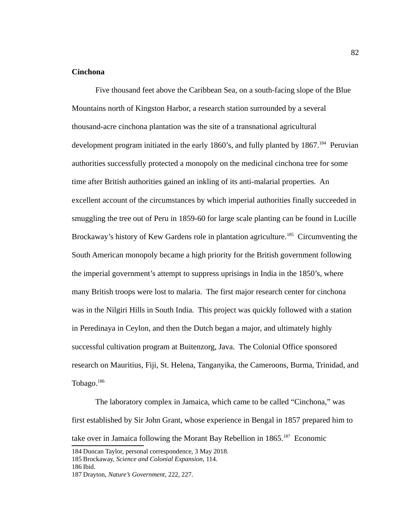# **Cinchona**

Five thousand feet above the Caribbean Sea, on a south-facing slope of the Blue Mountains north of Kingston Harbor, a research station surrounded by a several thousand-acre cinchona plantation was the site of a transnational agricultural development program initiated in the early 1860's, and fully planted by 1867.<sup>[184](#page-90-0)</sup> Peruvian authorities successfully protected a monopoly on the medicinal cinchona tree for some time after British authorities gained an inkling of its anti-malarial properties. An excellent account of the circumstances by which imperial authorities finally succeeded in smuggling the tree out of Peru in 1859-60 for large scale planting can be found in Lucille Brockaway's history of Kew Gardens role in plantation agriculture.<sup>[185](#page-90-1)</sup> Circumventing the South American monopoly became a high priority for the British government following the imperial government's attempt to suppress uprisings in India in the 1850's, where many British troops were lost to malaria. The first major research center for cinchona was in the Nilgiri Hills in South India. This project was quickly followed with a station in Peredinaya in Ceylon, and then the Dutch began a major, and ultimately highly successful cultivation program at Buitenzorg, Java. The Colonial Office sponsored research on Mauritius, Fiji, St. Helena, Tanganyika, the Cameroons, Burma, Trinidad, and Tobago. $^{186}$  $^{186}$  $^{186}$ 

The laboratory complex in Jamaica, which came to be called "Cinchona," was first established by Sir John Grant, whose experience in Bengal in 1857 prepared him to take over in Jamaica following the Morant Bay Rebellion in  $1865$ .<sup>[187](#page-90-3)</sup> Economic

<span id="page-90-2"></span>186 Ibid.

<span id="page-90-0"></span><sup>184</sup> Duncan Taylor, personal correspondence, 3 May 2018.

<span id="page-90-1"></span><sup>185</sup> Brockaway, *Science and Colonial Expansion,* 114.

<span id="page-90-3"></span><sup>187</sup> Drayton, *Nature's Government*, 222, 227.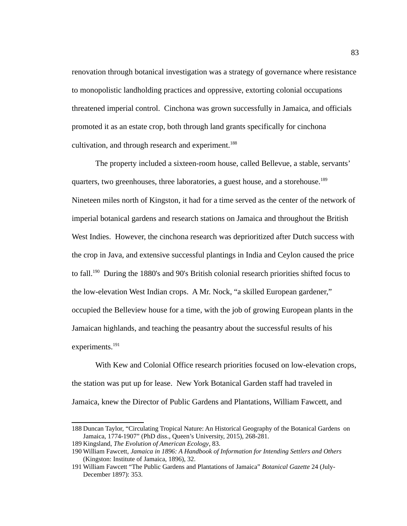renovation through botanical investigation was a strategy of governance where resistance to monopolistic landholding practices and oppressive, extorting colonial occupations threatened imperial control. Cinchona was grown successfully in Jamaica, and officials promoted it as an estate crop, both through land grants specifically for cinchona cultivation, and through research and experiment.<sup>[188](#page-91-0)</sup>

The property included a sixteen-room house, called Bellevue, a stable, servants' quarters, two greenhouses, three laboratories, a guest house, and a storehouse.<sup>[189](#page-91-1)</sup> Nineteen miles north of Kingston, it had for a time served as the center of the network of imperial botanical gardens and research stations on Jamaica and throughout the British West Indies. However, the cinchona research was deprioritized after Dutch success with the crop in Java, and extensive successful plantings in India and Ceylon caused the price to fall.<sup>[190](#page-91-2)</sup> During the 1880's and 90's British colonial research priorities shifted focus to the low-elevation West Indian crops. A Mr. Nock, "a skilled European gardener," occupied the Belleview house for a time, with the job of growing European plants in the Jamaican highlands, and teaching the peasantry about the successful results of his experiments.<sup>[191](#page-91-3)</sup>

With Kew and Colonial Office research priorities focused on low-elevation crops, the station was put up for lease. New York Botanical Garden staff had traveled in Jamaica, knew the Director of Public Gardens and Plantations, William Fawcett, and

<span id="page-91-0"></span><sup>188</sup> Duncan Taylor, "Circulating Tropical Nature: An Historical Geography of the Botanical Gardens on Jamaica, 1774-1907" (PhD diss., Queen's University, 2015), 268-281.

<span id="page-91-1"></span><sup>189</sup> Kingsland, *The Evolution of American Ecology*, 83.

<span id="page-91-2"></span><sup>190</sup> William Fawcett, *Jamaica in 1896: A Handbook of Information for Intending Settlers and Others* (Kingston: Institute of Jamaica, 1896), 32.

<span id="page-91-3"></span><sup>191</sup> William Fawcett "The Public Gardens and Plantations of Jamaica" *Botanical Gazette* 24 (July-December 1897): 353.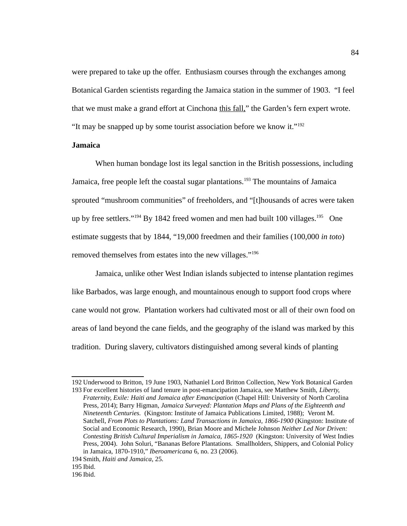were prepared to take up the offer. Enthusiasm courses through the exchanges among Botanical Garden scientists regarding the Jamaica station in the summer of 1903. "I feel that we must make a grand effort at Cinchona this fall," the Garden's fern expert wrote. "It may be snapped up by some tourist association before we know it."<sup>[192](#page-92-0)</sup>

## **Jamaica**

When human bondage lost its legal sanction in the British possessions, including Jamaica, free people left the coastal sugar plantations.<sup>[193](#page-92-1)</sup> The mountains of Jamaica sprouted "mushroom communities" of freeholders, and "[t]housands of acres were taken up by free settlers."<sup>[194](#page-92-2)</sup> By 1842 freed women and men had built 100 villages.<sup>[195](#page-92-3)</sup> One estimate suggests that by 1844, "19,000 freedmen and their families (100,000 *in toto*) removed themselves from estates into the new villages."<sup>[196](#page-92-4)</sup>

Jamaica, unlike other West Indian islands subjected to intense plantation regimes like Barbados, was large enough, and mountainous enough to support food crops where cane would not grow. Plantation workers had cultivated most or all of their own food on areas of land beyond the cane fields, and the geography of the island was marked by this tradition. During slavery, cultivators distinguished among several kinds of planting

<span id="page-92-0"></span><sup>192</sup> Underwood to Britton, 19 June 1903, Nathaniel Lord Britton Collection, New York Botanical Garden

<span id="page-92-1"></span><sup>193</sup>For excellent histories of land tenure in post-emancipation Jamaica, see Matthew Smith, *Liberty, Fraternity, Exile: Haiti and Jamaica after Emancipation* (Chapel Hill: University of North Carolina Press, 2014); Barry Higman, *Jamaica Surveyed: Plantation Maps and Plans of the Eighteenth and Nineteenth Centuries.* (Kingston: Institute of Jamaica Publications Limited, 1988); Veront M. Satchell, *From Plots to Plantations: Land Transactions in Jamaica, 1866-1900* (Kingston: Institute of Social and Economic Research, 1990), Brian Moore and Michele Johnson *Neither Led Nor Driven: Contesting British Cultural Imperialism in Jamaica, 1865-1920* (Kingston: University of West Indies Press, 2004). John Soluri, "Bananas Before Plantations. Smallholders, Shippers, and Colonial Policy in Jamaica, 1870-1910," *Iberoamericana* 6, no. 23 (2006).

<span id="page-92-2"></span><sup>194</sup>Smith, *Haiti and Jamaica*, 25.

<span id="page-92-3"></span><sup>195</sup> Ibid.

<span id="page-92-4"></span><sup>196</sup> Ibid.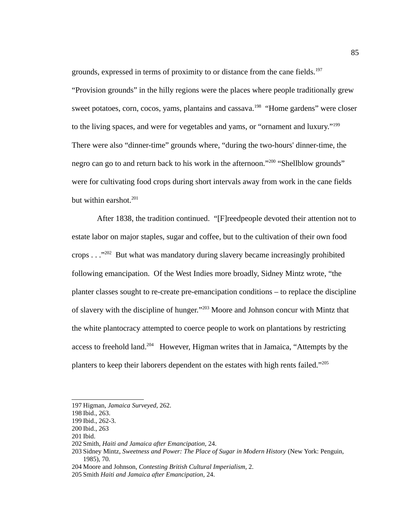grounds, expressed in terms of proximity to or distance from the cane fields.<sup>[197](#page-93-0)</sup>

"Provision grounds" in the hilly regions were the places where people traditionally grew sweet potatoes, corn, cocos, yams, plantains and cassava.<sup>[198](#page-93-1)</sup> "Home gardens" were closer to the living spaces, and were for vegetables and yams, or "ornament and luxury."<sup>[199](#page-93-2)</sup> There were also "dinner-time" grounds where, "during the two-hours' dinner-time, the negro can go to and return back to his work in the afternoon."<sup>[200](#page-93-3)</sup> "Shellblow grounds" were for cultivating food crops during short intervals away from work in the cane fields but within earshot. $201$ 

 After 1838, the tradition continued. "[F]reedpeople devoted their attention not to estate labor on major staples, sugar and coffee, but to the cultivation of their own food crops  $\ldots$ ."<sup>[202](#page-93-5)</sup> But what was mandatory during slavery became increasingly prohibited following emancipation. Of the West Indies more broadly, Sidney Mintz wrote, "the planter classes sought to re-create pre-emancipation conditions – to replace the discipline of slavery with the discipline of hunger."[203](#page-93-6) Moore and Johnson concur with Mintz that the white plantocracy attempted to coerce people to work on plantations by restricting access to freehold land.<sup>[204](#page-93-7)</sup> However, Higman writes that in Jamaica, "Attempts by the planters to keep their laborers dependent on the estates with high rents failed."<sup>[205](#page-93-8)</sup>

<span id="page-93-0"></span><sup>197</sup> Higman, *Jamaica Surveyed*, 262.

<span id="page-93-1"></span><sup>198</sup> Ibid., 263.

<span id="page-93-2"></span><sup>199</sup> Ibid., 262-3.

<span id="page-93-3"></span><sup>200</sup> Ibid., 263

<span id="page-93-4"></span><sup>201</sup> Ibid.

<span id="page-93-5"></span><sup>202</sup>Smith, *Haiti and Jamaica after Emancipation,* 24.

<span id="page-93-6"></span><sup>203</sup>Sidney Mintz, *Sweetness and Power: The Place of Sugar in Modern History* (New York: Penguin, 1985), 70.

<span id="page-93-7"></span><sup>204</sup> Moore and Johnson, *Contesting British Cultural Imperialism*, 2.

<span id="page-93-8"></span><sup>205</sup>Smith *Haiti and Jamaica after Emancipation,* 24.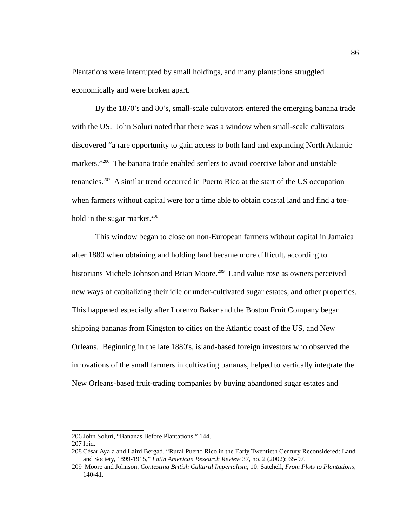Plantations were interrupted by small holdings, and many plantations struggled economically and were broken apart.

By the 1870's and 80's, small-scale cultivators entered the emerging banana trade with the US. John Soluri noted that there was a window when small-scale cultivators discovered "a rare opportunity to gain access to both land and expanding North Atlantic markets."<sup>[206](#page-94-0)</sup> The banana trade enabled settlers to avoid coercive labor and unstable tenancies.[207](#page-94-1) A similar trend occurred in Puerto Rico at the start of the US occupation when farmers without capital were for a time able to obtain coastal land and find a toe-hold in the sugar market.<sup>[208](#page-94-2)</sup>

This window began to close on non-European farmers without capital in Jamaica after 1880 when obtaining and holding land became more difficult, according to historians Michele Johnson and Brian Moore.<sup>[209](#page-94-3)</sup> Land value rose as owners perceived new ways of capitalizing their idle or under-cultivated sugar estates, and other properties. This happened especially after Lorenzo Baker and the Boston Fruit Company began shipping bananas from Kingston to cities on the Atlantic coast of the US, and New Orleans. Beginning in the late 1880's, island-based foreign investors who observed the innovations of the small farmers in cultivating bananas, helped to vertically integrate the New Orleans-based fruit-trading companies by buying abandoned sugar estates and

<span id="page-94-0"></span><sup>206</sup> John Soluri, "Bananas Before Plantations," 144.

<span id="page-94-1"></span><sup>207</sup> Ibid.

<span id="page-94-3"></span><span id="page-94-2"></span><sup>208</sup> César Ayala and Laird Bergad, "Rural Puerto Rico in the Early Twentieth Century Reconsidered: Land and Society, 1899-1915," *Latin American Research Review* 37, no. 2 (2002): 65-97.

<sup>209</sup> Moore and Johnson, *Contesting British Cultural Imperialism,* 10; Satchell, *From Plots to Plantations,* 140-41.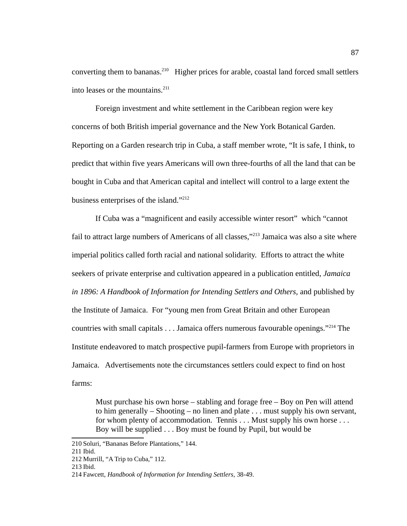converting them to bananas.<sup>[210](#page-95-0)</sup> Higher prices for arable, coastal land forced small settlers into leases or the mountains.<sup>[211](#page-95-1)</sup>

Foreign investment and white settlement in the Caribbean region were key concerns of both British imperial governance and the New York Botanical Garden. Reporting on a Garden research trip in Cuba, a staff member wrote, "It is safe, I think, to predict that within five years Americans will own three-fourths of all the land that can be bought in Cuba and that American capital and intellect will control to a large extent the business enterprises of the island."<sup>[212](#page-95-2)</sup>

If Cuba was a "magnificent and easily accessible winter resort" which "cannot fail to attract large numbers of Americans of all classes,"<sup>[213](#page-95-3)</sup> Jamaica was also a site where imperial politics called forth racial and national solidarity. Efforts to attract the white seekers of private enterprise and cultivation appeared in a publication entitled, *Jamaica*  in 1896: A Handbook of Information for Intending Settlers and Others, and published by the Institute of Jamaica. For "young men from Great Britain and other European countries with small capitals . . . Jamaica offers numerous favourable openings."<sup>[214](#page-95-4)</sup> The Institute endeavored to match prospective pupil-farmers from Europe with proprietors in Jamaica. Advertisements note the circumstances settlers could expect to find on host farms:

Must purchase his own horse – stabling and forage free – Boy on Pen will attend to him generally – Shooting – no linen and plate . . . must supply his own servant, for whom plenty of accommodation. Tennis . . . Must supply his own horse . . . Boy will be supplied . . . Boy must be found by Pupil, but would be

<span id="page-95-0"></span><sup>210</sup>Soluri, "Bananas Before Plantations," 144.

<span id="page-95-1"></span><sup>211</sup> Ibid.

<span id="page-95-2"></span><sup>212</sup> Murrill, "A Trip to Cuba," 112.

<span id="page-95-3"></span><sup>213</sup> Ibid.

<span id="page-95-4"></span><sup>214</sup>Fawcett, *Handbook of Information for Intending Settlers,* 38-49.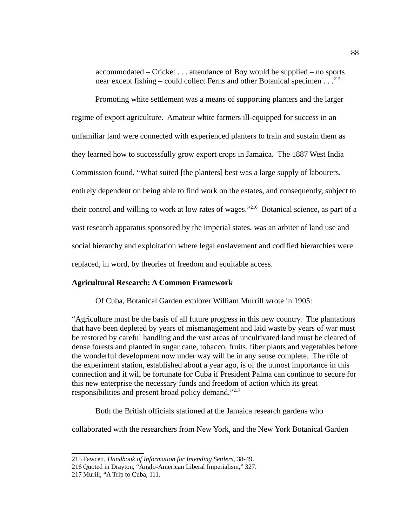accommodated – Cricket . . . attendance of Boy would be supplied – no sports near except fishing – could collect Ferns and other Botanical specimen . . .[215](#page-96-0)

Promoting white settlement was a means of supporting planters and the larger regime of export agriculture. Amateur white farmers ill-equipped for success in an unfamiliar land were connected with experienced planters to train and sustain them as they learned how to successfully grow export crops in Jamaica. The 1887 West India Commission found, "What suited [the planters] best was a large supply of labourers, entirely dependent on being able to find work on the estates, and consequently, subject to their control and willing to work at low rates of wages."<sup>[216](#page-96-1)</sup> Botanical science, as part of a vast research apparatus sponsored by the imperial states, was an arbiter of land use and social hierarchy and exploitation where legal enslavement and codified hierarchies were replaced, in word, by theories of freedom and equitable access.

# **Agricultural Research: A Common Framework**

Of Cuba, Botanical Garden explorer William Murrill wrote in 1905:

"Agriculture must be the basis of all future progress in this new country. The plantations that have been depleted by years of mismanagement and laid waste by years of war must be restored by careful handling and the vast areas of uncultivated land must be cleared of dense forests and planted in sugar cane, tobacco, fruits, fiber plants and vegetables before the wonderful development now under way will be in any sense complete. The rôle of the experiment station, established about a year ago, is of the utmost importance in this connection and it will be fortunate for Cuba if President Palma can continue to secure for this new enterprise the necessary funds and freedom of action which its great responsibilities and present broad policy demand."<sup>[217](#page-96-2)</sup>

Both the British officials stationed at the Jamaica research gardens who

collaborated with the researchers from New York, and the New York Botanical Garden

<span id="page-96-0"></span><sup>215</sup>Fawcett, *Handbook of Information for Intending Settlers,* 38-49.

<span id="page-96-1"></span><sup>216</sup> Quoted in Drayton, "Anglo-American Liberal Imperialism," 327.

<span id="page-96-2"></span><sup>217</sup> Murill, "A Trip to Cuba, 111.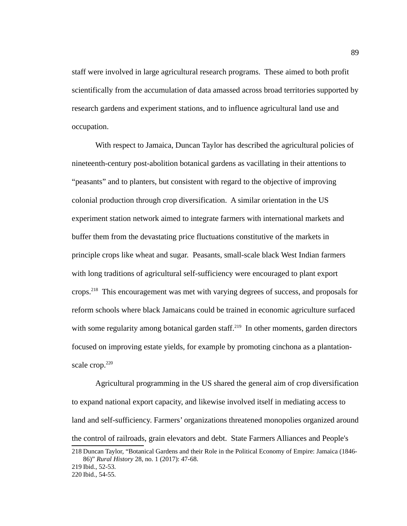staff were involved in large agricultural research programs. These aimed to both profit scientifically from the accumulation of data amassed across broad territories supported by research gardens and experiment stations, and to influence agricultural land use and occupation.

With respect to Jamaica, Duncan Taylor has described the agricultural policies of nineteenth-century post-abolition botanical gardens as vacillating in their attentions to "peasants" and to planters, but consistent with regard to the objective of improving colonial production through crop diversification. A similar orientation in the US experiment station network aimed to integrate farmers with international markets and buffer them from the devastating price fluctuations constitutive of the markets in principle crops like wheat and sugar. Peasants, small-scale black West Indian farmers with long traditions of agricultural self-sufficiency were encouraged to plant export crops.<sup>[218](#page-97-0)</sup> This encouragement was met with varying degrees of success, and proposals for reform schools where black Jamaicans could be trained in economic agriculture surfaced with some regularity among botanical garden staff.<sup>[219](#page-97-1)</sup> In other moments, garden directors focused on improving estate yields, for example by promoting cinchona as a plantation-scale crop.<sup>[220](#page-97-2)</sup>

Agricultural programming in the US shared the general aim of crop diversification to expand national export capacity, and likewise involved itself in mediating access to land and self-sufficiency. Farmers' organizations threatened monopolies organized around the control of railroads, grain elevators and debt. State Farmers Alliances and People's

<span id="page-97-0"></span>218 Duncan Taylor, "Botanical Gardens and their Role in the Political Economy of Empire: Jamaica (1846- 86)" *Rural History* 28, no. 1 (2017): 47-68.

<span id="page-97-1"></span><sup>219</sup> Ibid., 52-53.

<span id="page-97-2"></span><sup>220</sup> Ibid., 54-55.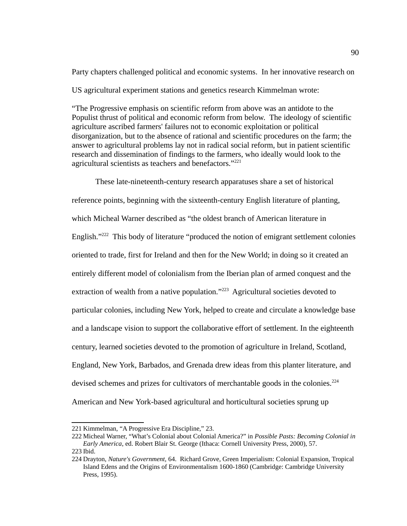Party chapters challenged political and economic systems. In her innovative research on US agricultural experiment stations and genetics research Kimmelman wrote:

"The Progressive emphasis on scientific reform from above was an antidote to the Populist thrust of political and economic reform from below. The ideology of scientific agriculture ascribed farmers' failures not to economic exploitation or political disorganization, but to the absence of rational and scientific procedures on the farm; the answer to agricultural problems lay not in radical social reform, but in patient scientific research and dissemination of findings to the farmers, who ideally would look to the agricultural scientists as teachers and benefactors." $^{221}$  $^{221}$  $^{221}$ 

These late-nineteenth-century research apparatuses share a set of historical reference points, beginning with the sixteenth-century English literature of planting, which Micheal Warner described as "the oldest branch of American literature in English."<sup>[222](#page-98-1)</sup> This body of literature "produced the notion of emigrant settlement colonies oriented to trade, first for Ireland and then for the New World; in doing so it created an entirely different model of colonialism from the Iberian plan of armed conquest and the extraction of wealth from a native population."<sup>[223](#page-98-2)</sup> Agricultural societies devoted to particular colonies, including New York, helped to create and circulate a knowledge base and a landscape vision to support the collaborative effort of settlement. In the eighteenth century, learned societies devoted to the promotion of agriculture in Ireland, Scotland, England, New York, Barbados, and Grenada drew ideas from this planter literature, and devised schemes and prizes for cultivators of merchantable goods in the colonies.<sup>[224](#page-98-3)</sup> American and New York-based agricultural and horticultural societies sprung up

<span id="page-98-0"></span><sup>221</sup> Kimmelman, "A Progressive Era Discipline," 23.

<span id="page-98-1"></span><sup>222</sup> Micheal Warner, "What's Colonial about Colonial America?" in *Possible Pasts: Becoming Colonial in Early America*, ed. Robert Blair St. George (Ithaca: Cornell University Press, 2000), 57. 223 Ibid.

<span id="page-98-3"></span><span id="page-98-2"></span><sup>224</sup> Drayton, *Nature's Government,* 64. Richard Grove, Green Imperialism: Colonial Expansion, Tropical Island Edens and the Origins of Environmentalism 1600-1860 (Cambridge: Cambridge University Press, 1995).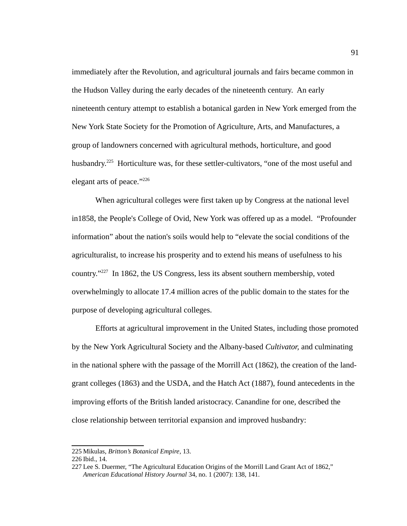immediately after the Revolution, and agricultural journals and fairs became common in the Hudson Valley during the early decades of the nineteenth century. An early nineteenth century attempt to establish a botanical garden in New York emerged from the New York State Society for the Promotion of Agriculture, Arts, and Manufactures, a group of landowners concerned with agricultural methods, horticulture, and good husbandry.<sup>[225](#page-99-0)</sup> Horticulture was, for these settler-cultivators, "one of the most useful and elegant arts of peace."[226](#page-99-1)

When agricultural colleges were first taken up by Congress at the national level in1858, the People's College of Ovid, New York was offered up as a model. "Profounder information" about the nation's soils would help to "elevate the social conditions of the agriculturalist, to increase his prosperity and to extend his means of usefulness to his country."[227](#page-99-2) In 1862, the US Congress, less its absent southern membership, voted overwhelmingly to allocate 17.4 million acres of the public domain to the states for the purpose of developing agricultural colleges.

Efforts at agricultural improvement in the United States, including those promoted by the New York Agricultural Society and the Albany-based *Cultivator,* and culminating in the national sphere with the passage of the Morrill Act (1862), the creation of the landgrant colleges (1863) and the USDA, and the Hatch Act (1887), found antecedents in the improving efforts of the British landed aristocracy. Canandine for one, described the close relationship between territorial expansion and improved husbandry:

<span id="page-99-0"></span><sup>225</sup> Mikulas, *Britton's Botanical Empire*, 13.

<span id="page-99-1"></span><sup>226</sup> Ibid., 14.

<span id="page-99-2"></span><sup>227</sup> Lee S. Duermer, "The Agricultural Education Origins of the Morrill Land Grant Act of 1862," *American Educational History Journal* 34, no. 1 (2007): 138, 141.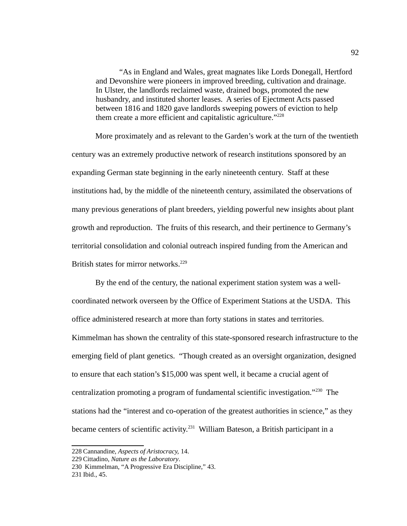"As in England and Wales, great magnates like Lords Donegall, Hertford and Devonshire were pioneers in improved breeding, cultivation and drainage. In Ulster, the landlords reclaimed waste, drained bogs, promoted the new husbandry, and instituted shorter leases. A series of Ejectment Acts passed between 1816 and 1820 gave landlords sweeping powers of eviction to help them create a more efficient and capitalistic agriculture."<sup>[228](#page-100-0)</sup>

More proximately and as relevant to the Garden's work at the turn of the twentieth century was an extremely productive network of research institutions sponsored by an expanding German state beginning in the early nineteenth century. Staff at these institutions had, by the middle of the nineteenth century, assimilated the observations of many previous generations of plant breeders, yielding powerful new insights about plant growth and reproduction. The fruits of this research, and their pertinence to Germany's territorial consolidation and colonial outreach inspired funding from the American and British states for mirror networks.<sup>[229](#page-100-1)</sup>

By the end of the century, the national experiment station system was a wellcoordinated network overseen by the Office of Experiment Stations at the USDA. This office administered research at more than forty stations in states and territories. Kimmelman has shown the centrality of this state-sponsored research infrastructure to the emerging field of plant genetics. "Though created as an oversight organization, designed to ensure that each station's \$15,000 was spent well, it became a crucial agent of centralization promoting a program of fundamental scientific investigation."[230](#page-100-2) The stations had the "interest and co-operation of the greatest authorities in science," as they became centers of scientific activity.<sup>[231](#page-100-3)</sup> William Bateson, a British participant in a

<span id="page-100-0"></span><sup>228</sup> Cannandine, *Aspects of Aristocracy,* 14.

<span id="page-100-1"></span><sup>229</sup> Cittadino, *Nature as the Laboratory*.

<span id="page-100-2"></span><sup>230</sup> Kimmelman, "A Progressive Era Discipline," 43.

<span id="page-100-3"></span><sup>231</sup> Ibid., 45.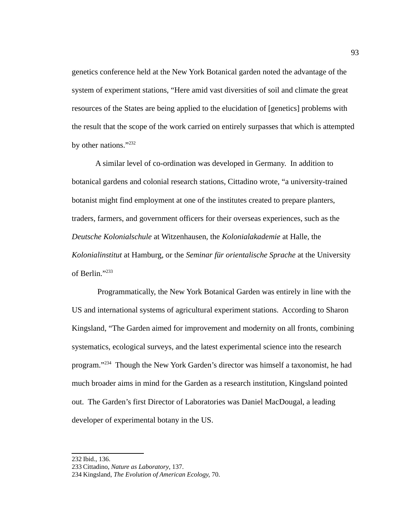genetics conference held at the New York Botanical garden noted the advantage of the system of experiment stations, "Here amid vast diversities of soil and climate the great resources of the States are being applied to the elucidation of [genetics] problems with the result that the scope of the work carried on entirely surpasses that which is attempted by other nations."[232](#page-101-0)

A similar level of co-ordination was developed in Germany. In addition to botanical gardens and colonial research stations, Cittadino wrote, "a university-trained botanist might find employment at one of the institutes created to prepare planters, traders, farmers, and government officers for their overseas experiences, such as the *Deutsche Kolonialschule* at Witzenhausen, the *Kolonialakademie* at Halle, the *Kolonialinstitut* at Hamburg, or the *Seminar für orientalische Sprache* at the University of Berlin."[233](#page-101-1)

 Programmatically, the New York Botanical Garden was entirely in line with the US and international systems of agricultural experiment stations. According to Sharon Kingsland, "The Garden aimed for improvement and modernity on all fronts, combining systematics, ecological surveys, and the latest experimental science into the research program."[234](#page-101-2) Though the New York Garden's director was himself a taxonomist, he had much broader aims in mind for the Garden as a research institution, Kingsland pointed out. The Garden's first Director of Laboratories was Daniel MacDougal, a leading developer of experimental botany in the US.

<span id="page-101-0"></span><sup>232</sup> Ibid., 136.

<span id="page-101-1"></span><sup>233</sup> Cittadino, *Nature as Laboratory*, 137.

<span id="page-101-2"></span><sup>234</sup> Kingsland, *The Evolution of American Ecology,* 70.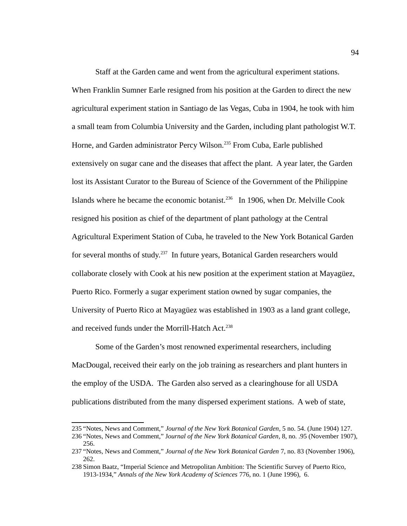Staff at the Garden came and went from the agricultural experiment stations. When Franklin Sumner Earle resigned from his position at the Garden to direct the new agricultural experiment station in Santiago de las Vegas, Cuba in 1904, he took with him a small team from Columbia University and the Garden, including plant pathologist W.T. Horne, and Garden administrator Percy Wilson.<sup>[235](#page-102-0)</sup> From Cuba, Earle published extensively on sugar cane and the diseases that affect the plant. A year later, the Garden lost its Assistant Curator to the Bureau of Science of the Government of the Philippine Islands where he became the economic botanist.<sup>[236](#page-102-1)</sup> In 1906, when Dr. Melville Cook resigned his position as chief of the department of plant pathology at the Central Agricultural Experiment Station of Cuba, he traveled to the New York Botanical Garden for several months of study.<sup>[237](#page-102-2)</sup> In future years, Botanical Garden researchers would collaborate closely with Cook at his new position at the experiment station at Mayagüez, Puerto Rico. Formerly a sugar experiment station owned by sugar companies, the University of Puerto Rico at Mayagüez was established in 1903 as a land grant college, and received funds under the Morrill-Hatch Act.<sup>[238](#page-102-3)</sup>

Some of the Garden's most renowned experimental researchers, including MacDougal, received their early on the job training as researchers and plant hunters in the employ of the USDA. The Garden also served as a clearinghouse for all USDA publications distributed from the many dispersed experiment stations. A web of state,

<span id="page-102-2"></span><span id="page-102-1"></span>256.

<span id="page-102-0"></span><sup>235</sup> "Notes, News and Comment," *Journal of the New York Botanical Garden*, 5 no. 54. (June 1904) 127. 236 "Notes, News and Comment," J*ournal of the New York Botanical Garden*, 8, no. .95 (November 1907),

<sup>237</sup> "Notes, News and Comment," *Journal of the New York Botanical Garden* 7, no. 83 (November 1906), 262.

<span id="page-102-3"></span><sup>238</sup>Simon Baatz, "Imperial Science and Metropolitan Ambition: The Scientific Survey of Puerto Rico, 1913-1934," *Annals of the New York Academy of Sciences* 776, no. 1 (June 1996), 6.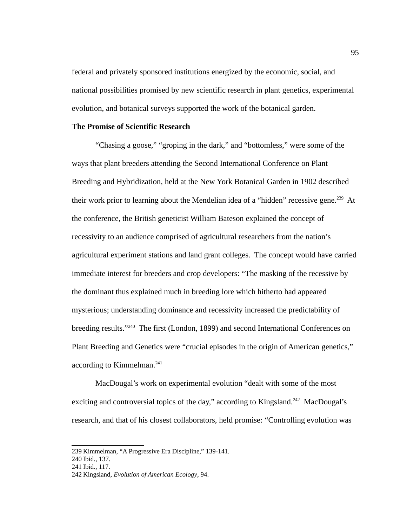federal and privately sponsored institutions energized by the economic, social, and national possibilities promised by new scientific research in plant genetics, experimental evolution, and botanical surveys supported the work of the botanical garden.

### **The Promise of Scientific Research**

"Chasing a goose," "groping in the dark," and "bottomless," were some of the ways that plant breeders attending the Second International Conference on Plant Breeding and Hybridization, held at the New York Botanical Garden in 1902 described their work prior to learning about the Mendelian idea of a "hidden" recessive gene.<sup>[239](#page-103-0)</sup> At the conference, the British geneticist William Bateson explained the concept of recessivity to an audience comprised of agricultural researchers from the nation's agricultural experiment stations and land grant colleges. The concept would have carried immediate interest for breeders and crop developers: "The masking of the recessive by the dominant thus explained much in breeding lore which hitherto had appeared mysterious; understanding dominance and recessivity increased the predictability of breeding results."<sup>[240](#page-103-1)</sup> The first (London, 1899) and second International Conferences on Plant Breeding and Genetics were "crucial episodes in the origin of American genetics," according to Kimmelman.<sup>[241](#page-103-2)</sup>

MacDougal's work on experimental evolution "dealt with some of the most exciting and controversial topics of the day," according to Kingsland.<sup>[242](#page-103-3)</sup> MacDougal's research, and that of his closest collaborators, held promise: "Controlling evolution was

<span id="page-103-0"></span><sup>239</sup> Kimmelman, "A Progressive Era Discipline," 139-141.

<span id="page-103-1"></span><sup>240</sup> Ibid., 137.

<span id="page-103-2"></span><sup>241</sup> Ibid., 117.

<span id="page-103-3"></span><sup>242</sup> Kingsland, *Evolution of American Ecology*, 94.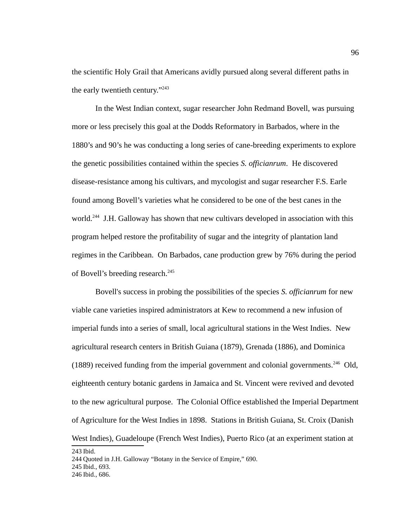the scientific Holy Grail that Americans avidly pursued along several different paths in the early twentieth century."[243](#page-104-0)

In the West Indian context, sugar researcher John Redmand Bovell, was pursuing more or less precisely this goal at the Dodds Reformatory in Barbados, where in the 1880's and 90's he was conducting a long series of cane-breeding experiments to explore the genetic possibilities contained within the species *S. officianrum*. He discovered disease-resistance among his cultivars, and mycologist and sugar researcher F.S. Earle found among Bovell's varieties what he considered to be one of the best canes in the world.<sup>[244](#page-104-1)</sup> J.H. Galloway has shown that new cultivars developed in association with this program helped restore the profitability of sugar and the integrity of plantation land regimes in the Caribbean. On Barbados, cane production grew by 76% during the period of Bovell's breeding research.<sup>[245](#page-104-2)</sup>

Bovell's success in probing the possibilities of the species *S. officianrum* for new viable cane varieties inspired administrators at Kew to recommend a new infusion of imperial funds into a series of small, local agricultural stations in the West Indies. New agricultural research centers in British Guiana (1879), Grenada (1886), and Dominica (1889) received funding from the imperial government and colonial governments.<sup>[246](#page-104-3)</sup> Old, eighteenth century botanic gardens in Jamaica and St. Vincent were revived and devoted to the new agricultural purpose. The Colonial Office established the Imperial Department of Agriculture for the West Indies in 1898. Stations in British Guiana, St. Croix (Danish West Indies), Guadeloupe (French West Indies), Puerto Rico (at an experiment station at

<span id="page-104-3"></span><span id="page-104-2"></span><span id="page-104-1"></span>244 Quoted in J.H. Galloway "Botany in the Service of Empire," 690. 245 Ibid., 693. 246 Ibid., 686.

<span id="page-104-0"></span>243 Ibid.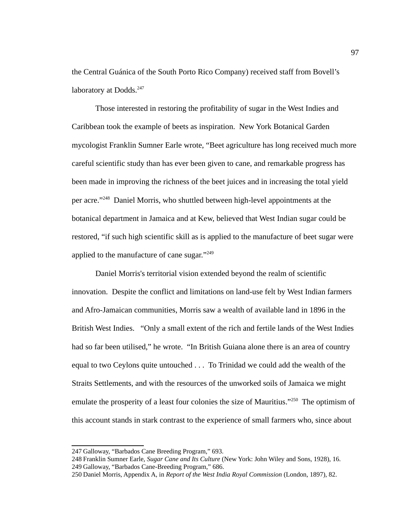the Central Guánica of the South Porto Rico Company) received staff from Bovell's laboratory at Dodds.<sup>[247](#page-105-0)</sup>

Those interested in restoring the profitability of sugar in the West Indies and Caribbean took the example of beets as inspiration. New York Botanical Garden mycologist Franklin Sumner Earle wrote, "Beet agriculture has long received much more careful scientific study than has ever been given to cane, and remarkable progress has been made in improving the richness of the beet juices and in increasing the total yield per acre."<sup>[248](#page-105-1)</sup> Daniel Morris, who shuttled between high-level appointments at the botanical department in Jamaica and at Kew, believed that West Indian sugar could be restored, "if such high scientific skill as is applied to the manufacture of beet sugar were applied to the manufacture of cane sugar."<sup>[249](#page-105-2)</sup>

Daniel Morris's territorial vision extended beyond the realm of scientific innovation. Despite the conflict and limitations on land-use felt by West Indian farmers and Afro-Jamaican communities, Morris saw a wealth of available land in 1896 in the British West Indies. "Only a small extent of the rich and fertile lands of the West Indies had so far been utilised," he wrote. "In British Guiana alone there is an area of country equal to two Ceylons quite untouched . . . To Trinidad we could add the wealth of the Straits Settlements, and with the resources of the unworked soils of Jamaica we might emulate the prosperity of a least four colonies the size of Mauritius."<sup>[250](#page-105-3)</sup> The optimism of this account stands in stark contrast to the experience of small farmers who, since about

<span id="page-105-0"></span><sup>247</sup> Galloway, "Barbados Cane Breeding Program," 693.

<span id="page-105-2"></span><span id="page-105-1"></span><sup>248</sup>Franklin Sumner Earle, *Sugar Cane and Its Culture* (New York: John Wiley and Sons, 1928), 16. 249 Galloway, "Barbados Cane-Breeding Program," 686.

<span id="page-105-3"></span><sup>250</sup> Daniel Morris, Appendix A, in *Report of the West India Royal Commission* (London, 1897), 82.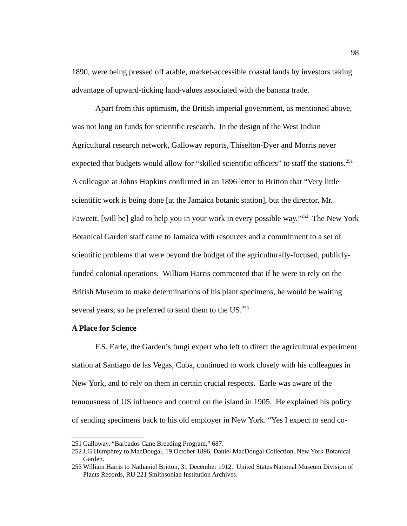1890, were being pressed off arable, market-accessible coastal lands by investors taking advantage of upward-ticking land-values associated with the banana trade.

Apart from this optimism, the British imperial government, as mentioned above, was not long on funds for scientific research. In the design of the West Indian Agricultural research network, Galloway reports, Thiselton-Dyer and Morris never expected that budgets would allow for "skilled scientific officers" to staff the stations.<sup>[251](#page-106-0)</sup> A colleague at Johns Hopkins confirmed in an 1896 letter to Britton that "Very little scientific work is being done [at the Jamaica botanic station], but the director, Mr. Fawcett, [will be] glad to help you in your work in every possible way."<sup>[252](#page-106-1)</sup> The New York Botanical Garden staff came to Jamaica with resources and a commitment to a set of scientific problems that were beyond the budget of the agriculturally-focused, publiclyfunded colonial operations. William Harris commented that if he were to rely on the British Museum to make determinations of his plant specimens, he would be waiting several years, so he preferred to send them to the US.<sup>[253](#page-106-2)</sup>

# **A Place for Science**

F.S. Earle, the Garden's fungi expert who left to direct the agricultural experiment station at Santiago de las Vegas, Cuba, continued to work closely with his colleagues in New York, and to rely on them in certain crucial respects. Earle was aware of the tenuousness of US influence and control on the island in 1905. He explained his policy of sending specimens back to his old employer in New York. "Yes I expect to send co-

<span id="page-106-0"></span><sup>251</sup> Galloway, "Barbados Cane Breeding Program," 687.

<span id="page-106-1"></span><sup>252</sup> J.G.Humphrey to MacDougal, 19 October 1896, Daniel MacDougal Collection, New York Botanical Garden.

<span id="page-106-2"></span><sup>253</sup> William Harris to Nathaniel Britton, 31 December 1912. United States National Museum Division of Plants Records, RU 221 Smithsonian Institution Archives.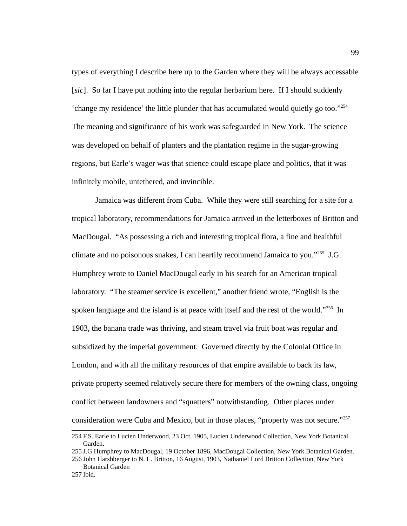types of everything I describe here up to the Garden where they will be always accessable [*sic*]. So far I have put nothing into the regular herbarium here. If I should suddenly 'change my residence' the little plunder that has accumulated would quietly go too."[254](#page-107-0) The meaning and significance of his work was safeguarded in New York. The science was developed on behalf of planters and the plantation regime in the sugar-growing regions, but Earle's wager was that science could escape place and politics, that it was infinitely mobile, untethered, and invincible.

Jamaica was different from Cuba. While they were still searching for a site for a tropical laboratory, recommendations for Jamaica arrived in the letterboxes of Britton and MacDougal. "As possessing a rich and interesting tropical flora, a fine and healthful climate and no poisonous snakes, I can heartily recommend Jamaica to you."[255](#page-107-1) J.G. Humphrey wrote to Daniel MacDougal early in his search for an American tropical laboratory. "The steamer service is excellent," another friend wrote, "English is the spoken language and the island is at peace with itself and the rest of the world."<sup>[256](#page-107-2)</sup> In 1903, the banana trade was thriving, and steam travel via fruit boat was regular and subsidized by the imperial government. Governed directly by the Colonial Office in London, and with all the military resources of that empire available to back its law, private property seemed relatively secure there for members of the owning class, ongoing conflict between landowners and "squatters" notwithstanding. Other places under consideration were Cuba and Mexico, but in those places, "property was not secure."<sup>[257](#page-107-3)</sup>

<span id="page-107-0"></span><sup>254</sup>F.S. Earle to Lucien Underwood, 23 Oct. 1905, Lucien Underwood Collection, New York Botanical Garden.

<span id="page-107-1"></span><sup>255</sup> J.G.Humphrey to MacDougal, 19 October 1896, MacDougal Collection, New York Botanical Garden.

<span id="page-107-2"></span><sup>256</sup> John Harshberger to N. L. Britton, 16 August, 1903, Nathaniel Lord Britton Collection, New York Botanical Garden

<span id="page-107-3"></span><sup>257</sup> Ibid.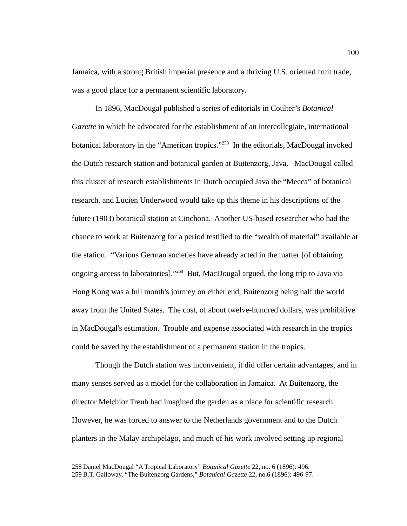Jamaica, with a strong British imperial presence and a thriving U.S. oriented fruit trade, was a good place for a permanent scientific laboratory.

In 1896, MacDougal published a series of editorials in Coulter's *Botanical Gazette* in which he advocated for the establishment of an intercollegiate, international botanical laboratory in the "American tropics."<sup>[258](#page-108-0)</sup> In the editorials, MacDougal invoked the Dutch research station and botanical garden at Buitenzorg, Java. MacDougal called this cluster of research establishments in Dutch occupied Java the "Mecca" of botanical research, and Lucien Underwood would take up this theme in his descriptions of the future (1903) botanical station at Cinchona. Another US-based researcher who had the chance to work at Buitenzorg for a period testified to the "wealth of material" available at the station. "Various German societies have already acted in the matter [of obtaining ongoing access to laboratories]."<sup>[259](#page-108-1)</sup> But, MacDougal argued, the long trip to Java via Hong Kong was a full month's journey on either end, Buitenzorg being half the world away from the United States. The cost, of about twelve-hundred dollars, was prohibitive in MacDougal's estimation. Trouble and expense associated with research in the tropics could be saved by the establishment of a permanent station in the tropics.

Though the Dutch station was inconvenient, it did offer certain advantages, and in many senses served as a model for the collaboration in Jamaica. At Buitenzorg, the director Melchior Treub had imagined the garden as a place for scientific research. However, he was forced to answer to the Netherlands government and to the Dutch planters in the Malay archipelago, and much of his work involved setting up regional

<span id="page-108-1"></span><span id="page-108-0"></span><sup>258</sup> Daniel MacDougal "A Tropical Laboratory" *Botanical Gazette* 22, no. 6 (1896): 496. 259 B.T. Galloway, "The Buitenzorg Gardens," *Botanical Gazette* 22, no.6 (1896): 496-97.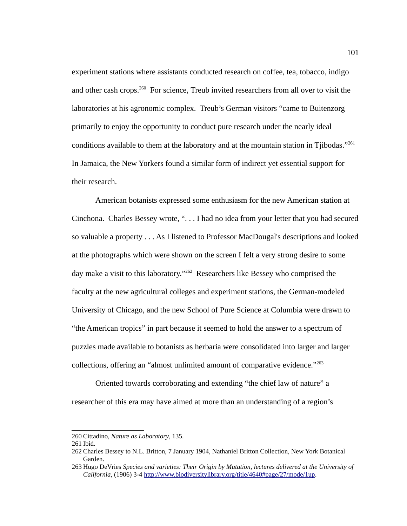experiment stations where assistants conducted research on coffee, tea, tobacco, indigo and other cash crops. $260$  For science, Treub invited researchers from all over to visit the laboratories at his agronomic complex. Treub's German visitors "came to Buitenzorg primarily to enjoy the opportunity to conduct pure research under the nearly ideal conditions available to them at the laboratory and at the mountain station in Tiibodas."<sup>[261](#page-109-1)</sup> In Jamaica, the New Yorkers found a similar form of indirect yet essential support for their research.

American botanists expressed some enthusiasm for the new American station at Cinchona. Charles Bessey wrote, ". . . I had no idea from your letter that you had secured so valuable a property . . . As I listened to Professor MacDougal's descriptions and looked at the photographs which were shown on the screen I felt a very strong desire to some day make a visit to this laboratory."<sup>[262](#page-109-2)</sup> Researchers like Bessey who comprised the faculty at the new agricultural colleges and experiment stations, the German-modeled University of Chicago, and the new School of Pure Science at Columbia were drawn to "the American tropics" in part because it seemed to hold the answer to a spectrum of puzzles made available to botanists as herbaria were consolidated into larger and larger collections, offering an "almost unlimited amount of comparative evidence."<sup>[263](#page-109-3)</sup>

Oriented towards corroborating and extending "the chief law of nature" a researcher of this era may have aimed at more than an understanding of a region's

<span id="page-109-0"></span><sup>260</sup> Cittadino, *Nature as Laboratory*, 135.

<span id="page-109-1"></span><sup>261</sup> Ibid.

<span id="page-109-2"></span><sup>262</sup> Charles Bessey to N.L. Britton, 7 January 1904, Nathaniel Britton Collection, New York Botanical Garden.

<span id="page-109-3"></span><sup>263</sup> Hugo DeVries *Species and varieties: Their Origin by Mutation, lectures delivered at the University of California*, (1906) 3-4 [http://www.biodiversitylibrary.org/title/4640#page/27/mode/1up.](http://www.biodiversitylibrary.org/title/4640#page/27/mode/1up)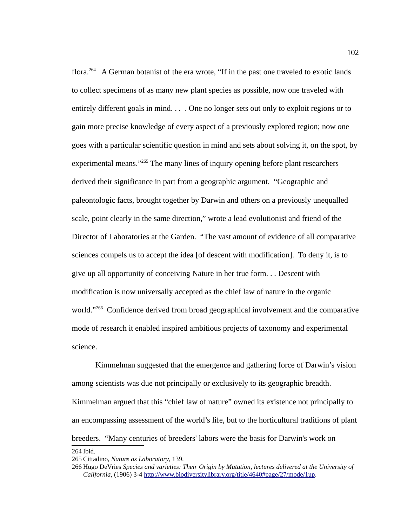flora.<sup>[264](#page-110-0)</sup> A German botanist of the era wrote, "If in the past one traveled to exotic lands to collect specimens of as many new plant species as possible, now one traveled with entirely different goals in mind. . . . One no longer sets out only to exploit regions or to gain more precise knowledge of every aspect of a previously explored region; now one goes with a particular scientific question in mind and sets about solving it, on the spot, by experimental means."<sup>[265](#page-110-1)</sup> The many lines of inquiry opening before plant researchers derived their significance in part from a geographic argument. "Geographic and paleontologic facts, brought together by Darwin and others on a previously unequalled scale, point clearly in the same direction," wrote a lead evolutionist and friend of the Director of Laboratories at the Garden. "The vast amount of evidence of all comparative sciences compels us to accept the idea [of descent with modification]. To deny it, is to give up all opportunity of conceiving Nature in her true form. . . Descent with modification is now universally accepted as the chief law of nature in the organic world."<sup>[266](#page-110-2)</sup> Confidence derived from broad geographical involvement and the comparative mode of research it enabled inspired ambitious projects of taxonomy and experimental science.

Kimmelman suggested that the emergence and gathering force of Darwin's vision among scientists was due not principally or exclusively to its geographic breadth. Kimmelman argued that this "chief law of nature" owned its existence not principally to an encompassing assessment of the world's life, but to the horticultural traditions of plant breeders. "Many centuries of breeders' labors were the basis for Darwin's work on 264 Ibid.

<span id="page-110-1"></span><span id="page-110-0"></span><sup>265</sup> Cittadino, *Nature as Laboratory*, 139.

<span id="page-110-2"></span><sup>266</sup> Hugo DeVries *Species and varieties: Their Origin by Mutation, lectures delivered at the University of California*, (1906) 3-4 [http://www.biodiversitylibrary.org/title/4640#page/27/mode/1up.](http://www.biodiversitylibrary.org/title/4640#page/27/mode/1up)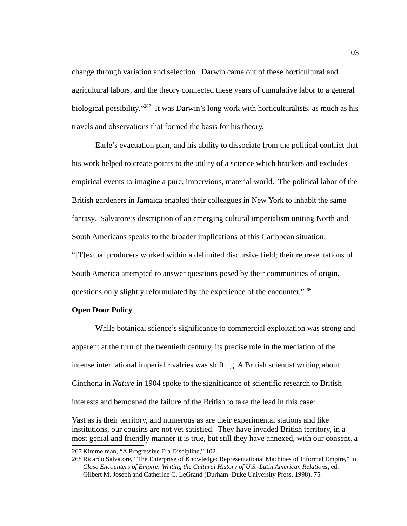change through variation and selection. Darwin came out of these horticultural and agricultural labors, and the theory connected these years of cumulative labor to a general biological possibility."<sup>[267](#page-111-0)</sup> It was Darwin's long work with horticulturalists, as much as his travels and observations that formed the basis for his theory.

Earle's evacuation plan, and his ability to dissociate from the political conflict that his work helped to create points to the utility of a science which brackets and excludes empirical events to imagine a pure, impervious, material world. The political labor of the British gardeners in Jamaica enabled their colleagues in New York to inhabit the same fantasy. Salvatore's description of an emerging cultural imperialism uniting North and South Americans speaks to the broader implications of this Caribbean situation: "[T]extual producers worked within a delimited discursive field; their representations of South America attempted to answer questions posed by their communities of origin, questions only slightly reformulated by the experience of the encounter."<sup>[268](#page-111-1)</sup>

## **Open Door Policy**

While botanical science's significance to commercial exploitation was strong and apparent at the turn of the twentieth century, its precise role in the mediation of the intense international imperial rivalries was shifting. A British scientist writing about Cinchona in *Nature* in 1904 spoke to the significance of scientific research to British interests and bemoaned the failure of the British to take the lead in this case:

Vast as is their territory, and numerous as are their experimental stations and like institutions, our cousins are not yet satisfied. They have invaded British territory, in a most genial and friendly manner it is true, but still they have annexed, with our consent, a

<span id="page-111-0"></span><sup>267</sup> Kimmelman, "A Progressive Era Discipline," 102.

<span id="page-111-1"></span><sup>268</sup> Ricardo Salvatore, "The Enterprise of Knowledge: Representational Machines of Informal Empire," in *Close Encounters of Empire: Writing the Cultural History of U.S.-Latin American Relations*, ed. Gilbert M. Joseph and Catherine C. LeGrand (Durham: Duke University Press, 1998), 75.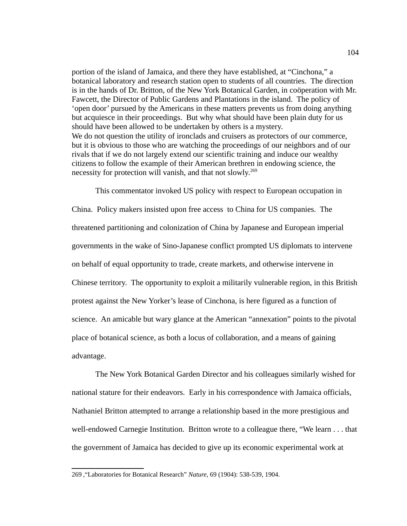portion of the island of Jamaica, and there they have established, at "Cinchona," a botanical laboratory and research station open to students of all countries. The direction is in the hands of Dr. Britton, of the New York Botanical Garden, in coöperation with Mr. Fawcett, the Director of Public Gardens and Plantations in the island. The policy of 'open door' pursued by the Americans in these matters prevents us from doing anything but acquiesce in their proceedings. But why what should have been plain duty for us should have been allowed to be undertaken by others is a mystery. We do not question the utility of ironclads and cruisers as protectors of our commerce, but it is obvious to those who are watching the proceedings of our neighbors and of our rivals that if we do not largely extend our scientific training and induce our wealthy citizens to follow the example of their American brethren in endowing science, the necessity for protection will vanish, and that not slowly.<sup>[269](#page-112-0)</sup>

This commentator invoked US policy with respect to European occupation in China. Policy makers insisted upon free access to China for US companies. The threatened partitioning and colonization of China by Japanese and European imperial governments in the wake of Sino-Japanese conflict prompted US diplomats to intervene on behalf of equal opportunity to trade, create markets, and otherwise intervene in Chinese territory. The opportunity to exploit a militarily vulnerable region, in this British protest against the New Yorker's lease of Cinchona, is here figured as a function of science. An amicable but wary glance at the American "annexation" points to the pivotal place of botanical science, as both a locus of collaboration, and a means of gaining advantage.

The New York Botanical Garden Director and his colleagues similarly wished for national stature for their endeavors. Early in his correspondence with Jamaica officials, Nathaniel Britton attempted to arrange a relationship based in the more prestigious and well-endowed Carnegie Institution. Britton wrote to a colleague there, "We learn . . . that the government of Jamaica has decided to give up its economic experimental work at

<span id="page-112-0"></span><sup>269</sup> ,"Laboratories for Botanical Research" *Nature,* 69 (1904): 538-539, 1904.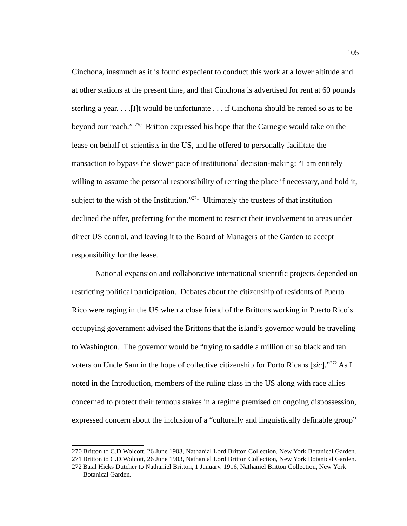Cinchona, inasmuch as it is found expedient to conduct this work at a lower altitude and at other stations at the present time, and that Cinchona is advertised for rent at 60 pounds sterling a year. . . .[I]t would be unfortunate . . . if Cinchona should be rented so as to be beyond our reach."<sup>[270](#page-113-0)</sup> Britton expressed his hope that the Carnegie would take on the lease on behalf of scientists in the US, and he offered to personally facilitate the transaction to bypass the slower pace of institutional decision-making: "I am entirely willing to assume the personal responsibility of renting the place if necessary, and hold it, subject to the wish of the Institution."<sup>[271](#page-113-1)</sup> Ultimately the trustees of that institution declined the offer, preferring for the moment to restrict their involvement to areas under direct US control, and leaving it to the Board of Managers of the Garden to accept responsibility for the lease.

National expansion and collaborative international scientific projects depended on restricting political participation. Debates about the citizenship of residents of Puerto Rico were raging in the US when a close friend of the Brittons working in Puerto Rico's occupying government advised the Brittons that the island's governor would be traveling to Washington. The governor would be "trying to saddle a million or so black and tan voters on Uncle Sam in the hope of collective citizenship for Porto Ricans [*sic*]."[272](#page-113-2) As I noted in the Introduction, members of the ruling class in the US along with race allies concerned to protect their tenuous stakes in a regime premised on ongoing dispossession, expressed concern about the inclusion of a "culturally and linguistically definable group"

<span id="page-113-1"></span><span id="page-113-0"></span><sup>270</sup> Britton to C.D.Wolcott, 26 June 1903, Nathanial Lord Britton Collection, New York Botanical Garden. 271 Britton to C.D.Wolcott, 26 June 1903, Nathanial Lord Britton Collection, New York Botanical Garden.

<span id="page-113-2"></span><sup>272</sup> Basil Hicks Dutcher to Nathaniel Britton, 1 January, 1916, Nathaniel Britton Collection, New York Botanical Garden.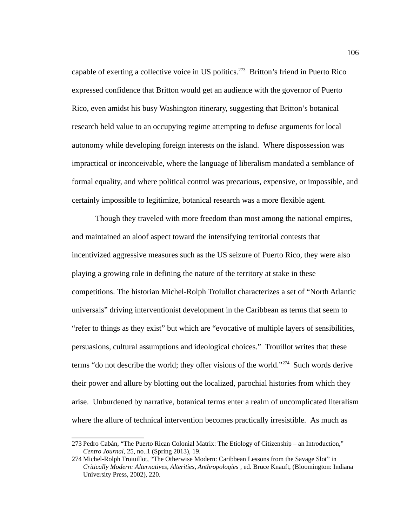capable of exerting a collective voice in US politics.<sup>[273](#page-114-0)</sup> Britton's friend in Puerto Rico expressed confidence that Britton would get an audience with the governor of Puerto Rico, even amidst his busy Washington itinerary, suggesting that Britton's botanical research held value to an occupying regime attempting to defuse arguments for local autonomy while developing foreign interests on the island. Where dispossession was impractical or inconceivable, where the language of liberalism mandated a semblance of formal equality, and where political control was precarious, expensive, or impossible, and certainly impossible to legitimize, botanical research was a more flexible agent.

Though they traveled with more freedom than most among the national empires, and maintained an aloof aspect toward the intensifying territorial contests that incentivized aggressive measures such as the US seizure of Puerto Rico, they were also playing a growing role in defining the nature of the territory at stake in these competitions. The historian Michel-Rolph Troiullot characterizes a set of "North Atlantic universals" driving interventionist development in the Caribbean as terms that seem to "refer to things as they exist" but which are "evocative of multiple layers of sensibilities, persuasions, cultural assumptions and ideological choices." Trouillot writes that these terms "do not describe the world; they offer visions of the world."<sup>[274](#page-114-1)</sup> Such words derive their power and allure by blotting out the localized, parochial histories from which they arise. Unburdened by narrative, botanical terms enter a realm of uncomplicated literalism where the allure of technical intervention becomes practically irresistible. As much as

<span id="page-114-0"></span><sup>273</sup>Pedro Cabán, "The Puerto Rican Colonial Matrix: The Etiology of Citizenship – an Introduction," *Centro Journal*, 25, no..1 (Spring 2013), 19.

<span id="page-114-1"></span><sup>274</sup> Michel-Rolph Troiuillot, "The Otherwise Modern: Caribbean Lessons from the Savage Slot" in *Critically Modern: Alternatives, Alterities, Anthropologies* , ed. Bruce Knauft, (Bloomington: Indiana University Press, 2002), 220.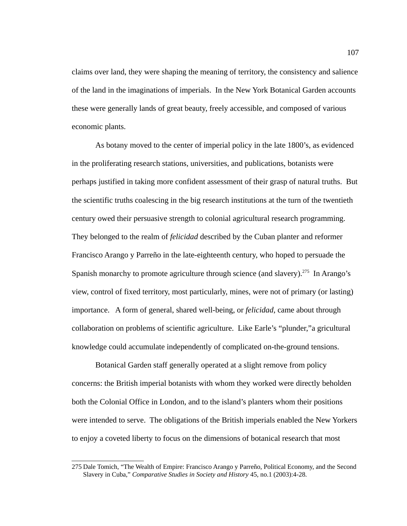claims over land, they were shaping the meaning of territory, the consistency and salience of the land in the imaginations of imperials. In the New York Botanical Garden accounts these were generally lands of great beauty, freely accessible, and composed of various economic plants.

As botany moved to the center of imperial policy in the late 1800's, as evidenced in the proliferating research stations, universities, and publications, botanists were perhaps justified in taking more confident assessment of their grasp of natural truths. But the scientific truths coalescing in the big research institutions at the turn of the twentieth century owed their persuasive strength to colonial agricultural research programming. They belonged to the realm of *felicidad* described by the Cuban planter and reformer Francisco Arango y Parreño in the late-eighteenth century, who hoped to persuade the Spanish monarchy to promote agriculture through science (and slavery).<sup>[275](#page-115-0)</sup> In Arango's view, control of fixed territory, most particularly, mines, were not of primary (or lasting) importance. A form of general, shared well-being, or *felicidad*, came about through collaboration on problems of scientific agriculture. Like Earle's "plunder,"a gricultural knowledge could accumulate independently of complicated on-the-ground tensions.

Botanical Garden staff generally operated at a slight remove from policy concerns: the British imperial botanists with whom they worked were directly beholden both the Colonial Office in London, and to the island's planters whom their positions were intended to serve. The obligations of the British imperials enabled the New Yorkers to enjoy a coveted liberty to focus on the dimensions of botanical research that most

<span id="page-115-0"></span><sup>275</sup> Dale Tomich, "The Wealth of Empire: Francisco Arango y Parreño, Political Economy, and the Second Slavery in Cuba," *Comparative Studies in Society and History* 45, no.1 (2003):4-28.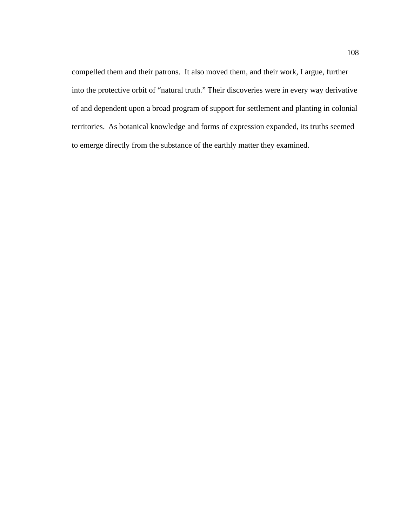compelled them and their patrons. It also moved them, and their work, I argue, further into the protective orbit of "natural truth." Their discoveries were in every way derivative of and dependent upon a broad program of support for settlement and planting in colonial territories. As botanical knowledge and forms of expression expanded, its truths seemed to emerge directly from the substance of the earthly matter they examined.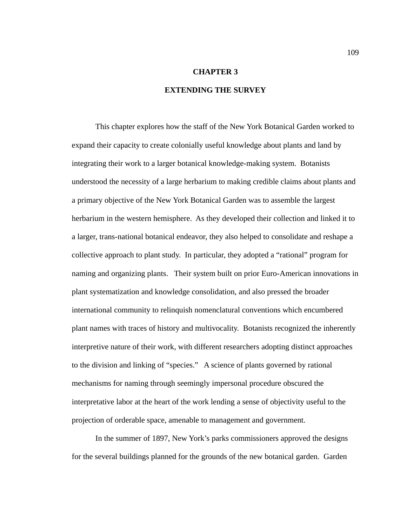#### **CHAPTER 3**

## **EXTENDING THE SURVEY**

This chapter explores how the staff of the New York Botanical Garden worked to expand their capacity to create colonially useful knowledge about plants and land by integrating their work to a larger botanical knowledge-making system. Botanists understood the necessity of a large herbarium to making credible claims about plants and a primary objective of the New York Botanical Garden was to assemble the largest herbarium in the western hemisphere. As they developed their collection and linked it to a larger, trans-national botanical endeavor, they also helped to consolidate and reshape a collective approach to plant study. In particular, they adopted a "rational" program for naming and organizing plants. Their system built on prior Euro-American innovations in plant systematization and knowledge consolidation, and also pressed the broader international community to relinquish nomenclatural conventions which encumbered plant names with traces of history and multivocality. Botanists recognized the inherently interpretive nature of their work, with different researchers adopting distinct approaches to the division and linking of "species." A science of plants governed by rational mechanisms for naming through seemingly impersonal procedure obscured the interpretative labor at the heart of the work lending a sense of objectivity useful to the projection of orderable space, amenable to management and government.

In the summer of 1897, New York's parks commissioners approved the designs for the several buildings planned for the grounds of the new botanical garden. Garden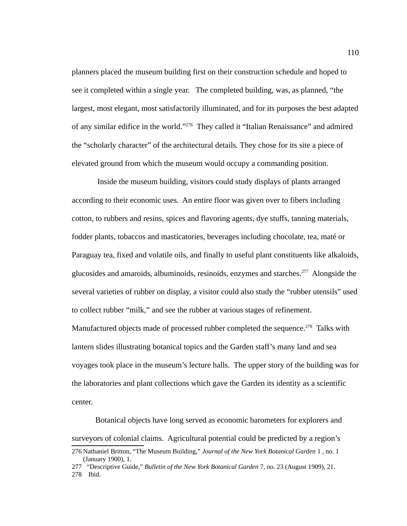planners placed the museum building first on their construction schedule and hoped to see it completed within a single year. The completed building, was, as planned, "the largest, most elegant, most satisfactorily illuminated, and for its purposes the best adapted of any similar edifice in the world."[276](#page-118-0) They called it "Italian Renaissance" and admired the "scholarly character" of the architectural details. They chose for its site a piece of elevated ground from which the museum would occupy a commanding position.

 Inside the museum building, visitors could study displays of plants arranged according to their economic uses. An entire floor was given over to fibers including cotton, to rubbers and resins, spices and flavoring agents, dye stuffs, tanning materials, fodder plants, tobaccos and masticatories, beverages including chocolate, tea, maté or Paraguay tea, fixed and volatile oils, and finally to useful plant constituents like alkaloids, glucosides and amaroids, albuminoids, resinoids, enzymes and starches.<sup>[277](#page-118-1)</sup> Alongside the several varieties of rubber on display, a visitor could also study the "rubber utensils" used to collect rubber "milk," and see the rubber at various stages of refinement. Manufactured objects made of processed rubber completed the sequence.<sup>[278](#page-118-2)</sup> Talks with lantern slides illustrating botanical topics and the Garden staff's many land and sea voyages took place in the museum's lecture halls. The upper story of the building was for the laboratories and plant collections which gave the Garden its identity as a scientific center.

Botanical objects have long served as economic barometers for explorers and surveyors of colonial claims. Agricultural potential could be predicted by a region's

<span id="page-118-0"></span><sup>276</sup> Nathaniel Britton, "The Museum Building," *Journal of the New York Botanical Garden* 1 , no. 1 (January 1900), 1.

<span id="page-118-1"></span><sup>277 &</sup>quot;Descriptive Guide," *Bulletin of the New York Botanical Garden* 7, no. 23 (August 1909), 21.

<span id="page-118-2"></span><sup>278</sup> Ibid.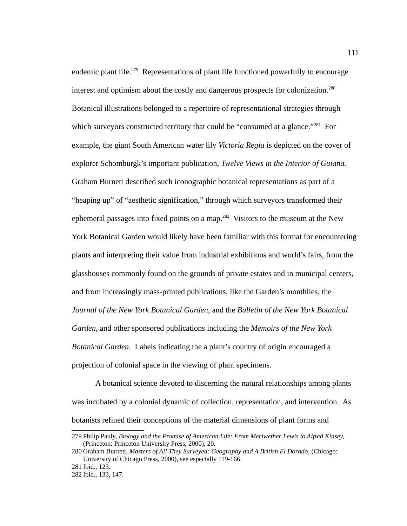endemic plant life.<sup>[279](#page-119-0)</sup> Representations of plant life functioned powerfully to encourage interest and optimism about the costly and dangerous prospects for colonization.<sup>[280](#page-119-1)</sup> Botanical illustrations belonged to a repertoire of representational strategies through which surveyors constructed territory that could be "consumed at a glance."<sup>[281](#page-119-2)</sup> For example, the giant South American water lily *Victoria Regia* is depicted on the cover of explorer Schomburgk's important publication, *Twelve Views in the Interior of Guiana.* Graham Burnett described such iconographic botanical representations as part of a "heaping up" of "aesthetic signification," through which surveyors transformed their ephemeral passages into fixed points on a map.<sup>[282](#page-119-3)</sup> Visitors to the museum at the New York Botanical Garden would likely have been familiar with this format for encountering plants and interpreting their value from industrial exhibitions and world's fairs, from the glasshouses commonly found on the grounds of private estates and in municipal centers, and from increasingly mass-printed publications, like the Garden's monthlies, the *Journal of the New York Botanical Garden*, and the *Bulletin of the New York Botanical Garden*, and other sponsored publications including the *Memoirs of the New York Botanical Garden.* Labels indicating the a plant's country of origin encouraged a projection of colonial space in the viewing of plant specimens.

A botanical science devoted to discerning the natural relationships among plants was incubated by a colonial dynamic of collection, representation, and intervention. As botanists refined their conceptions of the material dimensions of plant forms and

<span id="page-119-0"></span><sup>279</sup>Philip Pauly, *Biology and the Promise of American Life: From Meriwether Lewis to Alfred Kinsey,* (Princeton: Princeton University Press, 2000), 20.

<span id="page-119-1"></span><sup>280</sup> Graham Burnett, *Masters of All They Surveyed: Geography and A British El Dorado,* (Chicago: University of Chicago Press, 2000), see especially 119-166.

<span id="page-119-2"></span><sup>281</sup> Ibid., 123.

<span id="page-119-3"></span><sup>282</sup> Ibid., 133, 147.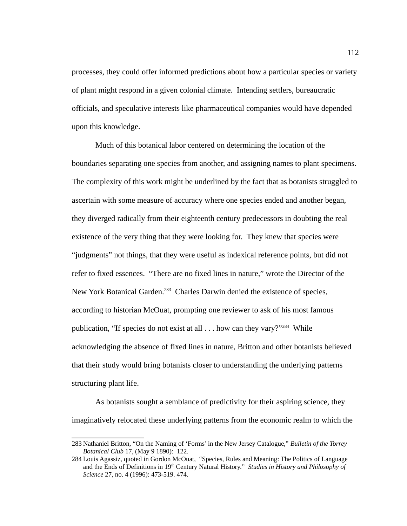processes, they could offer informed predictions about how a particular species or variety of plant might respond in a given colonial climate. Intending settlers, bureaucratic officials, and speculative interests like pharmaceutical companies would have depended upon this knowledge.

Much of this botanical labor centered on determining the location of the boundaries separating one species from another, and assigning names to plant specimens. The complexity of this work might be underlined by the fact that as botanists struggled to ascertain with some measure of accuracy where one species ended and another began, they diverged radically from their eighteenth century predecessors in doubting the real existence of the very thing that they were looking for. They knew that species were "judgments" not things, that they were useful as indexical reference points, but did not refer to fixed essences. "There are no fixed lines in nature," wrote the Director of the New York Botanical Garden.<sup>[283](#page-120-0)</sup> Charles Darwin denied the existence of species, according to historian McOuat, prompting one reviewer to ask of his most famous publication, "If species do not exist at all . . . how can they vary?"<sup>[284](#page-120-1)</sup> While acknowledging the absence of fixed lines in nature, Britton and other botanists believed that their study would bring botanists closer to understanding the underlying patterns structuring plant life.

As botanists sought a semblance of predictivity for their aspiring science, they imaginatively relocated these underlying patterns from the economic realm to which the

<span id="page-120-0"></span><sup>283</sup> Nathaniel Britton, "On the Naming of 'Forms' in the New Jersey Catalogue," *Bulletin of the Torrey Botanical Club* 17, (May 9 1890): 122.

<span id="page-120-1"></span><sup>284</sup> Louis Agassiz, quoted in Gordon McOuat, "Species, Rules and Meaning: The Politics of Language and the Ends of Definitions in 19th Century Natural History." *Studies in History and Philosophy of Science* 27, no. 4 (1996): 473-519. 474.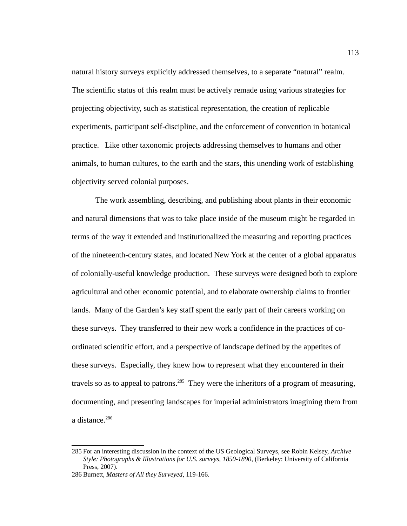natural history surveys explicitly addressed themselves, to a separate "natural" realm. The scientific status of this realm must be actively remade using various strategies for projecting objectivity, such as statistical representation, the creation of replicable experiments, participant self-discipline, and the enforcement of convention in botanical practice. Like other taxonomic projects addressing themselves to humans and other animals, to human cultures, to the earth and the stars, this unending work of establishing objectivity served colonial purposes.

The work assembling, describing, and publishing about plants in their economic and natural dimensions that was to take place inside of the museum might be regarded in terms of the way it extended and institutionalized the measuring and reporting practices of the nineteenth-century states, and located New York at the center of a global apparatus of colonially-useful knowledge production. These surveys were designed both to explore agricultural and other economic potential, and to elaborate ownership claims to frontier lands. Many of the Garden's key staff spent the early part of their careers working on these surveys. They transferred to their new work a confidence in the practices of coordinated scientific effort, and a perspective of landscape defined by the appetites of these surveys. Especially, they knew how to represent what they encountered in their travels so as to appeal to patrons.<sup>[285](#page-121-0)</sup> They were the inheritors of a program of measuring, documenting, and presenting landscapes for imperial administrators imagining them from a distance.<sup>[286](#page-121-1)</sup>

<span id="page-121-0"></span><sup>285</sup>For an interesting discussion in the context of the US Geological Surveys, see Robin Kelsey, *Archive Style: Photographs & Illustrations for U.S. surveys, 1850-1890*, (Berkeley: University of California Press, 2007).

<span id="page-121-1"></span><sup>286</sup> Burnett, *Masters of All they Surveyed*, 119-166.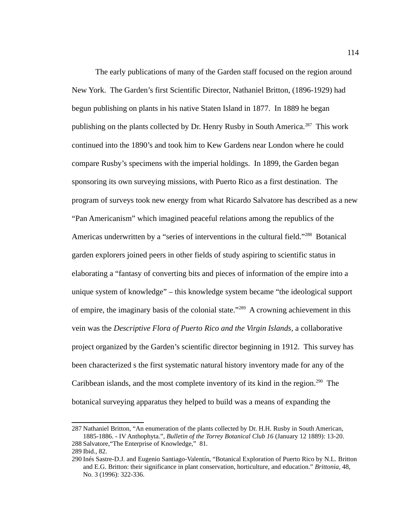The early publications of many of the Garden staff focused on the region around New York. The Garden's first Scientific Director, Nathaniel Britton, (1896-1929) had begun publishing on plants in his native Staten Island in 1877. In 1889 he began publishing on the plants collected by Dr. Henry Rusby in South America.<sup>[287](#page-122-0)</sup> This work continued into the 1890's and took him to Kew Gardens near London where he could compare Rusby's specimens with the imperial holdings. In 1899, the Garden began sponsoring its own surveying missions, with Puerto Rico as a first destination. The program of surveys took new energy from what Ricardo Salvatore has described as a new "Pan Americanism" which imagined peaceful relations among the republics of the Americas underwritten by a "series of interventions in the cultural field."<sup>[288](#page-122-1)</sup> Botanical garden explorers joined peers in other fields of study aspiring to scientific status in elaborating a "fantasy of converting bits and pieces of information of the empire into a unique system of knowledge" – this knowledge system became "the ideological support of empire, the imaginary basis of the colonial state."<sup>[289](#page-122-2)</sup> A crowning achievement in this vein was the *Descriptive Flora of Puerto Rico and the Virgin Islands,* a collaborative project organized by the Garden's scientific director beginning in 1912. This survey has been characterized s the first systematic natural history inventory made for any of the Caribbean islands, and the most complete inventory of its kind in the region.<sup>[290](#page-122-3)</sup> The botanical surveying apparatus they helped to build was a means of expanding the

<span id="page-122-0"></span><sup>287</sup> Nathaniel Britton, "An enumeration of the plants collected by Dr. H.H. Rusby in South American, 1885-1886. - IV Anthophyta.", *Bulletin of the Torrey Botanical Club 16* (January 12 1889): 13-20. 288Salvatore,"The Enterprise of Knowledge," 81.

<span id="page-122-2"></span><span id="page-122-1"></span><sup>289</sup> Ibid., 82.

<span id="page-122-3"></span><sup>290</sup> Inés Sastre-D.J. and Eugenio Santiago-Valentín, "Botanical Exploration of Puerto Rico by N.L. Britton and E.G. Britton: their significance in plant conservation, horticulture, and education." *Brittonia*, 48, No. 3 (1996): 322-336.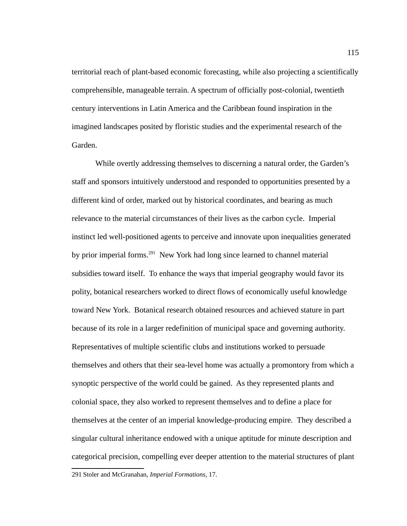territorial reach of plant-based economic forecasting, while also projecting a scientifically comprehensible, manageable terrain. A spectrum of officially post-colonial, twentieth century interventions in Latin America and the Caribbean found inspiration in the imagined landscapes posited by floristic studies and the experimental research of the Garden.

While overtly addressing themselves to discerning a natural order, the Garden's staff and sponsors intuitively understood and responded to opportunities presented by a different kind of order, marked out by historical coordinates, and bearing as much relevance to the material circumstances of their lives as the carbon cycle. Imperial instinct led well-positioned agents to perceive and innovate upon inequalities generated by prior imperial forms.<sup>[291](#page-123-0)</sup> New York had long since learned to channel material subsidies toward itself. To enhance the ways that imperial geography would favor its polity, botanical researchers worked to direct flows of economically useful knowledge toward New York. Botanical research obtained resources and achieved stature in part because of its role in a larger redefinition of municipal space and governing authority. Representatives of multiple scientific clubs and institutions worked to persuade themselves and others that their sea-level home was actually a promontory from which a synoptic perspective of the world could be gained. As they represented plants and colonial space, they also worked to represent themselves and to define a place for themselves at the center of an imperial knowledge-producing empire. They described a singular cultural inheritance endowed with a unique aptitude for minute description and categorical precision, compelling ever deeper attention to the material structures of plant

<span id="page-123-0"></span><sup>291</sup>Stoler and McGranahan, *Imperial Formations*, 17.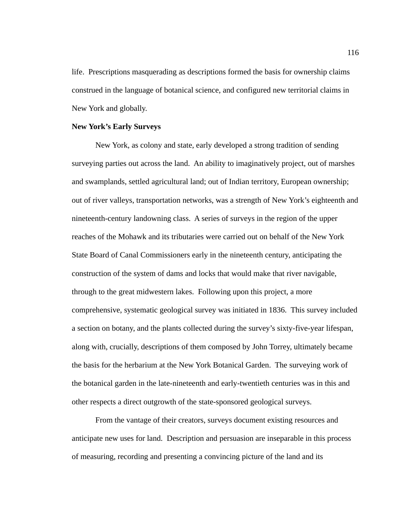life. Prescriptions masquerading as descriptions formed the basis for ownership claims construed in the language of botanical science, and configured new territorial claims in New York and globally.

#### **New York's Early Surveys**

New York, as colony and state, early developed a strong tradition of sending surveying parties out across the land. An ability to imaginatively project, out of marshes and swamplands, settled agricultural land; out of Indian territory, European ownership; out of river valleys, transportation networks, was a strength of New York's eighteenth and nineteenth-century landowning class. A series of surveys in the region of the upper reaches of the Mohawk and its tributaries were carried out on behalf of the New York State Board of Canal Commissioners early in the nineteenth century, anticipating the construction of the system of dams and locks that would make that river navigable, through to the great midwestern lakes. Following upon this project, a more comprehensive, systematic geological survey was initiated in 1836. This survey included a section on botany, and the plants collected during the survey's sixty-five-year lifespan, along with, crucially, descriptions of them composed by John Torrey, ultimately became the basis for the herbarium at the New York Botanical Garden. The surveying work of the botanical garden in the late-nineteenth and early-twentieth centuries was in this and other respects a direct outgrowth of the state-sponsored geological surveys.

From the vantage of their creators, surveys document existing resources and anticipate new uses for land. Description and persuasion are inseparable in this process of measuring, recording and presenting a convincing picture of the land and its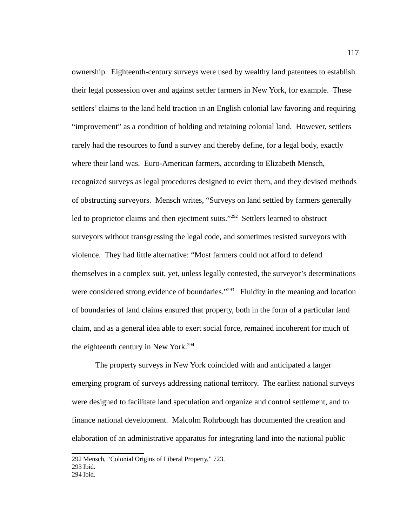ownership. Eighteenth-century surveys were used by wealthy land patentees to establish their legal possession over and against settler farmers in New York, for example. These settlers' claims to the land held traction in an English colonial law favoring and requiring "improvement" as a condition of holding and retaining colonial land. However, settlers rarely had the resources to fund a survey and thereby define, for a legal body, exactly where their land was. Euro-American farmers, according to Elizabeth Mensch, recognized surveys as legal procedures designed to evict them, and they devised methods of obstructing surveyors. Mensch writes, "Surveys on land settled by farmers generally led to proprietor claims and then ejectment suits."<sup>[292](#page-125-0)</sup> Settlers learned to obstruct surveyors without transgressing the legal code, and sometimes resisted surveyors with violence. They had little alternative: "Most farmers could not afford to defend themselves in a complex suit, yet, unless legally contested, the surveyor's determinations were considered strong evidence of boundaries."<sup>[293](#page-125-1)</sup> Fluidity in the meaning and location of boundaries of land claims ensured that property, both in the form of a particular land claim, and as a general idea able to exert social force, remained incoherent for much of the eighteenth century in New York.<sup>[294](#page-125-2)</sup>

The property surveys in New York coincided with and anticipated a larger emerging program of surveys addressing national territory. The earliest national surveys were designed to facilitate land speculation and organize and control settlement, and to finance national development. Malcolm Rohrbough has documented the creation and elaboration of an administrative apparatus for integrating land into the national public

<span id="page-125-2"></span><span id="page-125-1"></span><span id="page-125-0"></span><sup>292</sup> Mensch, "Colonial Origins of Liberal Property," 723. 293 Ibid. 294 Ibid.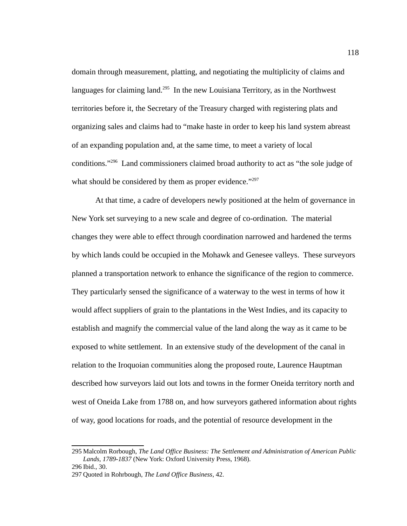domain through measurement, platting, and negotiating the multiplicity of claims and languages for claiming land.<sup>[295](#page-126-0)</sup> In the new Louisiana Territory, as in the Northwest territories before it, the Secretary of the Treasury charged with registering plats and organizing sales and claims had to "make haste in order to keep his land system abreast of an expanding population and, at the same time, to meet a variety of local conditions."[296](#page-126-1) Land commissioners claimed broad authority to act as "the sole judge of what should be considered by them as proper evidence."<sup>[297](#page-126-2)</sup>

At that time, a cadre of developers newly positioned at the helm of governance in New York set surveying to a new scale and degree of co-ordination. The material changes they were able to effect through coordination narrowed and hardened the terms by which lands could be occupied in the Mohawk and Genesee valleys. These surveyors planned a transportation network to enhance the significance of the region to commerce. They particularly sensed the significance of a waterway to the west in terms of how it would affect suppliers of grain to the plantations in the West Indies, and its capacity to establish and magnify the commercial value of the land along the way as it came to be exposed to white settlement. In an extensive study of the development of the canal in relation to the Iroquoian communities along the proposed route, Laurence Hauptman described how surveyors laid out lots and towns in the former Oneida territory north and west of Oneida Lake from 1788 on, and how surveyors gathered information about rights of way, good locations for roads, and the potential of resource development in the

<span id="page-126-0"></span><sup>295</sup> Malcolm Rorbough, *The Land Office Business: The Settlement and Administration of American Public Lands, 1789-1837* (New York: Oxford University Press, 1968).

<span id="page-126-1"></span><sup>296</sup> Ibid., 30.

<span id="page-126-2"></span><sup>297</sup> Quoted in Rohrbough, *The Land Office Business*, 42.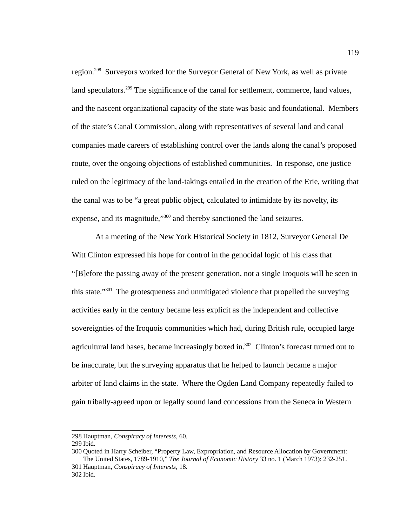region.<sup>[298](#page-127-0)</sup> Surveyors worked for the Surveyor General of New York, as well as private land speculators.<sup>[299](#page-127-1)</sup> The significance of the canal for settlement, commerce, land values, and the nascent organizational capacity of the state was basic and foundational. Members of the state's Canal Commission, along with representatives of several land and canal companies made careers of establishing control over the lands along the canal's proposed route, over the ongoing objections of established communities. In response, one justice ruled on the legitimacy of the land-takings entailed in the creation of the Erie, writing that the canal was to be "a great public object, calculated to intimidate by its novelty, its expense, and its magnitude,"<sup>[300](#page-127-2)</sup> and thereby sanctioned the land seizures.

At a meeting of the New York Historical Society in 1812, Surveyor General De Witt Clinton expressed his hope for control in the genocidal logic of his class that "[B]efore the passing away of the present generation, not a single Iroquois will be seen in this state."<sup>[301](#page-127-3)</sup> The grotesqueness and unmitigated violence that propelled the surveying activities early in the century became less explicit as the independent and collective sovereignties of the Iroquois communities which had, during British rule, occupied large agricultural land bases, became increasingly boxed in.<sup>[302](#page-127-4)</sup> Clinton's forecast turned out to be inaccurate, but the surveying apparatus that he helped to launch became a major arbiter of land claims in the state. Where the Ogden Land Company repeatedly failed to gain tribally-agreed upon or legally sound land concessions from the Seneca in Western

<span id="page-127-0"></span><sup>298</sup> Hauptman, *Conspiracy of Interests*, 60.

<span id="page-127-1"></span><sup>299</sup> Ibid.

<span id="page-127-4"></span><span id="page-127-3"></span><span id="page-127-2"></span><sup>300</sup> Quoted in Harry Scheiber, "Property Law, Expropriation, and Resource Allocation by Government: The United States, 1789-1910," *The Journal of Economic History* 33 no. 1 (March 1973): 232-251. 301 Hauptman, *Conspiracy of Interests*, 18.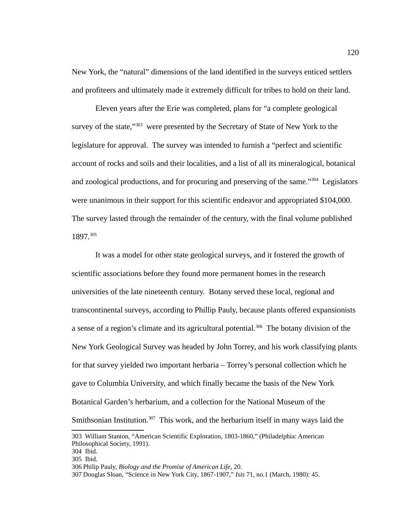New York, the "natural" dimensions of the land identified in the surveys enticed settlers and profiteers and ultimately made it extremely difficult for tribes to hold on their land.

Eleven years after the Erie was completed, plans for "a complete geological survey of the state,"<sup>[303](#page-128-0)</sup> were presented by the Secretary of State of New York to the legislature for approval. The survey was intended to furnish a "perfect and scientific account of rocks and soils and their localities, and a list of all its mineralogical, botanical and zoological productions, and for procuring and preserving of the same."<sup>[304](#page-128-1)</sup> Legislators were unanimous in their support for this scientific endeavor and appropriated \$104,000. The survey lasted through the remainder of the century, with the final volume published 1897.[305](#page-128-2)

It was a model for other state geological surveys, and it fostered the growth of scientific associations before they found more permanent homes in the research universities of the late nineteenth century. Botany served these local, regional and transcontinental surveys, according to Phillip Pauly, because plants offered expansionists a sense of a region's climate and its agricultural potential.<sup>[306](#page-128-3)</sup> The botany division of the New York Geological Survey was headed by John Torrey, and his work classifying plants for that survey yielded two important herbaria – Torrey's personal collection which he gave to Columbia University, and which finally became the basis of the New York Botanical Garden's herbarium, and a collection for the National Museum of the Smithsonian Institution. $307$  This work, and the herbarium itself in many ways laid the

<span id="page-128-0"></span><sup>303</sup> William Stanton, "American Scientific Exploration, 1803-1860," (Philadelphia: American Philosophical Society, 1991).

<span id="page-128-1"></span><sup>304</sup> Ibid.

<span id="page-128-2"></span><sup>305</sup> Ibid.

<span id="page-128-3"></span><sup>306</sup> Philip Pauly, *Biology and the Promise of American Life*, 20.

<span id="page-128-4"></span><sup>307</sup> Douglas Sloan, "Science in New York City, 1867-1907," *Isis* 71, no.1 (March, 1980): 45.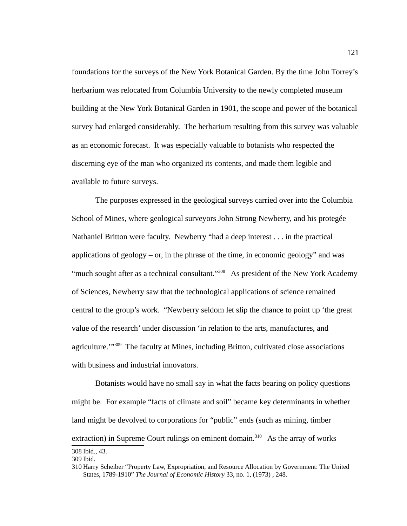foundations for the surveys of the New York Botanical Garden. By the time John Torrey's herbarium was relocated from Columbia University to the newly completed museum building at the New York Botanical Garden in 1901, the scope and power of the botanical survey had enlarged considerably. The herbarium resulting from this survey was valuable as an economic forecast. It was especially valuable to botanists who respected the discerning eye of the man who organized its contents, and made them legible and available to future surveys.

The purposes expressed in the geological surveys carried over into the Columbia School of Mines, where geological surveyors John Strong Newberry, and his protegée Nathaniel Britton were faculty. Newberry "had a deep interest . . . in the practical applications of geology  $-$  or, in the phrase of the time, in economic geology" and was "much sought after as a technical consultant."<sup>[308](#page-129-0)</sup> As president of the New York Academy of Sciences, Newberry saw that the technological applications of science remained central to the group's work. "Newberry seldom let slip the chance to point up 'the great value of the research' under discussion 'in relation to the arts, manufactures, and agriculture."<sup>[309](#page-129-1)</sup> The faculty at Mines, including Britton, cultivated close associations with business and industrial innovators.

Botanists would have no small say in what the facts bearing on policy questions might be. For example "facts of climate and soil" became key determinants in whether land might be devolved to corporations for "public" ends (such as mining, timber extraction) in Supreme Court rulings on eminent domain.<sup>[310](#page-129-2)</sup> As the array of works 308 Ibid., 43.

<span id="page-129-0"></span>

<span id="page-129-1"></span><sup>309</sup> Ibid.

<span id="page-129-2"></span><sup>310</sup> Harry Scheiber "Property Law, Expropriation, and Resource Allocation by Government: The United States, 1789-1910" *The Journal of Economic History* 33, no. 1, (1973) , 248.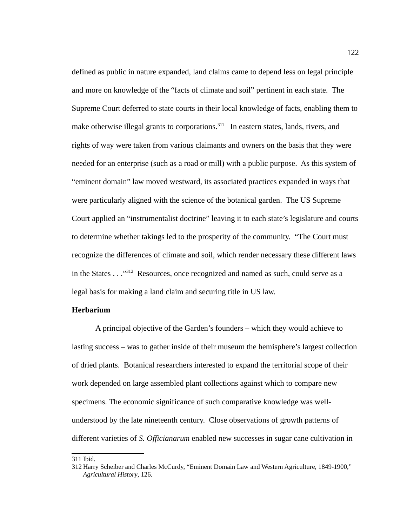defined as public in nature expanded, land claims came to depend less on legal principle and more on knowledge of the "facts of climate and soil" pertinent in each state. The Supreme Court deferred to state courts in their local knowledge of facts, enabling them to make otherwise illegal grants to corporations.<sup>[311](#page-130-0)</sup> In eastern states, lands, rivers, and rights of way were taken from various claimants and owners on the basis that they were needed for an enterprise (such as a road or mill) with a public purpose. As this system of "eminent domain" law moved westward, its associated practices expanded in ways that were particularly aligned with the science of the botanical garden. The US Supreme Court applied an "instrumentalist doctrine" leaving it to each state's legislature and courts to determine whether takings led to the prosperity of the community. "The Court must recognize the differences of climate and soil, which render necessary these different laws in the States . . ."[312](#page-130-1) Resources, once recognized and named as such, could serve as a legal basis for making a land claim and securing title in US law.

## **Herbarium**

A principal objective of the Garden's founders – which they would achieve to lasting success – was to gather inside of their museum the hemisphere's largest collection of dried plants. Botanical researchers interested to expand the territorial scope of their work depended on large assembled plant collections against which to compare new specimens. The economic significance of such comparative knowledge was wellunderstood by the late nineteenth century. Close observations of growth patterns of different varieties of *S. Officianarum* enabled new successes in sugar cane cultivation in

<span id="page-130-0"></span><sup>311</sup> Ibid.

<span id="page-130-1"></span><sup>312</sup> Harry Scheiber and Charles McCurdy, "Eminent Domain Law and Western Agriculture, 1849-1900," *Agricultural History*, 126.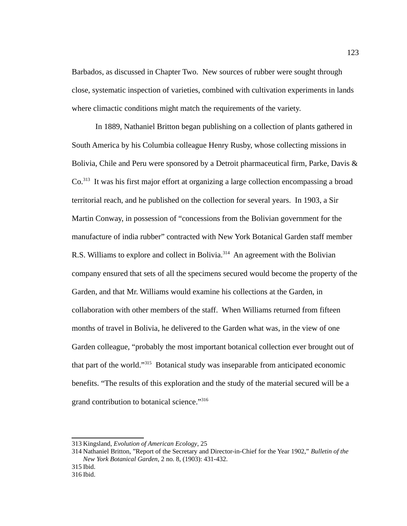Barbados, as discussed in Chapter Two. New sources of rubber were sought through close, systematic inspection of varieties, combined with cultivation experiments in lands where climactic conditions might match the requirements of the variety.

In 1889, Nathaniel Britton began publishing on a collection of plants gathered in South America by his Columbia colleague Henry Rusby, whose collecting missions in Bolivia, Chile and Peru were sponsored by a Detroit pharmaceutical firm, Parke, Davis & Co.[313](#page-131-0) It was his first major effort at organizing a large collection encompassing a broad territorial reach, and he published on the collection for several years. In 1903, a Sir Martin Conway, in possession of "concessions from the Bolivian government for the manufacture of india rubber" contracted with New York Botanical Garden staff member R.S. Williams to explore and collect in Bolivia.<sup>[314](#page-131-1)</sup> An agreement with the Bolivian company ensured that sets of all the specimens secured would become the property of the Garden, and that Mr. Williams would examine his collections at the Garden, in collaboration with other members of the staff. When Williams returned from fifteen months of travel in Bolivia, he delivered to the Garden what was, in the view of one Garden colleague, "probably the most important botanical collection ever brought out of that part of the world."[315](#page-131-2) Botanical study was inseparable from anticipated economic benefits. "The results of this exploration and the study of the material secured will be a grand contribution to botanical science."<sup>[316](#page-131-3)</sup>

<span id="page-131-0"></span><sup>313</sup> Kingsland, *Evolution of American Ecology*, 25

<span id="page-131-1"></span><sup>314</sup> Nathaniel Britton, "Report of the Secretary and Director-in-Chief for the Year 1902," *Bulletin of the New York Botanical Garden*, 2 no. 8, (1903): 431-432.

<span id="page-131-2"></span><sup>315</sup> Ibid.

<span id="page-131-3"></span><sup>316</sup> Ibid.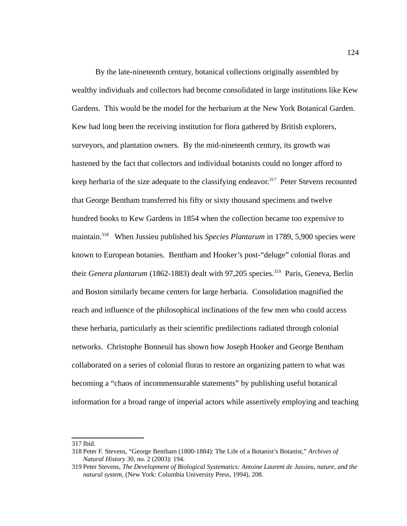By the late-nineteenth century, botanical collections originally assembled by wealthy individuals and collectors had become consolidated in large institutions like Kew Gardens. This would be the model for the herbarium at the New York Botanical Garden. Kew had long been the receiving institution for flora gathered by British explorers, surveyors, and plantation owners. By the mid-nineteenth century, its growth was hastened by the fact that collectors and individual botanists could no longer afford to keep herbaria of the size adequate to the classifying endeavor.<sup>[317](#page-132-0)</sup> Peter Stevens recounted that George Bentham transferred his fifty or sixty thousand specimens and twelve hundred books to Kew Gardens in 1854 when the collection became too expensive to maintain.[318](#page-132-1) When Jussieu published his *Species Plantarum* in 1789, 5,900 species were known to European botanies. Bentham and Hooker's post-"deluge" colonial floras and their *Genera plantarum* (1862-1883) dealt with 97,205 species.<sup>[319](#page-132-2)</sup> Paris, Geneva, Berlin and Boston similarly became centers for large herbaria. Consolidation magnified the reach and influence of the philosophical inclinations of the few men who could access these herbaria, particularly as their scientific predilections radiated through colonial networks. Christophe Bonneuil has shown how Joseph Hooker and George Bentham collaborated on a series of colonial floras to restore an organizing pattern to what was becoming a "chaos of incommensurable statements" by publishing useful botanical information for a broad range of imperial actors while assertively employing and teaching

<span id="page-132-0"></span><sup>317</sup> Ibid.

<span id="page-132-1"></span><sup>318</sup>Peter F. Stevens, "George Bentham (1800-1884): The Life of a Botanist's Botanist," *Archives of Natural History* 30, no. 2 (2003): 194.

<span id="page-132-2"></span><sup>319</sup>Peter Stevens, *The Development of Biological Systematics: Antoine Laurent de Jussieu, nature, and the natural system*, (New York: Columbia University Press, 1994), 208.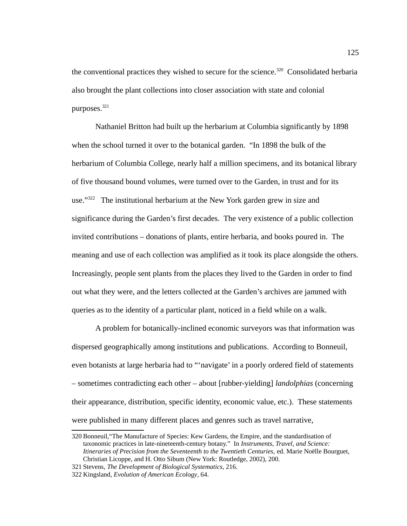the conventional practices they wished to secure for the science.<sup>[320](#page-133-0)</sup> Consolidated herbaria also brought the plant collections into closer association with state and colonial purposes. $^{\rm 321}$  $^{\rm 321}$  $^{\rm 321}$ 

Nathaniel Britton had built up the herbarium at Columbia significantly by 1898 when the school turned it over to the botanical garden. "In 1898 the bulk of the herbarium of Columbia College, nearly half a million specimens, and its botanical library of five thousand bound volumes, were turned over to the Garden, in trust and for its use."<sup>[322](#page-133-2)</sup> The institutional herbarium at the New York garden grew in size and significance during the Garden's first decades. The very existence of a public collection invited contributions – donations of plants, entire herbaria, and books poured in. The meaning and use of each collection was amplified as it took its place alongside the others. Increasingly, people sent plants from the places they lived to the Garden in order to find out what they were, and the letters collected at the Garden's archives are jammed with queries as to the identity of a particular plant, noticed in a field while on a walk.

A problem for botanically-inclined economic surveyors was that information was dispersed geographically among institutions and publications. According to Bonneuil, even botanists at large herbaria had to "'navigate' in a poorly ordered field of statements – sometimes contradicting each other – about [rubber-yielding] *landolphias* (concerning their appearance, distribution, specific identity, economic value, etc.). These statements were published in many different places and genres such as travel narrative,

<span id="page-133-0"></span><sup>320</sup> Bonneuil,"The Manufacture of Species: Kew Gardens, the Empire, and the standardisation of taxonomic practices in late-nineteenth-century botany." In *Instruments, Travel, and Science: Itineraries of Precision from the Seventeenth to the Twentieth Centuries,* ed. Marie Noëlle Bourguet, Christian Licoppe, and H. Otto Sibum (New York: Routledge, 2002), 200.

<span id="page-133-1"></span><sup>321</sup>Stevens, *The Development of Biological Systematics*, 216.

<span id="page-133-2"></span><sup>322</sup> Kingsland, *Evolution of American Ecology*, 64.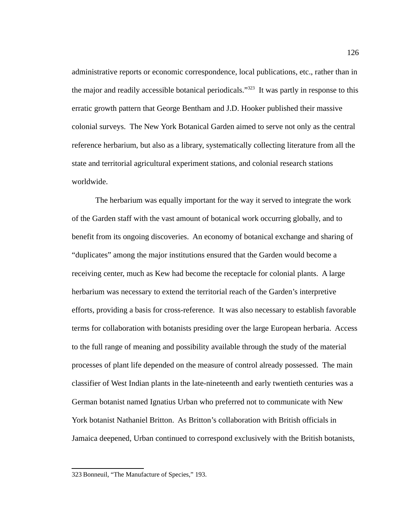administrative reports or economic correspondence, local publications, etc., rather than in the major and readily accessible botanical periodicals."<sup>[323](#page-134-0)</sup> It was partly in response to this erratic growth pattern that George Bentham and J.D. Hooker published their massive colonial surveys. The New York Botanical Garden aimed to serve not only as the central reference herbarium, but also as a library, systematically collecting literature from all the state and territorial agricultural experiment stations, and colonial research stations worldwide.

The herbarium was equally important for the way it served to integrate the work of the Garden staff with the vast amount of botanical work occurring globally, and to benefit from its ongoing discoveries. An economy of botanical exchange and sharing of "duplicates" among the major institutions ensured that the Garden would become a receiving center, much as Kew had become the receptacle for colonial plants. A large herbarium was necessary to extend the territorial reach of the Garden's interpretive efforts, providing a basis for cross-reference. It was also necessary to establish favorable terms for collaboration with botanists presiding over the large European herbaria. Access to the full range of meaning and possibility available through the study of the material processes of plant life depended on the measure of control already possessed. The main classifier of West Indian plants in the late-nineteenth and early twentieth centuries was a German botanist named Ignatius Urban who preferred not to communicate with New York botanist Nathaniel Britton. As Britton's collaboration with British officials in Jamaica deepened, Urban continued to correspond exclusively with the British botanists,

<span id="page-134-0"></span><sup>323</sup> Bonneuil, "The Manufacture of Species," 193.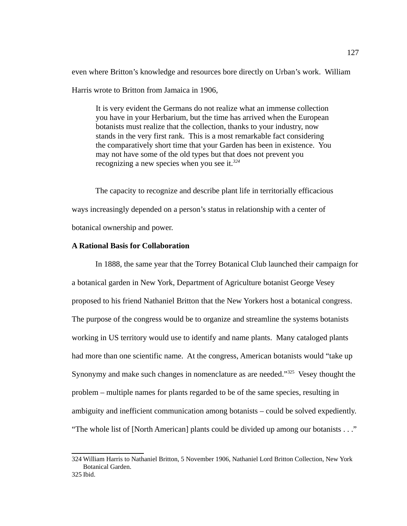even where Britton's knowledge and resources bore directly on Urban's work. William

Harris wrote to Britton from Jamaica in 1906,

It is very evident the Germans do not realize what an immense collection you have in your Herbarium, but the time has arrived when the European botanists must realize that the collection, thanks to your industry, now stands in the very first rank. This is a most remarkable fact considering the comparatively short time that your Garden has been in existence. You may not have some of the old types but that does not prevent you recognizing a new species when you see it.*[324](#page-135-0)*

The capacity to recognize and describe plant life in territorially efficacious ways increasingly depended on a person's status in relationship with a center of botanical ownership and power.

# **A Rational Basis for Collaboration**

In 1888, the same year that the Torrey Botanical Club launched their campaign for a botanical garden in New York, Department of Agriculture botanist George Vesey proposed to his friend Nathaniel Britton that the New Yorkers host a botanical congress. The purpose of the congress would be to organize and streamline the systems botanists working in US territory would use to identify and name plants. Many cataloged plants had more than one scientific name. At the congress, American botanists would "take up Synonymy and make such changes in nomenclature as are needed."[325](#page-135-1) Vesey thought the problem – multiple names for plants regarded to be of the same species, resulting in ambiguity and inefficient communication among botanists – could be solved expediently. "The whole list of [North American] plants could be divided up among our botanists . . ."

<span id="page-135-0"></span><sup>324</sup> William Harris to Nathaniel Britton, 5 November 1906, Nathaniel Lord Britton Collection, New York Botanical Garden.

<span id="page-135-1"></span><sup>325</sup> Ibid.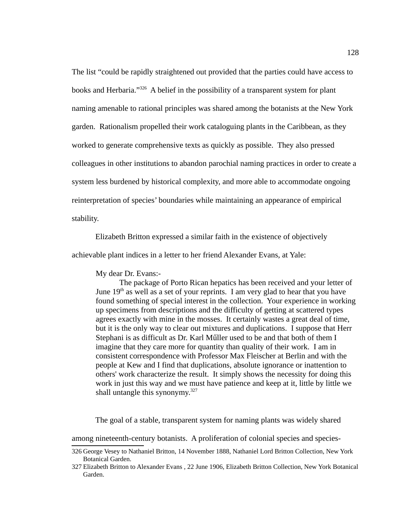The list "could be rapidly straightened out provided that the parties could have access to books and Herbaria."<sup>[326](#page-136-0)</sup> A belief in the possibility of a transparent system for plant naming amenable to rational principles was shared among the botanists at the New York garden. Rationalism propelled their work cataloguing plants in the Caribbean, as they worked to generate comprehensive texts as quickly as possible. They also pressed colleagues in other institutions to abandon parochial naming practices in order to create a system less burdened by historical complexity, and more able to accommodate ongoing reinterpretation of species' boundaries while maintaining an appearance of empirical stability.

Elizabeth Britton expressed a similar faith in the existence of objectively

achievable plant indices in a letter to her friend Alexander Evans, at Yale:

My dear Dr. Evans:-

The package of Porto Rican hepatics has been received and your letter of June  $19<sup>th</sup>$  as well as a set of your reprints. I am very glad to hear that you have found something of special interest in the collection. Your experience in working up specimens from descriptions and the difficulty of getting at scattered types agrees exactly with mine in the mosses. It certainly wastes a great deal of time, but it is the only way to clear out mixtures and duplications. I suppose that Herr Stephani is as difficult as Dr. Karl Műller used to be and that both of them I imagine that they care more for quantity than quality of their work. I am in consistent correspondence with Professor Max Fleischer at Berlin and with the people at Kew and I find that duplications, absolute ignorance or inattention to others' work characterize the result. It simply shows the necessity for doing this work in just this way and we must have patience and keep at it, little by little we shall untangle this synonymy. $327$ 

The goal of a stable, transparent system for naming plants was widely shared

among nineteenth-century botanists. A proliferation of colonial species and species-

<span id="page-136-0"></span><sup>326</sup> George Vesey to Nathaniel Britton, 14 November 1888, Nathaniel Lord Britton Collection, New York Botanical Garden.

<span id="page-136-1"></span><sup>327</sup> Elizabeth Britton to Alexander Evans , 22 June 1906, Elizabeth Britton Collection, New York Botanical Garden.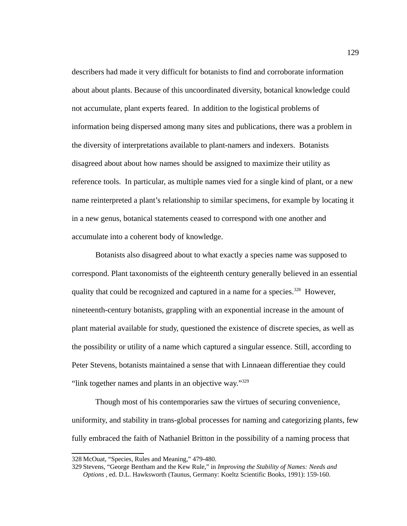describers had made it very difficult for botanists to find and corroborate information about about plants. Because of this uncoordinated diversity, botanical knowledge could not accumulate, plant experts feared. In addition to the logistical problems of information being dispersed among many sites and publications, there was a problem in the diversity of interpretations available to plant-namers and indexers. Botanists disagreed about about how names should be assigned to maximize their utility as reference tools. In particular, as multiple names vied for a single kind of plant, or a new name reinterpreted a plant's relationship to similar specimens, for example by locating it in a new genus, botanical statements ceased to correspond with one another and accumulate into a coherent body of knowledge.

Botanists also disagreed about to what exactly a species name was supposed to correspond. Plant taxonomists of the eighteenth century generally believed in an essential quality that could be recognized and captured in a name for a species.<sup>[328](#page-137-0)</sup> However, nineteenth-century botanists, grappling with an exponential increase in the amount of plant material available for study, questioned the existence of discrete species, as well as the possibility or utility of a name which captured a singular essence. Still, according to Peter Stevens, botanists maintained a sense that with Linnaean differentiae they could "link together names and plants in an objective way."<sup>[329](#page-137-1)</sup>

Though most of his contemporaries saw the virtues of securing convenience, uniformity, and stability in trans-global processes for naming and categorizing plants, few fully embraced the faith of Nathaniel Britton in the possibility of a naming process that

<span id="page-137-0"></span><sup>328</sup> McOuat, "Species, Rules and Meaning," 479-480.

<span id="page-137-1"></span><sup>329</sup>Stevens, "George Bentham and the Kew Rule," in *Improving the Stability of Names: Needs and Options* , ed. D.L. Hawksworth (Taunus, Germany: Koeltz Scientific Books, 1991): 159-160.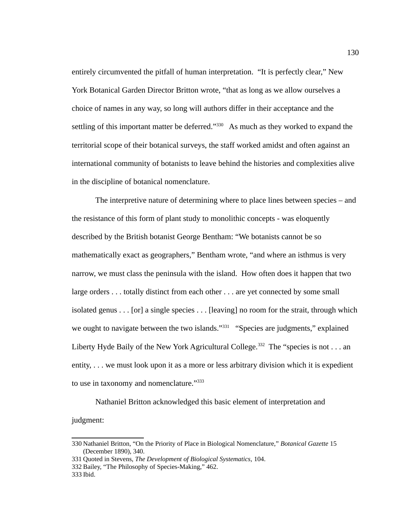entirely circumvented the pitfall of human interpretation. "It is perfectly clear," New York Botanical Garden Director Britton wrote, "that as long as we allow ourselves a choice of names in any way, so long will authors differ in their acceptance and the settling of this important matter be deferred."<sup>[330](#page-138-0)</sup> As much as they worked to expand the territorial scope of their botanical surveys, the staff worked amidst and often against an international community of botanists to leave behind the histories and complexities alive in the discipline of botanical nomenclature.

The interpretive nature of determining where to place lines between species – and the resistance of this form of plant study to monolithic concepts - was eloquently described by the British botanist George Bentham: "We botanists cannot be so mathematically exact as geographers," Bentham wrote, "and where an isthmus is very narrow, we must class the peninsula with the island. How often does it happen that two large orders . . . totally distinct from each other . . . are yet connected by some small isolated genus . . . [or] a single species . . . [leaving] no room for the strait, through which we ought to navigate between the two islands."<sup>[331](#page-138-1)</sup> "Species are judgments," explained Liberty Hyde Baily of the New York Agricultural College.<sup>[332](#page-138-2)</sup> The "species is not . . . an entity, . . . we must look upon it as a more or less arbitrary division which it is expedient to use in taxonomy and nomenclature."<sup>[333](#page-138-3)</sup>

Nathaniel Britton acknowledged this basic element of interpretation and judgment:

<span id="page-138-0"></span><sup>330</sup> Nathaniel Britton, "On the Priority of Place in Biological Nomenclature," *Botanical Gazette* 15 (December 1890), 340.

<span id="page-138-1"></span><sup>331</sup> Quoted in Stevens, *The Development of Biological Systematics,* 104.

<span id="page-138-2"></span><sup>332</sup> Bailey, "The Philosophy of Species-Making," 462.

<span id="page-138-3"></span><sup>333</sup> Ibid.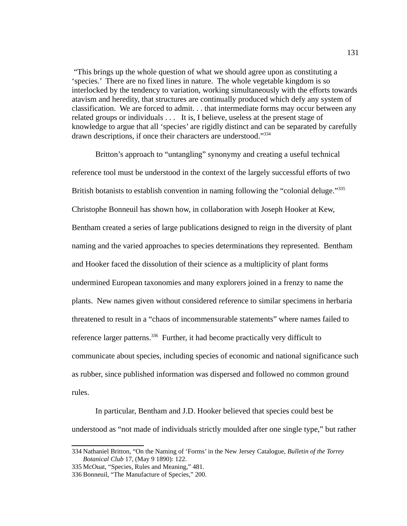"This brings up the whole question of what we should agree upon as constituting a 'species.' There are no fixed lines in nature. The whole vegetable kingdom is so interlocked by the tendency to variation, working simultaneously with the efforts towards atavism and heredity, that structures are continually produced which defy any system of classification. We are forced to admit. . . that intermediate forms may occur between any related groups or individuals . . . It is, I believe, useless at the present stage of knowledge to argue that all 'species' are rigidly distinct and can be separated by carefully drawn descriptions, if once their characters are understood."[334](#page-139-0)

Britton's approach to "untangling" synonymy and creating a useful technical reference tool must be understood in the context of the largely successful efforts of two British botanists to establish convention in naming following the "colonial deluge."<sup>[335](#page-139-1)</sup> Christophe Bonneuil has shown how, in collaboration with Joseph Hooker at Kew, Bentham created a series of large publications designed to reign in the diversity of plant naming and the varied approaches to species determinations they represented. Bentham and Hooker faced the dissolution of their science as a multiplicity of plant forms undermined European taxonomies and many explorers joined in a frenzy to name the plants. New names given without considered reference to similar specimens in herbaria threatened to result in a "chaos of incommensurable statements" where names failed to reference larger patterns.<sup>[336](#page-139-2)</sup> Further, it had become practically very difficult to communicate about species, including species of economic and national significance such as rubber, since published information was dispersed and followed no common ground rules.

In particular, Bentham and J.D. Hooker believed that species could best be understood as "not made of individuals strictly moulded after one single type," but rather

<span id="page-139-0"></span><sup>334</sup> Nathaniel Britton, "On the Naming of 'Forms' in the New Jersey Catalogue, *Bulletin of the Torrey Botanical Club* 17, (May 9 1890): 122.

<span id="page-139-1"></span><sup>335</sup> McOuat, "Species, Rules and Meaning," 481.

<span id="page-139-2"></span><sup>336</sup> Bonneuil, "The Manufacture of Species," 200.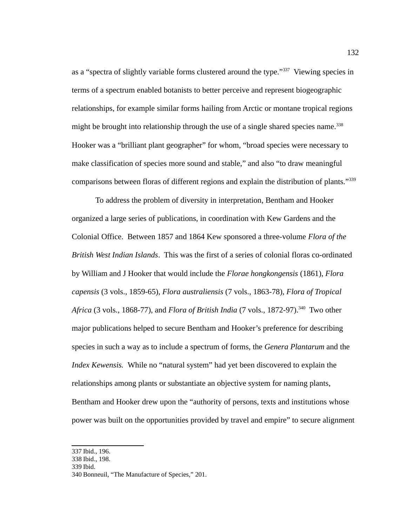as a "spectra of slightly variable forms clustered around the type."<sup>[337](#page-140-0)</sup> Viewing species in terms of a spectrum enabled botanists to better perceive and represent biogeographic relationships, for example similar forms hailing from Arctic or montane tropical regions might be brought into relationship through the use of a single shared species name.<sup>[338](#page-140-1)</sup> Hooker was a "brilliant plant geographer" for whom, "broad species were necessary to make classification of species more sound and stable," and also "to draw meaningful comparisons between floras of different regions and explain the distribution of plants."[339](#page-140-2)

To address the problem of diversity in interpretation, Bentham and Hooker organized a large series of publications, in coordination with Kew Gardens and the Colonial Office. Between 1857 and 1864 Kew sponsored a three-volume *Flora of the British West Indian Islands*. This was the first of a series of colonial floras co-ordinated by William and J Hooker that would include the *Florae hongkongensis* (1861), *Flora capensis* (3 vols., 1859-65), *Flora australiensis* (7 vols., 1863-78), *Flora of Tropical Africa* (3 vols., 1868-77), and *Flora of British India* (7 vols., 1872-97).[340](#page-140-3) Two other major publications helped to secure Bentham and Hooker's preference for describing species in such a way as to include a spectrum of forms, the *Genera Plantarum* and the *Index Kewensis.* While no "natural system" had yet been discovered to explain the relationships among plants or substantiate an objective system for naming plants, Bentham and Hooker drew upon the "authority of persons, texts and institutions whose power was built on the opportunities provided by travel and empire" to secure alignment

<span id="page-140-0"></span><sup>337</sup> Ibid., 196.

<span id="page-140-1"></span><sup>338</sup> Ibid., 198.

<span id="page-140-2"></span><sup>339</sup> Ibid.

<span id="page-140-3"></span><sup>340</sup> Bonneuil, "The Manufacture of Species," 201.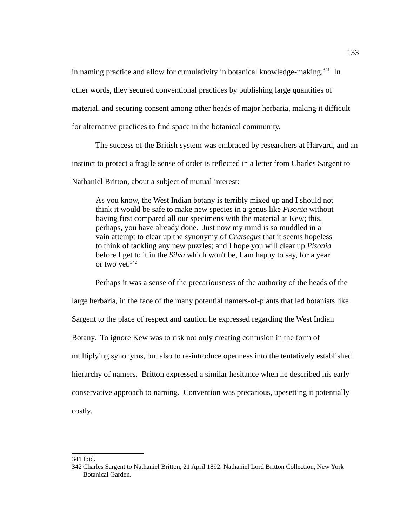in naming practice and allow for cumulativity in botanical knowledge-making.<sup>[341](#page-141-0)</sup> In other words, they secured conventional practices by publishing large quantities of material, and securing consent among other heads of major herbaria, making it difficult for alternative practices to find space in the botanical community.

The success of the British system was embraced by researchers at Harvard, and an instinct to protect a fragile sense of order is reflected in a letter from Charles Sargent to Nathaniel Britton, about a subject of mutual interest:

As you know, the West Indian botany is terribly mixed up and I should not think it would be safe to make new species in a genus like *Pisonia* without having first compared all our specimens with the material at Kew; this, perhaps, you have already done. Just now my mind is so muddled in a vain attempt to clear up the synonymy of *Cratsegus* that it seems hopeless to think of tackling any new puzzles; and I hope you will clear up *Pisonia* before I get to it in the *Silva* which won't be, I am happy to say, for a year or two yet.<sup>[342](#page-141-1)</sup>

Perhaps it was a sense of the precariousness of the authority of the heads of the large herbaria, in the face of the many potential namers-of-plants that led botanists like Sargent to the place of respect and caution he expressed regarding the West Indian Botany. To ignore Kew was to risk not only creating confusion in the form of multiplying synonyms, but also to re-introduce openness into the tentatively established hierarchy of namers. Britton expressed a similar hesitance when he described his early conservative approach to naming. Convention was precarious, upesetting it potentially costly.

<span id="page-141-0"></span><sup>341</sup> Ibid.

<span id="page-141-1"></span><sup>342</sup> Charles Sargent to Nathaniel Britton, 21 April 1892, Nathaniel Lord Britton Collection, New York Botanical Garden.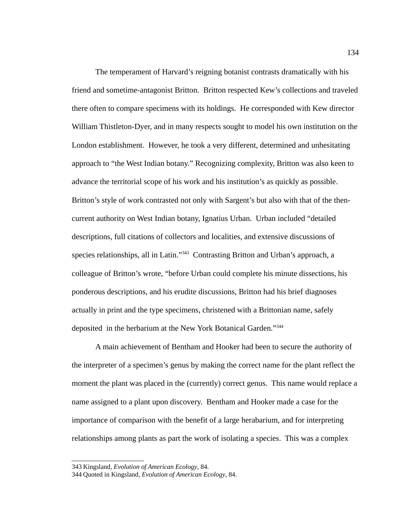The temperament of Harvard's reigning botanist contrasts dramatically with his friend and sometime-antagonist Britton. Britton respected Kew's collections and traveled there often to compare specimens with its holdings. He corresponded with Kew director William Thistleton-Dyer, and in many respects sought to model his own institution on the London establishment. However, he took a very different, determined and unhesitating approach to "the West Indian botany." Recognizing complexity, Britton was also keen to advance the territorial scope of his work and his institution's as quickly as possible. Britton's style of work contrasted not only with Sargent's but also with that of the thencurrent authority on West Indian botany, Ignatius Urban. Urban included "detailed descriptions, full citations of collectors and localities, and extensive discussions of species relationships, all in Latin."<sup>[343](#page-142-0)</sup> Contrasting Britton and Urban's approach, a colleague of Britton's wrote, "before Urban could complete his minute dissections, his ponderous descriptions, and his erudite discussions, Britton had his brief diagnoses actually in print and the type specimens, christened with a Brittonian name, safely deposited in the herbarium at the New York Botanical Garden."<sup>[344](#page-142-1)</sup>

A main achievement of Bentham and Hooker had been to secure the authority of the interpreter of a specimen's genus by making the correct name for the plant reflect the moment the plant was placed in the (currently) correct genus. This name would replace a name assigned to a plant upon discovery. Bentham and Hooker made a case for the importance of comparison with the benefit of a large herabarium, and for interpreting relationships among plants as part the work of isolating a species. This was a complex

<span id="page-142-0"></span><sup>343</sup> Kingsland, *Evolution of American Ecology*, 84.

<span id="page-142-1"></span><sup>344</sup> Quoted in Kingsland, *Evolution of American Ecology*, 84.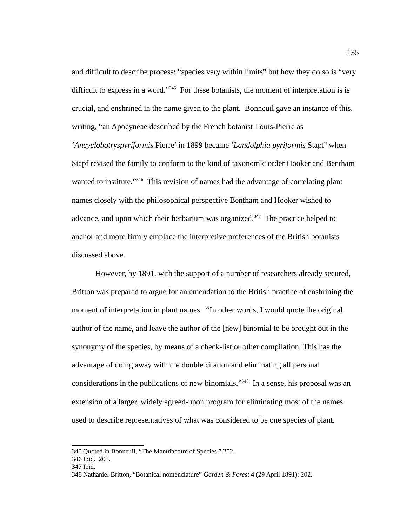and difficult to describe process: "species vary within limits" but how they do so is "very difficult to express in a word." $345$  For these botanists, the moment of interpretation is is crucial, and enshrined in the name given to the plant. Bonneuil gave an instance of this, writing, "an Apocyneae described by the French botanist Louis-Pierre as '*Ancyclobotryspyriformis* Pierre' in 1899 became '*Landolphia pyriformis* Stapf' when Stapf revised the family to conform to the kind of taxonomic order Hooker and Bentham wanted to institute."<sup>[346](#page-143-1)</sup> This revision of names had the advantage of correlating plant names closely with the philosophical perspective Bentham and Hooker wished to advance, and upon which their herbarium was organized. $347$  The practice helped to anchor and more firmly emplace the interpretive preferences of the British botanists discussed above.

However, by 1891, with the support of a number of researchers already secured, Britton was prepared to argue for an emendation to the British practice of enshrining the moment of interpretation in plant names. "In other words, I would quote the original author of the name, and leave the author of the [new] binomial to be brought out in the synonymy of the species, by means of a check-list or other compilation. This has the advantage of doing away with the double citation and eliminating all personal considerations in the publications of new binomials."[348](#page-143-3) In a sense, his proposal was an extension of a larger, widely agreed-upon program for eliminating most of the names used to describe representatives of what was considered to be one species of plant.

<span id="page-143-0"></span><sup>345</sup> Quoted in Bonneuil, "The Manufacture of Species," 202.

<span id="page-143-1"></span><sup>346</sup> Ibid., 205.

<span id="page-143-2"></span><sup>347</sup> Ibid.

<span id="page-143-3"></span><sup>348</sup> Nathaniel Britton, "Botanical nomenclature" *Garden & Forest* 4 (29 April 1891): 202.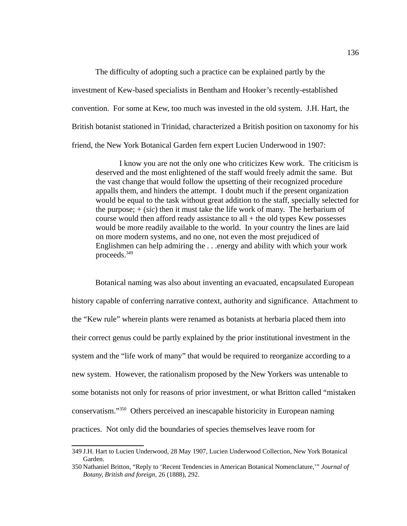The difficulty of adopting such a practice can be explained partly by the investment of Kew-based specialists in Bentham and Hooker's recently-established convention. For some at Kew, too much was invested in the old system. J.H. Hart, the British botanist stationed in Trinidad, characterized a British position on taxonomy for his friend, the New York Botanical Garden fern expert Lucien Underwood in 1907:

I know you are not the only one who criticizes Kew work. The criticism is deserved and the most enlightened of the staff would freely admit the same. But the vast change that would follow the upsetting of their recognized procedure appalls them, and hinders the attempt. I doubt much if the present organization would be equal to the task without great addition to the staff, specially selected for the purpose; + (*sic*) then it must take the life work of many. The herbarium of course would then afford ready assistance to all  $+$  the old types Kew possesses would be more readily available to the world. In your country the lines are laid on more modern systems, and no one, not even the most prejudiced of Englishmen can help admiring the . . .energy and ability with which your work proceeds.[349](#page-144-0)

Botanical naming was also about inventing an evacuated, encapsulated European history capable of conferring narrative context, authority and significance. Attachment to the "Kew rule" wherein plants were renamed as botanists at herbaria placed them into their correct genus could be partly explained by the prior institutional investment in the system and the "life work of many" that would be required to reorganize according to a new system. However, the rationalism proposed by the New Yorkers was untenable to some botanists not only for reasons of prior investment, or what Britton called "mistaken conservatism."[350](#page-144-1) Others perceived an inescapable historicity in European naming practices. Not only did the boundaries of species themselves leave room for

<span id="page-144-0"></span><sup>349</sup> J.H. Hart to Lucien Underwood, 28 May 1907, Lucien Underwood Collection, New York Botanical Garden.

<span id="page-144-1"></span><sup>350</sup> Nathaniel Britton, "Reply to 'Recent Tendencies in American Botanical Nomenclature,'" *Journal of Botany, British and foreign*, 26 (1888), 292.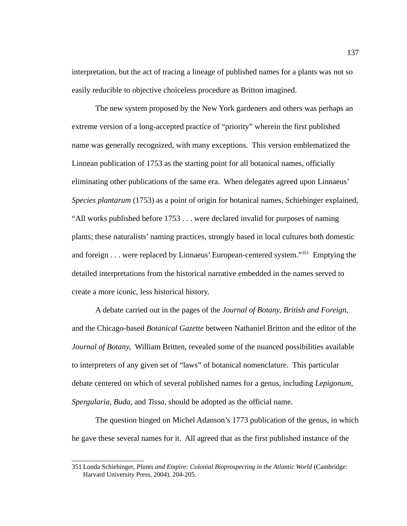interpretation, but the act of tracing a lineage of published names for a plants was not so easily reducible to objective choiceless procedure as Britton imagined.

The new system proposed by the New York gardeners and others was perhaps an extreme version of a long-accepted practice of "priority" wherein the first published name was generally recognized, with many exceptions. This version emblematized the Linnean publication of 1753 as the starting point for all botanical names, officially eliminating other publications of the same era. When delegates agreed upon Linnaeus' *Species plantarum* (1753) as a point of origin for botanical names, Schiebinger explained, "All works published before 1753 . . . were declared invalid for purposes of naming plants; these naturalists' naming practices, strongly based in local cultures both domestic and foreign  $\ldots$  were replaced by Linnaeus' European-centered system."<sup>[351](#page-145-0)</sup> Emptying the detailed interpretations from the historical narrative embedded in the names served to create a more iconic, less historical history.

A debate carried out in the pages of the *Journal of Botany, British and Foreign*, and the Chicago-based *Botanical Gazette* between Nathaniel Britton and the editor of the *Journal of Botany,* William Britten, revealed some of the nuanced possibilities available to interpreters of any given set of "laws" of botanical nomenclature. This particular debate centered on which of several published names for a genus, including *Lepigonum*, *Spergularia*, *Buda*, and *Tissa*, should be adopted as the official name.

The question hinged on Michel Adanson's 1773 publication of the genus, in which he gave these several names for it. All agreed that as the first published instance of the

<span id="page-145-0"></span><sup>351</sup> Londa Schiebinger, *Plants and Empire: Colonial Bioprospecting in the Atlantic World* (Cambridge: Harvard University Press, 2004), 204-205.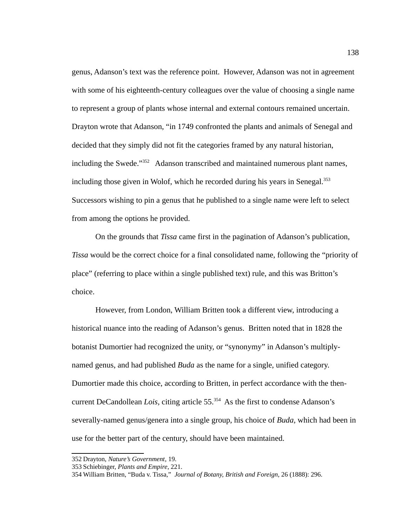genus, Adanson's text was the reference point. However, Adanson was not in agreement with some of his eighteenth-century colleagues over the value of choosing a single name to represent a group of plants whose internal and external contours remained uncertain. Drayton wrote that Adanson, "in 1749 confronted the plants and animals of Senegal and decided that they simply did not fit the categories framed by any natural historian, including the Swede."<sup>[352](#page-146-0)</sup> Adanson transcribed and maintained numerous plant names, including those given in Wolof, which he recorded during his years in Senegal.<sup>[353](#page-146-1)</sup> Successors wishing to pin a genus that he published to a single name were left to select from among the options he provided.

On the grounds that *Tissa* came first in the pagination of Adanson's publication, *Tissa* would be the correct choice for a final consolidated name, following the "priority of place" (referring to place within a single published text) rule, and this was Britton's choice.

However, from London, William Britten took a different view, introducing a historical nuance into the reading of Adanson's genus. Britten noted that in 1828 the botanist Dumortier had recognized the unity, or "synonymy" in Adanson's multiplynamed genus, and had published *Buda* as the name for a single, unified category. Dumortier made this choice, according to Britten, in perfect accordance with the thencurrent DeCandollean *Lois*, citing article 55.<sup>[354](#page-146-2)</sup> As the first to condense Adanson's severally-named genus/genera into a single group, his choice of *Buda,* which had been in use for the better part of the century, should have been maintained.

<span id="page-146-0"></span><sup>352</sup> Drayton, *Nature's Government*, 19.

<span id="page-146-1"></span><sup>353</sup>Schiebinger, *Plants and Empire*, 221.

<span id="page-146-2"></span><sup>354</sup> William Britten, "Buda v. Tissa," *Journal of Botany, British and Foreign*, 26 (1888): 296.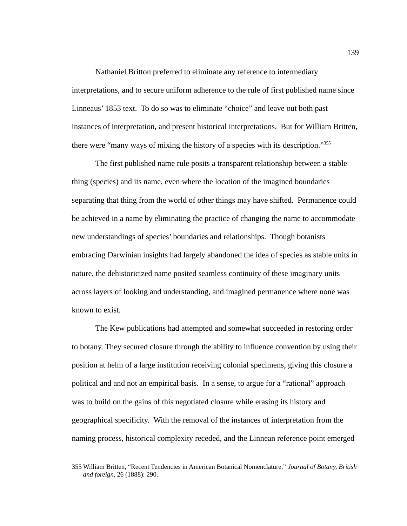Nathaniel Britton preferred to eliminate any reference to intermediary interpretations, and to secure uniform adherence to the rule of first published name since Linneaus' 1853 text. To do so was to eliminate "choice" and leave out both past instances of interpretation, and present historical interpretations. But for William Britten, there were "many ways of mixing the history of a species with its description."[355](#page-147-0)

The first published name rule posits a transparent relationship between a stable thing (species) and its name, even where the location of the imagined boundaries separating that thing from the world of other things may have shifted. Permanence could be achieved in a name by eliminating the practice of changing the name to accommodate new understandings of species' boundaries and relationships. Though botanists embracing Darwinian insights had largely abandoned the idea of species as stable units in nature, the dehistoricized name posited seamless continuity of these imaginary units across layers of looking and understanding, and imagined permanence where none was known to exist.

The Kew publications had attempted and somewhat succeeded in restoring order to botany. They secured closure through the ability to influence convention by using their position at helm of a large institution receiving colonial specimens, giving this closure a political and and not an empirical basis. In a sense, to argue for a "rational" approach was to build on the gains of this negotiated closure while erasing its history and geographical specificity. With the removal of the instances of interpretation from the naming process, historical complexity receded, and the Linnean reference point emerged

<span id="page-147-0"></span><sup>355</sup> William Britten, "Recent Tendencies in American Botanical Nomenclature," *Journal of Botany, British and foreign*, 26 (1888): 290.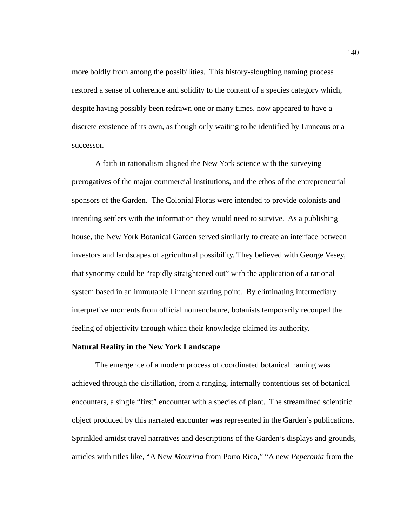more boldly from among the possibilities. This history-sloughing naming process restored a sense of coherence and solidity to the content of a species category which, despite having possibly been redrawn one or many times, now appeared to have a discrete existence of its own, as though only waiting to be identified by Linneaus or a successor.

A faith in rationalism aligned the New York science with the surveying prerogatives of the major commercial institutions, and the ethos of the entrepreneurial sponsors of the Garden. The Colonial Floras were intended to provide colonists and intending settlers with the information they would need to survive. As a publishing house, the New York Botanical Garden served similarly to create an interface between investors and landscapes of agricultural possibility. They believed with George Vesey, that synonmy could be "rapidly straightened out" with the application of a rational system based in an immutable Linnean starting point. By eliminating intermediary interpretive moments from official nomenclature, botanists temporarily recouped the feeling of objectivity through which their knowledge claimed its authority.

#### **Natural Reality in the New York Landscape**

The emergence of a modern process of coordinated botanical naming was achieved through the distillation, from a ranging, internally contentious set of botanical encounters, a single "first" encounter with a species of plant. The streamlined scientific object produced by this narrated encounter was represented in the Garden's publications. Sprinkled amidst travel narratives and descriptions of the Garden's displays and grounds, articles with titles like, "A New *Mouriria* from Porto Rico," "A new *Peperonia* from the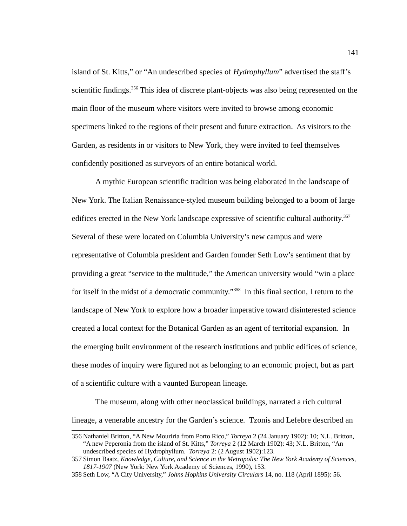island of St. Kitts," or "An undescribed species of *Hydrophyllum*" advertised the staff's scientific findings.<sup>[356](#page-149-0)</sup> This idea of discrete plant-objects was also being represented on the main floor of the museum where visitors were invited to browse among economic specimens linked to the regions of their present and future extraction. As visitors to the Garden, as residents in or visitors to New York, they were invited to feel themselves confidently positioned as surveyors of an entire botanical world.

A mythic European scientific tradition was being elaborated in the landscape of New York. The Italian Renaissance-styled museum building belonged to a boom of large edifices erected in the New York landscape expressive of scientific cultural authority.<sup>[357](#page-149-1)</sup> Several of these were located on Columbia University's new campus and were representative of Columbia president and Garden founder Seth Low's sentiment that by providing a great "service to the multitude," the American university would "win a place for itself in the midst of a democratic community."<sup>[358](#page-149-2)</sup> In this final section, I return to the landscape of New York to explore how a broader imperative toward disinterested science created a local context for the Botanical Garden as an agent of territorial expansion. In the emerging built environment of the research institutions and public edifices of science, these modes of inquiry were figured not as belonging to an economic project, but as part of a scientific culture with a vaunted European lineage.

The museum, along with other neoclassical buildings, narrated a rich cultural lineage, a venerable ancestry for the Garden's science. Tzonis and Lefebre described an

<span id="page-149-0"></span><sup>356</sup> Nathaniel Britton, "A New Mouriria from Porto Rico," *Torreya* 2 (24 January 1902): 10; N.L. Britton, "A new Peperonia from the island of St. Kitts," *Torreya* 2 (12 March 1902): 43; N.L. Britton, "An undescribed species of Hydrophyllum. *Torreya* 2: (2 August 1902):123.

<span id="page-149-1"></span><sup>357</sup>Simon Baatz, *Knowledge, Culture, and Science in the Metropolis: The New York Academy of Sciences, 1817-1907* (New York: New York Academy of Sciences, 1990), 153.

<span id="page-149-2"></span><sup>358</sup>Seth Low, "A City University," *Johns Hopkins University Circulars* 14, no. 118 (April 1895): 56.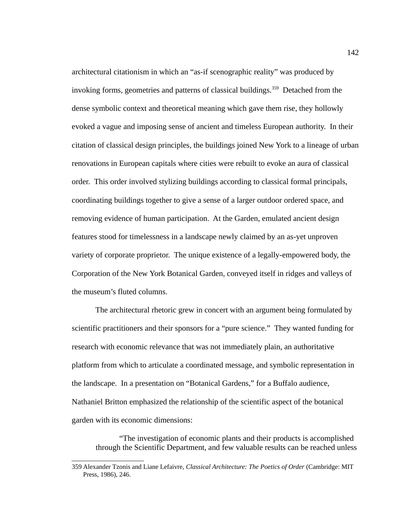architectural citationism in which an "as-if scenographic reality" was produced by invoking forms, geometries and patterns of classical buildings.<sup>[359](#page-150-0)</sup> Detached from the dense symbolic context and theoretical meaning which gave them rise, they hollowly evoked a vague and imposing sense of ancient and timeless European authority. In their citation of classical design principles, the buildings joined New York to a lineage of urban renovations in European capitals where cities were rebuilt to evoke an aura of classical order. This order involved stylizing buildings according to classical formal principals, coordinating buildings together to give a sense of a larger outdoor ordered space, and removing evidence of human participation. At the Garden, emulated ancient design features stood for timelessness in a landscape newly claimed by an as-yet unproven variety of corporate proprietor. The unique existence of a legally-empowered body, the Corporation of the New York Botanical Garden, conveyed itself in ridges and valleys of the museum's fluted columns.

The architectural rhetoric grew in concert with an argument being formulated by scientific practitioners and their sponsors for a "pure science." They wanted funding for research with economic relevance that was not immediately plain, an authoritative platform from which to articulate a coordinated message, and symbolic representation in the landscape. In a presentation on "Botanical Gardens," for a Buffalo audience, Nathaniel Britton emphasized the relationship of the scientific aspect of the botanical garden with its economic dimensions:

"The investigation of economic plants and their products is accomplished through the Scientific Department, and few valuable results can be reached unless

<span id="page-150-0"></span><sup>359</sup> Alexander Tzonis and Liane Lefaivre, *Classical Architecture: The Poetics of Order* (Cambridge: MIT Press, 1986), 246.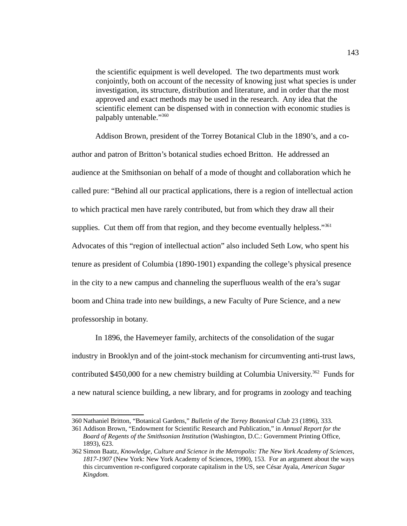the scientific equipment is well developed. The two departments must work conjointly, both on account of the necessity of knowing just what species is under investigation, its structure, distribution and literature, and in order that the most approved and exact methods may be used in the research. Any idea that the scientific element can be dispensed with in connection with economic studies is palpably untenable."[360](#page-151-0)

Addison Brown, president of the Torrey Botanical Club in the 1890's, and a coauthor and patron of Britton's botanical studies echoed Britton. He addressed an audience at the Smithsonian on behalf of a mode of thought and collaboration which he called pure: "Behind all our practical applications, there is a region of intellectual action to which practical men have rarely contributed, but from which they draw all their supplies. Cut them off from that region, and they become eventually helpless." $361$ Advocates of this "region of intellectual action" also included Seth Low, who spent his tenure as president of Columbia (1890-1901) expanding the college's physical presence in the city to a new campus and channeling the superfluous wealth of the era's sugar boom and China trade into new buildings, a new Faculty of Pure Science, and a new professorship in botany.

In 1896, the Havemeyer family, architects of the consolidation of the sugar industry in Brooklyn and of the joint-stock mechanism for circumventing anti-trust laws, contributed \$450,000 for a new chemistry building at Columbia University.<sup>[362](#page-151-2)</sup> Funds for a new natural science building, a new library, and for programs in zoology and teaching

<span id="page-151-0"></span><sup>360</sup> Nathaniel Britton, "Botanical Gardens," *Bulletin of the Torrey Botanical Club* 23 (1896), 333.

<span id="page-151-1"></span><sup>361</sup> Addison Brown, "Endowment for Scientific Research and Publication," in *Annual Report for the Board of Regents of the Smithsonian Institution* (Washington, D.C.: Government Printing Office, 1893), 623.

<span id="page-151-2"></span><sup>362</sup>Simon Baatz, *Knowledge, Culture and Science in the Metropolis: The New York Academy of Sciences, 1817-1907* (New York: New York Academy of Sciences, 1990), 153. For an argument about the ways this circumvention re-configured corporate capitalism in the US, see César Ayala, *American Sugar Kingdom.*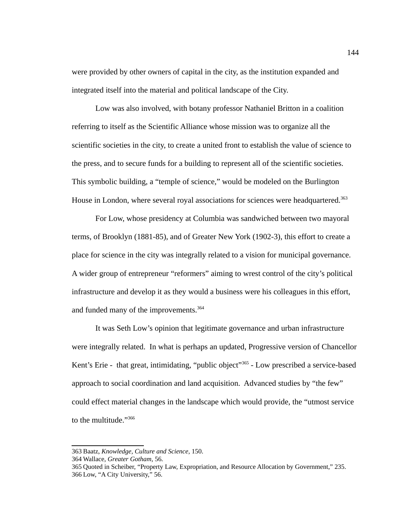were provided by other owners of capital in the city, as the institution expanded and integrated itself into the material and political landscape of the City.

Low was also involved, with botany professor Nathaniel Britton in a coalition referring to itself as the Scientific Alliance whose mission was to organize all the scientific societies in the city, to create a united front to establish the value of science to the press, and to secure funds for a building to represent all of the scientific societies. This symbolic building, a "temple of science," would be modeled on the Burlington House in London, where several royal associations for sciences were headquartered.<sup>[363](#page-152-0)</sup>

For Low, whose presidency at Columbia was sandwiched between two mayoral terms, of Brooklyn (1881-85), and of Greater New York (1902-3), this effort to create a place for science in the city was integrally related to a vision for municipal governance. A wider group of entrepreneur "reformers" aiming to wrest control of the city's political infrastructure and develop it as they would a business were his colleagues in this effort, and funded many of the improvements.  $364$ 

It was Seth Low's opinion that legitimate governance and urban infrastructure were integrally related. In what is perhaps an updated, Progressive version of Chancellor Kent's Erie - that great, intimidating, "public object"<sup>[365](#page-152-2)</sup> - Low prescribed a service-based approach to social coordination and land acquisition. Advanced studies by "the few" could effect material changes in the landscape which would provide, the "utmost service to the multitude."[366](#page-152-3)

<span id="page-152-0"></span><sup>363</sup> Baatz, *Knowledge, Culture and Science*, 150.

<span id="page-152-1"></span><sup>364</sup> Wallace, *Greater Gotham*, 56.

<span id="page-152-3"></span><span id="page-152-2"></span><sup>365</sup> Quoted in Scheiber, "Property Law, Expropriation, and Resource Allocation by Government," 235. 366 Low, "A City University," 56.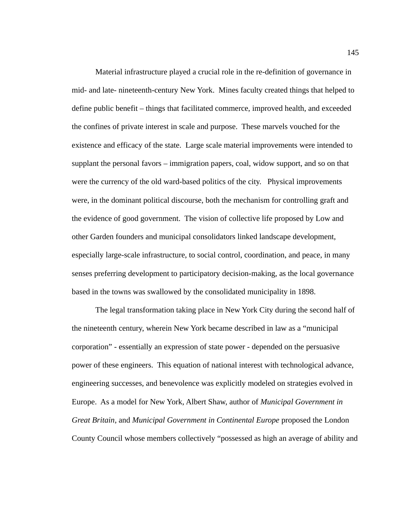Material infrastructure played a crucial role in the re-definition of governance in mid- and late- nineteenth-century New York. Mines faculty created things that helped to define public benefit – things that facilitated commerce, improved health, and exceeded the confines of private interest in scale and purpose. These marvels vouched for the existence and efficacy of the state. Large scale material improvements were intended to supplant the personal favors – immigration papers, coal, widow support, and so on that were the currency of the old ward-based politics of the city. Physical improvements were, in the dominant political discourse, both the mechanism for controlling graft and the evidence of good government. The vision of collective life proposed by Low and other Garden founders and municipal consolidators linked landscape development, especially large-scale infrastructure, to social control, coordination, and peace, in many senses preferring development to participatory decision-making, as the local governance based in the towns was swallowed by the consolidated municipality in 1898.

The legal transformation taking place in New York City during the second half of the nineteenth century, wherein New York became described in law as a "municipal corporation" - essentially an expression of state power - depended on the persuasive power of these engineers. This equation of national interest with technological advance, engineering successes, and benevolence was explicitly modeled on strategies evolved in Europe. As a model for New York, Albert Shaw, author of *Municipal Government in Great Britain*, and *Municipal Government in Continental Europe* proposed the London County Council whose members collectively "possessed as high an average of ability and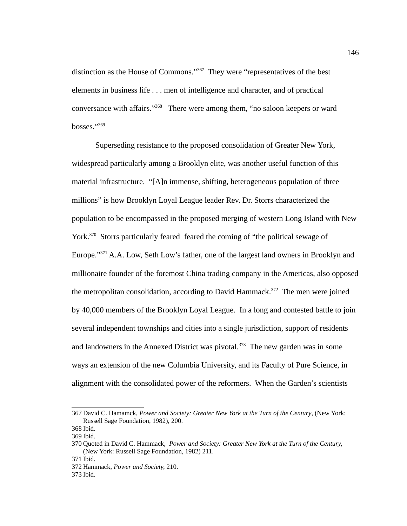distinction as the House of Commons."<sup>[367](#page-154-0)</sup> They were "representatives of the best elements in business life . . . men of intelligence and character, and of practical conversance with affairs."[368](#page-154-1) There were among them, "no saloon keepers or ward bosses."<sup>[369](#page-154-2)</sup>

Superseding resistance to the proposed consolidation of Greater New York, widespread particularly among a Brooklyn elite, was another useful function of this material infrastructure. "[A]n immense, shifting, heterogeneous population of three millions" is how Brooklyn Loyal League leader Rev. Dr. Storrs characterized the population to be encompassed in the proposed merging of western Long Island with New York.<sup>[370](#page-154-3)</sup> Storrs particularly feared feared the coming of "the political sewage of Europe."<sup>[371](#page-154-4)</sup> A.A. Low, Seth Low's father, one of the largest land owners in Brooklyn and millionaire founder of the foremost China trading company in the Americas, also opposed the metropolitan consolidation, according to David Hammack.<sup>[372](#page-154-5)</sup> The men were joined by 40,000 members of the Brooklyn Loyal League. In a long and contested battle to join several independent townships and cities into a single jurisdiction, support of residents and landowners in the Annexed District was pivotal.<sup>[373](#page-154-6)</sup> The new garden was in some ways an extension of the new Columbia University, and its Faculty of Pure Science, in alignment with the consolidated power of the reformers. When the Garden's scientists

<span id="page-154-0"></span><sup>367</sup> David C. Hamamck, *Power and Society: Greater New York at the Turn of the Century*, (New York: Russell Sage Foundation, 1982), 200.

<span id="page-154-1"></span><sup>368</sup> Ibid.

<span id="page-154-2"></span><sup>369</sup> Ibid.

<span id="page-154-3"></span><sup>370</sup> Quoted in David C. Hammack, *Power and Society: Greater New York at the Turn of the Century,*  (New York: Russell Sage Foundation, 1982) 211.

<span id="page-154-4"></span><sup>371</sup> Ibid.

<span id="page-154-5"></span><sup>372</sup> Hammack, *Power and Society,* 210.

<span id="page-154-6"></span><sup>373</sup> Ibid.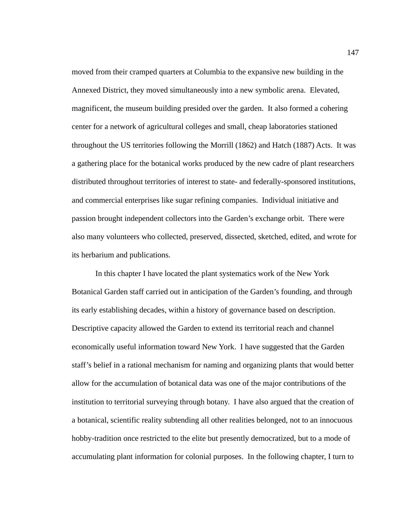moved from their cramped quarters at Columbia to the expansive new building in the Annexed District, they moved simultaneously into a new symbolic arena. Elevated, magnificent, the museum building presided over the garden. It also formed a cohering center for a network of agricultural colleges and small, cheap laboratories stationed throughout the US territories following the Morrill (1862) and Hatch (1887) Acts. It was a gathering place for the botanical works produced by the new cadre of plant researchers distributed throughout territories of interest to state- and federally-sponsored institutions, and commercial enterprises like sugar refining companies. Individual initiative and passion brought independent collectors into the Garden's exchange orbit. There were also many volunteers who collected, preserved, dissected, sketched, edited, and wrote for its herbarium and publications.

In this chapter I have located the plant systematics work of the New York Botanical Garden staff carried out in anticipation of the Garden's founding, and through its early establishing decades, within a history of governance based on description. Descriptive capacity allowed the Garden to extend its territorial reach and channel economically useful information toward New York. I have suggested that the Garden staff's belief in a rational mechanism for naming and organizing plants that would better allow for the accumulation of botanical data was one of the major contributions of the institution to territorial surveying through botany. I have also argued that the creation of a botanical, scientific reality subtending all other realities belonged, not to an innocuous hobby-tradition once restricted to the elite but presently democratized, but to a mode of accumulating plant information for colonial purposes. In the following chapter, I turn to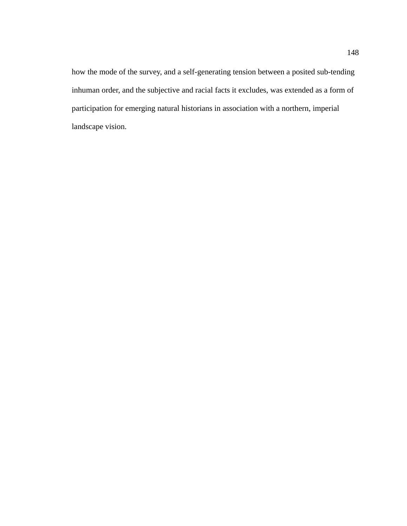how the mode of the survey, and a self-generating tension between a posited sub-tending inhuman order, and the subjective and racial facts it excludes, was extended as a form of participation for emerging natural historians in association with a northern, imperial landscape vision.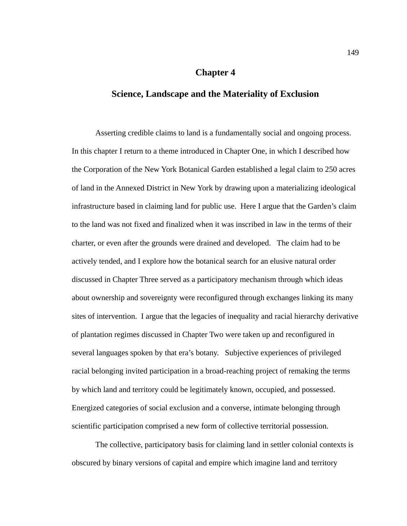## **Chapter 4**

# **Science, Landscape and the Materiality of Exclusion**

Asserting credible claims to land is a fundamentally social and ongoing process. In this chapter I return to a theme introduced in Chapter One, in which I described how the Corporation of the New York Botanical Garden established a legal claim to 250 acres of land in the Annexed District in New York by drawing upon a materializing ideological infrastructure based in claiming land for public use. Here I argue that the Garden's claim to the land was not fixed and finalized when it was inscribed in law in the terms of their charter, or even after the grounds were drained and developed. The claim had to be actively tended, and I explore how the botanical search for an elusive natural order discussed in Chapter Three served as a participatory mechanism through which ideas about ownership and sovereignty were reconfigured through exchanges linking its many sites of intervention. I argue that the legacies of inequality and racial hierarchy derivative of plantation regimes discussed in Chapter Two were taken up and reconfigured in several languages spoken by that era's botany. Subjective experiences of privileged racial belonging invited participation in a broad-reaching project of remaking the terms by which land and territory could be legitimately known, occupied, and possessed. Energized categories of social exclusion and a converse, intimate belonging through scientific participation comprised a new form of collective territorial possession.

The collective, participatory basis for claiming land in settler colonial contexts is obscured by binary versions of capital and empire which imagine land and territory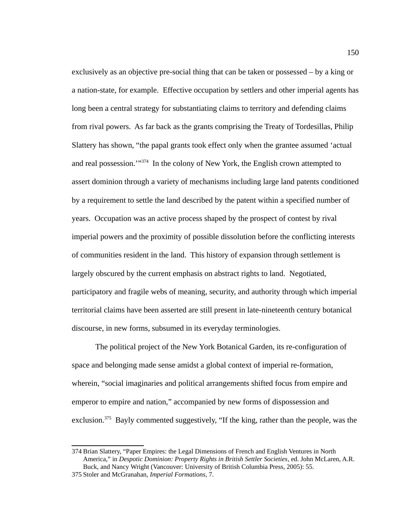exclusively as an objective pre-social thing that can be taken or possessed – by a king or a nation-state, for example. Effective occupation by settlers and other imperial agents has long been a central strategy for substantiating claims to territory and defending claims from rival powers. As far back as the grants comprising the Treaty of Tordesillas, Philip Slattery has shown, "the papal grants took effect only when the grantee assumed 'actual and real possession."<sup>[374](#page-158-0)</sup> In the colony of New York, the English crown attempted to assert dominion through a variety of mechanisms including large land patents conditioned by a requirement to settle the land described by the patent within a specified number of years. Occupation was an active process shaped by the prospect of contest by rival imperial powers and the proximity of possible dissolution before the conflicting interests of communities resident in the land. This history of expansion through settlement is largely obscured by the current emphasis on abstract rights to land. Negotiated, participatory and fragile webs of meaning, security, and authority through which imperial territorial claims have been asserted are still present in late-nineteenth century botanical discourse, in new forms, subsumed in its everyday terminologies.

The political project of the New York Botanical Garden, its re-configuration of space and belonging made sense amidst a global context of imperial re-formation, wherein, "social imaginaries and political arrangements shifted focus from empire and emperor to empire and nation," accompanied by new forms of dispossession and exclusion.<sup>[375](#page-158-1)</sup> Bayly commented suggestively, "If the king, rather than the people, was the

<span id="page-158-0"></span><sup>374</sup> Brian Slattery, "Paper Empires: the Legal Dimensions of French and English Ventures in North America," in *Despotic Dominion: Property Rights in British Settler Societies*, ed. John McLaren, A.R. Buck, and Nancy Wright (Vancouver: University of British Columbia Press, 2005): 55.

<span id="page-158-1"></span><sup>375</sup>Stoler and McGranahan, *Imperial Formations*, 7.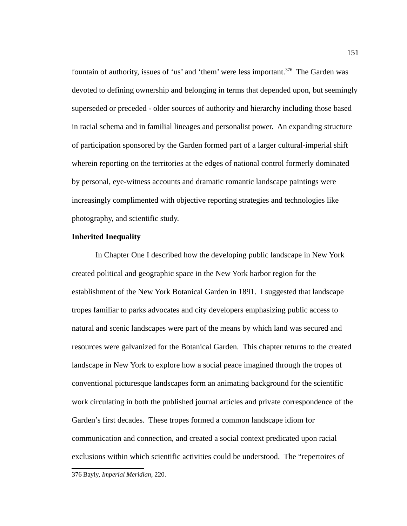fountain of authority, issues of 'us' and 'them' were less important.<sup>[376](#page-159-0)</sup> The Garden was devoted to defining ownership and belonging in terms that depended upon, but seemingly superseded or preceded - older sources of authority and hierarchy including those based in racial schema and in familial lineages and personalist power. An expanding structure of participation sponsored by the Garden formed part of a larger cultural-imperial shift wherein reporting on the territories at the edges of national control formerly dominated by personal, eye-witness accounts and dramatic romantic landscape paintings were increasingly complimented with objective reporting strategies and technologies like photography, and scientific study.

### **Inherited Inequality**

In Chapter One I described how the developing public landscape in New York created political and geographic space in the New York harbor region for the establishment of the New York Botanical Garden in 1891. I suggested that landscape tropes familiar to parks advocates and city developers emphasizing public access to natural and scenic landscapes were part of the means by which land was secured and resources were galvanized for the Botanical Garden. This chapter returns to the created landscape in New York to explore how a social peace imagined through the tropes of conventional picturesque landscapes form an animating background for the scientific work circulating in both the published journal articles and private correspondence of the Garden's first decades. These tropes formed a common landscape idiom for communication and connection, and created a social context predicated upon racial exclusions within which scientific activities could be understood. The "repertoires of

<sup>151</sup>

<span id="page-159-0"></span><sup>376</sup> Bayly, *Imperial Meridian*, 220.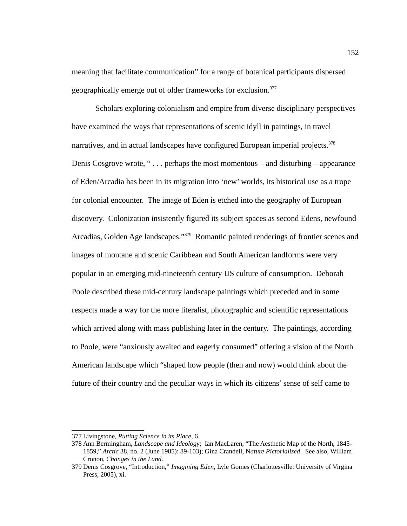meaning that facilitate communication" for a range of botanical participants dispersed geographically emerge out of older frameworks for exclusion.<sup>[377](#page-160-0)</sup>

Scholars exploring colonialism and empire from diverse disciplinary perspectives have examined the ways that representations of scenic idyll in paintings, in travel narratives, and in actual landscapes have configured European imperial projects.<sup>[378](#page-160-0)</sup> Denis Cosgrove wrote, " $\dots$  perhaps the most momentous – and disturbing – appearance of Eden/Arcadia has been in its migration into 'new' worlds, its historical use as a trope for colonial encounter. The image of Eden is etched into the geography of European discovery. Colonization insistently figured its subject spaces as second Edens, newfound Arcadias, Golden Age landscapes."<sup>[379](#page-160-1)</sup> Romantic painted renderings of frontier scenes and images of montane and scenic Caribbean and South American landforms were very popular in an emerging mid-nineteenth century US culture of consumption. Deborah Poole described these mid-century landscape paintings which preceded and in some respects made a way for the more literalist, photographic and scientific representations which arrived along with mass publishing later in the century. The paintings, according to Poole, were "anxiously awaited and eagerly consumed" offering a vision of the North American landscape which "shaped how people (then and now) would think about the future of their country and the peculiar ways in which its citizens' sense of self came to

<span id="page-160-0"></span><sup>377</sup> Livingstone, *Putting Science in its Place*, 6.

<sup>378</sup> Ann Bermingham, *Landscape and Ideology*; Ian MacLaren, "The Aesthetic Map of the North, 1845- 1859," *Arctic* 38, no. 2 (June 1985): 89-103); Gina Crandell, N*ature Pictorialized*. See also, William Cronon, *Changes in the Land*.

<span id="page-160-1"></span><sup>379</sup> Denis Cosgrove, "Introduction," *Imagining Eden*, Lyle Gomes (Charlottesville: University of Virgina Press, 2005), xi.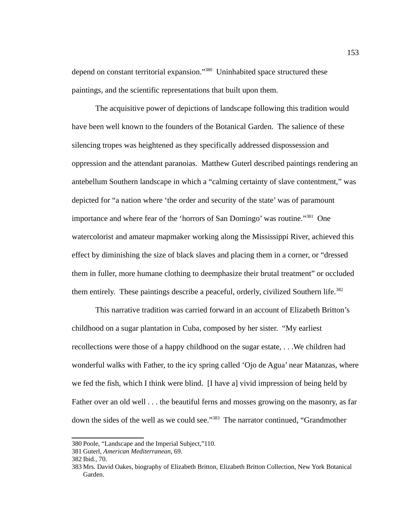depend on constant territorial expansion."<sup>[380](#page-161-0)</sup> Uninhabited space structured these paintings, and the scientific representations that built upon them.

The acquisitive power of depictions of landscape following this tradition would have been well known to the founders of the Botanical Garden. The salience of these silencing tropes was heightened as they specifically addressed dispossession and oppression and the attendant paranoias. Matthew Guterl described paintings rendering an antebellum Southern landscape in which a "calming certainty of slave contentment," was depicted for "a nation where 'the order and security of the state' was of paramount importance and where fear of the 'horrors of San Domingo' was routine."[381](#page-161-1) One watercolorist and amateur mapmaker working along the Mississippi River, achieved this effect by diminishing the size of black slaves and placing them in a corner, or "dressed them in fuller, more humane clothing to deemphasize their brutal treatment" or occluded them entirely. These paintings describe a peaceful, orderly, civilized Southern life.<sup>[382](#page-161-2)</sup>

This narrative tradition was carried forward in an account of Elizabeth Britton's childhood on a sugar plantation in Cuba, composed by her sister. "My earliest recollections were those of a happy childhood on the sugar estate, . . .We children had wonderful walks with Father, to the icy spring called 'Ojo de Agua' near Matanzas, where we fed the fish, which I think were blind. [I have a] vivid impression of being held by Father over an old well . . . the beautiful ferns and mosses growing on the masonry, as far down the sides of the well as we could see."[383](#page-161-3) The narrator continued, "Grandmother

<span id="page-161-0"></span><sup>380</sup>Poole, "Landscape and the Imperial Subject,"110.

<span id="page-161-1"></span><sup>381</sup> Guterl, *American Mediterranean*, 69.

<span id="page-161-2"></span><sup>382</sup> Ibid*.,* 70.

<span id="page-161-3"></span><sup>383</sup> Mrs. David Oakes, biography of Elizabeth Britton, Elizabeth Britton Collection, New York Botanical Garden.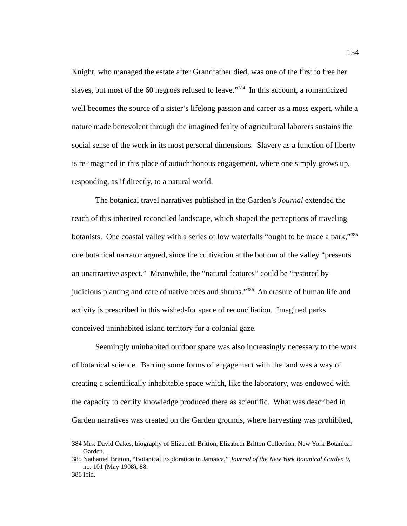Knight, who managed the estate after Grandfather died, was one of the first to free her slaves, but most of the 60 negroes refused to leave."<sup>[384](#page-162-0)</sup> In this account, a romanticized well becomes the source of a sister's lifelong passion and career as a moss expert, while a nature made benevolent through the imagined fealty of agricultural laborers sustains the social sense of the work in its most personal dimensions. Slavery as a function of liberty is re-imagined in this place of autochthonous engagement, where one simply grows up, responding, as if directly, to a natural world.

The botanical travel narratives published in the Garden's *Journal* extended the reach of this inherited reconciled landscape, which shaped the perceptions of traveling botanists. One coastal valley with a series of low waterfalls "ought to be made a park,"<sup>[385](#page-162-1)</sup> one botanical narrator argued, since the cultivation at the bottom of the valley "presents an unattractive aspect." Meanwhile, the "natural features" could be "restored by judicious planting and care of native trees and shrubs."<sup>[386](#page-162-2)</sup> An erasure of human life and activity is prescribed in this wished-for space of reconciliation. Imagined parks conceived uninhabited island territory for a colonial gaze.

Seemingly uninhabited outdoor space was also increasingly necessary to the work of botanical science. Barring some forms of engagement with the land was a way of creating a scientifically inhabitable space which, like the laboratory, was endowed with the capacity to certify knowledge produced there as scientific. What was described in Garden narratives was created on the Garden grounds, where harvesting was prohibited,

<span id="page-162-0"></span><sup>384</sup> Mrs. David Oakes, biography of Elizabeth Britton, Elizabeth Britton Collection, New York Botanical Garden.

<span id="page-162-1"></span><sup>385</sup> Nathaniel Britton, "Botanical Exploration in Jamaica," *Journal of the New York Botanical Garden* 9, no. 101 (May 1908), 88.

<span id="page-162-2"></span><sup>386</sup> Ibid.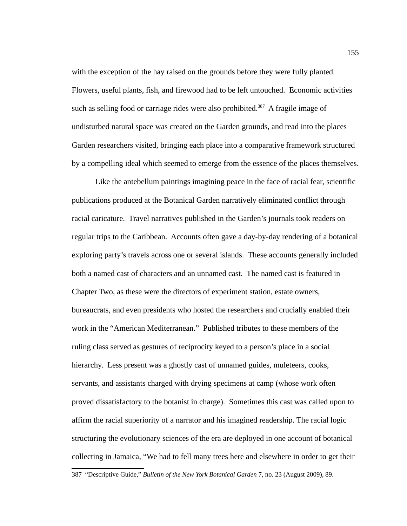with the exception of the hay raised on the grounds before they were fully planted. Flowers, useful plants, fish, and firewood had to be left untouched. Economic activities such as selling food or carriage rides were also prohibited.<sup>[387](#page-163-0)</sup> A fragile image of undisturbed natural space was created on the Garden grounds, and read into the places Garden researchers visited, bringing each place into a comparative framework structured by a compelling ideal which seemed to emerge from the essence of the places themselves.

Like the antebellum paintings imagining peace in the face of racial fear, scientific publications produced at the Botanical Garden narratively eliminated conflict through racial caricature. Travel narratives published in the Garden's journals took readers on regular trips to the Caribbean. Accounts often gave a day-by-day rendering of a botanical exploring party's travels across one or several islands. These accounts generally included both a named cast of characters and an unnamed cast. The named cast is featured in Chapter Two, as these were the directors of experiment station, estate owners, bureaucrats, and even presidents who hosted the researchers and crucially enabled their work in the "American Mediterranean." Published tributes to these members of the ruling class served as gestures of reciprocity keyed to a person's place in a social hierarchy. Less present was a ghostly cast of unnamed guides, muleteers, cooks, servants, and assistants charged with drying specimens at camp (whose work often proved dissatisfactory to the botanist in charge). Sometimes this cast was called upon to affirm the racial superiority of a narrator and his imagined readership. The racial logic structuring the evolutionary sciences of the era are deployed in one account of botanical collecting in Jamaica, "We had to fell many trees here and elsewhere in order to get their

<span id="page-163-0"></span><sup>387 &</sup>quot;Descriptive Guide," *Bulletin of the New York Botanical Garden* 7, no. 23 (August 2009), 89.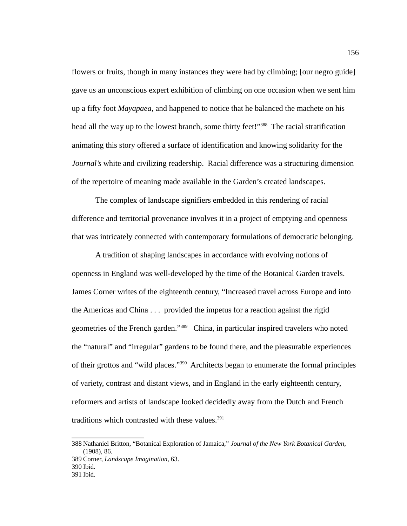flowers or fruits, though in many instances they were had by climbing; [our negro guide] gave us an unconscious expert exhibition of climbing on one occasion when we sent him up a fifty foot *Mayapaea*, and happened to notice that he balanced the machete on his head all the way up to the lowest branch, some thirty feet!"<sup>[388](#page-164-0)</sup> The racial stratification animating this story offered a surface of identification and knowing solidarity for the *Journal's* white and civilizing readership. Racial difference was a structuring dimension of the repertoire of meaning made available in the Garden's created landscapes.

The complex of landscape signifiers embedded in this rendering of racial difference and territorial provenance involves it in a project of emptying and openness that was intricately connected with contemporary formulations of democratic belonging.

A tradition of shaping landscapes in accordance with evolving notions of openness in England was well-developed by the time of the Botanical Garden travels. James Corner writes of the eighteenth century, "Increased travel across Europe and into the Americas and China . . . provided the impetus for a reaction against the rigid geometries of the French garden."<sup>[389](#page-164-1)</sup> China, in particular inspired travelers who noted the "natural" and "irregular" gardens to be found there, and the pleasurable experiences of their grottos and "wild places."[390](#page-164-2) Architects began to enumerate the formal principles of variety, contrast and distant views, and in England in the early eighteenth century, reformers and artists of landscape looked decidedly away from the Dutch and French traditions which contrasted with these values. $391$ 

<span id="page-164-0"></span><sup>388</sup> Nathaniel Britton, "Botanical Exploration of Jamaica," *Journal of the New York Botanical Garden*, (1908), 86.

<span id="page-164-1"></span><sup>389</sup> Corner, *Landscape Imagination*, 63.

<span id="page-164-2"></span><sup>390</sup> Ibid*.*

<span id="page-164-3"></span><sup>391</sup> Ibid*.*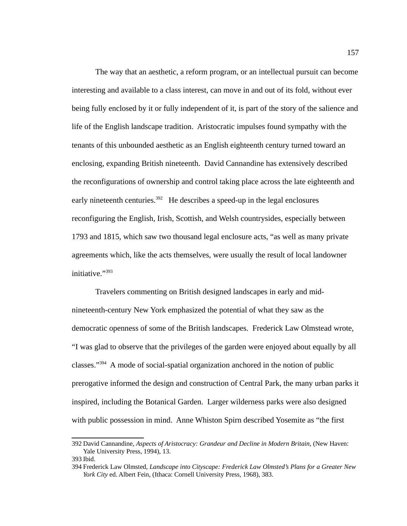The way that an aesthetic, a reform program, or an intellectual pursuit can become interesting and available to a class interest, can move in and out of its fold, without ever being fully enclosed by it or fully independent of it, is part of the story of the salience and life of the English landscape tradition. Aristocratic impulses found sympathy with the tenants of this unbounded aesthetic as an English eighteenth century turned toward an enclosing, expanding British nineteenth. David Cannandine has extensively described the reconfigurations of ownership and control taking place across the late eighteenth and early nineteenth centuries. $392$  He describes a speed-up in the legal enclosures reconfiguring the English, Irish, Scottish, and Welsh countrysides, especially between 1793 and 1815, which saw two thousand legal enclosure acts, "as well as many private agreements which, like the acts themselves, were usually the result of local landowner initiative."[393](#page-165-1)

Travelers commenting on British designed landscapes in early and midnineteenth-century New York emphasized the potential of what they saw as the democratic openness of some of the British landscapes. Frederick Law Olmstead wrote, "I was glad to observe that the privileges of the garden were enjoyed about equally by all classes."[394](#page-165-2) A mode of social-spatial organization anchored in the notion of public prerogative informed the design and construction of Central Park, the many urban parks it inspired, including the Botanical Garden. Larger wilderness parks were also designed with public possession in mind. Anne Whiston Spirn described Yosemite as "the first

<span id="page-165-0"></span><sup>392</sup> David Cannandine, *Aspects of Aristocracy: Grandeur and Decline in Modern Britain,* (New Haven: Yale University Press, 1994), 13.

<span id="page-165-1"></span><sup>393</sup> Ibid.

<span id="page-165-2"></span><sup>394</sup>Frederick Law Olmsted, *Landscape into Cityscape: Frederick Law Olmsted's Plans for a Greater New York City* ed. Albert Fein, (Ithaca: Cornell University Press, 1968), 383.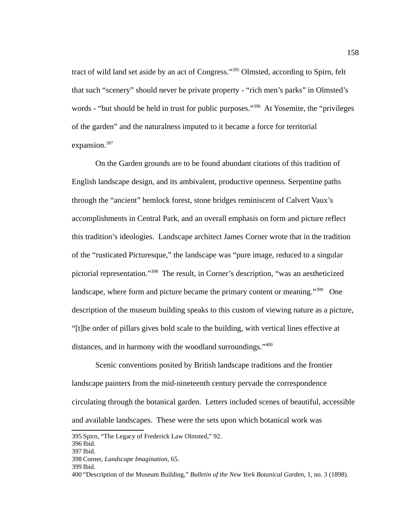tract of wild land set aside by an act of Congress."<sup>[395](#page-166-0)</sup> Olmsted, according to Spirn, felt that such "scenery" should never be private property - "rich men's parks" in Olmsted's words - "but should be held in trust for public purposes."<sup>[396](#page-166-1)</sup> At Yosemite, the "privileges of the garden" and the naturalness imputed to it became a force for territorial expansion.<sup>[397](#page-166-2)</sup>

On the Garden grounds are to be found abundant citations of this tradition of English landscape design, and its ambivalent, productive openness. Serpentine paths through the "ancient" hemlock forest, stone bridges reminiscent of Calvert Vaux's accomplishments in Central Park, and an overall emphasis on form and picture reflect this tradition's ideologies. Landscape architect James Corner wrote that in the tradition of the "rusticated Picturesque," the landscape was "pure image, reduced to a singular pictorial representation."[398](#page-166-3) The result, in Corner's description, "was an aestheticized landscape, where form and picture became the primary content or meaning."<sup>[399](#page-166-4)</sup> One description of the museum building speaks to this custom of viewing nature as a picture, "[t]he order of pillars gives bold scale to the building, with vertical lines effective at distances, and in harmony with the woodland surroundings."<sup>[400](#page-166-5)</sup>

Scenic conventions posited by British landscape traditions and the frontier landscape painters from the mid-nineteenth century pervade the correspondence circulating through the botanical garden. Letters included scenes of beautiful, accessible and available landscapes. These were the sets upon which botanical work was

<span id="page-166-0"></span><sup>395</sup>Spirn, "The Legacy of Frederick Law Olmsted," 92.

<span id="page-166-1"></span><sup>396</sup> Ibid.

<span id="page-166-2"></span><sup>397</sup> Ibid.

<span id="page-166-3"></span><sup>398</sup> Corner, *Landscape Imagination,* 65.

<span id="page-166-4"></span><sup>399</sup> Ibid.

<span id="page-166-5"></span><sup>400</sup> "Description of the Museum Building," *Bulletin of the New York Botanical Garden*, 1, no. 3 (1898).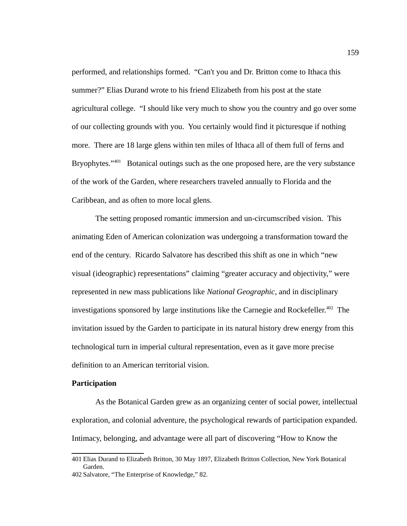performed, and relationships formed. "Can't you and Dr. Britton come to Ithaca this summer?" Elias Durand wrote to his friend Elizabeth from his post at the state agricultural college. "I should like very much to show you the country and go over some of our collecting grounds with you. You certainly would find it picturesque if nothing more. There are 18 large glens within ten miles of Ithaca all of them full of ferns and Bryophytes. $1401}$  $1401}$  $1401}$  Botanical outings such as the one proposed here, are the very substance of the work of the Garden, where researchers traveled annually to Florida and the Caribbean, and as often to more local glens.

The setting proposed romantic immersion and un-circumscribed vision. This animating Eden of American colonization was undergoing a transformation toward the end of the century. Ricardo Salvatore has described this shift as one in which "new visual (ideographic) representations" claiming "greater accuracy and objectivity," were represented in new mass publications like *National Geographic*, and in disciplinary investigations sponsored by large institutions like the Carnegie and Rockefeller.<sup>[402](#page-167-1)</sup> The invitation issued by the Garden to participate in its natural history drew energy from this technological turn in imperial cultural representation, even as it gave more precise definition to an American territorial vision.

### **Participation**

As the Botanical Garden grew as an organizing center of social power, intellectual exploration, and colonial adventure, the psychological rewards of participation expanded. Intimacy, belonging, and advantage were all part of discovering "How to Know the

<span id="page-167-0"></span><sup>401</sup> Elias Durand to Elizabeth Britton, 30 May 1897, Elizabeth Britton Collection, New York Botanical Garden.

<span id="page-167-1"></span><sup>402</sup> Salvatore, "The Enterprise of Knowledge," 82.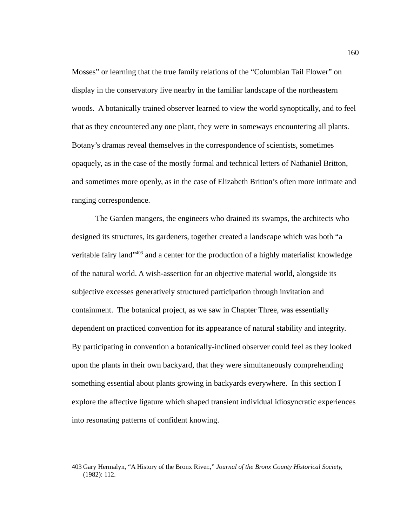Mosses" or learning that the true family relations of the "Columbian Tail Flower" on display in the conservatory live nearby in the familiar landscape of the northeastern woods. A botanically trained observer learned to view the world synoptically, and to feel that as they encountered any one plant, they were in someways encountering all plants. Botany's dramas reveal themselves in the correspondence of scientists, sometimes opaquely, as in the case of the mostly formal and technical letters of Nathaniel Britton, and sometimes more openly, as in the case of Elizabeth Britton's often more intimate and ranging correspondence.

The Garden mangers, the engineers who drained its swamps, the architects who designed its structures, its gardeners, together created a landscape which was both "a veritable fairy land"[403](#page-168-0) and a center for the production of a highly materialist knowledge of the natural world. A wish-assertion for an objective material world, alongside its subjective excesses generatively structured participation through invitation and containment. The botanical project, as we saw in Chapter Three, was essentially dependent on practiced convention for its appearance of natural stability and integrity. By participating in convention a botanically-inclined observer could feel as they looked upon the plants in their own backyard, that they were simultaneously comprehending something essential about plants growing in backyards everywhere. In this section I explore the affective ligature which shaped transient individual idiosyncratic experiences into resonating patterns of confident knowing.

<span id="page-168-0"></span><sup>403</sup> Gary Hermalyn, "A History of the Bronx River.," *Journal of the Bronx County Historical Society,* (1982): 112.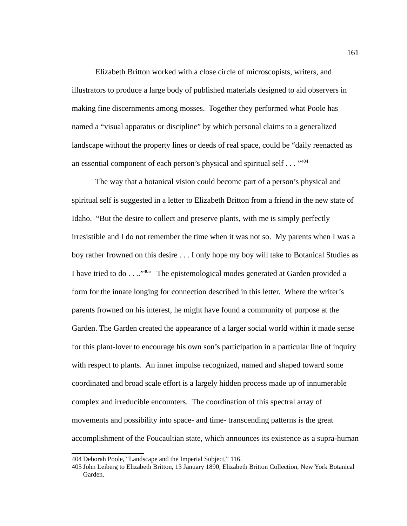Elizabeth Britton worked with a close circle of microscopists, writers, and illustrators to produce a large body of published materials designed to aid observers in making fine discernments among mosses. Together they performed what Poole has named a "visual apparatus or discipline" by which personal claims to a generalized landscape without the property lines or deeds of real space, could be "daily reenacted as an essential component of each person's physical and spiritual self  $\dots$ <sup>[404](#page-169-0)</sup>

The way that a botanical vision could become part of a person's physical and spiritual self is suggested in a letter to Elizabeth Britton from a friend in the new state of Idaho. "But the desire to collect and preserve plants, with me is simply perfectly irresistible and I do not remember the time when it was not so. My parents when I was a boy rather frowned on this desire . . . I only hope my boy will take to Botanical Studies as I have tried to do . . .."<sup>[405](#page-169-1)</sup> The epistemological modes generated at Garden provided a form for the innate longing for connection described in this letter. Where the writer's parents frowned on his interest, he might have found a community of purpose at the Garden. The Garden created the appearance of a larger social world within it made sense for this plant-lover to encourage his own son's participation in a particular line of inquiry with respect to plants. An inner impulse recognized, named and shaped toward some coordinated and broad scale effort is a largely hidden process made up of innumerable complex and irreducible encounters. The coordination of this spectral array of movements and possibility into space- and time- transcending patterns is the great accomplishment of the Foucaultian state, which announces its existence as a supra-human

<span id="page-169-0"></span><sup>404</sup> Deborah Poole, "Landscape and the Imperial Subject," 116.

<span id="page-169-1"></span><sup>405</sup> John Leiberg to Elizabeth Britton, 13 January 1890, Elizabeth Britton Collection, New York Botanical Garden.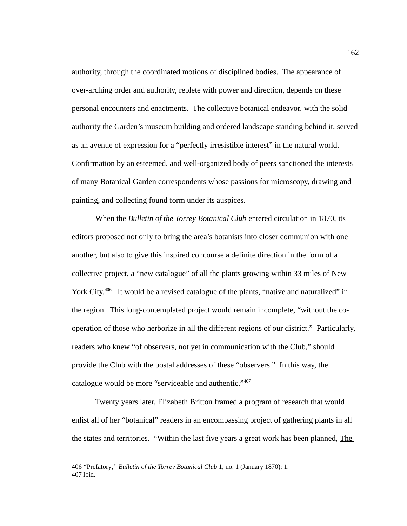authority, through the coordinated motions of disciplined bodies. The appearance of over-arching order and authority, replete with power and direction, depends on these personal encounters and enactments. The collective botanical endeavor, with the solid authority the Garden's museum building and ordered landscape standing behind it, served as an avenue of expression for a "perfectly irresistible interest" in the natural world. Confirmation by an esteemed, and well-organized body of peers sanctioned the interests of many Botanical Garden correspondents whose passions for microscopy, drawing and painting, and collecting found form under its auspices.

When the *Bulletin of the Torrey Botanical Club* entered circulation in 1870, its editors proposed not only to bring the area's botanists into closer communion with one another, but also to give this inspired concourse a definite direction in the form of a collective project, a "new catalogue" of all the plants growing within 33 miles of New York City.<sup>[406](#page-170-0)</sup> It would be a revised catalogue of the plants, "native and naturalized" in the region. This long-contemplated project would remain incomplete, "without the cooperation of those who herborize in all the different regions of our district." Particularly, readers who knew "of observers, not yet in communication with the Club," should provide the Club with the postal addresses of these "observers." In this way, the catalogue would be more "serviceable and authentic."<sup>[407](#page-170-1)</sup>

Twenty years later, Elizabeth Britton framed a program of research that would enlist all of her "botanical" readers in an encompassing project of gathering plants in all the states and territories. "Within the last five years a great work has been planned, The

<span id="page-170-1"></span><span id="page-170-0"></span><sup>406</sup>*"*Prefatory*," Bulletin of the Torrey Botanical Club* 1, no. 1 (January 1870): 1. 407 Ibid.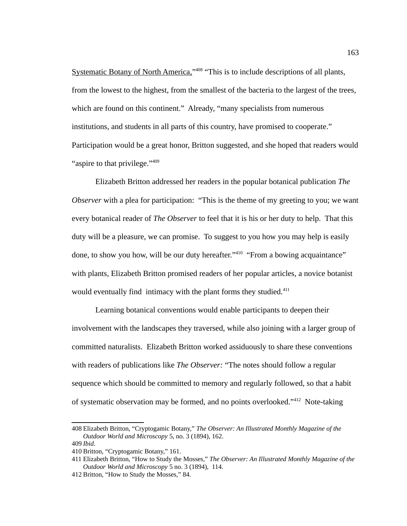Systematic Botany of North America,"<sup>[408](#page-171-0)</sup> "This is to include descriptions of all plants, from the lowest to the highest, from the smallest of the bacteria to the largest of the trees, which are found on this continent." Already, "many specialists from numerous institutions, and students in all parts of this country, have promised to cooperate." Participation would be a great honor, Britton suggested, and she hoped that readers would "aspire to that privilege."<sup>[409](#page-171-1)</sup>

Elizabeth Britton addressed her readers in the popular botanical publication *The Observer* with a plea for participation: "This is the theme of my greeting to you; we want every botanical reader of *The Observer* to feel that it is his or her duty to help. That this duty will be a pleasure, we can promise. To suggest to you how you may help is easily done, to show you how, will be our duty hereafter."<sup>[410](#page-171-2)</sup> "From a bowing acquaintance" with plants, Elizabeth Britton promised readers of her popular articles, a novice botanist would eventually find intimacy with the plant forms they studied.<sup>[411](#page-171-3)</sup>

Learning botanical conventions would enable participants to deepen their involvement with the landscapes they traversed, while also joining with a larger group of committed naturalists. Elizabeth Britton worked assiduously to share these conventions with readers of publications like *The Observer:* "The notes should follow a regular sequence which should be committed to memory and regularly followed, so that a habit of systematic observation may be formed, and no points overlooked."[412](#page-171-4) Note-taking

<span id="page-171-0"></span><sup>408</sup> Elizabeth Britton, "Cryptogamic Botany," *The Observer: An Illustrated Monthly Magazine of the Outdoor World and Microscopy* 5, no. 3 (1894), 162. 409 *Ibid*.

<span id="page-171-2"></span><span id="page-171-1"></span>

<sup>410</sup> Britton, "Cryptogamic Botany," 161.

<span id="page-171-3"></span><sup>411</sup> Elizabeth Britton, "How to Study the Mosses," *The Observer: An Illustrated Monthly Magazine of the Outdoor World and Microscopy* 5 no. 3 (1894)*,* 114.

<span id="page-171-4"></span><sup>412</sup> Britton, "How to Study the Mosses," 84.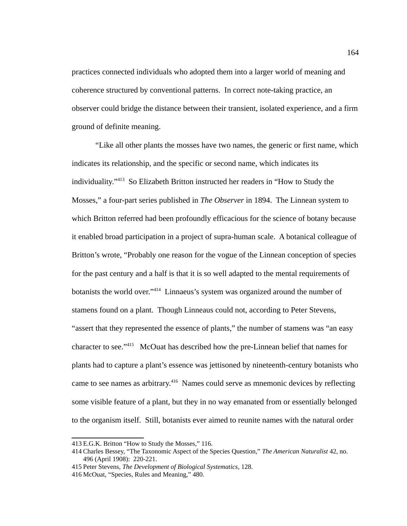practices connected individuals who adopted them into a larger world of meaning and coherence structured by conventional patterns. In correct note-taking practice, an observer could bridge the distance between their transient, isolated experience, and a firm ground of definite meaning.

"Like all other plants the mosses have two names, the generic or first name, which indicates its relationship, and the specific or second name, which indicates its individuality."[413](#page-172-0) So Elizabeth Britton instructed her readers in "How to Study the Mosses," a four-part series published in *The Observer* in 1894. The Linnean system to which Britton referred had been profoundly efficacious for the science of botany because it enabled broad participation in a project of supra-human scale. A botanical colleague of Britton's wrote, "Probably one reason for the vogue of the Linnean conception of species for the past century and a half is that it is so well adapted to the mental requirements of botanists the world over."<sup>[414](#page-172-1)</sup> Linnaeus's system was organized around the number of stamens found on a plant. Though Linneaus could not, according to Peter Stevens, "assert that they represented the essence of plants," the number of stamens was "an easy character to see."[415](#page-172-2) McOuat has described how the pre-Linnean belief that names for plants had to capture a plant's essence was jettisoned by nineteenth-century botanists who came to see names as arbitrary.<sup>[416](#page-172-3)</sup> Names could serve as mnemonic devices by reflecting some visible feature of a plant, but they in no way emanated from or essentially belonged to the organism itself. Still, botanists ever aimed to reunite names with the natural order

<span id="page-172-0"></span><sup>413</sup> E.G.K. Britton "How to Study the Mosses," 116.

<span id="page-172-1"></span><sup>414</sup> Charles Bessey, "The Taxonomic Aspect of the Species Question," *The American Naturalist* 42, no. 496 (April 1908): 220-221.

<span id="page-172-2"></span><sup>415</sup>Peter Stevens, *The Development of Biological Systematics*, 128.

<span id="page-172-3"></span><sup>416</sup> McOuat, "Species, Rules and Meaning," 480.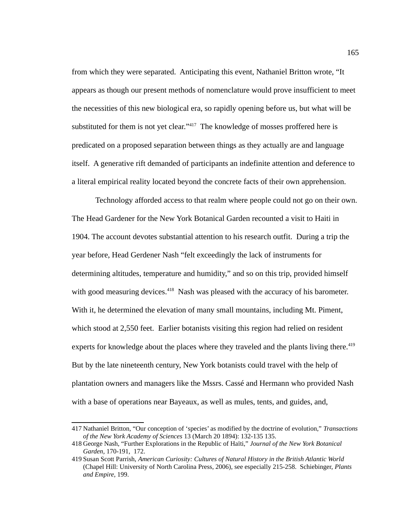from which they were separated. Anticipating this event, Nathaniel Britton wrote, "It appears as though our present methods of nomenclature would prove insufficient to meet the necessities of this new biological era, so rapidly opening before us, but what will be substituted for them is not yet clear."<sup>[417](#page-173-0)</sup> The knowledge of mosses proffered here is predicated on a proposed separation between things as they actually are and language itself. A generative rift demanded of participants an indefinite attention and deference to a literal empirical reality located beyond the concrete facts of their own apprehension.

Technology afforded access to that realm where people could not go on their own. The Head Gardener for the New York Botanical Garden recounted a visit to Haiti in 1904. The account devotes substantial attention to his research outfit. During a trip the year before, Head Gerdener Nash "felt exceedingly the lack of instruments for determining altitudes, temperature and humidity," and so on this trip, provided himself with good measuring devices. $418$  Nash was pleased with the accuracy of his barometer. With it, he determined the elevation of many small mountains, including Mt. Piment, which stood at 2,550 feet. Earlier botanists visiting this region had relied on resident experts for knowledge about the places where they traveled and the plants living there.<sup>[419](#page-173-2)</sup> But by the late nineteenth century, New York botanists could travel with the help of plantation owners and managers like the Mssrs. Cassé and Hermann who provided Nash with a base of operations near Bayeaux, as well as mules, tents, and guides, and,

<span id="page-173-0"></span><sup>417</sup> Nathaniel Britton, "Our conception of 'species' as modified by the doctrine of evolution," *Transactions of the New York Academy of Sciences* 13 (March 20 1894): 132-135 135.

<span id="page-173-1"></span><sup>418</sup> George Nash, "Further Explorations in the Republic of Haïti," *Journal of the New York Botanical Garden*, 170-191, 172.

<span id="page-173-2"></span><sup>419</sup>Susan Scott Parrish, *American Curiosity: Cultures of Natural History in the British Atlantic World*  (Chapel Hill: University of North Carolina Press, 2006), see especially 215-258. Schiebinger, *Plants and Empire,* 199.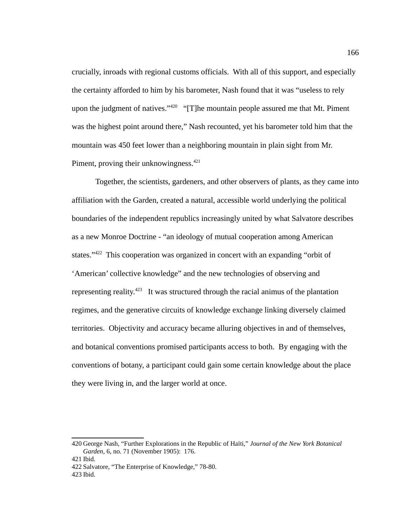crucially, inroads with regional customs officials. With all of this support, and especially the certainty afforded to him by his barometer, Nash found that it was "useless to rely upon the judgment of natives." $420$  "[T]he mountain people assured me that Mt. Piment was the highest point around there," Nash recounted, yet his barometer told him that the mountain was 450 feet lower than a neighboring mountain in plain sight from Mr. Piment, proving their unknowingness.<sup>[421](#page-174-1)</sup>

Together, the scientists, gardeners, and other observers of plants, as they came into affiliation with the Garden, created a natural, accessible world underlying the political boundaries of the independent republics increasingly united by what Salvatore describes as a new Monroe Doctrine - "an ideology of mutual cooperation among American states."<sup>[422](#page-174-2)</sup> This cooperation was organized in concert with an expanding "orbit of 'American' collective knowledge" and the new technologies of observing and representing reality.<sup>[423](#page-174-3)</sup> It was structured through the racial animus of the plantation regimes, and the generative circuits of knowledge exchange linking diversely claimed territories. Objectivity and accuracy became alluring objectives in and of themselves, and botanical conventions promised participants access to both. By engaging with the conventions of botany, a participant could gain some certain knowledge about the place they were living in, and the larger world at once.

<span id="page-174-0"></span><sup>420</sup> George Nash, "Further Explorations in the Republic of Haïti," *Journal of the New York Botanical Garden*, 6, no. 71 (November 1905): 176.

<span id="page-174-1"></span><sup>421</sup> Ibid.

<span id="page-174-2"></span><sup>422</sup> Salvatore, "The Enterprise of Knowledge," 78-80.

<span id="page-174-3"></span><sup>423</sup> Ibid.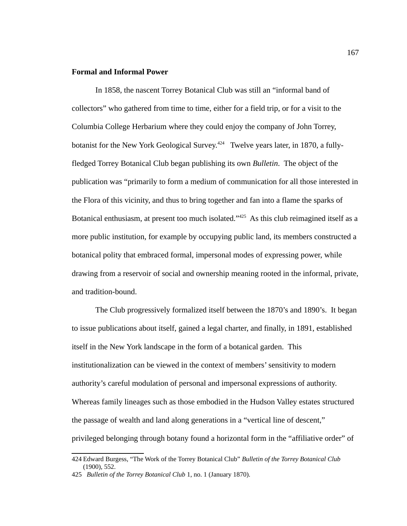### **Formal and Informal Power**

In 1858, the nascent Torrey Botanical Club was still an "informal band of collectors" who gathered from time to time, either for a field trip, or for a visit to the Columbia College Herbarium where they could enjoy the company of John Torrey, botanist for the New York Geological Survey.<sup>[424](#page-175-0)</sup> Twelve years later, in 1870, a fullyfledged Torrey Botanical Club began publishing its own *Bulletin*. The object of the publication was "primarily to form a medium of communication for all those interested in the Flora of this vicinity, and thus to bring together and fan into a flame the sparks of Botanical enthusiasm, at present too much isolated."<sup>[425](#page-175-1)</sup> As this club reimagined itself as a more public institution, for example by occupying public land, its members constructed a botanical polity that embraced formal, impersonal modes of expressing power, while drawing from a reservoir of social and ownership meaning rooted in the informal, private, and tradition-bound.

The Club progressively formalized itself between the 1870's and 1890's. It began to issue publications about itself, gained a legal charter, and finally, in 1891, established itself in the New York landscape in the form of a botanical garden. This institutionalization can be viewed in the context of members' sensitivity to modern authority's careful modulation of personal and impersonal expressions of authority. Whereas family lineages such as those embodied in the Hudson Valley estates structured the passage of wealth and land along generations in a "vertical line of descent," privileged belonging through botany found a horizontal form in the "affiliative order" of

<span id="page-175-0"></span><sup>424</sup> Edward Burgess, "The Work of the Torrey Botanical Club" *Bulletin of the Torrey Botanical Club* (1900), 552.

<span id="page-175-1"></span><sup>425</sup> *Bulletin of the Torrey Botanical Club* 1, no. 1 (January 1870).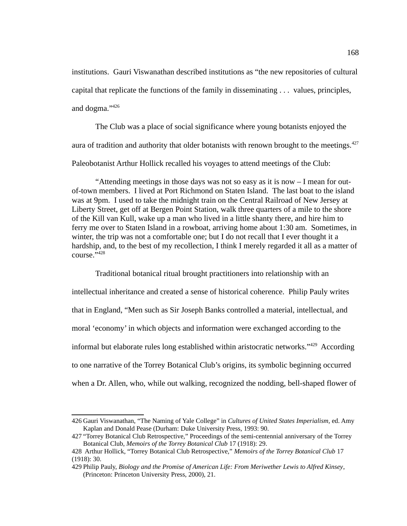institutions. Gauri Viswanathan described institutions as "the new repositories of cultural capital that replicate the functions of the family in disseminating . . . values, principles, and dogma."[426](#page-176-0)

The Club was a place of social significance where young botanists enjoyed the aura of tradition and authority that older botanists with renown brought to the meetings.  $427$ Paleobotanist Arthur Hollick recalled his voyages to attend meetings of the Club:

"Attending meetings in those days was not so easy as it is now  $-1$  mean for outof-town members. I lived at Port Richmond on Staten Island. The last boat to the island was at 9pm. I used to take the midnight train on the Central Railroad of New Jersey at Liberty Street, get off at Bergen Point Station, walk three quarters of a mile to the shore of the Kill van Kull, wake up a man who lived in a little shanty there, and hire him to ferry me over to Staten Island in a rowboat, arriving home about 1:30 am. Sometimes, in winter, the trip was not a comfortable one; but I do not recall that I ever thought it a hardship, and, to the best of my recollection, I think I merely regarded it all as a matter of  $r$ Ourse." $428$ 

Traditional botanical ritual brought practitioners into relationship with an intellectual inheritance and created a sense of historical coherence. Philip Pauly writes that in England, "Men such as Sir Joseph Banks controlled a material, intellectual, and moral 'economy' in which objects and information were exchanged according to the informal but elaborate rules long established within aristocratic networks."<sup>[429](#page-176-3)</sup> According to one narrative of the Torrey Botanical Club's origins, its symbolic beginning occurred when a Dr. Allen, who, while out walking, recognized the nodding, bell-shaped flower of

<span id="page-176-0"></span><sup>426</sup> Gauri Viswanathan, "The Naming of Yale College" in *Cultures of United States Imperialism,* ed. Amy Kaplan and Donald Pease (Durham: Duke University Press, 1993: 90.

<span id="page-176-1"></span><sup>427</sup> "Torrey Botanical Club Retrospective," Proceedings of the semi-centennial anniversary of the Torrey Botanical Club, *Memoirs of the Torrey Botanical Club* 17 (1918): 29.

<span id="page-176-2"></span><sup>428</sup> Arthur Hollick, "Torrey Botanical Club Retrospective," *Memoirs of the Torrey Botanical Club* 17 (1918): 30.

<span id="page-176-3"></span><sup>429</sup>Philip Pauly, *Biology and the Promise of American Life: From Meriwether Lewis to Alfred Kinsey*, (Princeton: Princeton University Press, 2000), 21.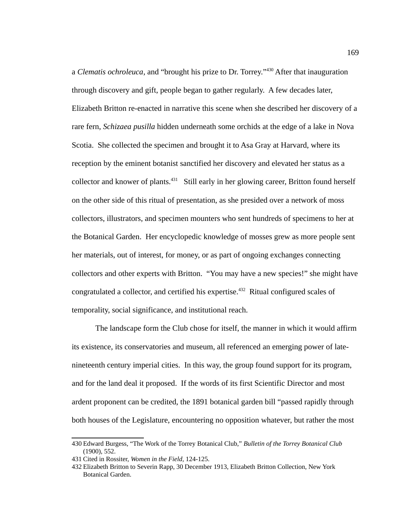a *Clematis ochroleuca*, and "brought his prize to Dr. Torrey."[430](#page-177-0) After that inauguration through discovery and gift, people began to gather regularly. A few decades later, Elizabeth Britton re-enacted in narrative this scene when she described her discovery of a rare fern, *Schizaea pusilla* hidden underneath some orchids at the edge of a lake in Nova Scotia. She collected the specimen and brought it to Asa Gray at Harvard, where its reception by the eminent botanist sanctified her discovery and elevated her status as a collector and knower of plants.[431](#page-177-1) Still early in her glowing career, Britton found herself on the other side of this ritual of presentation, as she presided over a network of moss collectors, illustrators, and specimen mounters who sent hundreds of specimens to her at the Botanical Garden. Her encyclopedic knowledge of mosses grew as more people sent her materials, out of interest, for money, or as part of ongoing exchanges connecting collectors and other experts with Britton. "You may have a new species!" she might have congratulated a collector, and certified his expertise.<sup>[432](#page-177-2)</sup> Ritual configured scales of temporality, social significance, and institutional reach.

The landscape form the Club chose for itself, the manner in which it would affirm its existence, its conservatories and museum, all referenced an emerging power of latenineteenth century imperial cities. In this way, the group found support for its program, and for the land deal it proposed. If the words of its first Scientific Director and most ardent proponent can be credited, the 1891 botanical garden bill "passed rapidly through both houses of the Legislature, encountering no opposition whatever, but rather the most

<span id="page-177-0"></span><sup>430</sup> Edward Burgess, "The Work of the Torrey Botanical Club," *Bulletin of the Torrey Botanical Club* (1900), 552.

<span id="page-177-1"></span><sup>431</sup> Cited in Rossiter, *Women in the Field,* 124-125.

<span id="page-177-2"></span><sup>432</sup> Elizabeth Britton to Severin Rapp, 30 December 1913, Elizabeth Britton Collection, New York Botanical Garden.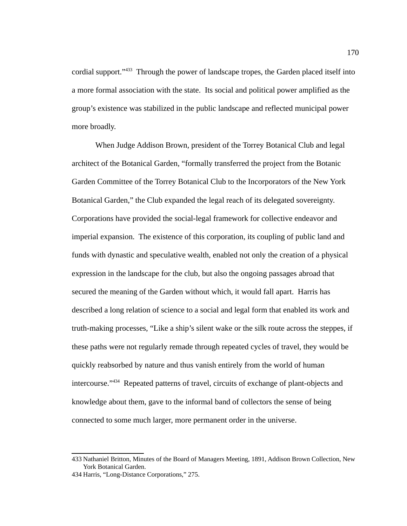cordial support."<sup>[433](#page-178-0)</sup> Through the power of landscape tropes, the Garden placed itself into a more formal association with the state. Its social and political power amplified as the group's existence was stabilized in the public landscape and reflected municipal power more broadly.

When Judge Addison Brown, president of the Torrey Botanical Club and legal architect of the Botanical Garden, "formally transferred the project from the Botanic Garden Committee of the Torrey Botanical Club to the Incorporators of the New York Botanical Garden," the Club expanded the legal reach of its delegated sovereignty. Corporations have provided the social-legal framework for collective endeavor and imperial expansion. The existence of this corporation, its coupling of public land and funds with dynastic and speculative wealth, enabled not only the creation of a physical expression in the landscape for the club, but also the ongoing passages abroad that secured the meaning of the Garden without which, it would fall apart. Harris has described a long relation of science to a social and legal form that enabled its work and truth-making processes, "Like a ship's silent wake or the silk route across the steppes, if these paths were not regularly remade through repeated cycles of travel, they would be quickly reabsorbed by nature and thus vanish entirely from the world of human intercourse."<sup>[434](#page-178-1)</sup> Repeated patterns of travel, circuits of exchange of plant-objects and knowledge about them, gave to the informal band of collectors the sense of being connected to some much larger, more permanent order in the universe.

<span id="page-178-0"></span><sup>433</sup> Nathaniel Britton, Minutes of the Board of Managers Meeting, 1891, Addison Brown Collection, New York Botanical Garden.

<span id="page-178-1"></span><sup>434</sup> Harris, "Long-Distance Corporations," 275.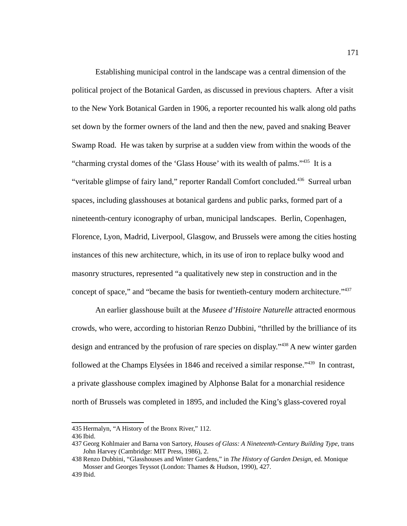Establishing municipal control in the landscape was a central dimension of the political project of the Botanical Garden, as discussed in previous chapters. After a visit to the New York Botanical Garden in 1906, a reporter recounted his walk along old paths set down by the former owners of the land and then the new, paved and snaking Beaver Swamp Road. He was taken by surprise at a sudden view from within the woods of the "charming crystal domes of the 'Glass House' with its wealth of palms."[435](#page-179-0) It is a "veritable glimpse of fairy land," reporter Randall Comfort concluded.<sup>[436](#page-179-1)</sup> Surreal urban spaces, including glasshouses at botanical gardens and public parks, formed part of a nineteenth-century iconography of urban, municipal landscapes. Berlin, Copenhagen, Florence, Lyon, Madrid, Liverpool, Glasgow, and Brussels were among the cities hosting instances of this new architecture, which, in its use of iron to replace bulky wood and masonry structures, represented "a qualitatively new step in construction and in the concept of space," and "became the basis for twentieth-century modern architecture."<sup>[437](#page-179-2)</sup>

An earlier glasshouse built at the *Museee d'Histoire Naturelle* attracted enormous crowds, who were, according to historian Renzo Dubbini, "thrilled by the brilliance of its design and entranced by the profusion of rare species on display."[438](#page-179-3) A new winter garden followed at the Champs Elysées in 1846 and received a similar response."<sup>[439](#page-179-4)</sup> In contrast, a private glasshouse complex imagined by Alphonse Balat for a monarchial residence north of Brussels was completed in 1895, and included the King's glass-covered royal

<span id="page-179-0"></span><sup>435</sup> Hermalyn, "A History of the Bronx River," 112.

<span id="page-179-1"></span><sup>436</sup> Ibid.

<span id="page-179-2"></span><sup>437</sup> Georg Kohlmaier and Barna von Sartory, *Houses of Glass: A Nineteenth-Century Building Type,* trans John Harvey (Cambridge: MIT Press, 1986), 2.

<span id="page-179-3"></span><sup>438</sup> Renzo Dubbini, "Glasshouses and Winter Gardens," in *The History of Garden Design*, ed. Monique Mosser and Georges Teyssot (London: Thames & Hudson, 1990), 427.

<span id="page-179-4"></span><sup>439</sup> Ibid.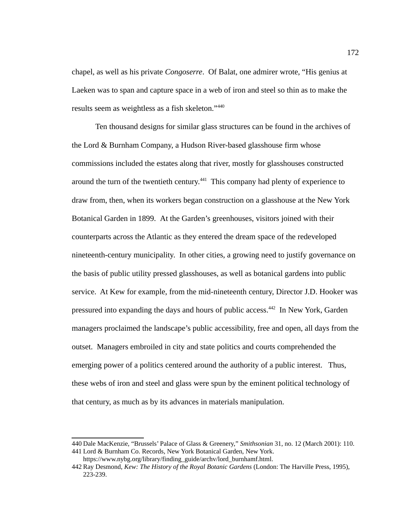chapel, as well as his private *Congoserre*. Of Balat, one admirer wrote, "His genius at Laeken was to span and capture space in a web of iron and steel so thin as to make the results seem as weightless as a fish skeleton."<sup>[440](#page-180-0)</sup>

Ten thousand designs for similar glass structures can be found in the archives of the Lord & Burnham Company, a Hudson River-based glasshouse firm whose commissions included the estates along that river, mostly for glasshouses constructed around the turn of the twentieth century.<sup>[441](#page-180-1)</sup> This company had plenty of experience to draw from, then, when its workers began construction on a glasshouse at the New York Botanical Garden in 1899. At the Garden's greenhouses, visitors joined with their counterparts across the Atlantic as they entered the dream space of the redeveloped nineteenth-century municipality. In other cities, a growing need to justify governance on the basis of public utility pressed glasshouses, as well as botanical gardens into public service. At Kew for example, from the mid-nineteenth century, Director J.D. Hooker was pressured into expanding the days and hours of public access.<sup>[442](#page-180-2)</sup> In New York, Garden managers proclaimed the landscape's public accessibility, free and open, all days from the outset. Managers embroiled in city and state politics and courts comprehended the emerging power of a politics centered around the authority of a public interest. Thus, these webs of iron and steel and glass were spun by the eminent political technology of that century, as much as by its advances in materials manipulation.

<span id="page-180-0"></span><sup>440</sup> Dale MacKenzie, "Brussels' Palace of Glass & Greenery," *Smithsonian* 31, no. 12 (March 2001): 110. 441 Lord & Burnham Co. Records, New York Botanical Garden, New York.

<span id="page-180-2"></span><span id="page-180-1"></span>https://www.nybg.org/library/finding\_guide/archv/lord\_burnhamf.html.

<sup>442</sup> Ray Desmond, *Kew: The History of the Royal Botanic Gardens* (London: The Harville Press, 1995), 223-239.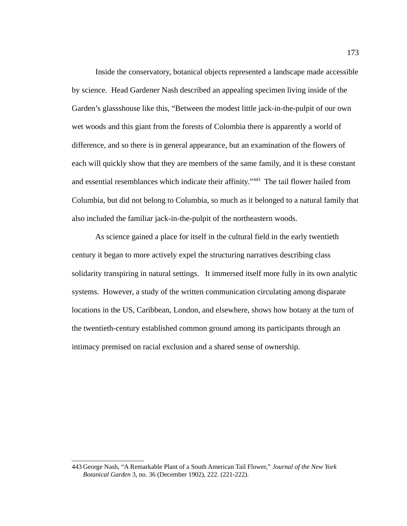Inside the conservatory, botanical objects represented a landscape made accessible by science. Head Gardener Nash described an appealing specimen living inside of the Garden's glassshouse like this, "Between the modest little jack-in-the-pulpit of our own wet woods and this giant from the forests of Colombia there is apparently a world of difference, and so there is in general appearance, but an examination of the flowers of each will quickly show that they are members of the same family, and it is these constant and essential resemblances which indicate their affinity."<sup>[443](#page-181-0)</sup> The tail flower hailed from Columbia, but did not belong to Columbia, so much as it belonged to a natural family that also included the familiar jack-in-the-pulpit of the northeastern woods.

As science gained a place for itself in the cultural field in the early twentieth century it began to more actively expel the structuring narratives describing class solidarity transpiring in natural settings. It immersed itself more fully in its own analytic systems. However, a study of the written communication circulating among disparate locations in the US, Caribbean, London, and elsewhere, shows how botany at the turn of the twentieth-century established common ground among its participants through an intimacy premised on racial exclusion and a shared sense of ownership.

<span id="page-181-0"></span><sup>443</sup> George Nash, "A Remarkable Plant of a South American Tail Flower," *Journal of the New York Botanical Garden* 3, no. 36 (December 1902), 222. (221-222).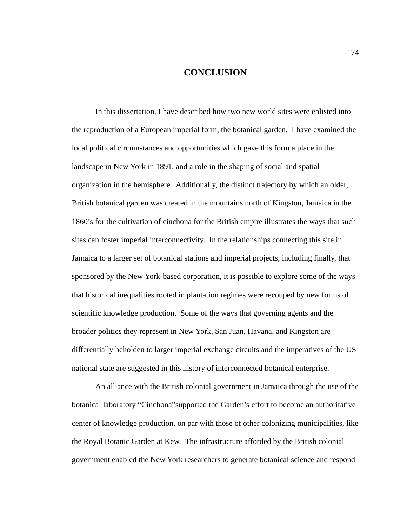## **CONCLUSION**

In this dissertation, I have described how two new world sites were enlisted into the reproduction of a European imperial form, the botanical garden. I have examined the local political circumstances and opportunities which gave this form a place in the landscape in New York in 1891, and a role in the shaping of social and spatial organization in the hemisphere. Additionally, the distinct trajectory by which an older, British botanical garden was created in the mountains north of Kingston, Jamaica in the 1860's for the cultivation of cinchona for the British empire illustrates the ways that such sites can foster imperial interconnectivity. In the relationships connecting this site in Jamaica to a larger set of botanical stations and imperial projects, including finally, that sponsored by the New York-based corporation, it is possible to explore some of the ways that historical inequalities rooted in plantation regimes were recouped by new forms of scientific knowledge production. Some of the ways that governing agents and the broader polities they represent in New York, San Juan, Havana, and Kingston are differentially beholden to larger imperial exchange circuits and the imperatives of the US national state are suggested in this history of interconnected botanical enterprise.

An alliance with the British colonial government in Jamaica through the use of the botanical laboratory "Cinchona"supported the Garden's effort to become an authoritative center of knowledge production, on par with those of other colonizing municipalities, like the Royal Botanic Garden at Kew. The infrastructure afforded by the British colonial government enabled the New York researchers to generate botanical science and respond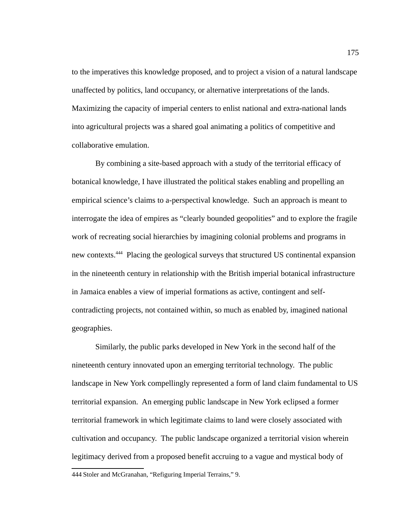to the imperatives this knowledge proposed, and to project a vision of a natural landscape unaffected by politics, land occupancy, or alternative interpretations of the lands. Maximizing the capacity of imperial centers to enlist national and extra-national lands into agricultural projects was a shared goal animating a politics of competitive and collaborative emulation.

By combining a site-based approach with a study of the territorial efficacy of botanical knowledge, I have illustrated the political stakes enabling and propelling an empirical science's claims to a-perspectival knowledge. Such an approach is meant to interrogate the idea of empires as "clearly bounded geopolities" and to explore the fragile work of recreating social hierarchies by imagining colonial problems and programs in new contexts.[444](#page-183-0) Placing the geological surveys that structured US continental expansion in the nineteenth century in relationship with the British imperial botanical infrastructure in Jamaica enables a view of imperial formations as active, contingent and selfcontradicting projects, not contained within, so much as enabled by, imagined national geographies.

Similarly, the public parks developed in New York in the second half of the nineteenth century innovated upon an emerging territorial technology. The public landscape in New York compellingly represented a form of land claim fundamental to US territorial expansion. An emerging public landscape in New York eclipsed a former territorial framework in which legitimate claims to land were closely associated with cultivation and occupancy. The public landscape organized a territorial vision wherein legitimacy derived from a proposed benefit accruing to a vague and mystical body of

<span id="page-183-0"></span><sup>444</sup>Stoler and McGranahan, "Refiguring Imperial Terrains," 9.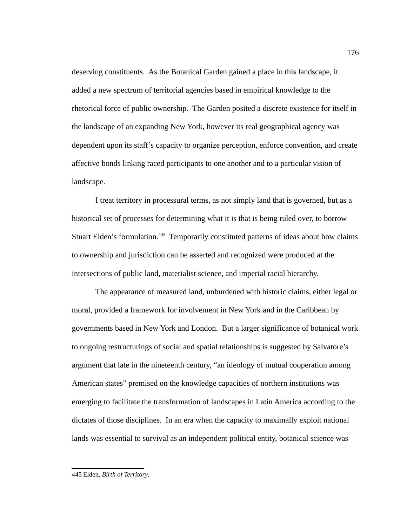deserving constituents. As the Botanical Garden gained a place in this landscape, it added a new spectrum of territorial agencies based in empirical knowledge to the rhetorical force of public ownership. The Garden posited a discrete existence for itself in the landscape of an expanding New York, however its real geographical agency was dependent upon its staff's capacity to organize perception, enforce convention, and create affective bonds linking raced participants to one another and to a particular vision of landscape.

I treat territory in processural terms, as not simply land that is governed, but as a historical set of processes for determining what it is that is being ruled over, to borrow Stuart Elden's formulation.<sup>[445](#page-184-0)</sup> Temporarily constituted patterns of ideas about how claims to ownership and jurisdiction can be asserted and recognized were produced at the intersections of public land, materialist science, and imperial racial hierarchy.

The appearance of measured land, unburdened with historic claims, either legal or moral, provided a framework for involvement in New York and in the Caribbean by governments based in New York and London. But a larger significance of botanical work to ongoing restructurings of social and spatial relationships is suggested by Salvatore's argument that late in the nineteenth century, "an ideology of mutual cooperation among American states" premised on the knowledge capacities of northern institutions was emerging to facilitate the transformation of landscapes in Latin America according to the dictates of those disciplines. In an era when the capacity to maximally exploit national lands was essential to survival as an independent political entity, botanical science was

<span id="page-184-0"></span><sup>445</sup> Elden, *Birth of Territory*.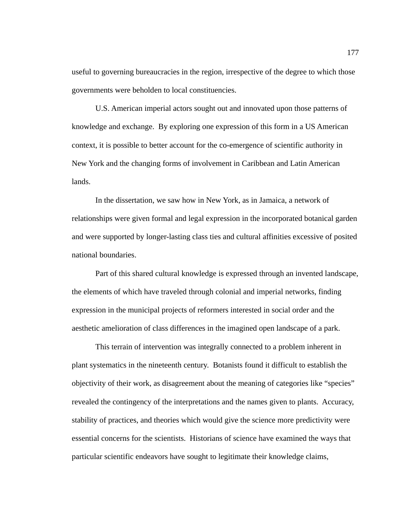useful to governing bureaucracies in the region, irrespective of the degree to which those governments were beholden to local constituencies.

U.S. American imperial actors sought out and innovated upon those patterns of knowledge and exchange. By exploring one expression of this form in a US American context, it is possible to better account for the co-emergence of scientific authority in New York and the changing forms of involvement in Caribbean and Latin American lands.

In the dissertation, we saw how in New York, as in Jamaica, a network of relationships were given formal and legal expression in the incorporated botanical garden and were supported by longer-lasting class ties and cultural affinities excessive of posited national boundaries.

Part of this shared cultural knowledge is expressed through an invented landscape, the elements of which have traveled through colonial and imperial networks, finding expression in the municipal projects of reformers interested in social order and the aesthetic amelioration of class differences in the imagined open landscape of a park.

This terrain of intervention was integrally connected to a problem inherent in plant systematics in the nineteenth century. Botanists found it difficult to establish the objectivity of their work, as disagreement about the meaning of categories like "species" revealed the contingency of the interpretations and the names given to plants. Accuracy, stability of practices, and theories which would give the science more predictivity were essential concerns for the scientists. Historians of science have examined the ways that particular scientific endeavors have sought to legitimate their knowledge claims,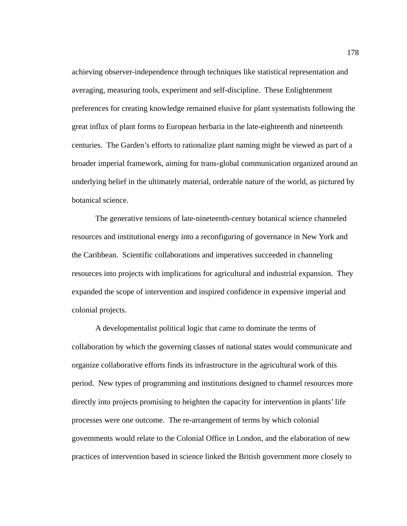achieving observer-independence through techniques like statistical representation and averaging, measuring tools, experiment and self-discipline. These Enlightenment preferences for creating knowledge remained elusive for plant systematists following the great influx of plant forms to European herbaria in the late-eighteenth and nineteenth centuries. The Garden's efforts to rationalize plant naming might be viewed as part of a broader imperial framework, aiming for trans-global communication organized around an underlying belief in the ultimately material, orderable nature of the world, as pictured by botanical science.

The generative tensions of late-nineteenth-century botanical science channeled resources and institutional energy into a reconfiguring of governance in New York and the Caribbean. Scientific collaborations and imperatives succeeded in channeling resources into projects with implications for agricultural and industrial expansion. They expanded the scope of intervention and inspired confidence in expensive imperial and colonial projects.

A developmentalist political logic that came to dominate the terms of collaboration by which the governing classes of national states would communicate and organize collaborative efforts finds its infrastructure in the agricultural work of this period. New types of programming and institutions designed to channel resources more directly into projects promising to heighten the capacity for intervention in plants' life processes were one outcome. The re-arrangement of terms by which colonial governments would relate to the Colonial Office in London, and the elaboration of new practices of intervention based in science linked the British government more closely to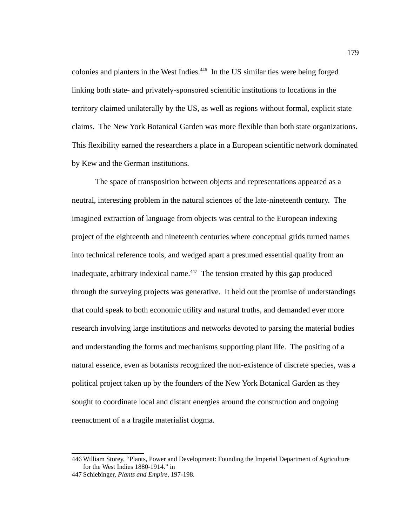colonies and planters in the West Indies.<sup>[446](#page-187-0)</sup> In the US similar ties were being forged linking both state- and privately-sponsored scientific institutions to locations in the territory claimed unilaterally by the US, as well as regions without formal, explicit state claims. The New York Botanical Garden was more flexible than both state organizations. This flexibility earned the researchers a place in a European scientific network dominated by Kew and the German institutions.

The space of transposition between objects and representations appeared as a neutral, interesting problem in the natural sciences of the late-nineteenth century. The imagined extraction of language from objects was central to the European indexing project of the eighteenth and nineteenth centuries where conceptual grids turned names into technical reference tools, and wedged apart a presumed essential quality from an inadequate, arbitrary indexical name.<sup>[447](#page-187-1)</sup> The tension created by this gap produced through the surveying projects was generative. It held out the promise of understandings that could speak to both economic utility and natural truths, and demanded ever more research involving large institutions and networks devoted to parsing the material bodies and understanding the forms and mechanisms supporting plant life. The positing of a natural essence, even as botanists recognized the non-existence of discrete species, was a political project taken up by the founders of the New York Botanical Garden as they sought to coordinate local and distant energies around the construction and ongoing reenactment of a a fragile materialist dogma.

<span id="page-187-0"></span><sup>446</sup> William Storey, "Plants, Power and Development: Founding the Imperial Department of Agriculture for the West Indies 1880-1914." in

<span id="page-187-1"></span><sup>447</sup>Schiebinger, *Plants and Empire*, 197-198.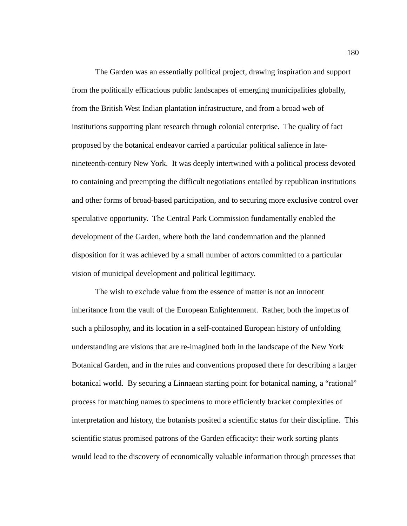The Garden was an essentially political project, drawing inspiration and support from the politically efficacious public landscapes of emerging municipalities globally, from the British West Indian plantation infrastructure, and from a broad web of institutions supporting plant research through colonial enterprise. The quality of fact proposed by the botanical endeavor carried a particular political salience in latenineteenth-century New York. It was deeply intertwined with a political process devoted to containing and preempting the difficult negotiations entailed by republican institutions and other forms of broad-based participation, and to securing more exclusive control over speculative opportunity. The Central Park Commission fundamentally enabled the development of the Garden, where both the land condemnation and the planned disposition for it was achieved by a small number of actors committed to a particular vision of municipal development and political legitimacy.

The wish to exclude value from the essence of matter is not an innocent inheritance from the vault of the European Enlightenment. Rather, both the impetus of such a philosophy, and its location in a self-contained European history of unfolding understanding are visions that are re-imagined both in the landscape of the New York Botanical Garden, and in the rules and conventions proposed there for describing a larger botanical world. By securing a Linnaean starting point for botanical naming, a "rational" process for matching names to specimens to more efficiently bracket complexities of interpretation and history, the botanists posited a scientific status for their discipline. This scientific status promised patrons of the Garden efficacity: their work sorting plants would lead to the discovery of economically valuable information through processes that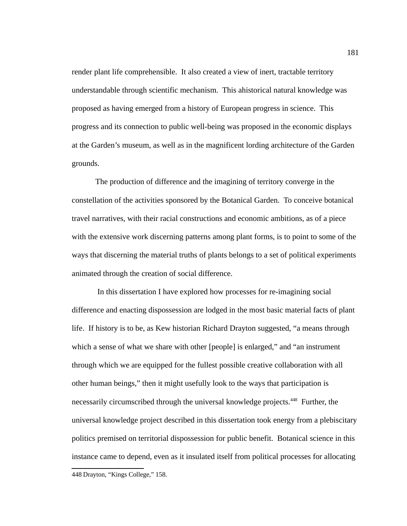render plant life comprehensible. It also created a view of inert, tractable territory understandable through scientific mechanism. This ahistorical natural knowledge was proposed as having emerged from a history of European progress in science. This progress and its connection to public well-being was proposed in the economic displays at the Garden's museum, as well as in the magnificent lording architecture of the Garden grounds.

The production of difference and the imagining of territory converge in the constellation of the activities sponsored by the Botanical Garden. To conceive botanical travel narratives, with their racial constructions and economic ambitions, as of a piece with the extensive work discerning patterns among plant forms, is to point to some of the ways that discerning the material truths of plants belongs to a set of political experiments animated through the creation of social difference.

<span id="page-189-0"></span> In this dissertation I have explored how processes for re-imagining social difference and enacting dispossession are lodged in the most basic material facts of plant life. If history is to be, as Kew historian Richard Drayton suggested, "a means through which a sense of what we share with other [people] is enlarged," and "an instrument through which we are equipped for the fullest possible creative collaboration with all other human beings," then it might usefully look to the ways that participation is necessarily circumscribed through the universal knowledge projects.<sup>[448](#page-189-0)</sup> Further, the universal knowledge project described in this dissertation took energy from a plebiscitary politics premised on territorial dispossession for public benefit. Botanical science in this instance came to depend, even as it insulated itself from political processes for allocating 448 Drayton, "Kings College," 158.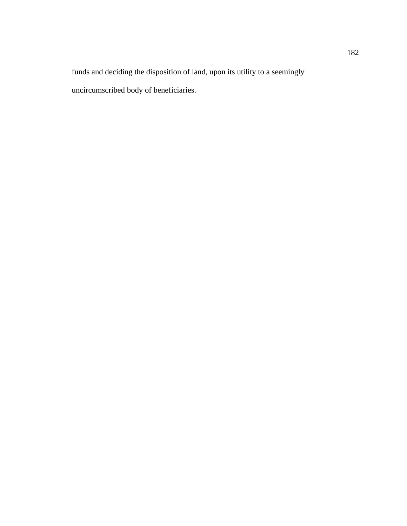funds and deciding the disposition of land, upon its utility to a seemingly uncircumscribed body of beneficiaries.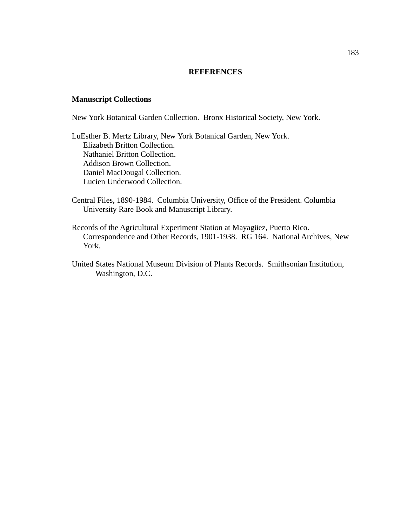## **REFERENCES**

## **Manuscript Collections**

New York Botanical Garden Collection. Bronx Historical Society, New York.

LuEsther B. Mertz Library, New York Botanical Garden, New York. Elizabeth Britton Collection. Nathaniel Britton Collection. Addison Brown Collection. Daniel MacDougal Collection. Lucien Underwood Collection.

- Central Files, 1890-1984. Columbia University, Office of the President. Columbia University Rare Book and Manuscript Library.
- Records of the Agricultural Experiment Station at Mayagüez, Puerto Rico. Correspondence and Other Records, 1901-1938. RG 164. National Archives, New York.
- United States National Museum Division of Plants Records. Smithsonian Institution, Washington, D.C.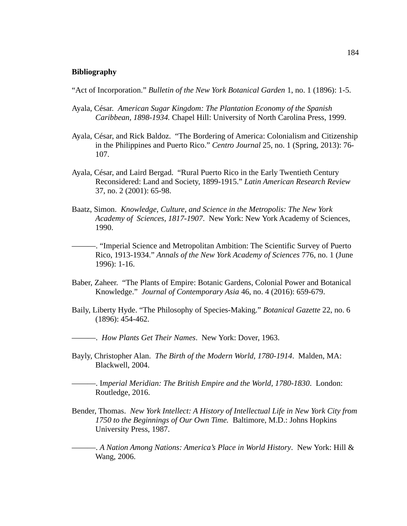## **Bibliography**

"Act of Incorporation." *Bulletin of the New York Botanical Garden* 1, no. 1 (1896): 1-5.

- Ayala, César. *American Sugar Kingdom: The Plantation Economy of the Spanish Caribbean, 1898-1934.* Chapel Hill: University of North Carolina Press, 1999.
- Ayala, César, and Rick Baldoz. "The Bordering of America: Colonialism and Citizenship in the Philippines and Puerto Rico." *Centro Journal* 25, no. 1 (Spring, 2013): 76- 107.
- Ayala, César, and Laird Bergad. "Rural Puerto Rico in the Early Twentieth Century Reconsidered: Land and Society, 1899-1915." *Latin American Research Review* 37, no. 2 (2001): 65-98.
- Baatz, Simon. *Knowledge, Culture, and Science in the Metropolis: The New York Academy of Sciences, 1817-1907*. New York: New York Academy of Sciences, 1990.

———. "Imperial Science and Metropolitan Ambition: The Scientific Survey of Puerto Rico, 1913-1934." *Annals of the New York Academy of Sciences* 776, no. 1 (June 1996): 1-16.

- Baber, Zaheer. "The Plants of Empire: Botanic Gardens, Colonial Power and Botanical Knowledge." *Journal of Contemporary Asia* 46, no. 4 (2016): 659-679.
- Baily, Liberty Hyde. "The Philosophy of Species-Making." *Botanical Gazette* 22, no. 6 (1896): 454-462.
- ———. *How Plants Get Their Names*. New York: Dover, 1963.
- Bayly, Christopher Alan. *The Birth of the Modern World, 1780-1914*. Malden, MA: Blackwell, 2004.

———. I*mperial Meridian: The British Empire and the World, 1780-1830*. London: Routledge, 2016.

- Bender, Thomas. *New York Intellect: A History of Intellectual Life in New York City from 1750 to the Beginnings of Our Own Time.* Baltimore, M.D.: Johns Hopkins University Press, 1987.
- ———. *A Nation Among Nations: America's Place in World History*. New York: Hill & Wang, 2006.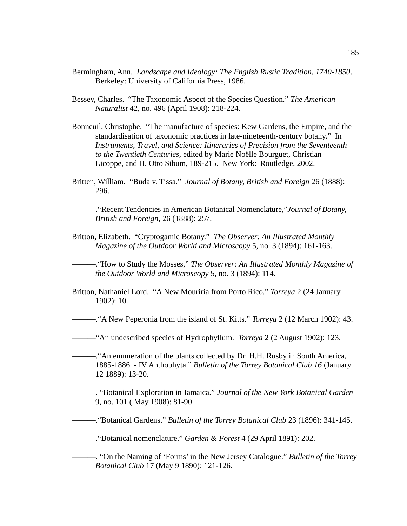- Bermingham, Ann. *Landscape and Ideology: The English Rustic Tradition, 1740-1850*. Berkeley: University of California Press, 1986.
- Bessey, Charles. "The Taxonomic Aspect of the Species Question." *The American Naturalist* 42, no. 496 (April 1908): 218-224.
- Bonneuil, Christophe. "The manufacture of species: Kew Gardens, the Empire, and the standardisation of taxonomic practices in late-nineteenth-century botany." In *Instruments, Travel, and Science: Itineraries of Precision from the Seventeenth to the Twentieth Centuries,* edited by Marie Noëlle Bourguet, Christian Licoppe, and H. Otto Sibum, 189-215. New York: Routledge, 2002.
- Britten, William. "Buda v. Tissa." *Journal of Botany, British and Foreign* 26 (1888): 296.

———."Recent Tendencies in American Botanical Nomenclature,"*Journal of Botany, British and Foreign*, 26 (1888): 257.

Britton, Elizabeth. "Cryptogamic Botany." *The Observer: An Illustrated Monthly Magazine of the Outdoor World and Microscopy* 5, no. 3 (1894): 161-163.

———."How to Study the Mosses," *The Observer: An Illustrated Monthly Magazine of the Outdoor World and Microscopy* 5, no. 3 (1894): 114.

Britton, Nathaniel Lord. "A New Mouriria from Porto Rico." *Torreya* 2 (24 January 1902): 10.

———."A New Peperonia from the island of St. Kitts." *Torreya* 2 (12 March 1902): 43.

- ———"An undescribed species of Hydrophyllum. *Torreya* 2 (2 August 1902): 123.
- ———."An enumeration of the plants collected by Dr. H.H. Rusby in South America, 1885-1886. - IV Anthophyta." *Bulletin of the Torrey Botanical Club 16* (January 12 1889): 13-20.
- ———. "Botanical Exploration in Jamaica." *Journal of the New York Botanical Garden* 9, no. 101 ( May 1908): 81-90.

———."Botanical Gardens." *Bulletin of the Torrey Botanical Club* 23 (1896): 341-145.

———."Botanical nomenclature." *Garden & Forest* 4 (29 April 1891): 202.

———. "On the Naming of 'Forms' in the New Jersey Catalogue." *Bulletin of the Torrey Botanical Club* 17 (May 9 1890): 121-126.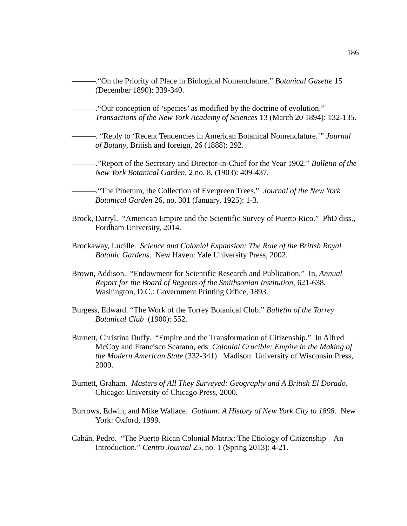———."On the Priority of Place in Biological Nomenclature." *Botanical Gazette* 15 (December 1890): 339-340. ———."Our conception of 'species' as modified by the doctrine of evolution." *Transactions of the New York Academy of Sciences* 13 (March 20 1894): 132-135. ———. "Reply to 'Recent Tendencies in American Botanical Nomenclature.'" *Journal of Botany*, British and foreign, 26 (1888): 292.

———."Report of the Secretary and Director-in-Chief for the Year 1902." *Bulletin of the New York Botanical Garden*, 2 no. 8, (1903): 409-437.

———."The Pinetum, the Collection of Evergreen Trees." *Journal of the New York Botanical Garden* 26, no. 301 (January, 1925): 1-3.

- Brock, Darryl. "American Empire and the Scientific Survey of Puerto Rico." PhD diss., Fordham University, 2014.
- Brockaway, Lucille. *Science and Colonial Expansion: The Role of the British Royal Botanic Gardens*. New Haven: Yale University Press, 2002.
- Brown, Addison. "Endowment for Scientific Research and Publication." In, *Annual Report for the Board of Regents of the Smithsonian Institution,* 621-638*.* Washington, D.C.: Government Printing Office, 1893.
- Burgess, Edward. "The Work of the Torrey Botanical Club." *Bulletin of the Torrey Botanical Club* (1900): 552.
- Burnett, Christina Duffy. "Empire and the Transformation of Citizenship." In Alfred McCoy and Francisco Scarano, eds. *Colonial Crucible: Empire in the Making of the Modern American State* (332-341).Madison: University of Wisconsin Press, 2009.
- Burnett, Graham. *Masters of All They Surveyed: Geography and A British El Dorado*. Chicago: University of Chicago Press, 2000.
- Burrows, Edwin, and Mike Wallace. *Gotham: A History of New York City to 1898.* New York: Oxford, 1999.
- Cabán, Pedro. "The Puerto Rican Colonial Matrix: The Etiology of Citizenship An Introduction." *Centro Journal* 25, no. 1 (Spring 2013): 4-21.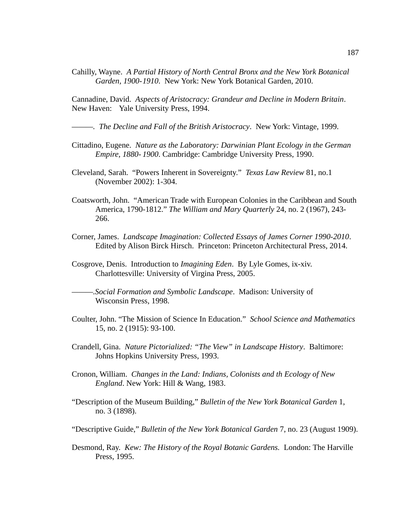Cahilly, Wayne. *A Partial History of North Central Bronx and the New York Botanical Garden, 1900-1910*. New York: New York Botanical Garden, 2010.

Cannadine, David. *Aspects of Aristocracy: Grandeur and Decline in Modern Britain*. New Haven: Yale University Press, 1994.

*———. The Decline and Fall of the British Aristocracy*. New York: Vintage, 1999.

- Cittadino, Eugene. *Nature as the Laboratory: Darwinian Plant Ecology in the German Empire, 1880- 1900*. Cambridge: Cambridge University Press, 1990.
- Cleveland, Sarah. "Powers Inherent in Sovereignty." *Texas Law Review* 81, no.1 (November 2002): 1-304.
- Coatsworth, John. "American Trade with European Colonies in the Caribbean and South America, 1790-1812." *The William and Mary Quarterly* 24, no. 2 (1967), 243- 266.
- Corner, James. *Landscape Imagination: Collected Essays of James Corner 1990-2010*. Edited by Alison Birck Hirsch. Princeton: Princeton Architectural Press, 2014.
- Cosgrove, Denis. Introduction to *Imagining Eden*. By Lyle Gomes, ix-xiv. Charlottesville: University of Virgina Press, 2005.
- *———.Social Formation and Symbolic Landscape*. Madison: University of Wisconsin Press, 1998.
- Coulter, John. "The Mission of Science In Education." *School Science and Mathematics* 15, no. 2 (1915): 93-100.
- Crandell, Gina. *Nature Pictorialized: "The View" in Landscape History*. Baltimore: Johns Hopkins University Press, 1993.
- Cronon, William. *Changes in the Land: Indians, Colonists and th Ecology of New England*. New York: Hill & Wang, 1983.
- "Description of the Museum Building," *Bulletin of the New York Botanical Garden* 1, no. 3 (1898).
- "Descriptive Guide," *Bulletin of the New York Botanical Garden* 7, no. 23 (August 1909).
- Desmond, Ray. *Kew: The History of the Royal Botanic Gardens.* London: The Harville Press, 1995.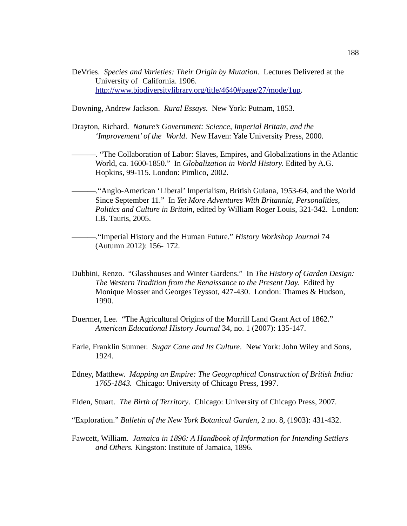DeVries. *Species and Varieties: Their Origin by Mutation*. Lectures Delivered at the University of California. 1906. [http://www.biodiversitylibrary.org/title/4640#page/27/mode/1up.](http://www.biodiversitylibrary.org/title/4640#page/27/mode/1up)

Downing, Andrew Jackson. *Rural Essays*. New York: Putnam, 1853.

Drayton, Richard. *Nature's Government: Science, Imperial Britain, and the 'Improvement' of the World*. New Haven: Yale University Press, 2000.

———. "The Collaboration of Labor: Slaves, Empires, and Globalizations in the Atlantic World, ca. 1600-1850." In *Globalization in World History.* Edited by A.G. Hopkins, 99-115. London: Pimlico, 2002.

———."Anglo-American 'Liberal' Imperialism, British Guiana, 1953-64, and the World Since September 11." In *Yet More Adventures With Britannia, Personalities, Politics and Culture in Britain*, edited by William Roger Louis, 321-342. London: I.B. Tauris, 2005.

———."Imperial History and the Human Future." *History Workshop Journal* 74 (Autumn 2012): 156- 172.

- Dubbini, Renzo. "Glasshouses and Winter Gardens." In *The History of Garden Design: The Western Tradition from the Renaissance to the Present Day.* Edited by Monique Mosser and Georges Teyssot, 427-430. London: Thames & Hudson, 1990.
- Duermer, Lee. "The Agricultural Origins of the Morrill Land Grant Act of 1862." *American Educational History Journal* 34, no. 1 (2007): 135-147.
- Earle, Franklin Sumner. *Sugar Cane and Its Culture*. New York: John Wiley and Sons, 1924.
- Edney, Matthew. *Mapping an Empire: The Geographical Construction of British India: 1765-1843.* Chicago: University of Chicago Press, 1997.
- Elden, Stuart. *The Birth of Territory*. Chicago: University of Chicago Press, 2007.
- "Exploration." *Bulletin of the New York Botanical Garden*, 2 no. 8, (1903): 431-432.
- Fawcett, William. *Jamaica in 1896: A Handbook of Information for Intending Settlers and Others.* Kingston: Institute of Jamaica, 1896.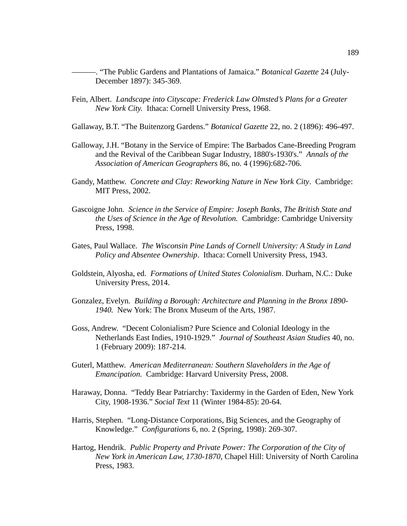- ———. "The Public Gardens and Plantations of Jamaica." *Botanical Gazette* 24 (July-December 1897): 345-369.
- Fein, Albert. *Landscape into Cityscape: Frederick Law Olmsted's Plans for a Greater New York City.* Ithaca: Cornell University Press, 1968.
- Gallaway, B.T. "The Buitenzorg Gardens." *Botanical Gazette* 22, no. 2 (1896): 496-497.
- Galloway, J.H. "Botany in the Service of Empire: The Barbados Cane-Breeding Program and the Revival of the Caribbean Sugar Industry, 1880's-1930's." *Annals of the Association of American Geographers* 86, no. 4 (1996):682-706.
- Gandy, Matthew. *Concrete and Clay: Reworking Nature in New York City*. Cambridge: MIT Press, 2002.
- Gascoigne John. *Science in the Service of Empire: Joseph Banks, The British State and the Uses of Science in the Age of Revolution.* Cambridge: Cambridge University Press, 1998.
- Gates, Paul Wallace. *The Wisconsin Pine Lands of Cornell University: A Study in Land Policy and Absentee Ownership*. Ithaca: Cornell University Press, 1943.
- Goldstein, Alyosha, ed. *Formations of United States Colonialism*. Durham, N.C.: Duke University Press, 2014.
- Gonzalez, Evelyn. *Building a Borough: Architecture and Planning in the Bronx 1890- 1940.* New York: The Bronx Museum of the Arts, 1987.
- Goss, Andrew. "Decent Colonialism? Pure Science and Colonial Ideology in the Netherlands East Indies, 1910-1929." *Journal of Southeast Asian Studies* 40, no. 1 (February 2009): 187-214.
- Guterl, Matthew. *American Mediterranean: Southern Slaveholders in the Age of Emancipation.* Cambridge: Harvard University Press, 2008.
- Haraway, Donna. "Teddy Bear Patriarchy: Taxidermy in the Garden of Eden, New York City, 1908-1936." *Social Text* 11 (Winter 1984-85): 20-64.
- Harris, Stephen. "Long-Distance Corporations, Big Sciences, and the Geography of Knowledge." *Configurations* 6, no. 2 (Spring, 1998): 269-307.
- Hartog, Hendrik. *Public Property and Private Power: The Corporation of the City of New York in American Law, 1730-1870*, Chapel Hill: University of North Carolina Press, 1983.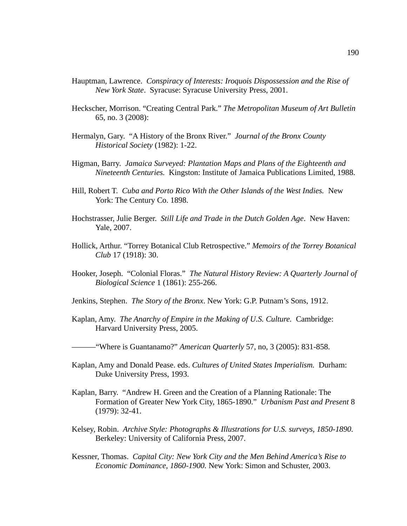- Hauptman, Lawrence. *Conspiracy of Interests: Iroquois Dispossession and the Rise of New York State*. Syracuse: Syracuse University Press, 2001.
- Heckscher, Morrison. "Creating Central Park." *The Metropolitan Museum of Art Bulletin* 65, no. 3 (2008):
- Hermalyn, Gary. "A History of the Bronx River." *Journal of the Bronx County Historical Society* (1982): 1-22.
- Higman, Barry. *Jamaica Surveyed: Plantation Maps and Plans of the Eighteenth and Nineteenth Centuries.* Kingston: Institute of Jamaica Publications Limited, 1988.
- Hill, Robert T. *Cuba and Porto Rico With the Other Islands of the West Indies.* New York: The Century Co. 1898.
- Hochstrasser, Julie Berger. *Still Life and Trade in the Dutch Golden Age*. New Haven: Yale, 2007.
- Hollick, Arthur. "Torrey Botanical Club Retrospective." *Memoirs of the Torrey Botanical Club* 17 (1918): 30.
- Hooker, Joseph. "Colonial Floras." *The Natural History Review: A Quarterly Journal of Biological Science* 1 (1861): 255-266.
- Jenkins, Stephen. *The Story of the Bronx*. New York: G.P. Putnam's Sons, 1912.
- Kaplan, Amy. *The Anarchy of Empire in the Making of U.S. Culture.* Cambridge: Harvard University Press, 2005.
- ———"Where is Guantanamo?" *American Quarterly* 57, no, 3 (2005): 831-858.
- Kaplan, Amy and Donald Pease. eds. *Cultures of United States Imperialism.* Durham: Duke University Press, 1993.
- Kaplan, Barry. "Andrew H. Green and the Creation of a Planning Rationale: The Formation of Greater New York City, 1865-1890." *Urbanism Past and Present* 8 (1979): 32-41.
- Kelsey, Robin. *Archive Style: Photographs & Illustrations for U.S. surveys, 1850-1890.* Berkeley: University of California Press, 2007.
- Kessner, Thomas. *Capital City: New York City and the Men Behind America's Rise to Economic Dominance, 1860-1900.* New York: Simon and Schuster, 2003.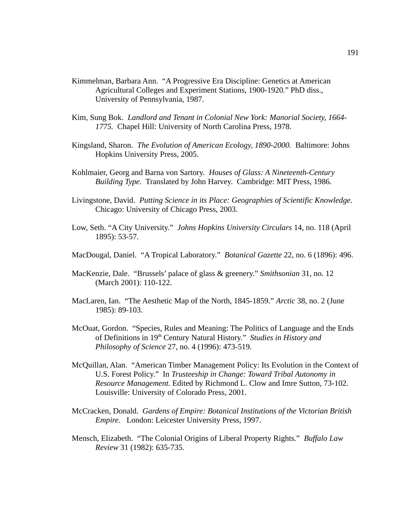- Kimmelman, Barbara Ann. "A Progressive Era Discipline: Genetics at American Agricultural Colleges and Experiment Stations, 1900-1920." PhD diss., University of Pennsylvania, 1987.
- Kim, Sung Bok. *Landlord and Tenant in Colonial New York: Manorial Society, 1664- 1775.* Chapel Hill: University of North Carolina Press, 1978.
- Kingsland, Sharon. *The Evolution of American Ecology, 1890-2000.* Baltimore: Johns Hopkins University Press, 2005.
- Kohlmaier, Georg and Barna von Sartory. *Houses of Glass: A Nineteenth-Century Building Type.* Translated by John Harvey. Cambridge: MIT Press, 1986.
- Livingstone, David. *Putting Science in its Place: Geographies of Scientific Knowledge.* Chicago: University of Chicago Press, 2003.
- Low, Seth. "A City University." *Johns Hopkins University Circulars* 14, no. 118 (April 1895): 53-57.
- MacDougal, Daniel. "A Tropical Laboratory." *Botanical Gazette* 22, no. 6 (1896): 496.
- MacKenzie, Dale. "Brussels' palace of glass & greenery." *Smithsonian* 31, no. 12 (March 2001): 110-122.
- MacLaren, Ian. "The Aesthetic Map of the North, 1845-1859." *Arctic* 38, no. 2 (June 1985): 89-103.
- McOuat, Gordon. "Species, Rules and Meaning: The Politics of Language and the Ends of Definitions in 19th Century Natural History." *Studies in History and Philosophy of Science* 27, no. 4 (1996): 473-519.
- McQuillan, Alan. "American Timber Management Policy: Its Evolution in the Context of U.S. Forest Policy." In *Trusteeship in Change: Toward Tribal Autonomy in Resource Management.* Edited by Richmond L. Clow and Imre Sutton, 73-102. Louisville: University of Colorado Press, 2001.
- McCracken, Donald. *Gardens of Empire: Botanical Institutions of the Victorian British Empire*. London: Leicester University Press, 1997.
- Mensch, Elizabeth. "The Colonial Origins of Liberal Property Rights." *Buffalo Law Review* 31 (1982): 635-735.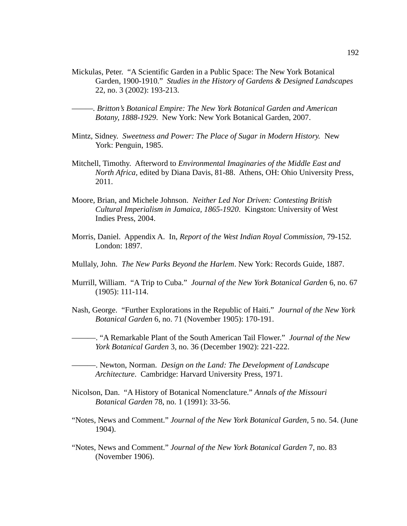- Mickulas, Peter. "A Scientific Garden in a Public Space: The New York Botanical Garden, 1900-1910." *Studies in the History of Gardens & Designed Landscapes*  22, no. 3 (2002): 193-213.
- *———. Britton's Botanical Empire: The New York Botanical Garden and American Botany, 1888-1929*. New York: New York Botanical Garden, 2007.
- Mintz, Sidney. *Sweetness and Power: The Place of Sugar in Modern History.* New York: Penguin, 1985.
- Mitchell, Timothy. Afterword to *Environmental Imaginaries of the Middle East and North Africa,* edited by Diana Davis, 81-88. Athens, OH: Ohio University Press, 2011.
- Moore, Brian, and Michele Johnson. *Neither Led Nor Driven: Contesting British Cultural Imperialism in Jamaica, 1865-1920*. Kingston: University of West Indies Press, 2004.
- Morris, Daniel. Appendix A. In, *Report of the West Indian Royal Commission,* 79-152*.*  London: 1897.
- Mullaly, John. *The New Parks Beyond the Harlem*. New York: Records Guide, 1887.
- Murrill, William. "A Trip to Cuba." *Journal of the New York Botanical Garden* 6, no. 67 (1905): 111-114.
- Nash, George. "Further Explorations in the Republic of Haiti." *Journal of the New York Botanical Garden* 6, no. 71 (November 1905): 170-191.
- ———. "A Remarkable Plant of the South American Tail Flower." *Journal of the New York Botanical Garden* 3, no. 36 (December 1902): 221-222.
- ———. Newton, Norman. *Design on the Land: The Development of Landscape Architecture*. Cambridge: Harvard University Press, 1971.
- Nicolson, Dan. "A History of Botanical Nomenclature." *Annals of the Missouri Botanical Garden* 78, no. 1 (1991): 33-56.
- "Notes, News and Comment." *Journal of the New York Botanical Garden*, 5 no. 54. (June 1904).
- "Notes, News and Comment." *Journal of the New York Botanical Garden* 7, no. 83 (November 1906).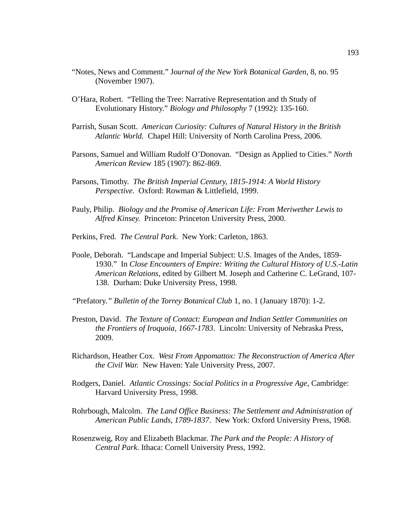- "Notes, News and Comment." J*ournal of the New York Botanical Garden*, 8, no. 95 (November 1907).
- O'Hara, Robert. "Telling the Tree: Narrative Representation and th Study of Evolutionary History." *Biology and Philosophy* 7 (1992): 135-160.
- Parrish, Susan Scott. *American Curiosity: Cultures of Natural History in the British Atlantic World.* Chapel Hill: University of North Carolina Press, 2006.
- Parsons, Samuel and William Rudolf O'Donovan. "Design as Applied to Cities." *North American Review* 185 (1907): 862-869.
- Parsons, Timothy. *The British Imperial Century, 1815-1914: A World History Perspective*. Oxford: Rowman & Littlefield, 1999.
- Pauly, Philip. *Biology and the Promise of American Life: From Meriwether Lewis to Alfred Kinsey.* Princeton: Princeton University Press, 2000.
- Perkins, Fred. *The Central Park*. New York: Carleton, 1863.
- Poole, Deborah. "Landscape and Imperial Subject: U.S. Images of the Andes, 1859- 1930." In *Close Encounters of Empire: Writing the Cultural History of U.S.-Latin American Relations*, edited by Gilbert M. Joseph and Catherine C. LeGrand, 107- 138. Durham: Duke University Press, 1998.
- *"*Prefatory.*" Bulletin of the Torrey Botanical Club* 1, no. 1 (January 1870): 1-2.
- Preston, David. *The Texture of Contact: European and Indian Settler Communities on the Frontiers of Iroquoia, 1667-1783*. Lincoln: University of Nebraska Press, 2009.
- Richardson, Heather Cox. *West From Appomattox: The Reconstruction of America After the Civil War.* New Haven: Yale University Press, 2007.
- Rodgers, Daniel. *Atlantic Crossings: Social Politics in a Progressive Age*, Cambridge: Harvard University Press, 1998.
- Rohrbough, Malcolm. *The Land Office Business: The Settlement and Administration of American Public Lands, 1789-1837*. New York: Oxford University Press, 1968.
- Rosenzweig, Roy and Elizabeth Blackmar. *The Park and the People: A History of Central Park*. Ithaca: Cornell University Press, 1992.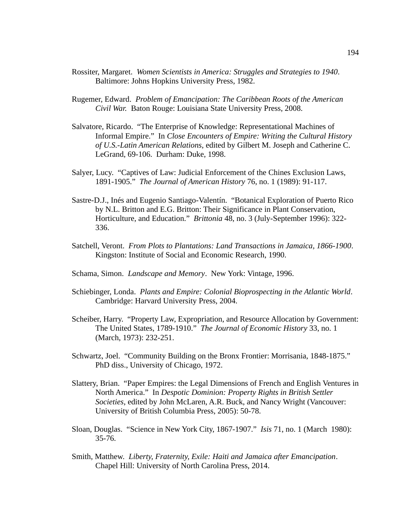- Rossiter, Margaret. *Women Scientists in America: Struggles and Strategies to 1940*. Baltimore: Johns Hopkins University Press, 1982.
- Rugemer, Edward. *Problem of Emancipation: The Caribbean Roots of the American Civil War.* Baton Rouge: Louisiana State University Press, 2008.
- Salvatore, Ricardo. "The Enterprise of Knowledge: Representational Machines of Informal Empire." In *Close Encounters of Empire: Writing the Cultural History of U.S.-Latin American Relations*, edited by Gilbert M. Joseph and Catherine C. LeGrand, 69-106. Durham: Duke, 1998.
- Salyer, Lucy. "Captives of Law: Judicial Enforcement of the Chines Exclusion Laws, 1891-1905." *The Journal of American History* 76, no. 1 (1989): 91-117.
- Sastre-D.J., Inés and Eugenio Santiago-Valentín. "Botanical Exploration of Puerto Rico by N.L. Britton and E.G. Britton: Their Significance in Plant Conservation, Horticulture, and Education." *Brittonia* 48, no. 3 (July-September 1996): 322- 336.
- Satchell, Veront. *From Plots to Plantations: Land Transactions in Jamaica, 1866-1900*. Kingston: Institute of Social and Economic Research, 1990.
- Schama, Simon. *Landscape and Memory*. New York: Vintage, 1996.
- Schiebinger, Londa. *Plants and Empire: Colonial Bioprospecting in the Atlantic World*. Cambridge: Harvard University Press, 2004.
- Scheiber, Harry. "Property Law, Expropriation, and Resource Allocation by Government: The United States, 1789-1910." *The Journal of Economic History* 33, no. 1 (March, 1973): 232-251.
- Schwartz, Joel. "Community Building on the Bronx Frontier: Morrisania, 1848-1875." PhD diss., University of Chicago, 1972.
- Slattery, Brian. "Paper Empires: the Legal Dimensions of French and English Ventures in North America." In *Despotic Dominion: Property Rights in British Settler Societies*, edited by John McLaren, A.R. Buck, and Nancy Wright (Vancouver: University of British Columbia Press, 2005): 50-78.
- Sloan, Douglas. "Science in New York City, 1867-1907." *Isis* 71, no. 1 (March 1980): 35-76.
- Smith, Matthew. *Liberty, Fraternity, Exile: Haiti and Jamaica after Emancipation*. Chapel Hill: University of North Carolina Press, 2014.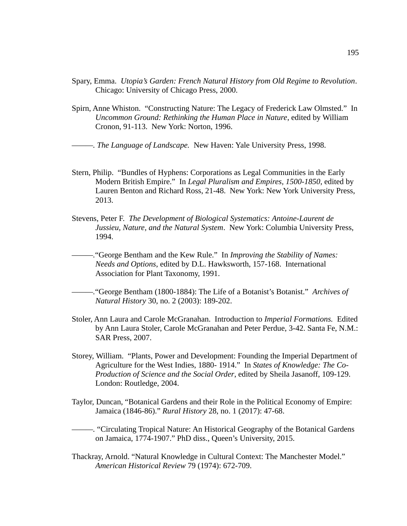- Spary, Emma. *Utopia's Garden: French Natural History from Old Regime to Revolution*. Chicago: University of Chicago Press, 2000.
- Spirn, Anne Whiston. "Constructing Nature: The Legacy of Frederick Law Olmsted." In *Uncommon Ground: Rethinking the Human Place in Nature*, edited by William Cronon, 91-113. New York: Norton, 1996.

*———. The Language of Landscape.* New Haven: Yale University Press, 1998.

- Stern, Philip. "Bundles of Hyphens: Corporations as Legal Communities in the Early Modern British Empire." In *Legal Pluralism and Empires, 1500-1850*, edited by Lauren Benton and Richard Ross, 21-48. New York: New York University Press, 2013.
- Stevens, Peter F. *The Development of Biological Systematics: Antoine-Laurent de Jussieu, Nature, and the Natural System*. New York: Columbia University Press, 1994.

*———.*"George Bentham and the Kew Rule." In *Improving the Stability of Names: Needs and Options*, edited by D.L. Hawksworth, 157-168. International Association for Plant Taxonomy, 1991.

*———.*"George Bentham (1800-1884): The Life of a Botanist's Botanist." *Archives of Natural History* 30, no. 2 (2003): 189-202.

- Stoler, Ann Laura and Carole McGranahan. Introduction to *Imperial Formations.* Edited by Ann Laura Stoler, Carole McGranahan and Peter Perdue, 3-42. Santa Fe, N.M.: SAR Press, 2007.
- Storey, William. "Plants, Power and Development: Founding the Imperial Department of Agriculture for the West Indies, 1880- 1914." In *States of Knowledge: The Co-Production of Science and the Social Order*, edited by Sheila Jasanoff, 109-129. London: Routledge, 2004.
- Taylor, Duncan, "Botanical Gardens and their Role in the Political Economy of Empire: Jamaica (1846-86)." *Rural History* 28, no. 1 (2017): 47-68.

*———.* "Circulating Tropical Nature: An Historical Geography of the Botanical Gardens on Jamaica, 1774-1907." PhD diss., Queen's University, 2015.

Thackray, Arnold. "Natural Knowledge in Cultural Context: The Manchester Model." *American Historical Review* 79 (1974): 672-709.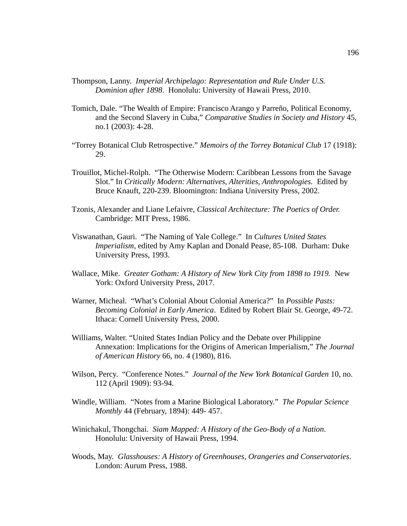- Thompson, Lanny. *Imperial Archipelago: Representation and Rule Under U.S. Dominion after 1898*. Honolulu: University of Hawaii Press, 2010.
- Tomich, Dale. "The Wealth of Empire: Francisco Arango y Parreño, Political Economy, and the Second Slavery in Cuba," *Comparative Studies in Society and History* 45, no.1 (2003): 4-28.
- "Torrey Botanical Club Retrospective." *Memoirs of the Torrey Botanical Club* 17 (1918): 29.
- Trouillot, Michel-Rolph. "The Otherwise Modern: Caribbean Lessons from the Savage Slot." In *Critically Modern: Alternatives, Alterities, Anthropologies.* Edited by Bruce Knauft, 220-239. Bloomington: Indiana University Press, 2002.
- Tzonis, Alexander and Liane Lefaivre, *Classical Architecture: The Poetics of Order.* Cambridge: MIT Press, 1986.
- Viswanathan, Gauri. "The Naming of Yale College." In *Cultures United States Imperialism*, edited by Amy Kaplan and Donald Pease, 85-108. Durham: Duke University Press, 1993.
- Wallace, Mike. *Greater Gotham: A History of New York City from 1898 to 1919.* New York: Oxford University Press, 2017.
- Warner, Micheal. "What's Colonial About Colonial America?" In *Possible Pasts: Becoming Colonial in Early America*. Edited by Robert Blair St. George, 49-72. Ithaca: Cornell University Press, 2000.
- Williams, Walter. "United States Indian Policy and the Debate over Philippine Annexation: Implications for the Origins of American Imperialism," *The Journal of American History* 66, no. 4 (1980), 816.
- Wilson, Percy. "Conference Notes." *Journal of the New York Botanical Garden* 10, no. 112 (April 1909): 93-94.
- Windle, William. "Notes from a Marine Biological Laboratory." *The Popular Science Monthly* 44 (February, 1894): 449- 457.
- Winichakul, Thongchai. *Siam Mapped: A History of the Geo-Body of a Nation*. Honolulu: University of Hawaii Press, 1994.
- Woods, May. *Glasshouses: A History of Greenhouses, Orangeries and Conservatories*. London: Aurum Press, 1988.